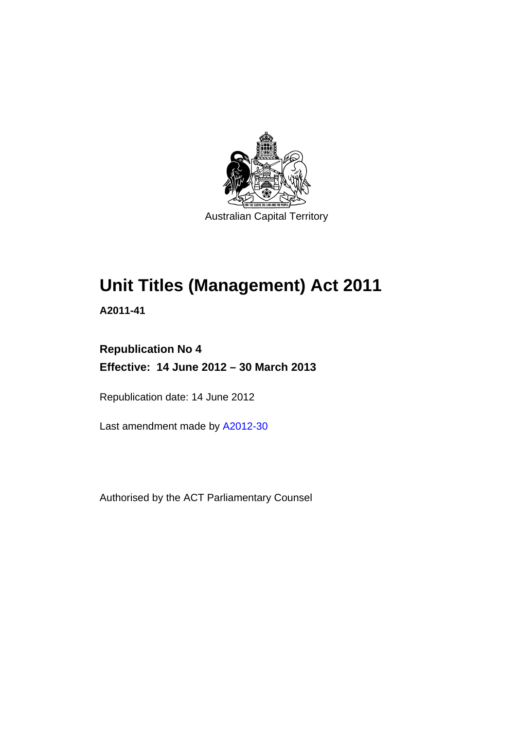

# **Unit Titles (Management) Act 2011**

**A2011-41** 

## **Republication No 4 Effective: 14 June 2012 – 30 March 2013**

Republication date: 14 June 2012

Last amendment made by [A2012-30](http://www.legislation.act.gov.au/a/2012-30)

Authorised by the ACT Parliamentary Counsel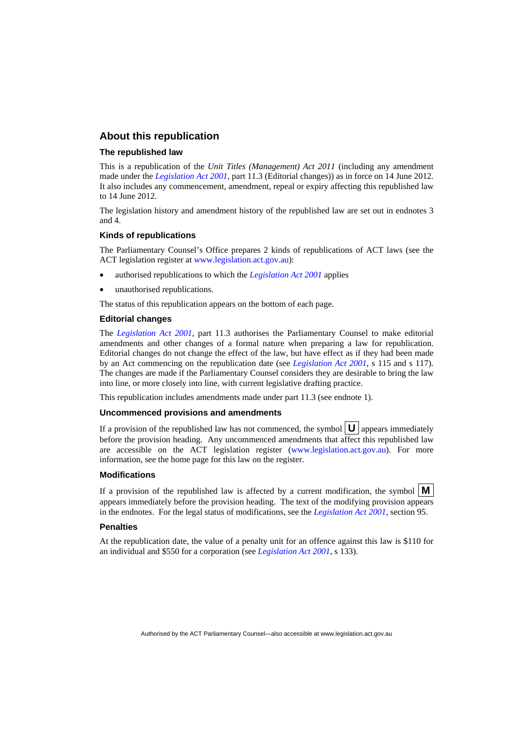#### **About this republication**

#### **The republished law**

This is a republication of the *Unit Titles (Management) Act 2011* (including any amendment made under the *[Legislation Act 2001](http://www.legislation.act.gov.au/a/2001-14)*, part 11.3 (Editorial changes)) as in force on 14 June 2012*.*  It also includes any commencement, amendment, repeal or expiry affecting this republished law to 14 June 2012.

The legislation history and amendment history of the republished law are set out in endnotes 3 and 4.

#### **Kinds of republications**

The Parliamentary Counsel's Office prepares 2 kinds of republications of ACT laws (see the ACT legislation register at [www.legislation.act.gov.au](http://www.legislation.act.gov.au/)):

- authorised republications to which the *[Legislation Act 2001](http://www.legislation.act.gov.au/a/2001-14)* applies
- unauthorised republications.

The status of this republication appears on the bottom of each page.

#### **Editorial changes**

The *[Legislation Act 2001](http://www.legislation.act.gov.au/a/2001-14)*, part 11.3 authorises the Parliamentary Counsel to make editorial amendments and other changes of a formal nature when preparing a law for republication. Editorial changes do not change the effect of the law, but have effect as if they had been made by an Act commencing on the republication date (see *[Legislation Act 2001](http://www.legislation.act.gov.au/a/2001-14)*, s 115 and s 117). The changes are made if the Parliamentary Counsel considers they are desirable to bring the law into line, or more closely into line, with current legislative drafting practice.

This republication includes amendments made under part 11.3 (see endnote 1).

#### **Uncommenced provisions and amendments**

If a provision of the republished law has not commenced, the symbol  $\mathbf{U}$  appears immediately before the provision heading. Any uncommenced amendments that affect this republished law are accessible on the ACT legislation register [\(www.legislation.act.gov.au\)](http://www.legislation.act.gov.au/). For more information, see the home page for this law on the register.

#### **Modifications**

If a provision of the republished law is affected by a current modification, the symbol  $\mathbf{M}$ appears immediately before the provision heading. The text of the modifying provision appears in the endnotes. For the legal status of modifications, see the *[Legislation Act 2001](http://www.legislation.act.gov.au/a/2001-14)*, section 95.

#### **Penalties**

At the republication date, the value of a penalty unit for an offence against this law is \$110 for an individual and \$550 for a corporation (see *[Legislation Act 2001](http://www.legislation.act.gov.au/a/2001-14)*, s 133).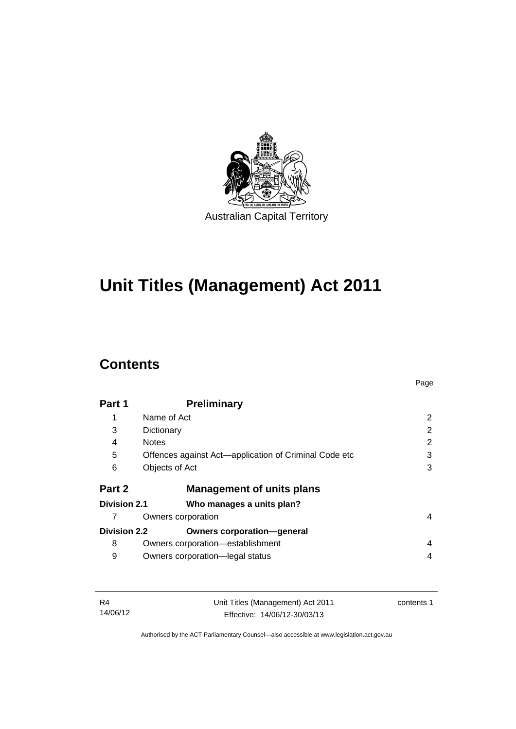

# **Unit Titles (Management) Act 2011**

## **Contents**

|                     |                                                       | Page |
|---------------------|-------------------------------------------------------|------|
| Part 1              | <b>Preliminary</b>                                    |      |
| 1                   | Name of Act                                           | 2    |
| 3                   | Dictionary                                            | 2    |
| 4                   | <b>Notes</b>                                          | 2    |
| 5                   | Offences against Act-application of Criminal Code etc | 3    |
| 6                   | Objects of Act                                        | 3    |
| Part 2              | <b>Management of units plans</b>                      |      |
| <b>Division 2.1</b> | Who manages a units plan?                             |      |
|                     | Owners corporation                                    | 4    |
| <b>Division 2.2</b> | <b>Owners corporation-general</b>                     |      |
| 8                   | Owners corporation-establishment                      | 4    |
| 9                   | Owners corporation-legal status                       | 4    |

| - R4     | Unit Titles (Management) Act 2011 | contents 1 |
|----------|-----------------------------------|------------|
| 14/06/12 | Effective: 14/06/12-30/03/13      |            |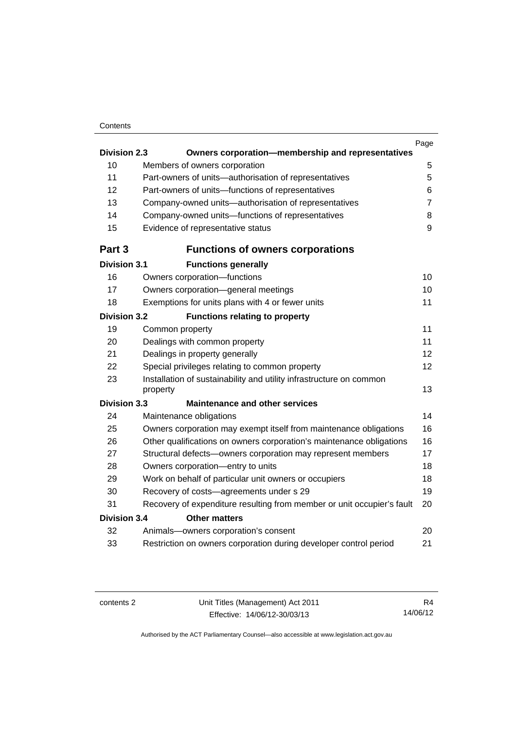#### **Contents**

|                                             |                                                                                 | Page           |  |
|---------------------------------------------|---------------------------------------------------------------------------------|----------------|--|
| <b>Division 2.3</b>                         | Owners corporation-membership and representatives                               |                |  |
| 10                                          | Members of owners corporation                                                   | 5              |  |
| 11                                          | Part-owners of units-authorisation of representatives                           | 5              |  |
| 12                                          | Part-owners of units-functions of representatives                               | 6              |  |
| 13                                          | Company-owned units-authorisation of representatives                            | $\overline{7}$ |  |
| 14                                          | Company-owned units-functions of representatives                                | 8              |  |
| 15                                          | Evidence of representative status                                               | 9              |  |
| Part 3                                      | <b>Functions of owners corporations</b>                                         |                |  |
| <b>Division 3.1</b>                         | <b>Functions generally</b>                                                      |                |  |
| 16                                          | Owners corporation-functions                                                    | 10             |  |
| 17                                          | Owners corporation-general meetings                                             | 10             |  |
| 18                                          | Exemptions for units plans with 4 or fewer units                                | 11             |  |
| <b>Division 3.2</b>                         | <b>Functions relating to property</b>                                           |                |  |
| 19                                          | Common property                                                                 | 11             |  |
| 20                                          | Dealings with common property                                                   | 11             |  |
| 21                                          | Dealings in property generally                                                  | 12             |  |
| 22                                          | Special privileges relating to common property                                  | 12             |  |
| 23                                          | Installation of sustainability and utility infrastructure on common<br>property | 13             |  |
| <b>Division 3.3</b>                         | <b>Maintenance and other services</b>                                           |                |  |
| 24                                          | Maintenance obligations                                                         | 14             |  |
| 25                                          | Owners corporation may exempt itself from maintenance obligations               | 16             |  |
| 26                                          | Other qualifications on owners corporation's maintenance obligations            | 16             |  |
| 27                                          | Structural defects-owners corporation may represent members                     | 17             |  |
| 28                                          | Owners corporation-entry to units                                               | 18             |  |
| 29                                          | Work on behalf of particular unit owners or occupiers                           | 18             |  |
| 30                                          | Recovery of costs-agreements under s 29                                         | 19             |  |
| 31                                          | Recovery of expenditure resulting from member or unit occupier's fault          | 20             |  |
| <b>Division 3.4</b><br><b>Other matters</b> |                                                                                 |                |  |
| 32                                          | Animals-owners corporation's consent                                            | 20             |  |
| 33                                          | Restriction on owners corporation during developer control period               | 21             |  |
|                                             |                                                                                 |                |  |

R4 14/06/12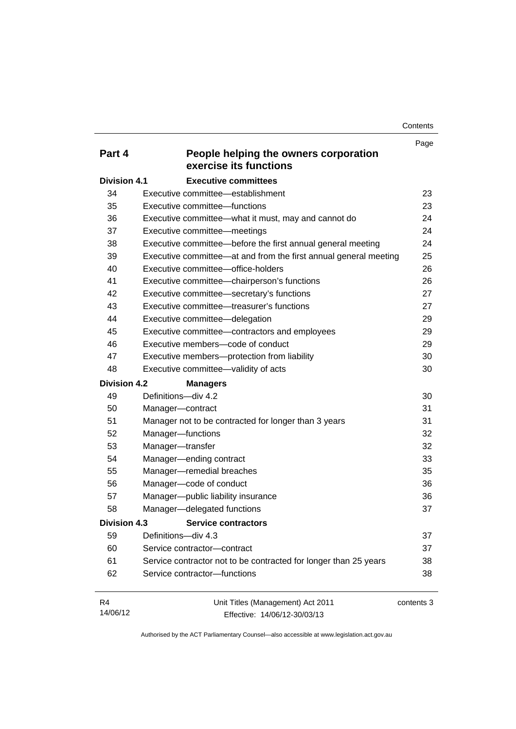**Contents** 

|                     |                                                                  | Page       |
|---------------------|------------------------------------------------------------------|------------|
| Part 4              | People helping the owners corporation<br>exercise its functions  |            |
| <b>Division 4.1</b> | <b>Executive committees</b>                                      |            |
| 34                  | Executive committee—establishment                                | 23         |
| 35                  | Executive committee—functions                                    | 23         |
| 36                  | Executive committee-what it must, may and cannot do              | 24         |
| 37                  | Executive committee-meetings                                     | 24         |
| 38                  | Executive committee—before the first annual general meeting      | 24         |
| 39                  | Executive committee—at and from the first annual general meeting | 25         |
| 40                  | Executive committee-office-holders                               | 26         |
| 41                  | Executive committee-chairperson's functions                      | 26         |
| 42                  | Executive committee-secretary's functions                        | 27         |
| 43                  | Executive committee—treasurer's functions                        | 27         |
| 44                  | Executive committee-delegation                                   | 29         |
| 45                  | Executive committee-contractors and employees                    | 29         |
| 46                  | Executive members-code of conduct                                | 29         |
| 47                  | Executive members-protection from liability                      | 30         |
| 48                  | Executive committee-validity of acts                             | 30         |
| <b>Division 4.2</b> | <b>Managers</b>                                                  |            |
| 49                  | Definitions-div 4.2                                              | 30         |
| 50                  | Manager-contract                                                 | 31         |
| 51                  | Manager not to be contracted for longer than 3 years             | 31         |
| 52                  | Manager-functions                                                | 32         |
| 53                  | Manager-transfer                                                 | 32         |
| 54                  | Manager-ending contract                                          | 33         |
| 55                  | Manager-remedial breaches                                        | 35         |
| 56                  | Manager-code of conduct                                          | 36         |
| 57                  | Manager-public liability insurance                               | 36         |
| 58                  | Manager-delegated functions                                      | 37         |
| Division 4.3        | <b>Service contractors</b>                                       |            |
| 59                  | Definitions-div 4.3                                              | 37         |
| 60                  | Service contractor-contract                                      | 37         |
| 61                  | Service contractor not to be contracted for longer than 25 years | 38         |
| 62                  | Service contractor-functions                                     | 38         |
| R4                  |                                                                  |            |
|                     | Unit Titles (Management) Act 2011                                | contents 3 |

Authorised by the ACT Parliamentary Counsel—also accessible at www.legislation.act.gov.au

Effective: 14/06/12-30/03/13

14/06/12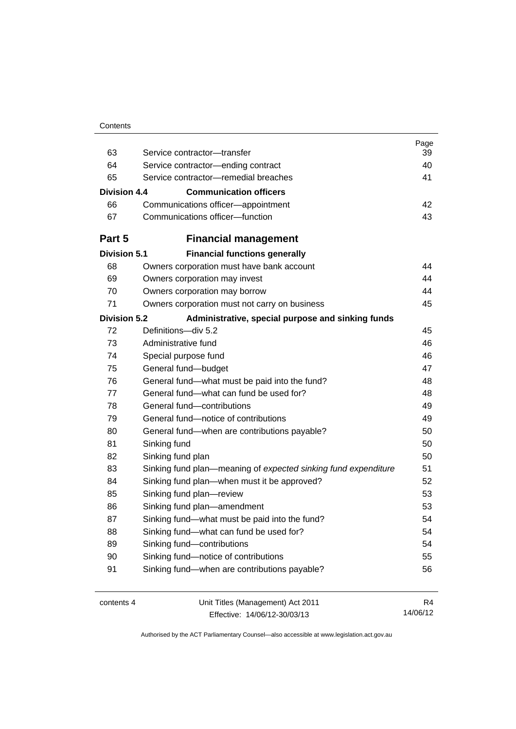| Contents |
|----------|
|----------|

| 63                  | Service contractor-transfer                                           | Page<br>39 |
|---------------------|-----------------------------------------------------------------------|------------|
| 64                  | Service contractor-ending contract                                    | 40         |
| 65                  | Service contractor-remedial breaches                                  | 41         |
| Division 4.4        | <b>Communication officers</b>                                         |            |
|                     |                                                                       | 42         |
| 66<br>67            | Communications officer-appointment<br>Communications officer-function | 43         |
|                     |                                                                       |            |
| Part 5              | <b>Financial management</b>                                           |            |
| <b>Division 5.1</b> | <b>Financial functions generally</b>                                  |            |
| 68                  | Owners corporation must have bank account                             | 44         |
| 69                  | Owners corporation may invest                                         | 44         |
| 70                  | Owners corporation may borrow                                         | 44         |
| 71                  | Owners corporation must not carry on business                         | 45         |
| <b>Division 5.2</b> | Administrative, special purpose and sinking funds                     |            |
| 72                  | Definitions-div 5.2                                                   | 45         |
| 73                  | Administrative fund                                                   | 46         |
| 74                  | Special purpose fund                                                  | 46         |
| 75                  | General fund-budget                                                   | 47         |
| 76                  | General fund-what must be paid into the fund?                         | 48         |
| 77                  | General fund—what can fund be used for?                               | 48         |
| 78                  | General fund-contributions                                            | 49         |
| 79                  | General fund-notice of contributions                                  | 49         |
| 80                  | General fund—when are contributions payable?                          | 50         |
| 81                  | Sinking fund                                                          | 50         |
| 82                  | Sinking fund plan                                                     | 50         |
| 83                  | Sinking fund plan—meaning of expected sinking fund expenditure        | 51         |
| 84                  | Sinking fund plan-when must it be approved?                           | 52         |
| 85                  | Sinking fund plan-review                                              | 53         |
| 86                  | Sinking fund plan-amendment                                           | 53         |
| 87                  | Sinking fund-what must be paid into the fund?                         | 54         |
| 88                  | Sinking fund-what can fund be used for?                               | 54         |
| 89                  | Sinking fund-contributions                                            | 54         |
| 90                  | Sinking fund-notice of contributions                                  | 55         |
| 91                  | Sinking fund-when are contributions payable?                          | 56         |
| contents 4          | Unit Titles (Management) Act 2011                                     | R4         |

Effective: 14/06/12-30/03/13

14/06/12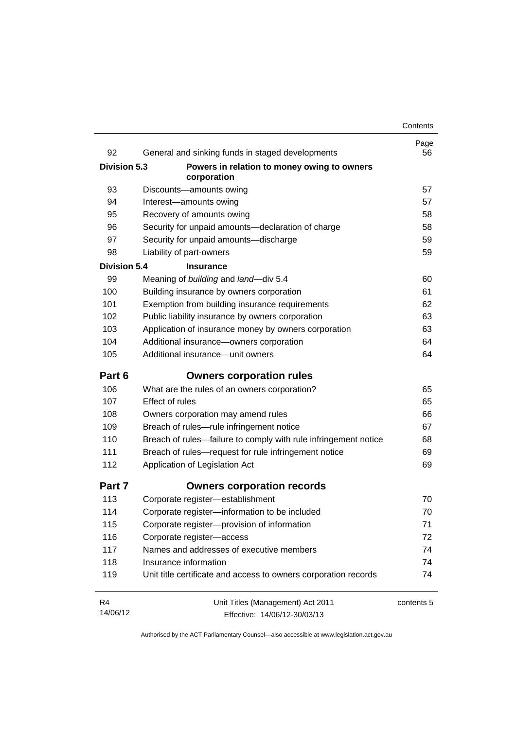| 92                  | General and sinking funds in staged developments                | Page<br>56 |
|---------------------|-----------------------------------------------------------------|------------|
| <b>Division 5.3</b> | Powers in relation to money owing to owners                     |            |
|                     | corporation                                                     |            |
| 93                  | Discounts-amounts owing                                         | 57         |
| 94                  | Interest-amounts owing                                          | 57         |
| 95                  | Recovery of amounts owing                                       | 58         |
| 96                  | Security for unpaid amounts-declaration of charge               | 58         |
| 97                  | Security for unpaid amounts-discharge                           | 59         |
| 98                  | Liability of part-owners                                        | 59         |
| <b>Division 5.4</b> | <b>Insurance</b>                                                |            |
| 99                  | Meaning of building and land-div 5.4                            | 60         |
| 100                 | Building insurance by owners corporation                        | 61         |
| 101                 | Exemption from building insurance requirements                  | 62         |
| 102                 | Public liability insurance by owners corporation                | 63         |
| 103                 | Application of insurance money by owners corporation            | 63         |
| 104                 | Additional insurance-owners corporation                         | 64         |
| 105                 | Additional insurance-unit owners                                | 64         |
| Part 6              | <b>Owners corporation rules</b>                                 |            |
| 106                 | What are the rules of an owners corporation?                    | 65         |
| 107                 | <b>Effect of rules</b>                                          | 65         |
| 108                 | Owners corporation may amend rules                              | 66         |
| 109                 | Breach of rules-rule infringement notice                        | 67         |
| 110                 | Breach of rules—failure to comply with rule infringement notice | 68         |
| 111                 | Breach of rules-request for rule infringement notice            | 69         |
| 112                 | Application of Legislation Act                                  | 69         |
| Part 7              | <b>Owners corporation records</b>                               |            |
| 113                 | Corporate register-establishment                                | 70         |
| 114                 | Corporate register-information to be included                   | 70         |
| 115                 | Corporate register-provision of information                     | 71         |
| 116                 | Corporate register-access                                       | 72         |
| 117                 | Names and addresses of executive members                        | 74         |
| 118                 | Insurance information                                           | 74         |
| 119                 | Unit title certificate and access to owners corporation records | 74         |
| R <sub>4</sub>      | Unit Titles (Management) Act 2011                               | contents 5 |
| 14/06/12            | Effective: 14/06/12-30/03/13                                    |            |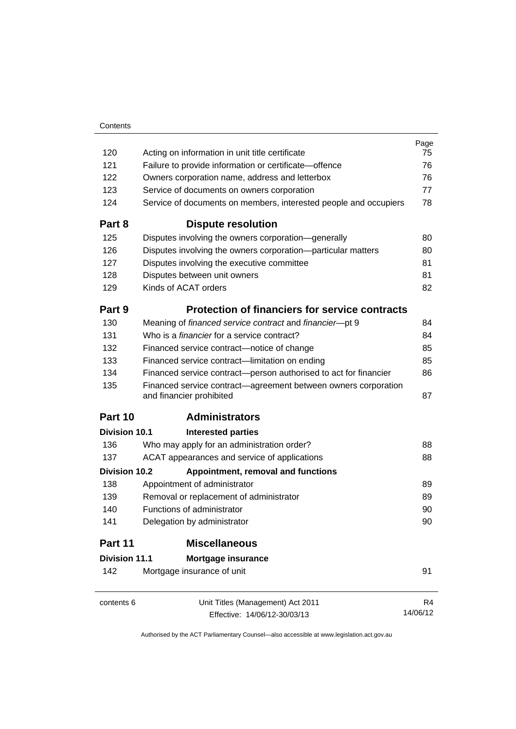|                      |                                                                                            | Page     |
|----------------------|--------------------------------------------------------------------------------------------|----------|
| 120                  | Acting on information in unit title certificate                                            | 75       |
| 121                  | Failure to provide information or certificate-offence                                      | 76       |
| 122                  | Owners corporation name, address and letterbox                                             | 76       |
| 123                  | Service of documents on owners corporation                                                 | 77       |
| 124                  | Service of documents on members, interested people and occupiers                           | 78       |
| Part 8               | <b>Dispute resolution</b>                                                                  |          |
| 125                  | Disputes involving the owners corporation-generally                                        | 80       |
| 126                  | Disputes involving the owners corporation-particular matters                               | 80       |
| 127                  | Disputes involving the executive committee                                                 | 81       |
| 128                  | Disputes between unit owners                                                               | 81       |
| 129                  | Kinds of ACAT orders                                                                       | 82       |
| Part 9               | <b>Protection of financiers for service contracts</b>                                      |          |
| 130                  | Meaning of financed service contract and financier-pt 9                                    | 84       |
| 131                  | Who is a <i>financier</i> for a service contract?                                          | 84       |
| 132                  | Financed service contract-notice of change                                                 | 85       |
| 133                  | Financed service contract—limitation on ending                                             | 85       |
| 134                  | Financed service contract-person authorised to act for financier                           | 86       |
| 135                  | Financed service contract-agreement between owners corporation<br>and financier prohibited | 87       |
| Part 10              | <b>Administrators</b>                                                                      |          |
| Division 10.1        | <b>Interested parties</b>                                                                  |          |
| 136                  | Who may apply for an administration order?                                                 | 88       |
| 137                  | ACAT appearances and service of applications                                               | 88       |
| Division 10.2        | Appointment, removal and functions                                                         |          |
| 138                  | Appointment of administrator                                                               | 89       |
| 139                  | Removal or replacement of administrator                                                    | 89       |
| 140                  | Functions of administrator                                                                 | 90       |
| 141                  | Delegation by administrator                                                                | 90       |
| Part 11              | <b>Miscellaneous</b>                                                                       |          |
| <b>Division 11.1</b> | Mortgage insurance                                                                         |          |
| 142                  | Mortgage insurance of unit                                                                 | 91       |
| contents 6           | Unit Titles (Management) Act 2011                                                          | R4       |
|                      | Effective: 14/06/12-30/03/13                                                               | 14/06/12 |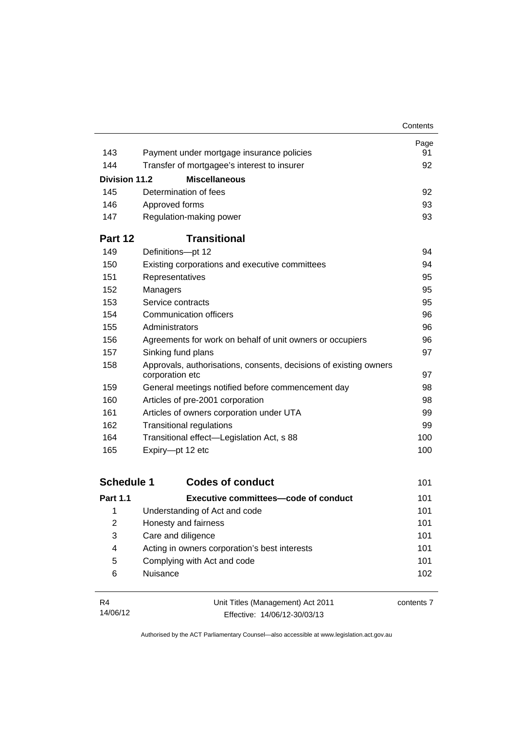|                      |                                                                                      | Contents |
|----------------------|--------------------------------------------------------------------------------------|----------|
|                      |                                                                                      | Page     |
| 143                  | Payment under mortgage insurance policies                                            | 91       |
| 144                  | Transfer of mortgagee's interest to insurer                                          | 92       |
| <b>Division 11.2</b> | <b>Miscellaneous</b>                                                                 |          |
| 145                  | Determination of fees                                                                | 92       |
| 146                  | Approved forms                                                                       | 93       |
| 147                  | Regulation-making power                                                              | 93       |
| Part 12              | <b>Transitional</b>                                                                  |          |
| 149                  | Definitions-pt 12                                                                    | 94       |
| 150                  | Existing corporations and executive committees                                       | 94       |
| 151                  | Representatives                                                                      | 95       |
| 152                  | Managers                                                                             | 95       |
| 153                  | Service contracts                                                                    | 95       |
| 154                  | Communication officers                                                               | 96       |
| 155                  | Administrators                                                                       | 96       |
| 156                  | Agreements for work on behalf of unit owners or occupiers                            | 96       |
| 157                  | Sinking fund plans                                                                   | 97       |
| 158                  | Approvals, authorisations, consents, decisions of existing owners<br>corporation etc | 97       |
| 159                  | General meetings notified before commencement day                                    | 98       |
| 160                  | Articles of pre-2001 corporation                                                     | 98       |
| 161                  | Articles of owners corporation under UTA                                             | 99       |
| 162                  | <b>Transitional regulations</b>                                                      | 99       |
| 164                  | Transitional effect—Legislation Act, s 88                                            | 100      |
| 165                  | Expiry-pt 12 etc                                                                     | 100      |

| <b>Schedule 1</b> | <b>Codes of conduct</b>                       | 101 |
|-------------------|-----------------------------------------------|-----|
| <b>Part 1.1</b>   | Executive committees—code of conduct          | 101 |
| 1                 | Understanding of Act and code                 | 101 |
| 2                 | Honesty and fairness                          | 101 |
| 3                 | Care and diligence                            | 101 |
| 4                 | Acting in owners corporation's best interests | 101 |
| 5                 | Complying with Act and code                   | 101 |
| 6                 | <b>Nuisance</b>                               | 102 |

| <b>R4</b> | Unit Titles (Management) Act 2011 | contents 7 |
|-----------|-----------------------------------|------------|
| 14/06/12  | Effective: 14/06/12-30/03/13      |            |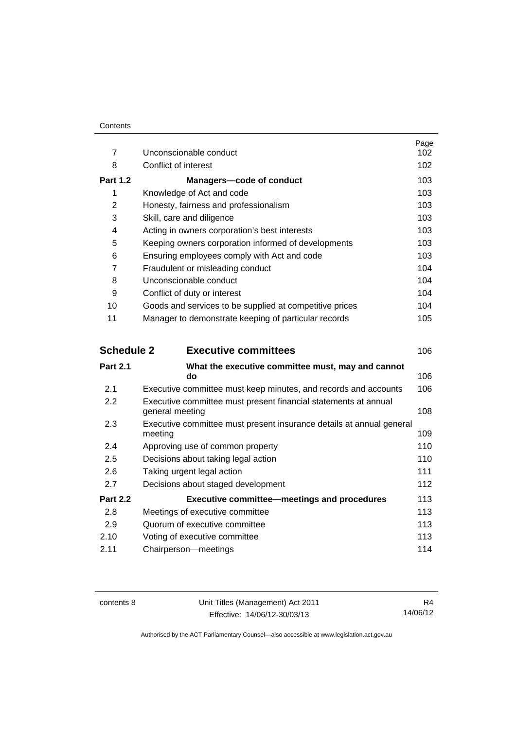| $\overline{7}$  | Unconscionable conduct                                  | Page<br>102 |
|-----------------|---------------------------------------------------------|-------------|
|                 |                                                         |             |
| 8               | Conflict of interest                                    | 102         |
| <b>Part 1.2</b> | <b>Managers-code of conduct</b>                         | 103.        |
| 1               | Knowledge of Act and code                               | 103         |
| 2               | Honesty, fairness and professionalism                   | 103         |
| 3               | Skill, care and diligence                               | 103         |
| 4               | Acting in owners corporation's best interests           | 103         |
| 5               | Keeping owners corporation informed of developments     | 103         |
| 6               | Ensuring employees comply with Act and code             | 103         |
| 7               | Fraudulent or misleading conduct                        | 104         |
| 8               | Unconscionable conduct                                  | 104         |
| 9               | Conflict of duty or interest                            | 104         |
| 10              | Goods and services to be supplied at competitive prices | 104         |
| 11              | Manager to demonstrate keeping of particular records    | 105         |

| <b>Schedule 2</b> | <b>Executive committees</b>                                                        | 106 |
|-------------------|------------------------------------------------------------------------------------|-----|
| <b>Part 2.1</b>   | What the executive committee must, may and cannot<br>do                            | 106 |
| 2.1               | Executive committee must keep minutes, and records and accounts                    | 106 |
| $2.2\phantom{0}$  | Executive committee must present financial statements at annual<br>general meeting | 108 |
| 2.3               | Executive committee must present insurance details at annual general<br>meeting    | 109 |
| 2.4               | Approving use of common property                                                   | 110 |
| 2.5               | Decisions about taking legal action                                                | 110 |
| 2.6               | Taking urgent legal action                                                         | 111 |
| 2.7               | Decisions about staged development                                                 | 112 |
| <b>Part 2.2</b>   | <b>Executive committee-meetings and procedures</b>                                 | 113 |
| 2.8               | Meetings of executive committee                                                    | 113 |
| 2.9               | Quorum of executive committee                                                      | 113 |
| 2.10              | Voting of executive committee                                                      | 113 |
| 2.11              | Chairperson-meetings                                                               | 114 |
|                   |                                                                                    |     |

contents 8 Unit Titles (Management) Act 2011 Effective: 14/06/12-30/03/13

R4 14/06/12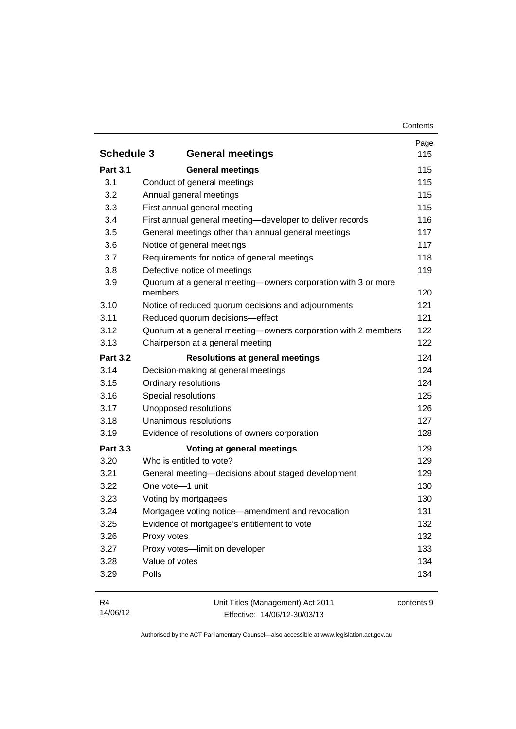|                   |                                                                          | Page |
|-------------------|--------------------------------------------------------------------------|------|
| <b>Schedule 3</b> | <b>General meetings</b>                                                  | 115  |
| <b>Part 3.1</b>   | <b>General meetings</b>                                                  | 115  |
| 3.1               | Conduct of general meetings                                              | 115  |
| 3.2               | Annual general meetings                                                  | 115  |
| 3.3               | First annual general meeting                                             | 115  |
| 3.4               | First annual general meeting-developer to deliver records                | 116  |
| 3.5               | General meetings other than annual general meetings                      | 117  |
| 3.6               | Notice of general meetings                                               | 117  |
| 3.7               | Requirements for notice of general meetings                              | 118  |
| 3.8               | Defective notice of meetings                                             | 119  |
| 3.9               | Quorum at a general meeting-owners corporation with 3 or more<br>members | 120  |
| 3.10              | Notice of reduced quorum decisions and adjournments                      | 121  |
| 3.11              | Reduced quorum decisions-effect                                          | 121  |
| 3.12              | Quorum at a general meeting-owners corporation with 2 members            | 122  |
| 3.13              | Chairperson at a general meeting                                         | 122  |
| <b>Part 3.2</b>   | <b>Resolutions at general meetings</b>                                   | 124  |
| 3.14              | Decision-making at general meetings                                      | 124  |
| 3.15              | Ordinary resolutions                                                     | 124  |
| 3.16              | Special resolutions                                                      | 125  |
| 3.17              | Unopposed resolutions                                                    | 126  |
| 3.18              | Unanimous resolutions                                                    | 127  |
| 3.19              | Evidence of resolutions of owners corporation                            | 128  |
| <b>Part 3.3</b>   | Voting at general meetings                                               | 129  |
| 3.20              | Who is entitled to vote?                                                 | 129  |
| 3.21              | General meeting-decisions about staged development                       | 129  |
| 3.22              | One vote-1 unit                                                          | 130  |
| 3.23              | Voting by mortgagees                                                     | 130  |
| 3.24              | Mortgagee voting notice—amendment and revocation                         | 131  |
| 3.25              | Evidence of mortgagee's entitlement to vote                              | 132  |
| 3.26              | Proxy votes                                                              | 132  |
| 3.27              | Proxy votes-limit on developer                                           | 133  |
| 3.28              | Value of votes                                                           | 134  |
| 3.29              | Polls                                                                    | 134  |

| R4       | Unit Titles (Management) Act 2011 | contents 9 |
|----------|-----------------------------------|------------|
| 14/06/12 | Effective: 14/06/12-30/03/13      |            |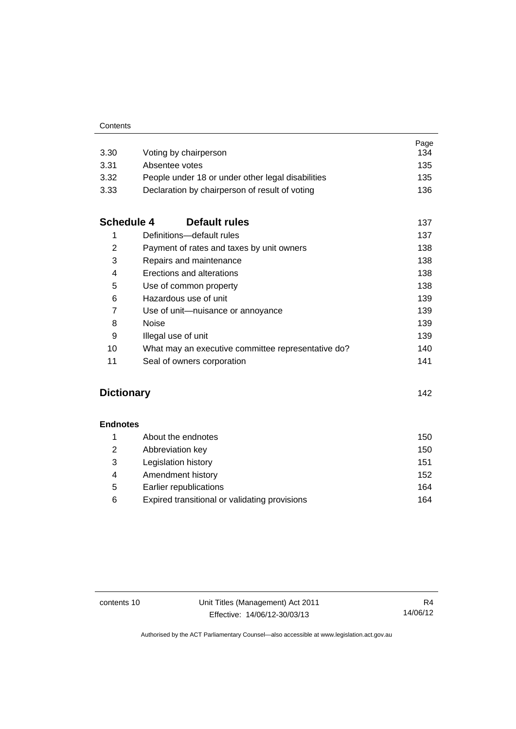| 3.30              | Voting by chairperson                              | Page<br>134 |
|-------------------|----------------------------------------------------|-------------|
| 3.31              | Absentee votes                                     | 135         |
| 3.32              | People under 18 or under other legal disabilities  | 135         |
| 3.33              | Declaration by chairperson of result of voting     | 136         |
| <b>Schedule 4</b> | Default rules                                      | 137         |
| 1                 | Definitions-default rules                          | 137         |
| $\overline{2}$    | Payment of rates and taxes by unit owners          | 138         |
| 3                 | Repairs and maintenance                            | 138         |
| 4                 | Erections and alterations                          | 138         |
| 5                 | Use of common property                             | 138         |
| 6                 | Hazardous use of unit                              | 139         |
| 7                 | Use of unit-nuisance or annoyance                  | 139         |
| 8                 | <b>Noise</b>                                       | 139         |
| 9                 | Illegal use of unit                                | 139         |
| 10                | What may an executive committee representative do? | 140         |
| 11                | Seal of owners corporation                         | 141         |

### **[Dictionary](#page-153-0)** [142](#page-153-0)

**[Endnotes](#page-161-0)**

| About the endnotes                            | 150 |
|-----------------------------------------------|-----|
| Abbreviation key                              | 150 |
| Legislation history                           | 151 |
| Amendment history                             | 152 |
| Earlier republications                        | 164 |
| Expired transitional or validating provisions | 164 |
|                                               |     |

contents 10 Unit Titles (Management) Act 2011 Effective: 14/06/12-30/03/13

R4 14/06/12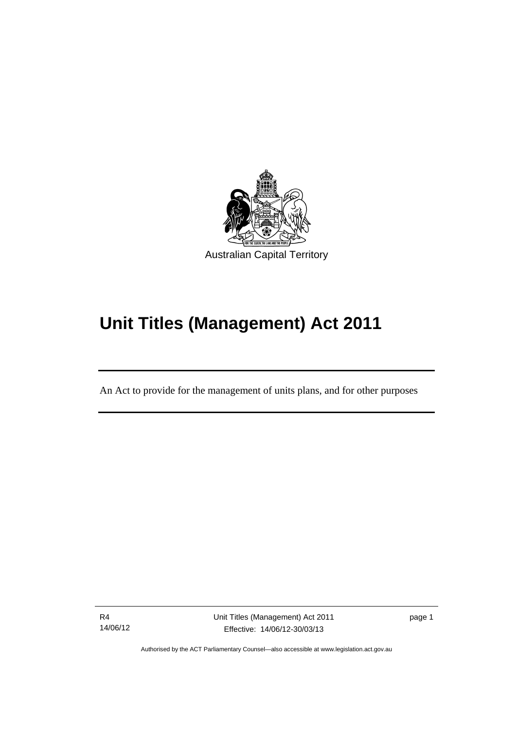

# **Unit Titles (Management) Act 2011**

An Act to provide for the management of units plans, and for other purposes

R4 14/06/12

l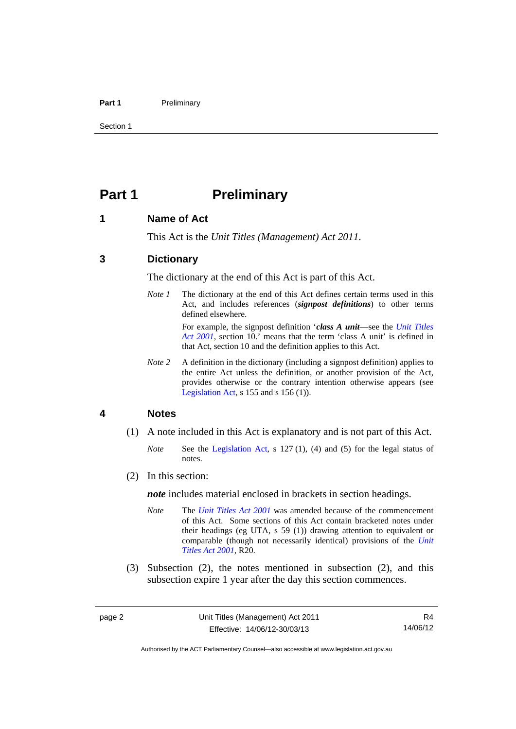#### Part 1 **Preliminary**

Section 1

### <span id="page-13-0"></span>**Part 1** Preliminary

#### <span id="page-13-1"></span>**1 Name of Act**

This Act is the *Unit Titles (Management) Act 2011*.

#### <span id="page-13-2"></span>**3 Dictionary**

The dictionary at the end of this Act is part of this Act.

*Note 1* The dictionary at the end of this Act defines certain terms used in this Act, and includes references (*signpost definitions*) to other terms defined elsewhere.

> For example, the signpost definition '*class A unit*—see the *[Unit Titles](http://www.legislation.act.gov.au/a/2001-16)  [Act 2001](http://www.legislation.act.gov.au/a/2001-16)*, section 10.' means that the term 'class A unit' is defined in that Act, section 10 and the definition applies to this Act.

*Note* 2 A definition in the dictionary (including a signpost definition) applies to the entire Act unless the definition, or another provision of the Act, provides otherwise or the contrary intention otherwise appears (see [Legislation Act,](http://www.legislation.act.gov.au/a/2001-14) s 155 and s 156 (1)).

#### <span id="page-13-3"></span>**4 Notes**

- (1) A note included in this Act is explanatory and is not part of this Act.
	- *Note* See the [Legislation Act,](http://www.legislation.act.gov.au/a/2001-14) s 127 (1), (4) and (5) for the legal status of notes.
- (2) In this section:

*note* includes material enclosed in brackets in section headings.

- *Note* The *[Unit Titles Act 2001](http://www.legislation.act.gov.au/a/2001-16)* was amended because of the commencement of this Act. Some sections of this Act contain bracketed notes under their headings (eg UTA, s 59 (1)) drawing attention to equivalent or comparable (though not necessarily identical) provisions of the *[Unit](http://www.legislation.act.gov.au/a/2001-16)  [Titles Act 2001](http://www.legislation.act.gov.au/a/2001-16)*, R20.
- (3) Subsection (2), the notes mentioned in subsection (2), and this subsection expire 1 year after the day this section commences.

Authorised by the ACT Parliamentary Counsel—also accessible at www.legislation.act.gov.au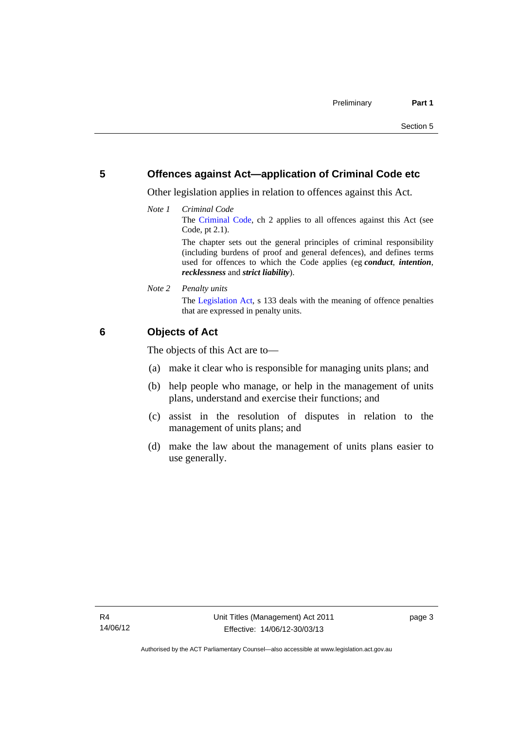### <span id="page-14-0"></span>**5 Offences against Act—application of Criminal Code etc**

Other legislation applies in relation to offences against this Act.

*Note 1 Criminal Code* The [Criminal Code](http://www.legislation.act.gov.au/a/2002-51), ch 2 applies to all offences against this Act (see Code, pt 2.1). The chapter sets out the general principles of criminal responsibility

(including burdens of proof and general defences), and defines terms used for offences to which the Code applies (eg *conduct*, *intention*, *recklessness* and *strict liability*).

*Note 2 Penalty units* 

The [Legislation Act](http://www.legislation.act.gov.au/a/2001-14), s 133 deals with the meaning of offence penalties that are expressed in penalty units.

### <span id="page-14-1"></span>**6 Objects of Act**

The objects of this Act are to—

- (a) make it clear who is responsible for managing units plans; and
- (b) help people who manage, or help in the management of units plans, understand and exercise their functions; and
- (c) assist in the resolution of disputes in relation to the management of units plans; and
- (d) make the law about the management of units plans easier to use generally.

page 3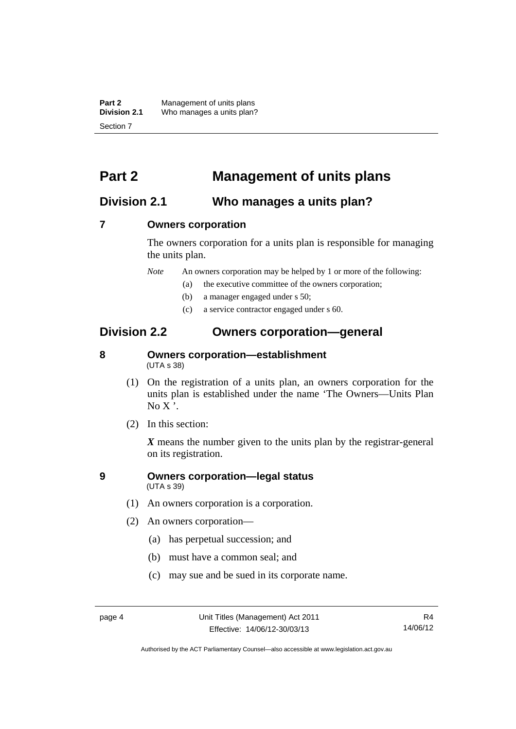**Part 2** Management of units plans<br>**Division 2.1** Who manages a units plan? Who manages a units plan? Section 7

### <span id="page-15-0"></span>**Part 2 Management of units plans**

### <span id="page-15-1"></span>**Division 2.1 Who manages a units plan?**

#### <span id="page-15-2"></span>**7 Owners corporation**

The owners corporation for a units plan is responsible for managing the units plan.

*Note* An owners corporation may be helped by 1 or more of the following:

- (a) the executive committee of the owners corporation;
- (b) a manager engaged under s 50;
- (c) a service contractor engaged under s 60.

### <span id="page-15-3"></span>**Division 2.2 Owners corporation—general**

### <span id="page-15-4"></span>**8 Owners corporation—establishment**  (UTA s 38)

- (1) On the registration of a units plan, an owners corporation for the units plan is established under the name 'The Owners—Units Plan  $No X'.$
- (2) In this section:

*X* means the number given to the units plan by the registrar-general on its registration.

#### <span id="page-15-5"></span>**9 Owners corporation—legal status**  (UTA s 39)

- (1) An owners corporation is a corporation.
- (2) An owners corporation—
	- (a) has perpetual succession; and
	- (b) must have a common seal; and
	- (c) may sue and be sued in its corporate name.

Authorised by the ACT Parliamentary Counsel—also accessible at www.legislation.act.gov.au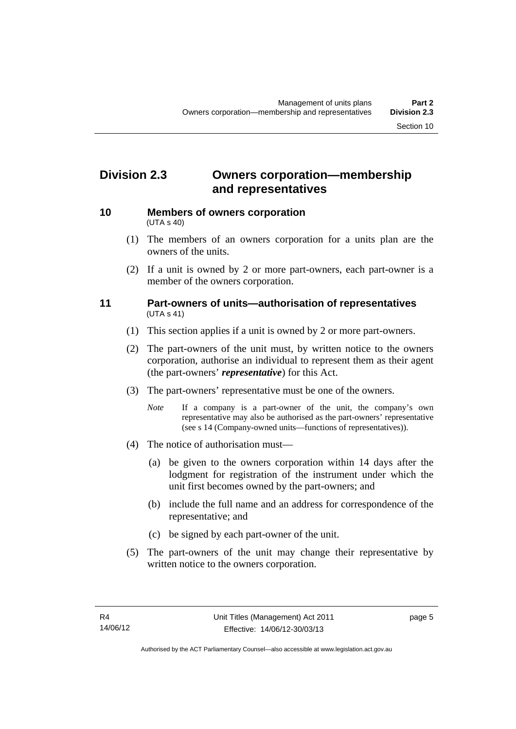### <span id="page-16-0"></span>**Division 2.3 Owners corporation—membership and representatives**

<span id="page-16-1"></span>

#### **10 Members of owners corporation**  (UTA s 40)

- (1) The members of an owners corporation for a units plan are the owners of the units.
- (2) If a unit is owned by 2 or more part-owners, each part-owner is a member of the owners corporation.

#### <span id="page-16-2"></span>**11 Part-owners of units—authorisation of representatives**  (UTA s 41)

- (1) This section applies if a unit is owned by 2 or more part-owners.
- (2) The part-owners of the unit must, by written notice to the owners corporation, authorise an individual to represent them as their agent (the part-owners' *representative*) for this Act.
- (3) The part-owners' representative must be one of the owners.
	- *Note* If a company is a part-owner of the unit, the company's own representative may also be authorised as the part-owners' representative (see s 14 (Company-owned units—functions of representatives)).
- (4) The notice of authorisation must—
	- (a) be given to the owners corporation within 14 days after the lodgment for registration of the instrument under which the unit first becomes owned by the part-owners; and
	- (b) include the full name and an address for correspondence of the representative; and
	- (c) be signed by each part-owner of the unit.
- (5) The part-owners of the unit may change their representative by written notice to the owners corporation.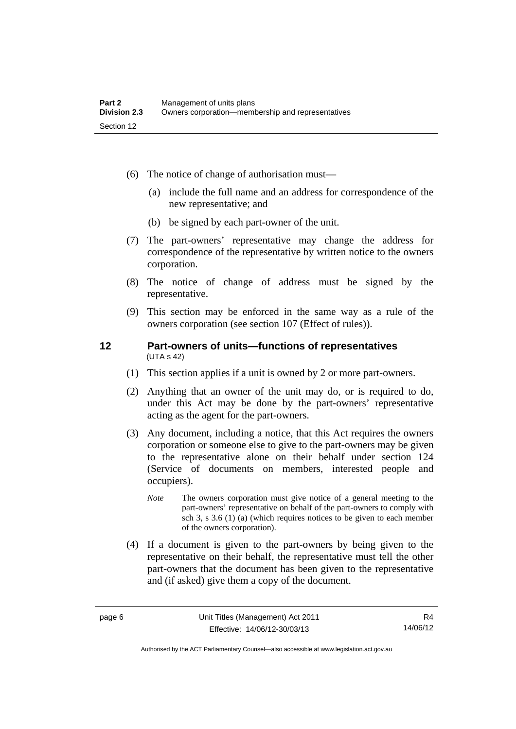- (6) The notice of change of authorisation must—
	- (a) include the full name and an address for correspondence of the new representative; and
	- (b) be signed by each part-owner of the unit.
- (7) The part-owners' representative may change the address for correspondence of the representative by written notice to the owners corporation.
- (8) The notice of change of address must be signed by the representative.
- (9) This section may be enforced in the same way as a rule of the owners corporation (see section 107 (Effect of rules)).

#### <span id="page-17-0"></span>**12 Part-owners of units—functions of representatives**  (UTA s 42)

- (1) This section applies if a unit is owned by 2 or more part-owners.
- (2) Anything that an owner of the unit may do, or is required to do, under this Act may be done by the part-owners' representative acting as the agent for the part-owners.
- (3) Any document, including a notice, that this Act requires the owners corporation or someone else to give to the part-owners may be given to the representative alone on their behalf under section 124 (Service of documents on members, interested people and occupiers).
	- *Note* The owners corporation must give notice of a general meeting to the part-owners' representative on behalf of the part-owners to comply with sch 3, s 3.6 (1) (a) (which requires notices to be given to each member of the owners corporation).
- (4) If a document is given to the part-owners by being given to the representative on their behalf, the representative must tell the other part-owners that the document has been given to the representative and (if asked) give them a copy of the document.

Authorised by the ACT Parliamentary Counsel—also accessible at www.legislation.act.gov.au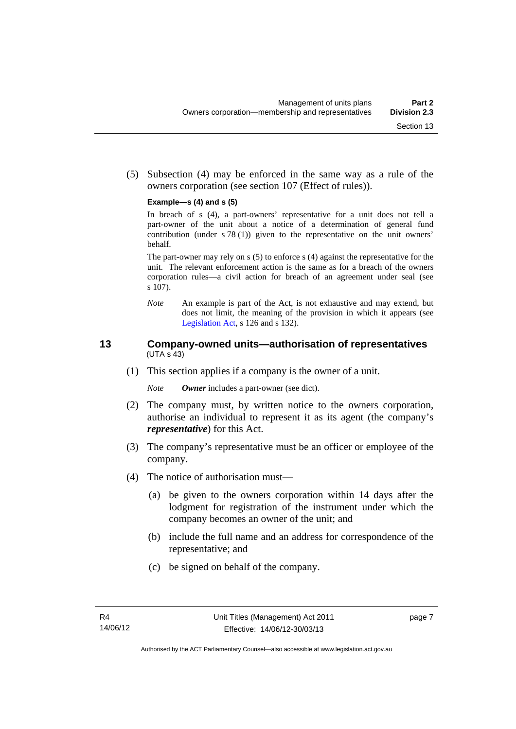(5) Subsection (4) may be enforced in the same way as a rule of the owners corporation (see section 107 (Effect of rules)).

#### **Example—s (4) and s (5)**

In breach of s (4), a part-owners' representative for a unit does not tell a part-owner of the unit about a notice of a determination of general fund contribution (under s 78 (1)) given to the representative on the unit owners' behalf.

The part-owner may rely on s (5) to enforce s (4) against the representative for the unit. The relevant enforcement action is the same as for a breach of the owners corporation rules—a civil action for breach of an agreement under seal (see s 107).

*Note* An example is part of the Act, is not exhaustive and may extend, but does not limit, the meaning of the provision in which it appears (see [Legislation Act,](http://www.legislation.act.gov.au/a/2001-14) s 126 and s 132).

#### <span id="page-18-0"></span>**13 Company-owned units—authorisation of representatives**  (UTA s 43)

(1) This section applies if a company is the owner of a unit.

*Note Owner* includes a part-owner (see dict).

- (2) The company must, by written notice to the owners corporation, authorise an individual to represent it as its agent (the company's *representative*) for this Act.
- (3) The company's representative must be an officer or employee of the company.
- (4) The notice of authorisation must—
	- (a) be given to the owners corporation within 14 days after the lodgment for registration of the instrument under which the company becomes an owner of the unit; and
	- (b) include the full name and an address for correspondence of the representative; and
	- (c) be signed on behalf of the company.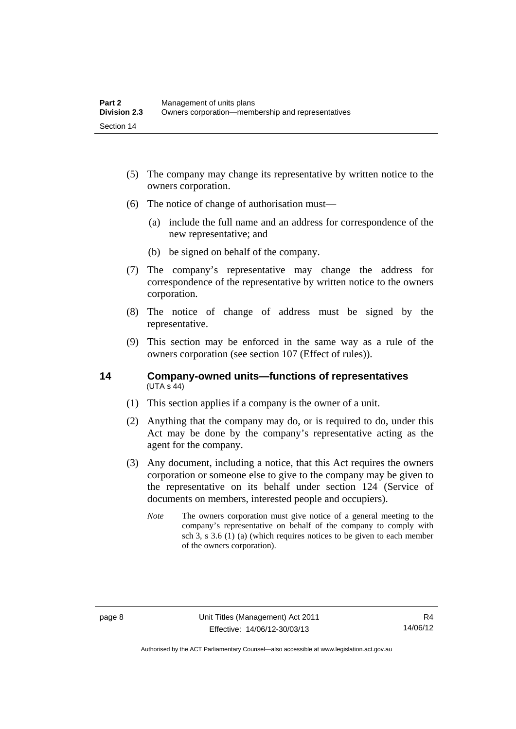- (5) The company may change its representative by written notice to the owners corporation.
- (6) The notice of change of authorisation must—
	- (a) include the full name and an address for correspondence of the new representative; and
	- (b) be signed on behalf of the company.
- (7) The company's representative may change the address for correspondence of the representative by written notice to the owners corporation.
- (8) The notice of change of address must be signed by the representative.
- (9) This section may be enforced in the same way as a rule of the owners corporation (see section 107 (Effect of rules)).

#### <span id="page-19-0"></span>**14 Company-owned units—functions of representatives**   $(UTA S 44)$

- (1) This section applies if a company is the owner of a unit.
- (2) Anything that the company may do, or is required to do, under this Act may be done by the company's representative acting as the agent for the company.
- (3) Any document, including a notice, that this Act requires the owners corporation or someone else to give to the company may be given to the representative on its behalf under section 124 (Service of documents on members, interested people and occupiers).
	- *Note* The owners corporation must give notice of a general meeting to the company's representative on behalf of the company to comply with sch 3, s 3.6 (1) (a) (which requires notices to be given to each member of the owners corporation).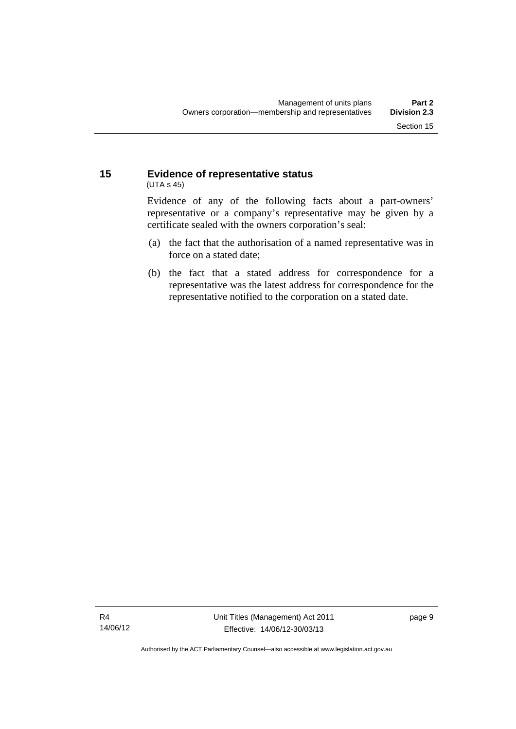#### <span id="page-20-0"></span>**15 Evidence of representative status**  (UTA s 45)

Evidence of any of the following facts about a part-owners' representative or a company's representative may be given by a certificate sealed with the owners corporation's seal:

- (a) the fact that the authorisation of a named representative was in force on a stated date;
- (b) the fact that a stated address for correspondence for a representative was the latest address for correspondence for the representative notified to the corporation on a stated date.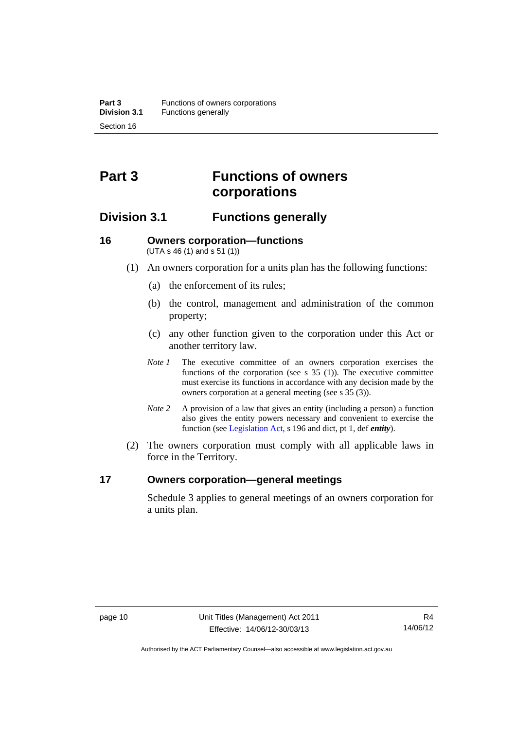## <span id="page-21-0"></span>**Part 3 Functions of owners corporations**

### <span id="page-21-1"></span>**Division 3.1 Functions generally**

#### <span id="page-21-2"></span>**16 Owners corporation—functions**  (UTA s 46 (1) and s 51 (1))

- (1) An owners corporation for a units plan has the following functions:
	- (a) the enforcement of its rules;
	- (b) the control, management and administration of the common property;
	- (c) any other function given to the corporation under this Act or another territory law.
	- *Note 1* The executive committee of an owners corporation exercises the functions of the corporation (see s 35 (1)). The executive committee must exercise its functions in accordance with any decision made by the owners corporation at a general meeting (see s 35 (3)).
	- *Note 2* A provision of a law that gives an entity (including a person) a function also gives the entity powers necessary and convenient to exercise the function (see [Legislation Act](http://www.legislation.act.gov.au/a/2001-14), s 196 and dict, pt 1, def *entity*).
- (2) The owners corporation must comply with all applicable laws in force in the Territory.

#### <span id="page-21-3"></span>**17 Owners corporation—general meetings**

Schedule 3 applies to general meetings of an owners corporation for a units plan.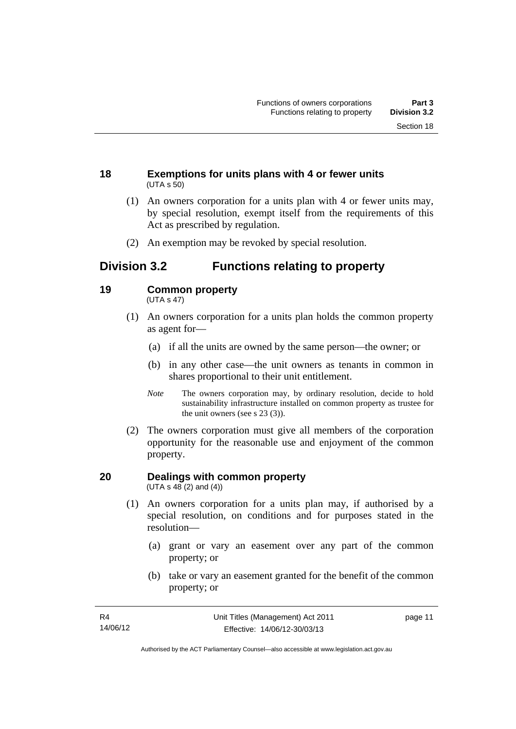#### <span id="page-22-0"></span>**18 Exemptions for units plans with 4 or fewer units**  (UTA s 50)

- (1) An owners corporation for a units plan with 4 or fewer units may, by special resolution, exempt itself from the requirements of this Act as prescribed by regulation.
- (2) An exemption may be revoked by special resolution.

### <span id="page-22-1"></span>**Division 3.2 Functions relating to property**

#### <span id="page-22-2"></span>**19 Common property**

(UTA s 47)

- (1) An owners corporation for a units plan holds the common property as agent for—
	- (a) if all the units are owned by the same person—the owner; or
	- (b) in any other case—the unit owners as tenants in common in shares proportional to their unit entitlement.
	- *Note* The owners corporation may, by ordinary resolution, decide to hold sustainability infrastructure installed on common property as trustee for the unit owners (see s 23 (3)).
- (2) The owners corporation must give all members of the corporation opportunity for the reasonable use and enjoyment of the common property.

#### <span id="page-22-3"></span>**20 Dealings with common property**  (UTA s  $48(2)$  and  $(4)$ )

- (1) An owners corporation for a units plan may, if authorised by a special resolution, on conditions and for purposes stated in the resolution—
	- (a) grant or vary an easement over any part of the common property; or
	- (b) take or vary an easement granted for the benefit of the common property; or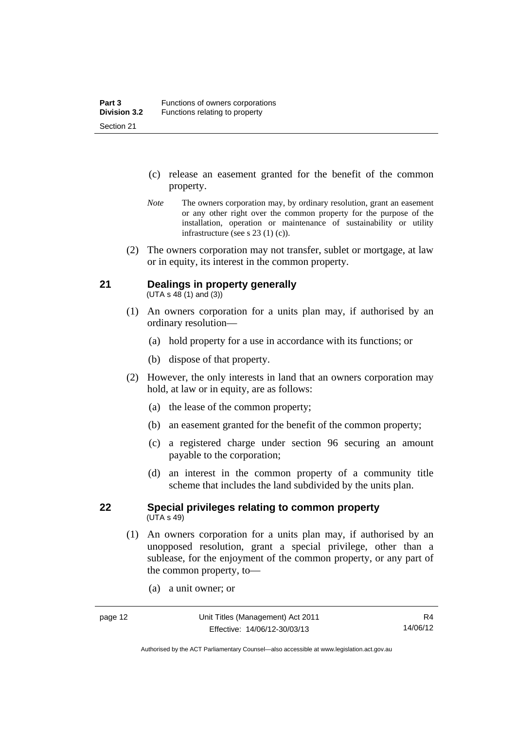- (c) release an easement granted for the benefit of the common property.
- *Note* The owners corporation may, by ordinary resolution, grant an easement or any other right over the common property for the purpose of the installation, operation or maintenance of sustainability or utility infrastructure (see s 23 (1) (c)).
- (2) The owners corporation may not transfer, sublet or mortgage, at law or in equity, its interest in the common property.

### <span id="page-23-0"></span>**21 Dealings in property generally**

 $(UTA s 48 (1) and (3))$ 

- (1) An owners corporation for a units plan may, if authorised by an ordinary resolution—
	- (a) hold property for a use in accordance with its functions; or
	- (b) dispose of that property.
- (2) However, the only interests in land that an owners corporation may hold, at law or in equity, are as follows:
	- (a) the lease of the common property;
	- (b) an easement granted for the benefit of the common property;
	- (c) a registered charge under section 96 securing an amount payable to the corporation;
	- (d) an interest in the common property of a community title scheme that includes the land subdivided by the units plan.

#### <span id="page-23-1"></span>**22 Special privileges relating to common property**  (UTA s 49)

- (1) An owners corporation for a units plan may, if authorised by an unopposed resolution, grant a special privilege, other than a sublease, for the enjoyment of the common property, or any part of the common property, to—
	- (a) a unit owner; or

Authorised by the ACT Parliamentary Counsel—also accessible at www.legislation.act.gov.au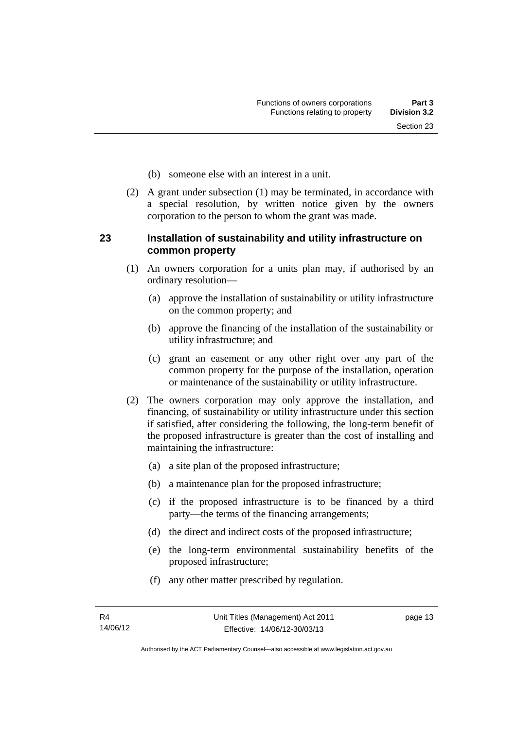- (b) someone else with an interest in a unit.
- (2) A grant under subsection (1) may be terminated, in accordance with a special resolution, by written notice given by the owners corporation to the person to whom the grant was made.

#### <span id="page-24-0"></span>**23 Installation of sustainability and utility infrastructure on common property**

- (1) An owners corporation for a units plan may, if authorised by an ordinary resolution—
	- (a) approve the installation of sustainability or utility infrastructure on the common property; and
	- (b) approve the financing of the installation of the sustainability or utility infrastructure; and
	- (c) grant an easement or any other right over any part of the common property for the purpose of the installation, operation or maintenance of the sustainability or utility infrastructure.
- (2) The owners corporation may only approve the installation, and financing, of sustainability or utility infrastructure under this section if satisfied, after considering the following, the long-term benefit of the proposed infrastructure is greater than the cost of installing and maintaining the infrastructure:
	- (a) a site plan of the proposed infrastructure;
	- (b) a maintenance plan for the proposed infrastructure;
	- (c) if the proposed infrastructure is to be financed by a third party—the terms of the financing arrangements;
	- (d) the direct and indirect costs of the proposed infrastructure;
	- (e) the long-term environmental sustainability benefits of the proposed infrastructure;
	- (f) any other matter prescribed by regulation.

page 13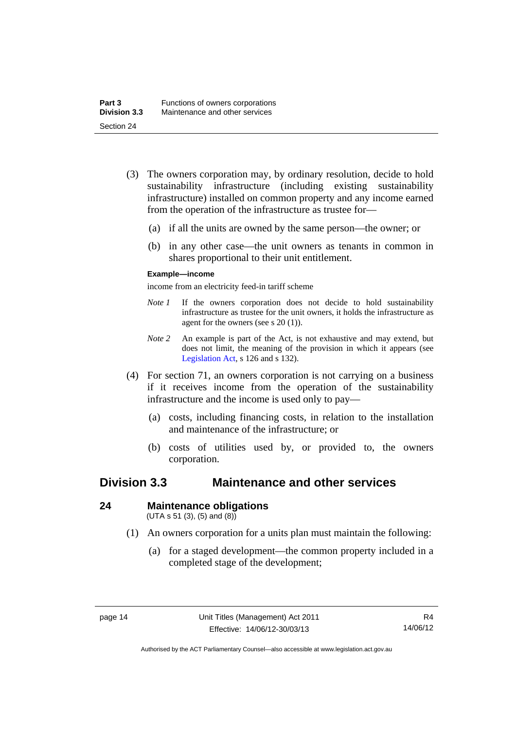- (3) The owners corporation may, by ordinary resolution, decide to hold sustainability infrastructure (including existing sustainability infrastructure) installed on common property and any income earned from the operation of the infrastructure as trustee for—
	- (a) if all the units are owned by the same person—the owner; or
	- (b) in any other case—the unit owners as tenants in common in shares proportional to their unit entitlement.

#### **Example—income**

income from an electricity feed-in tariff scheme

- *Note 1* If the owners corporation does not decide to hold sustainability infrastructure as trustee for the unit owners, it holds the infrastructure as agent for the owners (see s 20 (1)).
- *Note 2* An example is part of the Act, is not exhaustive and may extend, but does not limit, the meaning of the provision in which it appears (see [Legislation Act,](http://www.legislation.act.gov.au/a/2001-14) s 126 and s 132).
- (4) For section 71, an owners corporation is not carrying on a business if it receives income from the operation of the sustainability infrastructure and the income is used only to pay—
	- (a) costs, including financing costs, in relation to the installation and maintenance of the infrastructure; or
	- (b) costs of utilities used by, or provided to, the owners corporation.

### <span id="page-25-0"></span>**Division 3.3 Maintenance and other services**

#### <span id="page-25-1"></span>**24 Maintenance obligations**

 $(UTA s 51 (3), (5) and (8))$ 

- (1) An owners corporation for a units plan must maintain the following:
	- (a) for a staged development—the common property included in a completed stage of the development;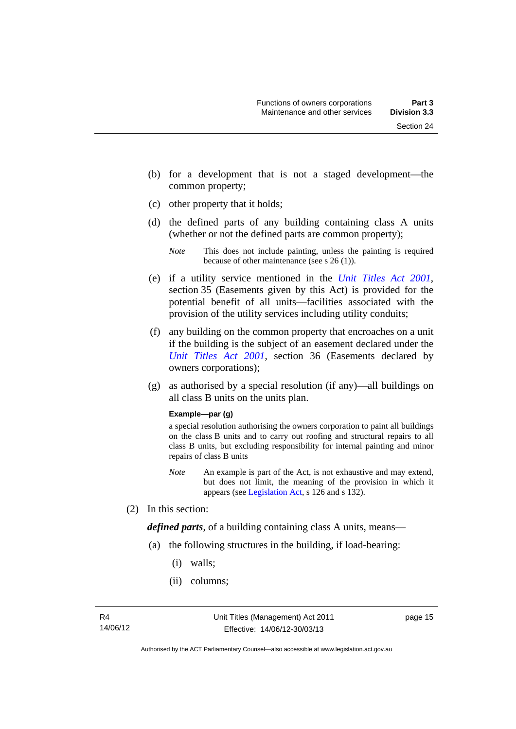- (b) for a development that is not a staged development—the common property;
- (c) other property that it holds;
- (d) the defined parts of any building containing class A units (whether or not the defined parts are common property);

- (e) if a utility service mentioned in the *[Unit Titles Act 2001](http://www.legislation.act.gov.au/a/2001-16)*, section 35 (Easements given by this Act) is provided for the potential benefit of all units—facilities associated with the provision of the utility services including utility conduits;
- (f) any building on the common property that encroaches on a unit if the building is the subject of an easement declared under the *[Unit Titles Act 2001](http://www.legislation.act.gov.au/a/2001-16)*, section 36 (Easements declared by owners corporations);
- (g) as authorised by a special resolution (if any)—all buildings on all class B units on the units plan.

#### **Example—par (g)**

a special resolution authorising the owners corporation to paint all buildings on the class B units and to carry out roofing and structural repairs to all class B units, but excluding responsibility for internal painting and minor repairs of class B units

- *Note* An example is part of the Act, is not exhaustive and may extend, but does not limit, the meaning of the provision in which it appears (see [Legislation Act,](http://www.legislation.act.gov.au/a/2001-14) s 126 and s 132).
- (2) In this section:

*defined parts*, of a building containing class A units, means—

- (a) the following structures in the building, if load-bearing:
	- (i) walls;
	- (ii) columns;

*Note* This does not include painting, unless the painting is required because of other maintenance (see s 26 (1)).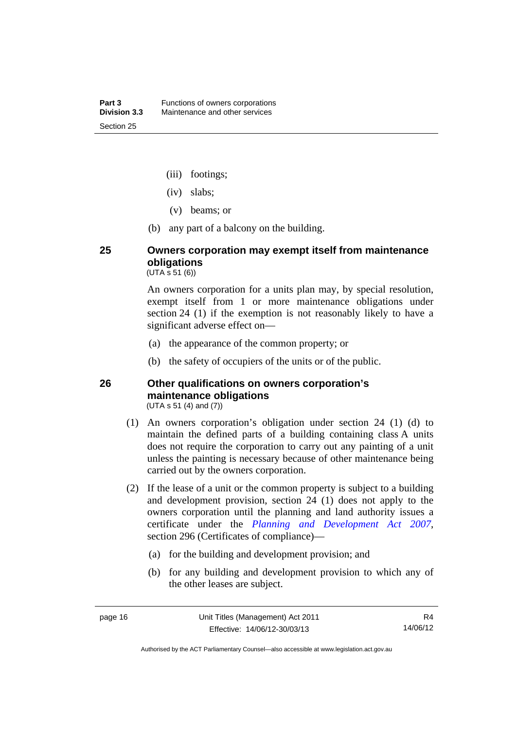- (iii) footings;
- (iv) slabs;
- (v) beams; or
- (b) any part of a balcony on the building.

### <span id="page-27-0"></span>**25 Owners corporation may exempt itself from maintenance obligations**

 $(UTA \, \bar{s} \, 51 \, (6))$ 

An owners corporation for a units plan may, by special resolution, exempt itself from 1 or more maintenance obligations under section 24 (1) if the exemption is not reasonably likely to have a significant adverse effect on—

- (a) the appearance of the common property; or
- (b) the safety of occupiers of the units or of the public.

#### <span id="page-27-1"></span>**26 Other qualifications on owners corporation's maintenance obligations**  (UTA s 51 (4) and (7))

- (1) An owners corporation's obligation under section 24 (1) (d) to maintain the defined parts of a building containing class A units does not require the corporation to carry out any painting of a unit unless the painting is necessary because of other maintenance being carried out by the owners corporation.
- (2) If the lease of a unit or the common property is subject to a building and development provision, section 24 (1) does not apply to the owners corporation until the planning and land authority issues a certificate under the *[Planning and Development Act 2007](http://www.legislation.act.gov.au/a/2007-24)*, section 296 (Certificates of compliance)—
	- (a) for the building and development provision; and
	- (b) for any building and development provision to which any of the other leases are subject.

Authorised by the ACT Parliamentary Counsel—also accessible at www.legislation.act.gov.au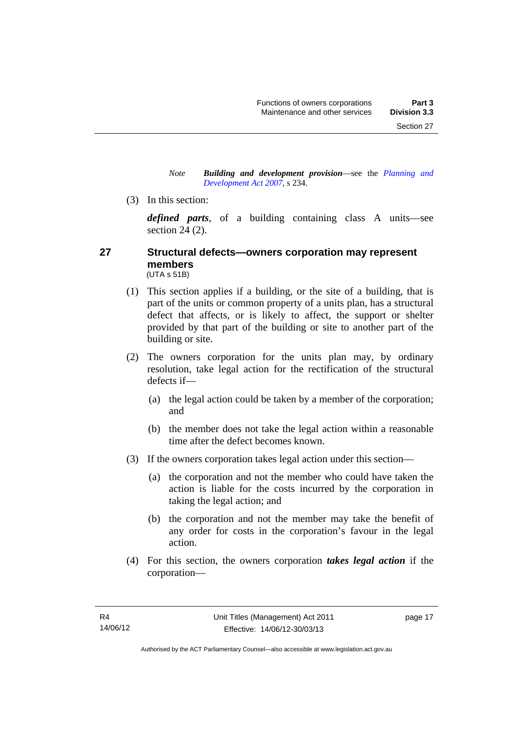#### *Note Building and development provision*—see the *[Planning and](http://www.legislation.act.gov.au/a/2007-24)  [Development Act 2007](http://www.legislation.act.gov.au/a/2007-24)*, s 234.

(3) In this section:

*defined parts*, of a building containing class A units—see section 24 (2).

#### <span id="page-28-0"></span>**27 Structural defects—owners corporation may represent members**  (UTA s 51B)

- (1) This section applies if a building, or the site of a building, that is part of the units or common property of a units plan, has a structural defect that affects, or is likely to affect, the support or shelter provided by that part of the building or site to another part of the building or site.
- (2) The owners corporation for the units plan may, by ordinary resolution, take legal action for the rectification of the structural defects if—
	- (a) the legal action could be taken by a member of the corporation; and
	- (b) the member does not take the legal action within a reasonable time after the defect becomes known.
- (3) If the owners corporation takes legal action under this section—
	- (a) the corporation and not the member who could have taken the action is liable for the costs incurred by the corporation in taking the legal action; and
	- (b) the corporation and not the member may take the benefit of any order for costs in the corporation's favour in the legal action.
- (4) For this section, the owners corporation *takes legal action* if the corporation—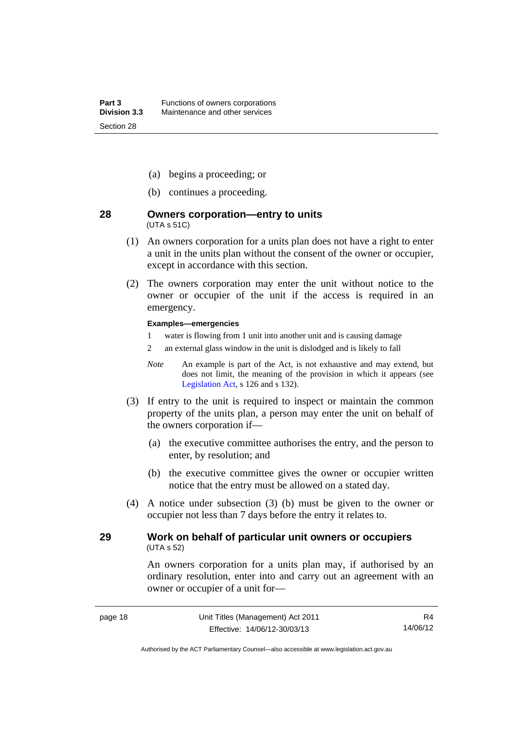- (a) begins a proceeding; or
- (b) continues a proceeding.

#### <span id="page-29-0"></span>**28 Owners corporation—entry to units**  (UTA s 51C)

- (1) An owners corporation for a units plan does not have a right to enter a unit in the units plan without the consent of the owner or occupier, except in accordance with this section.
- (2) The owners corporation may enter the unit without notice to the owner or occupier of the unit if the access is required in an emergency.

#### **Examples—emergencies**

- 1 water is flowing from 1 unit into another unit and is causing damage
- 2 an external glass window in the unit is dislodged and is likely to fall
- *Note* An example is part of the Act, is not exhaustive and may extend, but does not limit, the meaning of the provision in which it appears (see [Legislation Act,](http://www.legislation.act.gov.au/a/2001-14) s 126 and s 132).
- (3) If entry to the unit is required to inspect or maintain the common property of the units plan, a person may enter the unit on behalf of the owners corporation if—
	- (a) the executive committee authorises the entry, and the person to enter, by resolution; and
	- (b) the executive committee gives the owner or occupier written notice that the entry must be allowed on a stated day.
- (4) A notice under subsection (3) (b) must be given to the owner or occupier not less than 7 days before the entry it relates to.

#### <span id="page-29-1"></span>**29 Work on behalf of particular unit owners or occupiers**  (UTA s 52)

An owners corporation for a units plan may, if authorised by an ordinary resolution, enter into and carry out an agreement with an owner or occupier of a unit for—

Authorised by the ACT Parliamentary Counsel—also accessible at www.legislation.act.gov.au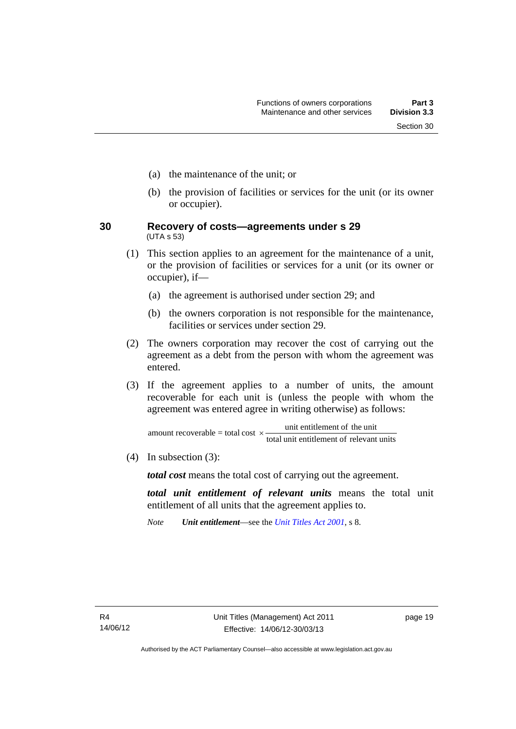- (a) the maintenance of the unit; or
- (b) the provision of facilities or services for the unit (or its owner or occupier).
- <span id="page-30-0"></span>**30 Recovery of costs—agreements under s 29**  (UTA s 53)
	- (1) This section applies to an agreement for the maintenance of a unit, or the provision of facilities or services for a unit (or its owner or occupier), if—
		- (a) the agreement is authorised under section 29; and
		- (b) the owners corporation is not responsible for the maintenance, facilities or services under section 29.
	- (2) The owners corporation may recover the cost of carrying out the agreement as a debt from the person with whom the agreement was entered.
	- (3) If the agreement applies to a number of units, the amount recoverable for each unit is (unless the people with whom the agreement was entered agree in writing otherwise) as follows:

total unit entitlement of relevant units amount recoverable = total cost  $\times$  unit entitlement of the unit

(4) In subsection (3):

*total cost* means the total cost of carrying out the agreement.

*total unit entitlement of relevant units* means the total unit entitlement of all units that the agreement applies to.

*Note Unit entitlement*—see the *[Unit Titles Act 2001](http://www.legislation.act.gov.au/a/2001-16)*, s 8.

page 19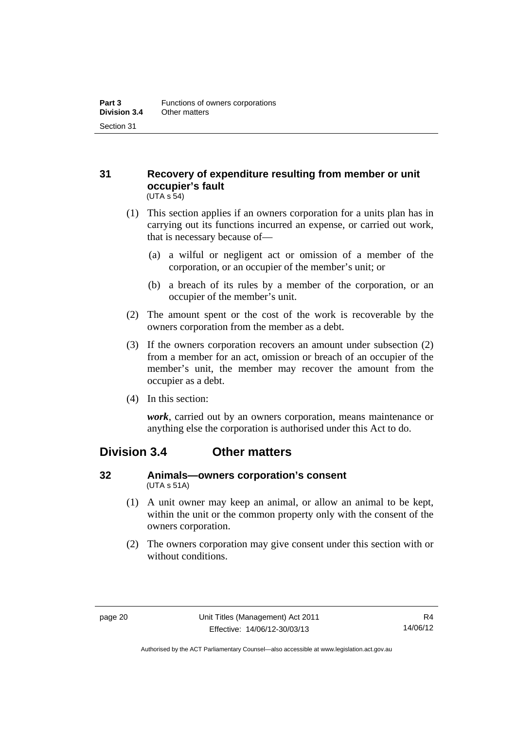#### <span id="page-31-0"></span>**31 Recovery of expenditure resulting from member or unit occupier's fault**  (UTA s 54)

- (1) This section applies if an owners corporation for a units plan has in carrying out its functions incurred an expense, or carried out work, that is necessary because of—
	- (a) a wilful or negligent act or omission of a member of the corporation, or an occupier of the member's unit; or
	- (b) a breach of its rules by a member of the corporation, or an occupier of the member's unit.
- (2) The amount spent or the cost of the work is recoverable by the owners corporation from the member as a debt.
- (3) If the owners corporation recovers an amount under subsection (2) from a member for an act, omission or breach of an occupier of the member's unit, the member may recover the amount from the occupier as a debt.
- (4) In this section:

*work*, carried out by an owners corporation, means maintenance or anything else the corporation is authorised under this Act to do.

### <span id="page-31-1"></span>**Division 3.4 Other matters**

#### <span id="page-31-2"></span>**32 Animals—owners corporation's consent**  (UTA s 51A)

- (1) A unit owner may keep an animal, or allow an animal to be kept, within the unit or the common property only with the consent of the owners corporation.
- (2) The owners corporation may give consent under this section with or without conditions.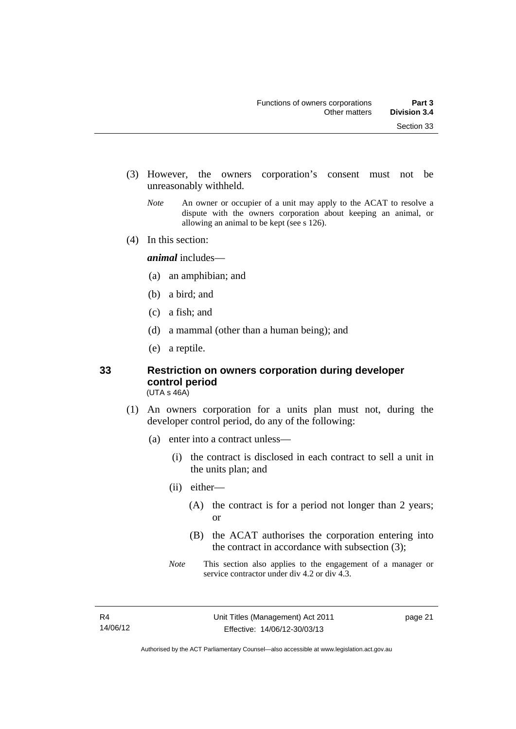- (3) However, the owners corporation's consent must not be unreasonably withheld.
	- *Note* An owner or occupier of a unit may apply to the ACAT to resolve a dispute with the owners corporation about keeping an animal, or allowing an animal to be kept (see s 126).
- (4) In this section:

*animal* includes—

- (a) an amphibian; and
- (b) a bird; and
- (c) a fish; and
- (d) a mammal (other than a human being); and
- (e) a reptile.

### <span id="page-32-0"></span>**33 Restriction on owners corporation during developer control period**

(UTA s 46A)

- (1) An owners corporation for a units plan must not, during the developer control period, do any of the following:
	- (a) enter into a contract unless—
		- (i) the contract is disclosed in each contract to sell a unit in the units plan; and
		- (ii) either—
			- (A) the contract is for a period not longer than 2 years; or
			- (B) the ACAT authorises the corporation entering into the contract in accordance with subsection (3);
		- *Note* This section also applies to the engagement of a manager or service contractor under div 4.2 or div 4.3.

page 21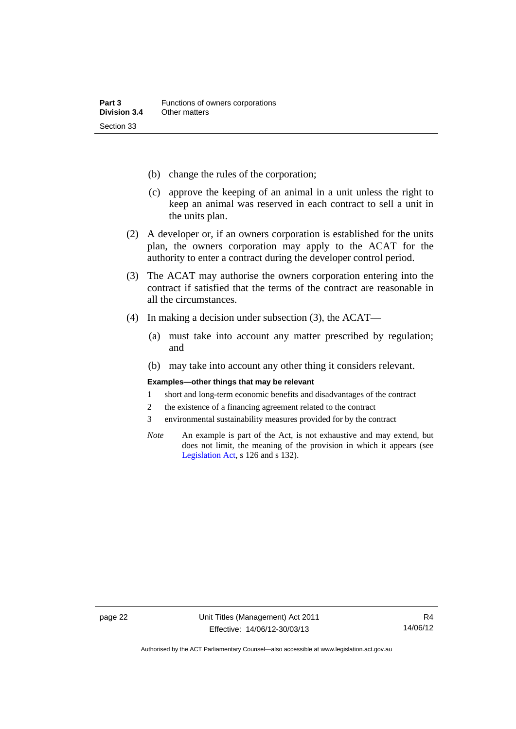- (b) change the rules of the corporation;
- (c) approve the keeping of an animal in a unit unless the right to keep an animal was reserved in each contract to sell a unit in the units plan.
- (2) A developer or, if an owners corporation is established for the units plan, the owners corporation may apply to the ACAT for the authority to enter a contract during the developer control period.
- (3) The ACAT may authorise the owners corporation entering into the contract if satisfied that the terms of the contract are reasonable in all the circumstances.
- (4) In making a decision under subsection (3), the ACAT—
	- (a) must take into account any matter prescribed by regulation; and
	- (b) may take into account any other thing it considers relevant.

#### **Examples—other things that may be relevant**

- 1 short and long-term economic benefits and disadvantages of the contract
- 2 the existence of a financing agreement related to the contract
- 3 environmental sustainability measures provided for by the contract
- *Note* An example is part of the Act, is not exhaustive and may extend, but does not limit, the meaning of the provision in which it appears (see [Legislation Act,](http://www.legislation.act.gov.au/a/2001-14) s 126 and s 132).

Authorised by the ACT Parliamentary Counsel—also accessible at www.legislation.act.gov.au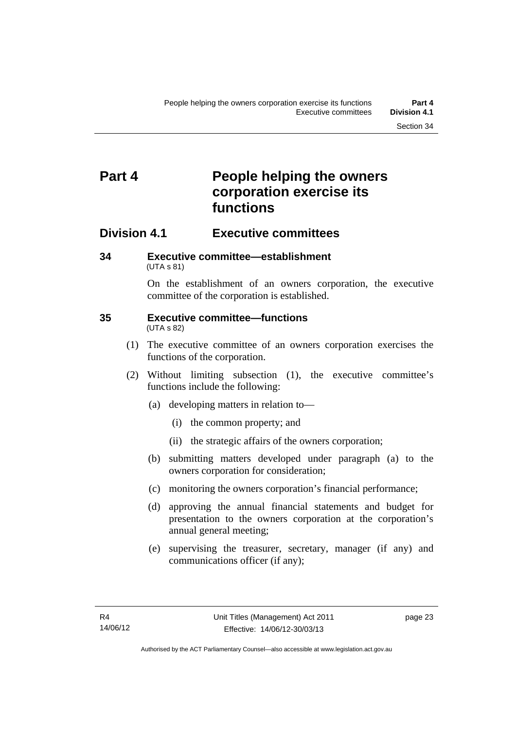## <span id="page-34-0"></span>**Part 4 People helping the owners corporation exercise its functions**

### <span id="page-34-1"></span>**Division 4.1 Executive committees**

#### <span id="page-34-2"></span>**34 Executive committee—establishment**  (UTA s 81)

On the establishment of an owners corporation, the executive committee of the corporation is established.

#### <span id="page-34-3"></span>**35 Executive committee—functions**  (UTA s 82)

- (1) The executive committee of an owners corporation exercises the functions of the corporation.
- (2) Without limiting subsection (1), the executive committee's functions include the following:
	- (a) developing matters in relation to—
		- (i) the common property; and
		- (ii) the strategic affairs of the owners corporation;
	- (b) submitting matters developed under paragraph (a) to the owners corporation for consideration;
	- (c) monitoring the owners corporation's financial performance;
	- (d) approving the annual financial statements and budget for presentation to the owners corporation at the corporation's annual general meeting;
	- (e) supervising the treasurer, secretary, manager (if any) and communications officer (if any);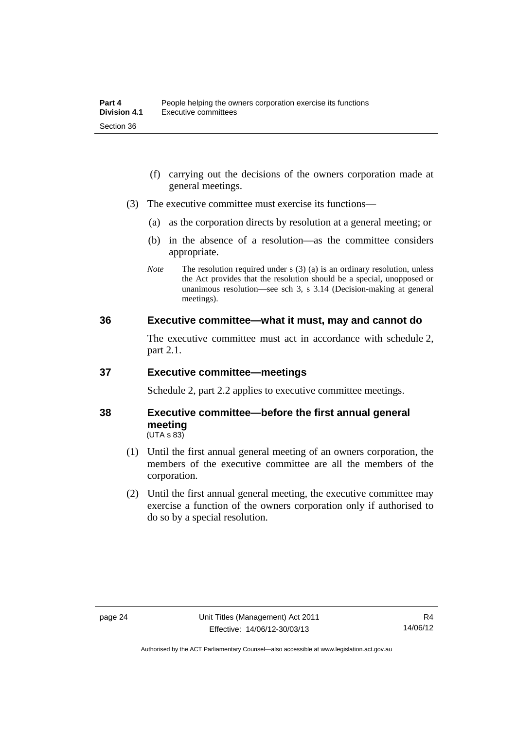- (f) carrying out the decisions of the owners corporation made at general meetings.
- (3) The executive committee must exercise its functions—
	- (a) as the corporation directs by resolution at a general meeting; or
	- (b) in the absence of a resolution—as the committee considers appropriate.
	- *Note* The resolution required under s (3) (a) is an ordinary resolution, unless the Act provides that the resolution should be a special, unopposed or unanimous resolution—see sch 3, s 3.14 (Decision-making at general meetings).

#### <span id="page-35-0"></span>**36 Executive committee—what it must, may and cannot do**

The executive committee must act in accordance with schedule 2, part 2.1.

#### <span id="page-35-1"></span>**37 Executive committee—meetings**

Schedule 2, part 2.2 applies to executive committee meetings.

#### <span id="page-35-2"></span>**38 Executive committee—before the first annual general meeting**   $(UTA S 83)$

- (1) Until the first annual general meeting of an owners corporation, the members of the executive committee are all the members of the corporation.
- (2) Until the first annual general meeting, the executive committee may exercise a function of the owners corporation only if authorised to do so by a special resolution.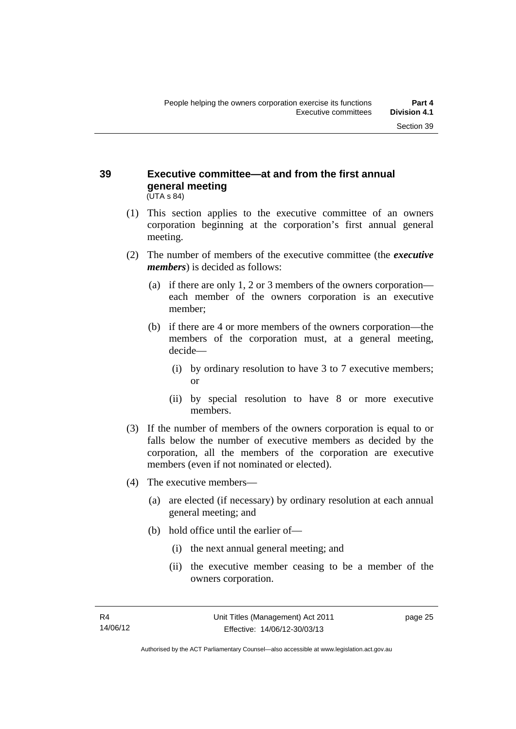#### **39 Executive committee—at and from the first annual general meeting**  (UTA s 84)

- (1) This section applies to the executive committee of an owners corporation beginning at the corporation's first annual general meeting.
- (2) The number of members of the executive committee (the *executive members*) is decided as follows:
	- (a) if there are only 1, 2 or 3 members of the owners corporation each member of the owners corporation is an executive member;
	- (b) if there are 4 or more members of the owners corporation—the members of the corporation must, at a general meeting, decide—
		- (i) by ordinary resolution to have 3 to 7 executive members; or
		- (ii) by special resolution to have 8 or more executive members.
- (3) If the number of members of the owners corporation is equal to or falls below the number of executive members as decided by the corporation, all the members of the corporation are executive members (even if not nominated or elected).
- (4) The executive members—
	- (a) are elected (if necessary) by ordinary resolution at each annual general meeting; and
	- (b) hold office until the earlier of—
		- (i) the next annual general meeting; and
		- (ii) the executive member ceasing to be a member of the owners corporation.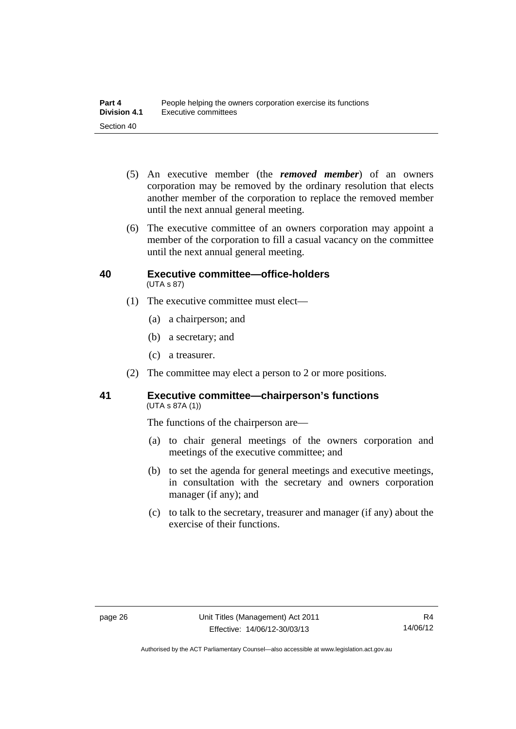- (5) An executive member (the *removed member*) of an owners corporation may be removed by the ordinary resolution that elects another member of the corporation to replace the removed member until the next annual general meeting.
- (6) The executive committee of an owners corporation may appoint a member of the corporation to fill a casual vacancy on the committee until the next annual general meeting.

#### **40 Executive committee—office-holders**  (UTA s 87)

- (1) The executive committee must elect—
	- (a) a chairperson; and
	- (b) a secretary; and
	- (c) a treasurer.
- (2) The committee may elect a person to 2 or more positions.

## **41 Executive committee—chairperson's functions**  (UTA s 87A (1))

The functions of the chairperson are—

- (a) to chair general meetings of the owners corporation and meetings of the executive committee; and
- (b) to set the agenda for general meetings and executive meetings, in consultation with the secretary and owners corporation manager (if any); and
- (c) to talk to the secretary, treasurer and manager (if any) about the exercise of their functions.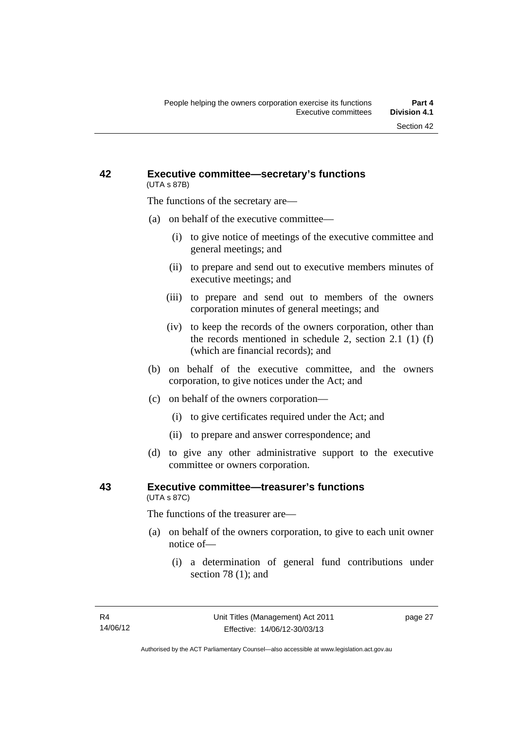## **42 Executive committee—secretary's functions**  (UTA s 87B)

The functions of the secretary are—

- (a) on behalf of the executive committee—
	- (i) to give notice of meetings of the executive committee and general meetings; and
	- (ii) to prepare and send out to executive members minutes of executive meetings; and
	- (iii) to prepare and send out to members of the owners corporation minutes of general meetings; and
	- (iv) to keep the records of the owners corporation, other than the records mentioned in schedule 2, section 2.1 (1) (f) (which are financial records); and
- (b) on behalf of the executive committee, and the owners corporation, to give notices under the Act; and
- (c) on behalf of the owners corporation—
	- (i) to give certificates required under the Act; and
	- (ii) to prepare and answer correspondence; and
- (d) to give any other administrative support to the executive committee or owners corporation.

## **43 Executive committee—treasurer's functions**  (UTA s 87C)

The functions of the treasurer are—

- (a) on behalf of the owners corporation, to give to each unit owner notice of—
	- (i) a determination of general fund contributions under section 78 (1); and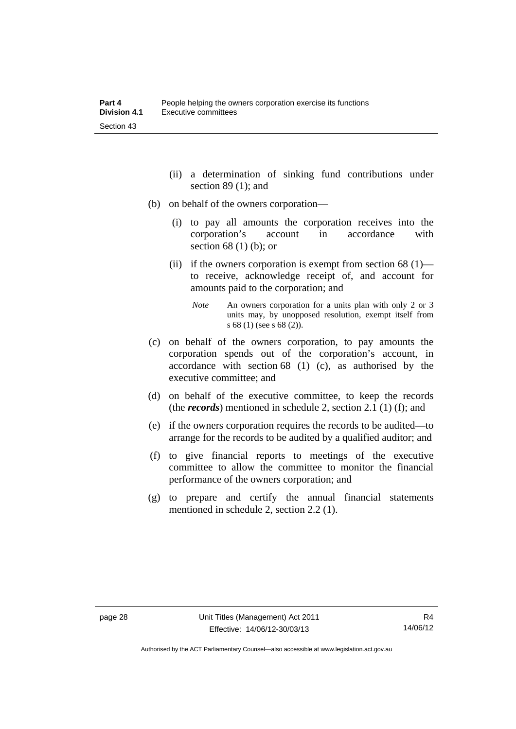- (ii) a determination of sinking fund contributions under section 89 (1); and
- (b) on behalf of the owners corporation—
	- (i) to pay all amounts the corporation receives into the corporation's account in accordance with section 68 (1) (b); or
	- (ii) if the owners corporation is exempt from section  $68(1)$  to receive, acknowledge receipt of, and account for amounts paid to the corporation; and
		- *Note* An owners corporation for a units plan with only 2 or 3 units may, by unopposed resolution, exempt itself from s 68 (1) (see s 68 (2)).
- (c) on behalf of the owners corporation, to pay amounts the corporation spends out of the corporation's account, in accordance with section 68 (1) (c), as authorised by the executive committee; and
- (d) on behalf of the executive committee, to keep the records (the *records*) mentioned in schedule 2, section 2.1 (1) (f); and
- (e) if the owners corporation requires the records to be audited—to arrange for the records to be audited by a qualified auditor; and
- (f) to give financial reports to meetings of the executive committee to allow the committee to monitor the financial performance of the owners corporation; and
- (g) to prepare and certify the annual financial statements mentioned in schedule 2, section 2.2 (1).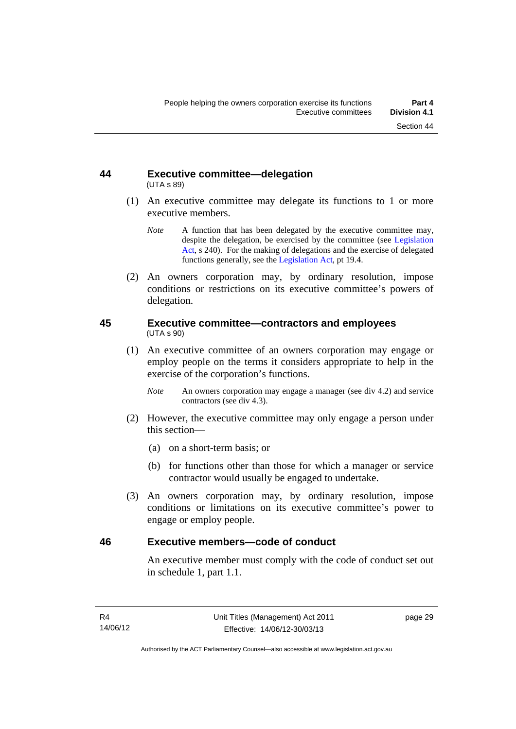## **44 Executive committee—delegation**  (UTA s 89)

- (1) An executive committee may delegate its functions to 1 or more executive members.
	- *Note* A function that has been delegated by the executive committee may, despite the delegation, be exercised by the committee (see [Legislation](http://www.legislation.act.gov.au/a/2001-14)  [Act](http://www.legislation.act.gov.au/a/2001-14), s 240). For the making of delegations and the exercise of delegated functions generally, see the [Legislation Act,](http://www.legislation.act.gov.au/a/2001-14) pt 19.4.
- (2) An owners corporation may, by ordinary resolution, impose conditions or restrictions on its executive committee's powers of delegation.

## **45 Executive committee—contractors and employees**  (UTA s 90)

- (1) An executive committee of an owners corporation may engage or employ people on the terms it considers appropriate to help in the exercise of the corporation's functions.
	- *Note* An owners corporation may engage a manager (see div 4.2) and service contractors (see div 4.3).
- (2) However, the executive committee may only engage a person under this section—
	- (a) on a short-term basis; or
	- (b) for functions other than those for which a manager or service contractor would usually be engaged to undertake.
- (3) An owners corporation may, by ordinary resolution, impose conditions or limitations on its executive committee's power to engage or employ people.

## **46 Executive members—code of conduct**

An executive member must comply with the code of conduct set out in schedule 1, part 1.1.

page 29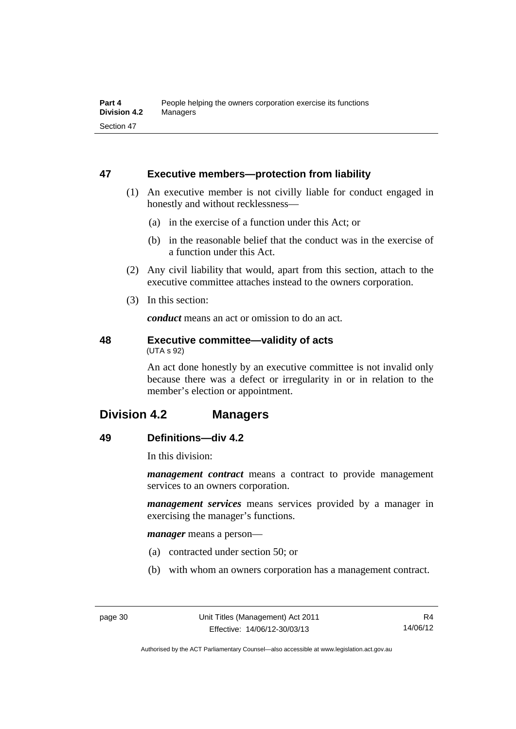## **47 Executive members—protection from liability**

- (1) An executive member is not civilly liable for conduct engaged in honestly and without recklessness—
	- (a) in the exercise of a function under this Act; or
	- (b) in the reasonable belief that the conduct was in the exercise of a function under this Act.
- (2) Any civil liability that would, apart from this section, attach to the executive committee attaches instead to the owners corporation.
- (3) In this section:

*conduct* means an act or omission to do an act.

#### **48 Executive committee—validity of acts**  (UTA s 92)

An act done honestly by an executive committee is not invalid only because there was a defect or irregularity in or in relation to the member's election or appointment.

# **Division 4.2 Managers**

## **49 Definitions—div 4.2**

In this division:

*management contract* means a contract to provide management services to an owners corporation.

*management services* means services provided by a manager in exercising the manager's functions.

*manager* means a person—

- (a) contracted under section 50; or
- (b) with whom an owners corporation has a management contract.

Authorised by the ACT Parliamentary Counsel—also accessible at www.legislation.act.gov.au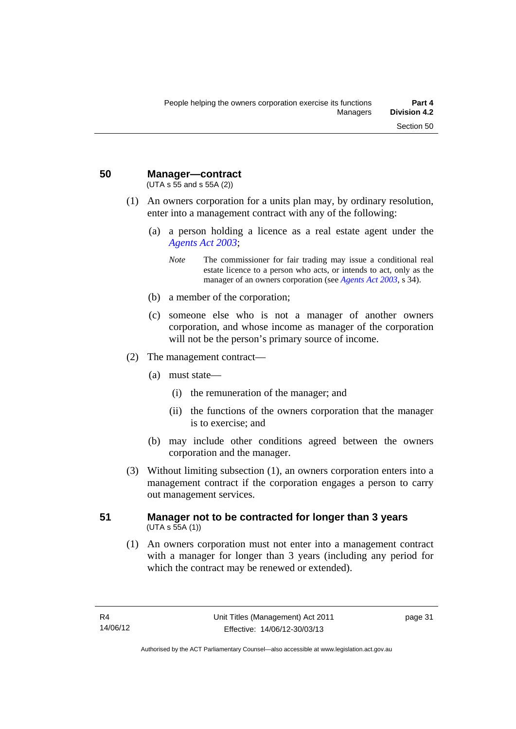# **50 Manager—contract**

(UTA s 55 and s 55A (2))

- (1) An owners corporation for a units plan may, by ordinary resolution, enter into a management contract with any of the following:
	- (a) a person holding a licence as a real estate agent under the *[Agents Act 2003](http://www.legislation.act.gov.au/a/2003-20)*;
		- *Note* The commissioner for fair trading may issue a conditional real estate licence to a person who acts, or intends to act, only as the manager of an owners corporation (see *[Agents Act 2003](http://www.legislation.act.gov.au/a/2003-20)*, s 34).
	- (b) a member of the corporation;
	- (c) someone else who is not a manager of another owners corporation, and whose income as manager of the corporation will not be the person's primary source of income.
- (2) The management contract—
	- (a) must state—
		- (i) the remuneration of the manager; and
		- (ii) the functions of the owners corporation that the manager is to exercise; and
	- (b) may include other conditions agreed between the owners corporation and the manager.
- (3) Without limiting subsection (1), an owners corporation enters into a management contract if the corporation engages a person to carry out management services.

## **51 Manager not to be contracted for longer than 3 years**   $(UTA S 55A (1))$

 (1) An owners corporation must not enter into a management contract with a manager for longer than 3 years (including any period for which the contract may be renewed or extended).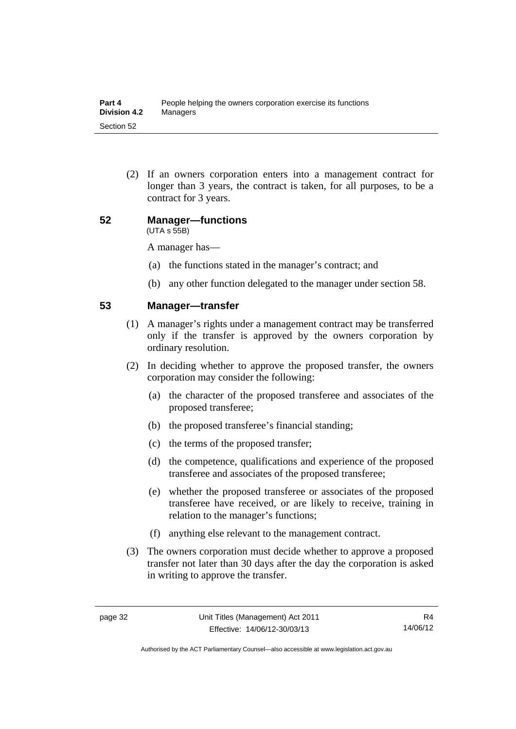(2) If an owners corporation enters into a management contract for longer than 3 years, the contract is taken, for all purposes, to be a contract for 3 years.

#### **52 Manager—functions**  (UTA s 55B)

A manager has—

- (a) the functions stated in the manager's contract; and
- (b) any other function delegated to the manager under section 58.

## **53 Manager—transfer**

- (1) A manager's rights under a management contract may be transferred only if the transfer is approved by the owners corporation by ordinary resolution.
- (2) In deciding whether to approve the proposed transfer, the owners corporation may consider the following:
	- (a) the character of the proposed transferee and associates of the proposed transferee;
	- (b) the proposed transferee's financial standing;
	- (c) the terms of the proposed transfer;
	- (d) the competence, qualifications and experience of the proposed transferee and associates of the proposed transferee;
	- (e) whether the proposed transferee or associates of the proposed transferee have received, or are likely to receive, training in relation to the manager's functions;
	- (f) anything else relevant to the management contract.
- (3) The owners corporation must decide whether to approve a proposed transfer not later than 30 days after the day the corporation is asked in writing to approve the transfer.

Authorised by the ACT Parliamentary Counsel—also accessible at www.legislation.act.gov.au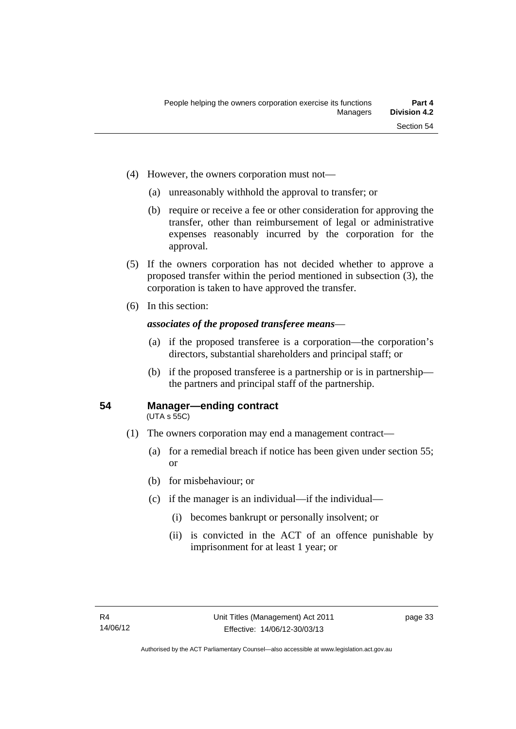- (4) However, the owners corporation must not—
	- (a) unreasonably withhold the approval to transfer; or
	- (b) require or receive a fee or other consideration for approving the transfer, other than reimbursement of legal or administrative expenses reasonably incurred by the corporation for the approval.
- (5) If the owners corporation has not decided whether to approve a proposed transfer within the period mentioned in subsection (3), the corporation is taken to have approved the transfer.
- (6) In this section:

## *associates of the proposed transferee means*—

- (a) if the proposed transferee is a corporation—the corporation's directors, substantial shareholders and principal staff; or
- (b) if the proposed transferee is a partnership or is in partnership the partners and principal staff of the partnership.

## **54 Manager—ending contract**

(UTA s 55C)

- (1) The owners corporation may end a management contract—
	- (a) for a remedial breach if notice has been given under section 55; or
	- (b) for misbehaviour; or
	- (c) if the manager is an individual—if the individual—
		- (i) becomes bankrupt or personally insolvent; or
		- (ii) is convicted in the ACT of an offence punishable by imprisonment for at least 1 year; or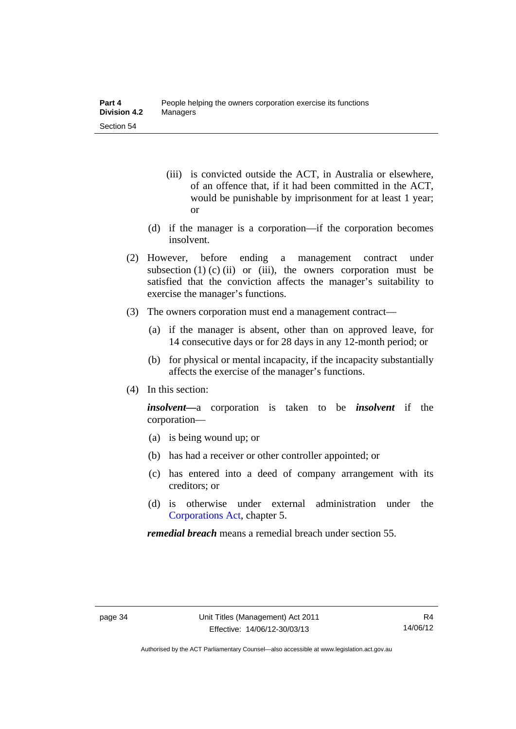- (iii) is convicted outside the ACT, in Australia or elsewhere, of an offence that, if it had been committed in the ACT, would be punishable by imprisonment for at least 1 year; or
- (d) if the manager is a corporation—if the corporation becomes insolvent.
- (2) However, before ending a management contract under subsection  $(1)$   $(c)$   $(ii)$  or  $(iii)$ , the owners corporation must be satisfied that the conviction affects the manager's suitability to exercise the manager's functions.
- (3) The owners corporation must end a management contract—
	- (a) if the manager is absent, other than on approved leave, for 14 consecutive days or for 28 days in any 12-month period; or
	- (b) for physical or mental incapacity, if the incapacity substantially affects the exercise of the manager's functions.
- (4) In this section:

*insolvent—*a corporation is taken to be *insolvent* if the corporation—

- (a) is being wound up; or
- (b) has had a receiver or other controller appointed; or
- (c) has entered into a deed of company arrangement with its creditors; or
- (d) is otherwise under external administration under the [Corporations Act,](http://www.comlaw.gov.au/Series/C2004A00818) chapter 5.

*remedial breach* means a remedial breach under section 55.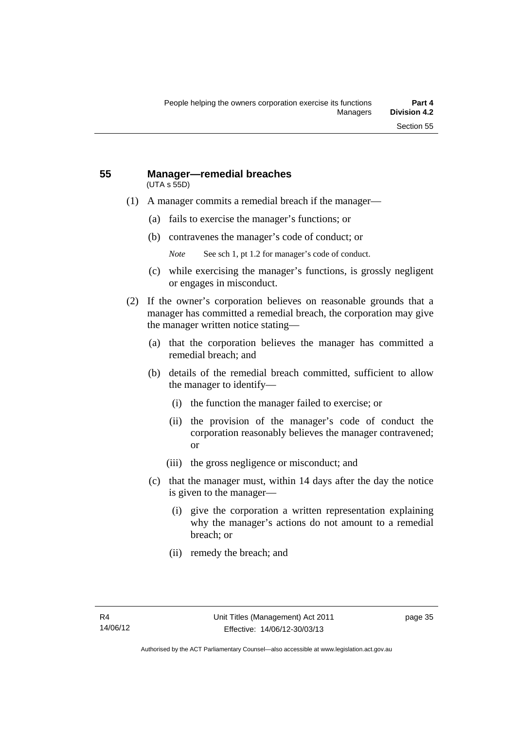#### **55 Manager—remedial breaches**  (UTA s 55D)

- (1) A manager commits a remedial breach if the manager—
	- (a) fails to exercise the manager's functions; or
	- (b) contravenes the manager's code of conduct; or
		- *Note* See sch 1, pt 1.2 for manager's code of conduct.
	- (c) while exercising the manager's functions, is grossly negligent or engages in misconduct.
- (2) If the owner's corporation believes on reasonable grounds that a manager has committed a remedial breach, the corporation may give the manager written notice stating—
	- (a) that the corporation believes the manager has committed a remedial breach; and
	- (b) details of the remedial breach committed, sufficient to allow the manager to identify—
		- (i) the function the manager failed to exercise; or
		- (ii) the provision of the manager's code of conduct the corporation reasonably believes the manager contravened; or
		- (iii) the gross negligence or misconduct; and
	- (c) that the manager must, within 14 days after the day the notice is given to the manager—
		- (i) give the corporation a written representation explaining why the manager's actions do not amount to a remedial breach; or
		- (ii) remedy the breach; and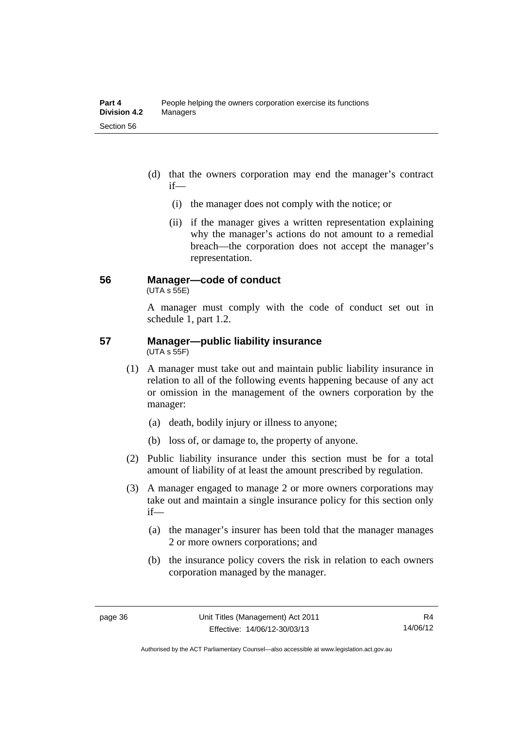- (d) that the owners corporation may end the manager's contract if—
	- (i) the manager does not comply with the notice; or
	- (ii) if the manager gives a written representation explaining why the manager's actions do not amount to a remedial breach—the corporation does not accept the manager's representation.

## **56 Manager—code of conduct**

 $(UTA s 55E)$ 

manager:

A manager must comply with the code of conduct set out in schedule 1, part 1.2.

#### **57 Manager—public liability insurance**  (UTA s 55F)

- (1) A manager must take out and maintain public liability insurance in relation to all of the following events happening because of any act or omission in the management of the owners corporation by the
	- (a) death, bodily injury or illness to anyone;
	- (b) loss of, or damage to, the property of anyone.
	- (2) Public liability insurance under this section must be for a total amount of liability of at least the amount prescribed by regulation.
	- (3) A manager engaged to manage 2 or more owners corporations may take out and maintain a single insurance policy for this section only if—
		- (a) the manager's insurer has been told that the manager manages 2 or more owners corporations; and
		- (b) the insurance policy covers the risk in relation to each owners corporation managed by the manager.

Authorised by the ACT Parliamentary Counsel—also accessible at www.legislation.act.gov.au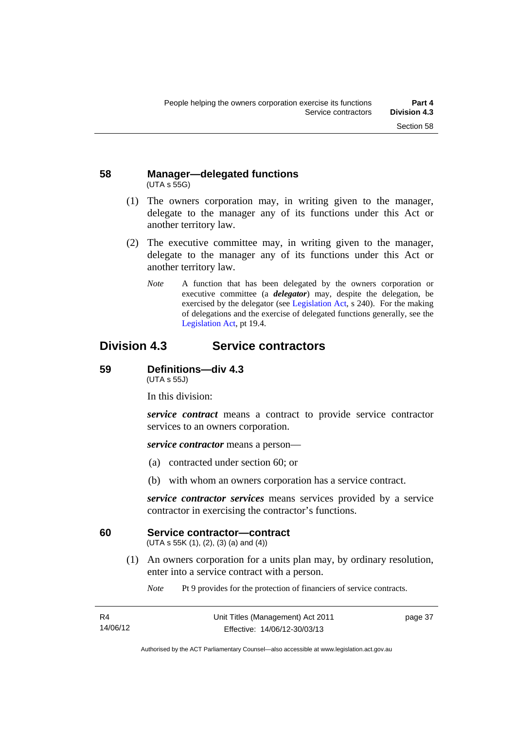## **58 Manager—delegated functions**  (UTA s 55G)

- (1) The owners corporation may, in writing given to the manager, delegate to the manager any of its functions under this Act or another territory law.
- (2) The executive committee may, in writing given to the manager, delegate to the manager any of its functions under this Act or another territory law.
	- *Note* A function that has been delegated by the owners corporation or executive committee (a *delegator*) may, despite the delegation, be exercised by the delegator (see [Legislation Act,](http://www.legislation.act.gov.au/a/2001-14) s 240). For the making of delegations and the exercise of delegated functions generally, see the [Legislation Act,](http://www.legislation.act.gov.au/a/2001-14) pt 19.4.

# **Division 4.3 Service contractors**

## **59 Definitions—div 4.3**

(UTA s 55J)

In this division:

*service contract* means a contract to provide service contractor services to an owners corporation.

*service contractor* means a person—

- (a) contracted under section 60; or
- (b) with whom an owners corporation has a service contract.

*service contractor services* means services provided by a service contractor in exercising the contractor's functions.

## **60 Service contractor—contract**

(UTA s 55K (1), (2), (3) (a) and (4))

 (1) An owners corporation for a units plan may, by ordinary resolution, enter into a service contract with a person.

*Note* Pt 9 provides for the protection of financiers of service contracts.

| R4       |
|----------|
| 14/06/12 |

page 37

Authorised by the ACT Parliamentary Counsel—also accessible at www.legislation.act.gov.au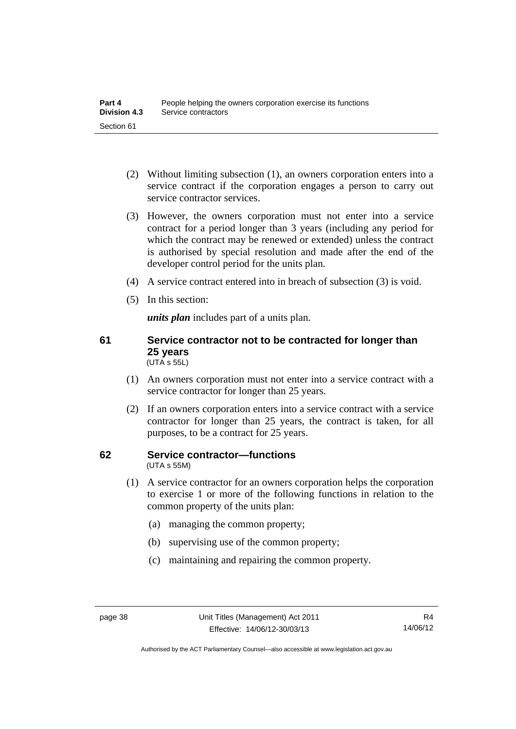- (2) Without limiting subsection (1), an owners corporation enters into a service contract if the corporation engages a person to carry out service contractor services.
- (3) However, the owners corporation must not enter into a service contract for a period longer than 3 years (including any period for which the contract may be renewed or extended) unless the contract is authorised by special resolution and made after the end of the developer control period for the units plan.
- (4) A service contract entered into in breach of subsection (3) is void.
- (5) In this section:

*units plan* includes part of a units plan.

## **61 Service contractor not to be contracted for longer than 25 years**  (UTA s 55L)

- (1) An owners corporation must not enter into a service contract with a service contractor for longer than 25 years.
- (2) If an owners corporation enters into a service contract with a service contractor for longer than 25 years, the contract is taken, for all purposes, to be a contract for 25 years.

## **62 Service contractor—functions**  (UTA s 55M)

- (1) A service contractor for an owners corporation helps the corporation to exercise 1 or more of the following functions in relation to the common property of the units plan:
	- (a) managing the common property;
	- (b) supervising use of the common property;
	- (c) maintaining and repairing the common property.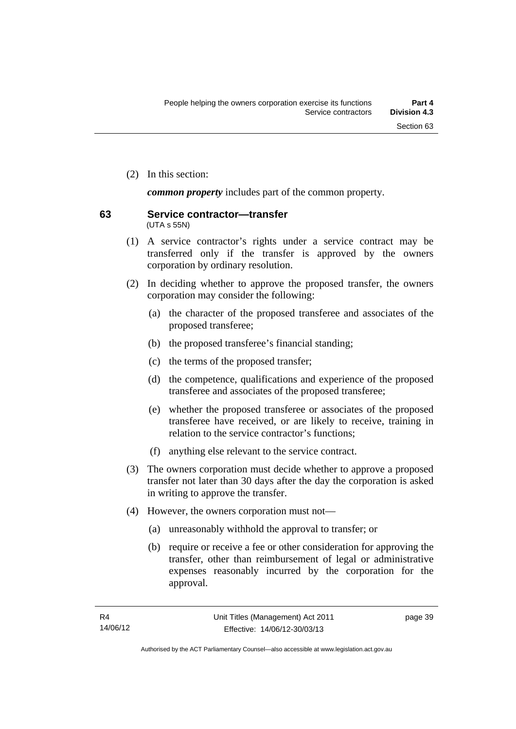(2) In this section:

*common property* includes part of the common property.

#### **63 Service contractor—transfer**  (UTA s 55N)

- (1) A service contractor's rights under a service contract may be transferred only if the transfer is approved by the owners corporation by ordinary resolution.
- (2) In deciding whether to approve the proposed transfer, the owners corporation may consider the following:
	- (a) the character of the proposed transferee and associates of the proposed transferee;
	- (b) the proposed transferee's financial standing;
	- (c) the terms of the proposed transfer;
	- (d) the competence, qualifications and experience of the proposed transferee and associates of the proposed transferee;
	- (e) whether the proposed transferee or associates of the proposed transferee have received, or are likely to receive, training in relation to the service contractor's functions;
	- (f) anything else relevant to the service contract.
- (3) The owners corporation must decide whether to approve a proposed transfer not later than 30 days after the day the corporation is asked in writing to approve the transfer.
- (4) However, the owners corporation must not—
	- (a) unreasonably withhold the approval to transfer; or
	- (b) require or receive a fee or other consideration for approving the transfer, other than reimbursement of legal or administrative expenses reasonably incurred by the corporation for the approval.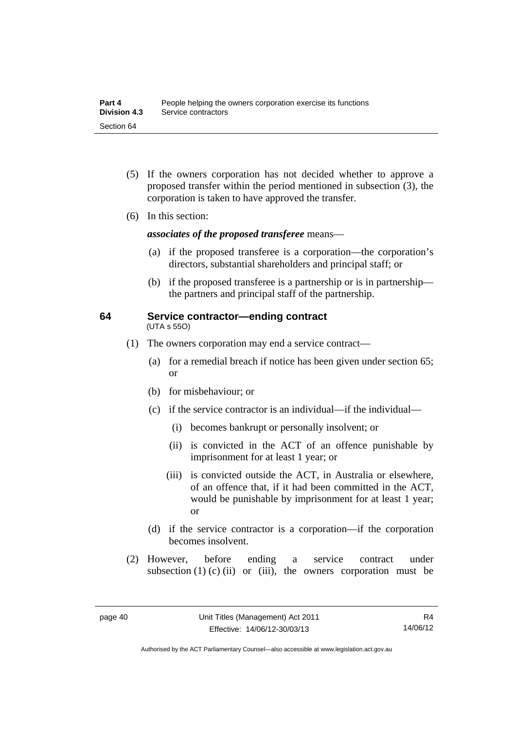- (5) If the owners corporation has not decided whether to approve a proposed transfer within the period mentioned in subsection (3), the corporation is taken to have approved the transfer.
- (6) In this section:

*associates of the proposed transferee* means—

- (a) if the proposed transferee is a corporation—the corporation's directors, substantial shareholders and principal staff; or
- (b) if the proposed transferee is a partnership or is in partnership the partners and principal staff of the partnership.

#### **64 Service contractor—ending contract**  (UTA s 55O)

- (1) The owners corporation may end a service contract—
	- (a) for a remedial breach if notice has been given under section 65; or
	- (b) for misbehaviour; or
	- (c) if the service contractor is an individual—if the individual—
		- (i) becomes bankrupt or personally insolvent; or
		- (ii) is convicted in the ACT of an offence punishable by imprisonment for at least 1 year; or
		- (iii) is convicted outside the ACT, in Australia or elsewhere, of an offence that, if it had been committed in the ACT, would be punishable by imprisonment for at least 1 year; or
	- (d) if the service contractor is a corporation—if the corporation becomes insolvent.
- (2) However, before ending a service contract under subsection  $(1)$   $(c)$   $(ii)$  or  $(iii)$ , the owners corporation must be

Authorised by the ACT Parliamentary Counsel—also accessible at www.legislation.act.gov.au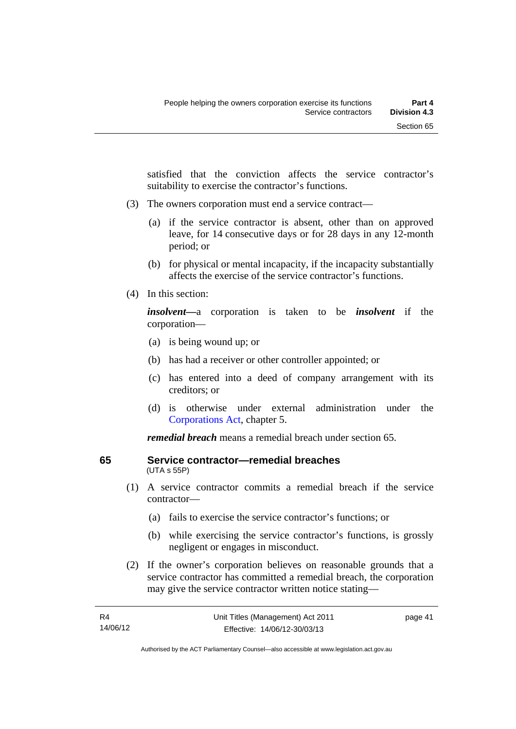satisfied that the conviction affects the service contractor's suitability to exercise the contractor's functions.

- (3) The owners corporation must end a service contract—
	- (a) if the service contractor is absent, other than on approved leave, for 14 consecutive days or for 28 days in any 12-month period; or
	- (b) for physical or mental incapacity, if the incapacity substantially affects the exercise of the service contractor's functions.
- (4) In this section:

*insolvent—*a corporation is taken to be *insolvent* if the corporation—

- (a) is being wound up; or
- (b) has had a receiver or other controller appointed; or
- (c) has entered into a deed of company arrangement with its creditors; or
- (d) is otherwise under external administration under the [Corporations Act,](http://www.comlaw.gov.au/Series/C2004A00818) chapter 5.

*remedial breach* means a remedial breach under section 65.

# **65 Service contractor—remedial breaches**

- (UTA s 55P)
- (1) A service contractor commits a remedial breach if the service contractor—
	- (a) fails to exercise the service contractor's functions; or
	- (b) while exercising the service contractor's functions, is grossly negligent or engages in misconduct.
- (2) If the owner's corporation believes on reasonable grounds that a service contractor has committed a remedial breach, the corporation may give the service contractor written notice stating—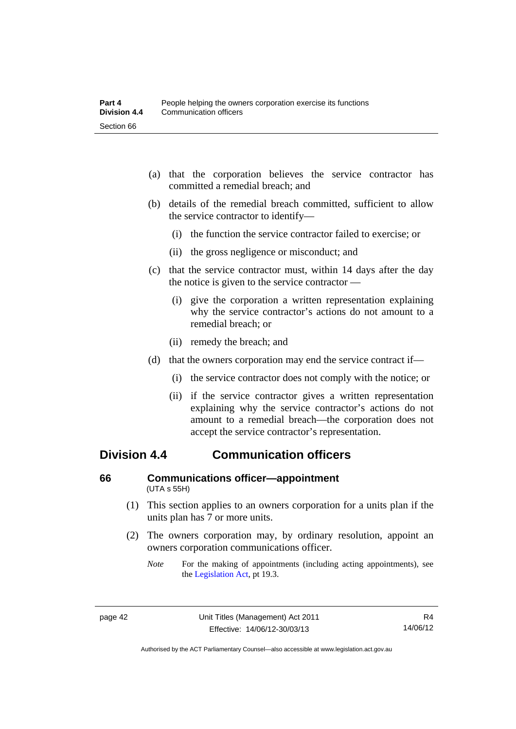- (a) that the corporation believes the service contractor has committed a remedial breach; and
- (b) details of the remedial breach committed, sufficient to allow the service contractor to identify—
	- (i) the function the service contractor failed to exercise; or
	- (ii) the gross negligence or misconduct; and
- (c) that the service contractor must, within 14 days after the day the notice is given to the service contractor —
	- (i) give the corporation a written representation explaining why the service contractor's actions do not amount to a remedial breach; or
	- (ii) remedy the breach; and
- (d) that the owners corporation may end the service contract if—
	- (i) the service contractor does not comply with the notice; or
	- (ii) if the service contractor gives a written representation explaining why the service contractor's actions do not amount to a remedial breach—the corporation does not accept the service contractor's representation.

# **Division 4.4 Communication officers**

## **66 Communications officer—appointment**  (UTA s 55H)

- (1) This section applies to an owners corporation for a units plan if the units plan has 7 or more units.
- (2) The owners corporation may, by ordinary resolution, appoint an owners corporation communications officer.
	- *Note* For the making of appointments (including acting appointments), see the [Legislation Act,](http://www.legislation.act.gov.au/a/2001-14) pt 19.3.

Authorised by the ACT Parliamentary Counsel—also accessible at www.legislation.act.gov.au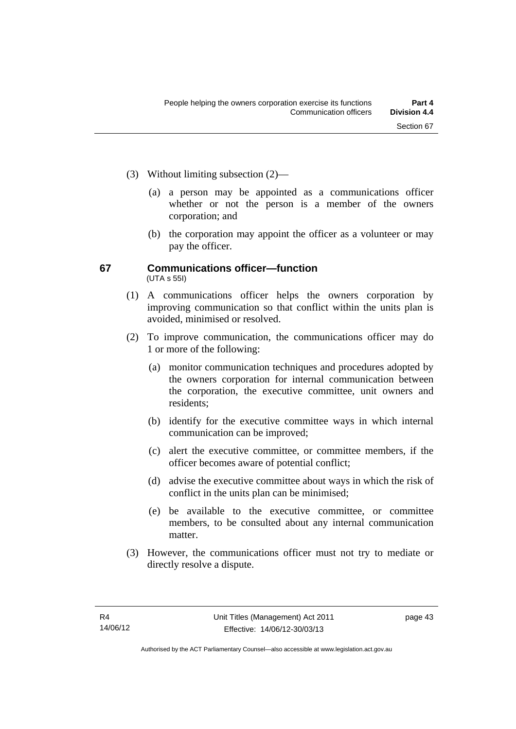- (3) Without limiting subsection (2)—
	- (a) a person may be appointed as a communications officer whether or not the person is a member of the owners corporation; and
	- (b) the corporation may appoint the officer as a volunteer or may pay the officer.

## **67 Communications officer—function**  (UTA s 55I)

- (1) A communications officer helps the owners corporation by improving communication so that conflict within the units plan is avoided, minimised or resolved.
- (2) To improve communication, the communications officer may do 1 or more of the following:
	- (a) monitor communication techniques and procedures adopted by the owners corporation for internal communication between the corporation, the executive committee, unit owners and residents;
	- (b) identify for the executive committee ways in which internal communication can be improved;
	- (c) alert the executive committee, or committee members, if the officer becomes aware of potential conflict;
	- (d) advise the executive committee about ways in which the risk of conflict in the units plan can be minimised;
	- (e) be available to the executive committee, or committee members, to be consulted about any internal communication matter.
- (3) However, the communications officer must not try to mediate or directly resolve a dispute.

page 43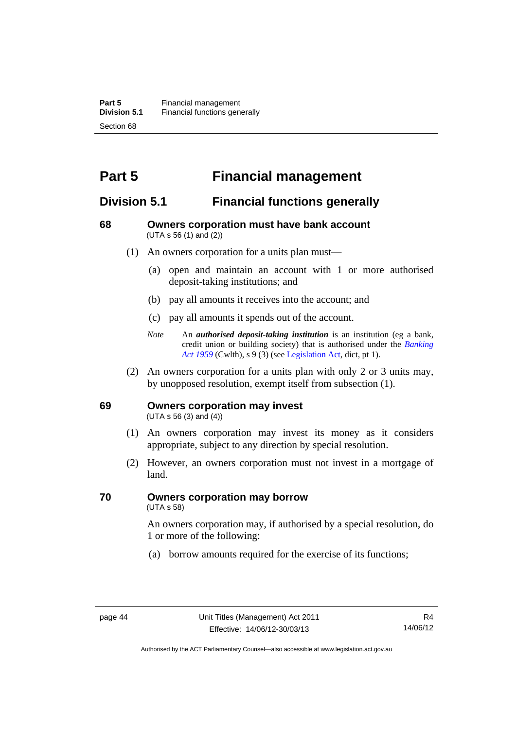# **Part 5 Financial management**

# **Division 5.1 Financial functions generally**

## **68 Owners corporation must have bank account**  (UTA s 56 (1) and (2))

- (1) An owners corporation for a units plan must—
	- (a) open and maintain an account with 1 or more authorised deposit-taking institutions; and
	- (b) pay all amounts it receives into the account; and
	- (c) pay all amounts it spends out of the account.
	- *Note* An *authorised deposit-taking institution* is an institution (eg a bank, credit union or building society) that is authorised under the *[Banking](http://www.comlaw.gov.au/Details/C2012C00911)  [Act 1959](http://www.comlaw.gov.au/Details/C2012C00911)* (Cwlth), s 9 (3) (see [Legislation Act,](http://www.legislation.act.gov.au/a/2001-14) dict, pt 1).
- (2) An owners corporation for a units plan with only 2 or 3 units may, by unopposed resolution, exempt itself from subsection (1).

## **69 Owners corporation may invest**

(UTA s 56 (3) and (4))

- (1) An owners corporation may invest its money as it considers appropriate, subject to any direction by special resolution.
- (2) However, an owners corporation must not invest in a mortgage of land.

# **70 Owners corporation may borrow**

(UTA s 58)

An owners corporation may, if authorised by a special resolution, do 1 or more of the following:

(a) borrow amounts required for the exercise of its functions;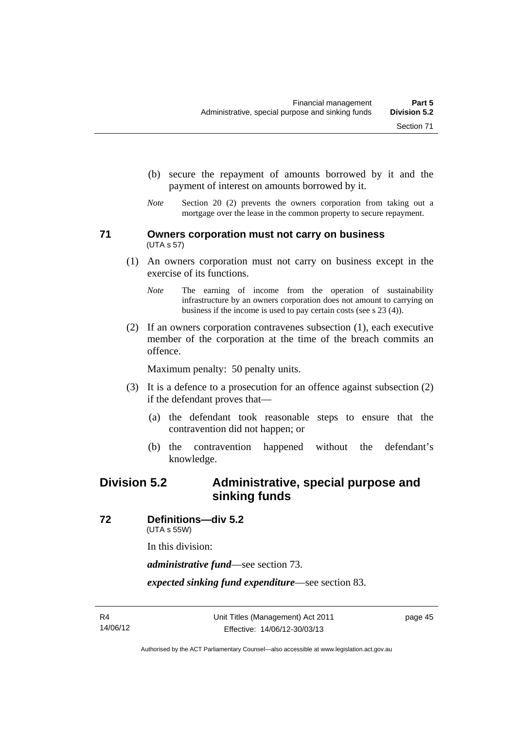- (b) secure the repayment of amounts borrowed by it and the
- payment of interest on amounts borrowed by it. *Note* Section 20 (2) prevents the owners corporation from taking out a

mortgage over the lease in the common property to secure repayment.

## **71 Owners corporation must not carry on business**  (UTA s 57)

- (1) An owners corporation must not carry on business except in the exercise of its functions.
	- *Note* The earning of income from the operation of sustainability infrastructure by an owners corporation does not amount to carrying on business if the income is used to pay certain costs (see s 23 (4)).
- (2) If an owners corporation contravenes subsection (1), each executive member of the corporation at the time of the breach commits an offence.

Maximum penalty: 50 penalty units.

- (3) It is a defence to a prosecution for an offence against subsection (2) if the defendant proves that—
	- (a) the defendant took reasonable steps to ensure that the contravention did not happen; or
	- (b) the contravention happened without the defendant's knowledge.

# **Division 5.2 Administrative, special purpose and sinking funds**

**72 Definitions—div 5.2** 

(UTA s 55W)

In this division:

*administrative fund*—see section 73.

*expected sinking fund expenditure*—see section 83.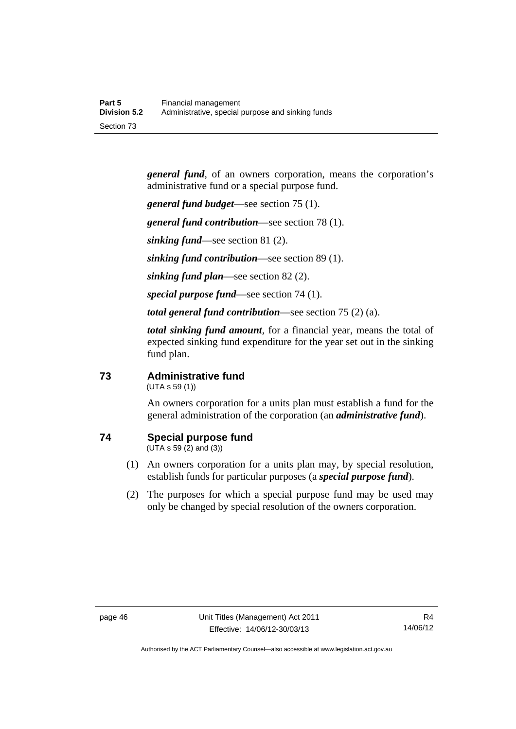*general fund*, of an owners corporation, means the corporation's administrative fund or a special purpose fund.

*general fund budget*—see section 75 (1).

*general fund contribution*—see section 78 (1).

*sinking fund*—see section 81 (2).

*sinking fund contribution*—see section 89 (1).

*sinking fund plan*—see section 82 (2).

*special purpose fund*—see section 74 (1).

*total general fund contribution*—see section 75 (2) (a).

*total sinking fund amount*, for a financial year, means the total of expected sinking fund expenditure for the year set out in the sinking fund plan.

## **73 Administrative fund**

(UTA s 59 (1))

An owners corporation for a units plan must establish a fund for the general administration of the corporation (an *administrative fund*).

## **74 Special purpose fund**

(UTA s 59 (2) and (3))

- (1) An owners corporation for a units plan may, by special resolution, establish funds for particular purposes (a *special purpose fund*).
- (2) The purposes for which a special purpose fund may be used may only be changed by special resolution of the owners corporation.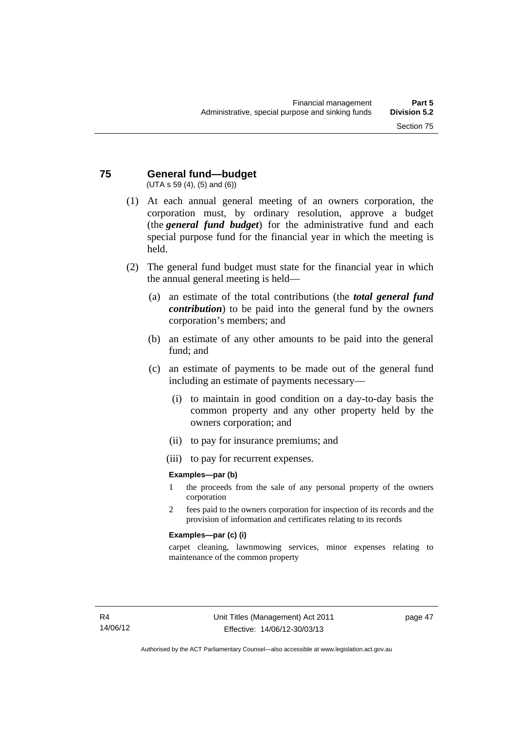#### **75 General fund—budget**  (UTA s 59 (4), (5) and (6))

- (1) At each annual general meeting of an owners corporation, the corporation must, by ordinary resolution, approve a budget (the *general fund budget*) for the administrative fund and each special purpose fund for the financial year in which the meeting is held.
- (2) The general fund budget must state for the financial year in which the annual general meeting is held—
	- (a) an estimate of the total contributions (the *total general fund contribution*) to be paid into the general fund by the owners corporation's members; and
	- (b) an estimate of any other amounts to be paid into the general fund; and
	- (c) an estimate of payments to be made out of the general fund including an estimate of payments necessary—
		- (i) to maintain in good condition on a day-to-day basis the common property and any other property held by the owners corporation; and
		- (ii) to pay for insurance premiums; and
		- (iii) to pay for recurrent expenses.

## **Examples—par (b)**

- 1 the proceeds from the sale of any personal property of the owners corporation
- 2 fees paid to the owners corporation for inspection of its records and the provision of information and certificates relating to its records

## **Examples—par (c) (i)**

carpet cleaning, lawnmowing services, minor expenses relating to maintenance of the common property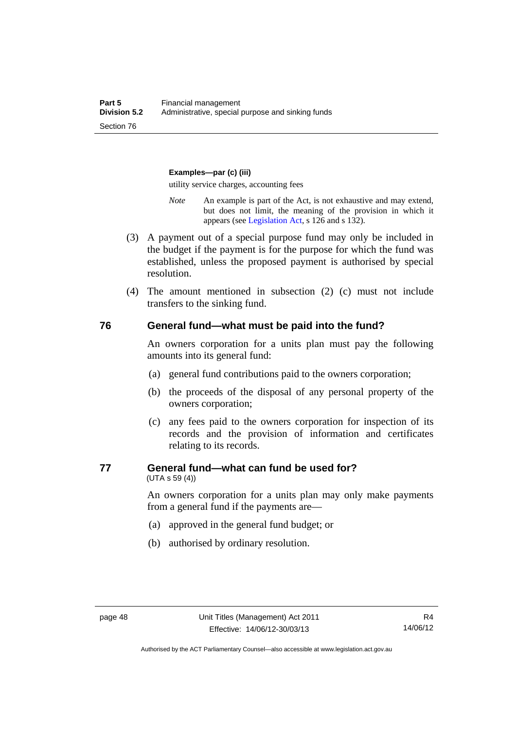#### **Examples—par (c) (iii)**

utility service charges, accounting fees

- *Note* An example is part of the Act, is not exhaustive and may extend, but does not limit, the meaning of the provision in which it appears (see [Legislation Act,](http://www.legislation.act.gov.au/a/2001-14) s 126 and s 132).
- (3) A payment out of a special purpose fund may only be included in the budget if the payment is for the purpose for which the fund was established, unless the proposed payment is authorised by special resolution.
- (4) The amount mentioned in subsection (2) (c) must not include transfers to the sinking fund.

#### **76 General fund—what must be paid into the fund?**

An owners corporation for a units plan must pay the following amounts into its general fund:

- (a) general fund contributions paid to the owners corporation;
- (b) the proceeds of the disposal of any personal property of the owners corporation;
- (c) any fees paid to the owners corporation for inspection of its records and the provision of information and certificates relating to its records.

## **77 General fund—what can fund be used for?**

(UTA s 59 (4))

An owners corporation for a units plan may only make payments from a general fund if the payments are—

- (a) approved in the general fund budget; or
- (b) authorised by ordinary resolution.

Authorised by the ACT Parliamentary Counsel—also accessible at www.legislation.act.gov.au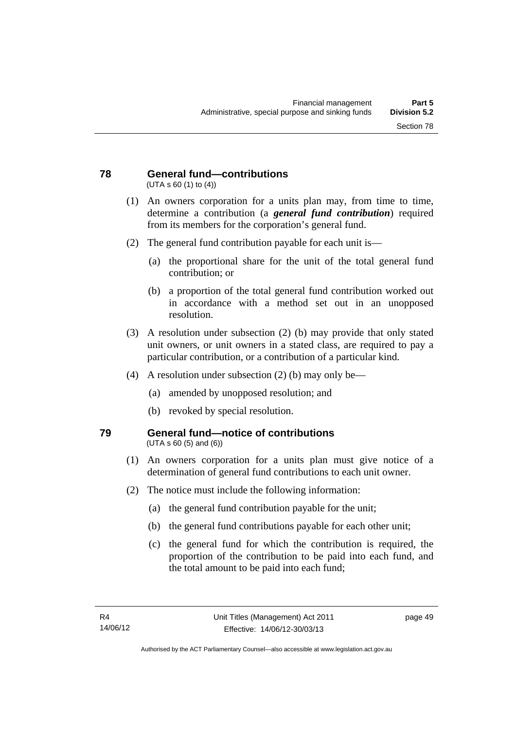#### **78 General fund—contributions**  (UTA s 60 (1) to (4))

- (1) An owners corporation for a units plan may, from time to time, determine a contribution (a *general fund contribution*) required from its members for the corporation's general fund.
- (2) The general fund contribution payable for each unit is—
	- (a) the proportional share for the unit of the total general fund contribution; or
	- (b) a proportion of the total general fund contribution worked out in accordance with a method set out in an unopposed resolution.
- (3) A resolution under subsection (2) (b) may provide that only stated unit owners, or unit owners in a stated class, are required to pay a particular contribution, or a contribution of a particular kind.
- (4) A resolution under subsection (2) (b) may only be—
	- (a) amended by unopposed resolution; and
	- (b) revoked by special resolution.

## **79 General fund—notice of contributions**  (UTA s 60 (5) and (6))

- (1) An owners corporation for a units plan must give notice of a determination of general fund contributions to each unit owner.
- (2) The notice must include the following information:
	- (a) the general fund contribution payable for the unit;
	- (b) the general fund contributions payable for each other unit;
	- (c) the general fund for which the contribution is required, the proportion of the contribution to be paid into each fund, and the total amount to be paid into each fund;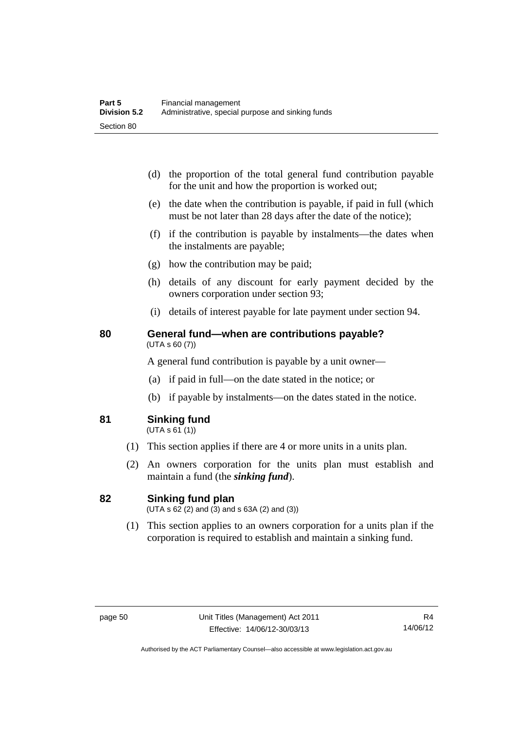- (d) the proportion of the total general fund contribution payable for the unit and how the proportion is worked out;
- (e) the date when the contribution is payable, if paid in full (which must be not later than 28 days after the date of the notice);
- (f) if the contribution is payable by instalments—the dates when the instalments are payable;
- (g) how the contribution may be paid;
- (h) details of any discount for early payment decided by the owners corporation under section 93;
- (i) details of interest payable for late payment under section 94.

## **80 General fund—when are contributions payable?**  (UTA s 60 (7))

A general fund contribution is payable by a unit owner—

- (a) if paid in full—on the date stated in the notice; or
- (b) if payable by instalments—on the dates stated in the notice.
- **81 Sinking fund**

 $(UTA S 61(1))$ 

- (1) This section applies if there are 4 or more units in a units plan.
- (2) An owners corporation for the units plan must establish and maintain a fund (the *sinking fund*).

## **82 Sinking fund plan**

 $(UTA \, s \, 62 \, (2)$  and  $(3)$  and  $s \, 63A \, (2)$  and  $(3)$ )

 (1) This section applies to an owners corporation for a units plan if the corporation is required to establish and maintain a sinking fund.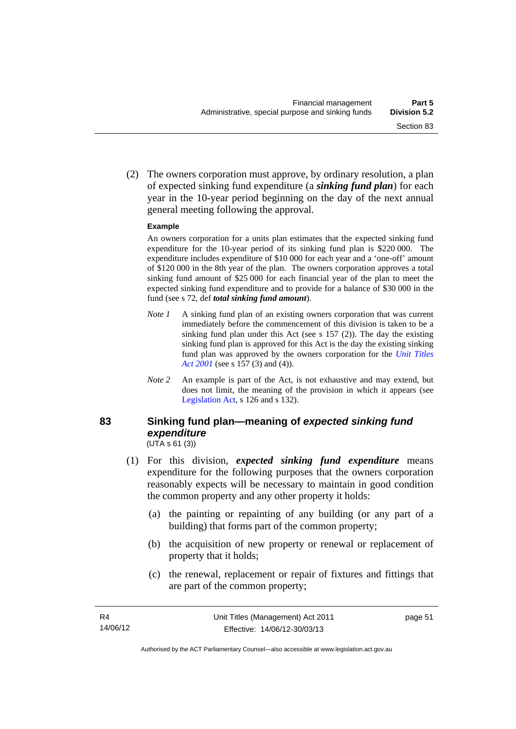(2) The owners corporation must approve, by ordinary resolution, a plan of expected sinking fund expenditure (a *sinking fund plan*) for each year in the 10-year period beginning on the day of the next annual general meeting following the approval.

## **Example**

An owners corporation for a units plan estimates that the expected sinking fund expenditure for the 10-year period of its sinking fund plan is \$220 000. The expenditure includes expenditure of \$10 000 for each year and a 'one-off' amount of \$120 000 in the 8th year of the plan. The owners corporation approves a total sinking fund amount of \$25 000 for each financial year of the plan to meet the expected sinking fund expenditure and to provide for a balance of \$30 000 in the fund (see s 72, def *total sinking fund amount*).

- *Note 1* A sinking fund plan of an existing owners corporation that was current immediately before the commencement of this division is taken to be a sinking fund plan under this Act (see s 157 (2)). The day the existing sinking fund plan is approved for this Act is the day the existing sinking fund plan was approved by the owners corporation for the *[Unit Titles](http://www.legislation.act.gov.au/a/2001-16)  [Act 2001](http://www.legislation.act.gov.au/a/2001-16)* (see s 157 (3) and (4)).
- *Note 2* An example is part of the Act, is not exhaustive and may extend, but does not limit, the meaning of the provision in which it appears (see [Legislation Act,](http://www.legislation.act.gov.au/a/2001-14) s 126 and s 132).

## **83 Sinking fund plan—meaning of** *expected sinking fund expenditure*  $(UTA S 61 (3))$

- (1) For this division, *expected sinking fund expenditure* means expenditure for the following purposes that the owners corporation reasonably expects will be necessary to maintain in good condition the common property and any other property it holds:
	- (a) the painting or repainting of any building (or any part of a building) that forms part of the common property;
	- (b) the acquisition of new property or renewal or replacement of property that it holds;
	- (c) the renewal, replacement or repair of fixtures and fittings that are part of the common property;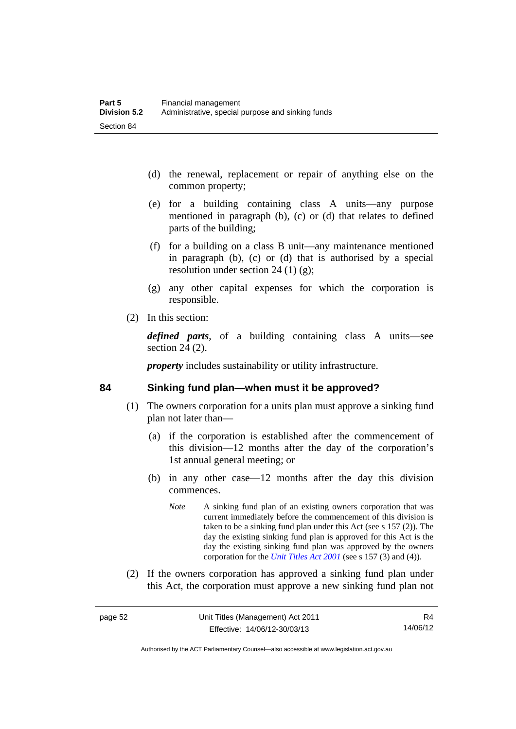- (d) the renewal, replacement or repair of anything else on the common property;
- (e) for a building containing class A units—any purpose mentioned in paragraph (b), (c) or (d) that relates to defined parts of the building;
- (f) for a building on a class B unit—any maintenance mentioned in paragraph (b), (c) or (d) that is authorised by a special resolution under section 24 (1)  $(g)$ ;
- (g) any other capital expenses for which the corporation is responsible.
- (2) In this section:

*defined parts*, of a building containing class A units—see section 24 (2).

*property* includes sustainability or utility infrastructure.

## **84 Sinking fund plan—when must it be approved?**

- (1) The owners corporation for a units plan must approve a sinking fund plan not later than—
	- (a) if the corporation is established after the commencement of this division—12 months after the day of the corporation's 1st annual general meeting; or
	- (b) in any other case—12 months after the day this division commences.
		- *Note* A sinking fund plan of an existing owners corporation that was current immediately before the commencement of this division is taken to be a sinking fund plan under this Act (see s 157 (2)). The day the existing sinking fund plan is approved for this Act is the day the existing sinking fund plan was approved by the owners corporation for the *[Unit Titles Act 2001](http://www.legislation.act.gov.au/a/2001-16)* (see s 157 (3) and (4)).
- (2) If the owners corporation has approved a sinking fund plan under this Act, the corporation must approve a new sinking fund plan not

Authorised by the ACT Parliamentary Counsel—also accessible at www.legislation.act.gov.au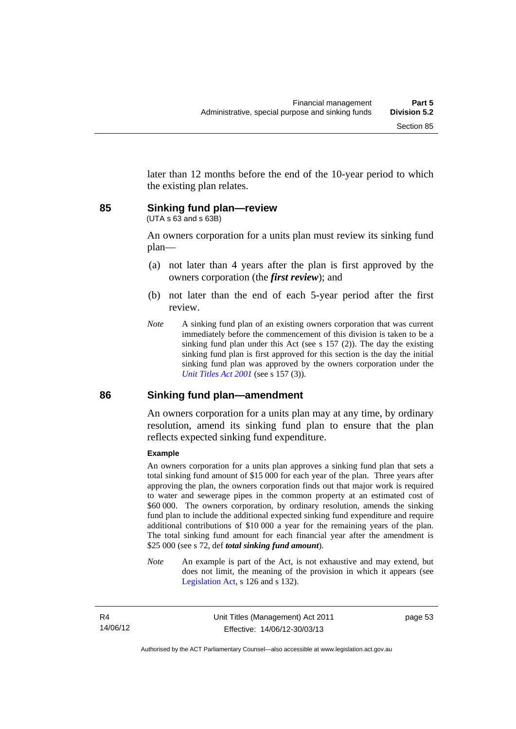later than 12 months before the end of the 10-year period to which the existing plan relates.

## **85 Sinking fund plan—review**

(UTA s 63 and s 63B)

An owners corporation for a units plan must review its sinking fund plan—

- (a) not later than 4 years after the plan is first approved by the owners corporation (the *first review*); and
- (b) not later than the end of each 5-year period after the first review.
- *Note* A sinking fund plan of an existing owners corporation that was current immediately before the commencement of this division is taken to be a sinking fund plan under this Act (see s 157 (2)). The day the existing sinking fund plan is first approved for this section is the day the initial sinking fund plan was approved by the owners corporation under the *[Unit Titles Act 2001](http://www.legislation.act.gov.au/a/2001-16)* (see s 157 (3)).

## **86 Sinking fund plan—amendment**

An owners corporation for a units plan may at any time, by ordinary resolution, amend its sinking fund plan to ensure that the plan reflects expected sinking fund expenditure.

#### **Example**

An owners corporation for a units plan approves a sinking fund plan that sets a total sinking fund amount of \$15 000 for each year of the plan. Three years after approving the plan, the owners corporation finds out that major work is required to water and sewerage pipes in the common property at an estimated cost of \$60,000. The owners corporation, by ordinary resolution, amends the sinking fund plan to include the additional expected sinking fund expenditure and require additional contributions of \$10 000 a year for the remaining years of the plan. The total sinking fund amount for each financial year after the amendment is \$25 000 (see s 72, def *total sinking fund amount*).

*Note* An example is part of the Act, is not exhaustive and may extend, but does not limit, the meaning of the provision in which it appears (see [Legislation Act,](http://www.legislation.act.gov.au/a/2001-14) s 126 and s 132).

page 53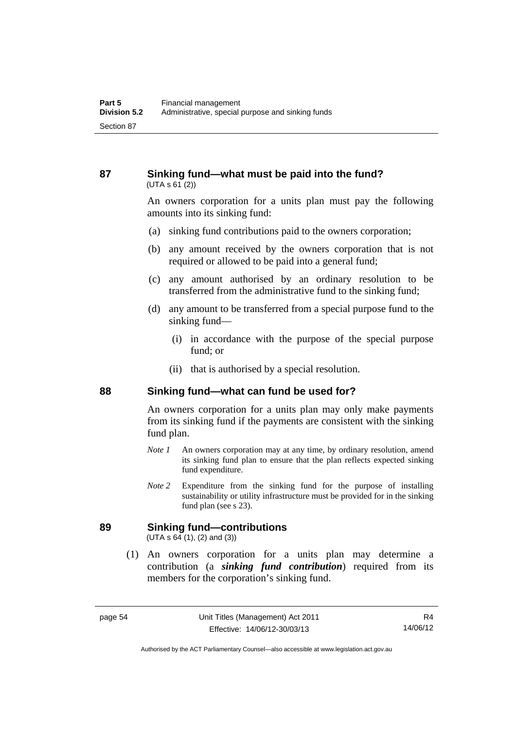## **87 Sinking fund—what must be paid into the fund?**   $(UTA S 61 (2))$

An owners corporation for a units plan must pay the following amounts into its sinking fund:

- (a) sinking fund contributions paid to the owners corporation;
- (b) any amount received by the owners corporation that is not required or allowed to be paid into a general fund;
- (c) any amount authorised by an ordinary resolution to be transferred from the administrative fund to the sinking fund;
- (d) any amount to be transferred from a special purpose fund to the sinking fund—
	- (i) in accordance with the purpose of the special purpose fund; or
	- (ii) that is authorised by a special resolution.

## **88 Sinking fund—what can fund be used for?**

An owners corporation for a units plan may only make payments from its sinking fund if the payments are consistent with the sinking fund plan.

- *Note 1* An owners corporation may at any time, by ordinary resolution, amend its sinking fund plan to ensure that the plan reflects expected sinking fund expenditure.
- *Note 2* Expenditure from the sinking fund for the purpose of installing sustainability or utility infrastructure must be provided for in the sinking fund plan (see s 23).

## **89 Sinking fund—contributions**

 $(UTA s 64 (1), (2) and (3))$ 

 (1) An owners corporation for a units plan may determine a contribution (a *sinking fund contribution*) required from its members for the corporation's sinking fund.

Authorised by the ACT Parliamentary Counsel—also accessible at www.legislation.act.gov.au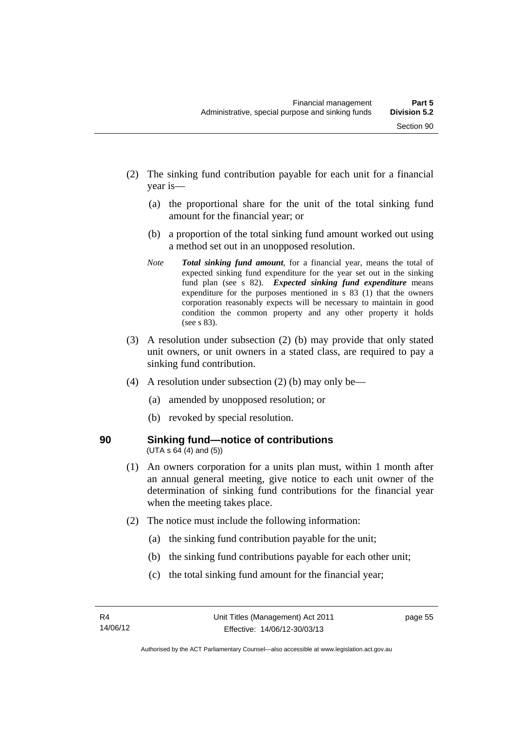- (2) The sinking fund contribution payable for each unit for a financial year is—
	- (a) the proportional share for the unit of the total sinking fund amount for the financial year; or
	- (b) a proportion of the total sinking fund amount worked out using a method set out in an unopposed resolution.
	- *Note Total sinking fund amount*, for a financial year, means the total of expected sinking fund expenditure for the year set out in the sinking fund plan (see s 82). *Expected sinking fund expenditure* means expenditure for the purposes mentioned in s 83 (1) that the owners corporation reasonably expects will be necessary to maintain in good condition the common property and any other property it holds (see s 83).
- (3) A resolution under subsection (2) (b) may provide that only stated unit owners, or unit owners in a stated class, are required to pay a sinking fund contribution.
- (4) A resolution under subsection (2) (b) may only be—
	- (a) amended by unopposed resolution; or
	- (b) revoked by special resolution.
- 

## **90 Sinking fund—notice of contributions**   $(UTA s 64 (4) and (5))$

- (1) An owners corporation for a units plan must, within 1 month after an annual general meeting, give notice to each unit owner of the determination of sinking fund contributions for the financial year when the meeting takes place.
- (2) The notice must include the following information:
	- (a) the sinking fund contribution payable for the unit;
	- (b) the sinking fund contributions payable for each other unit;
	- (c) the total sinking fund amount for the financial year;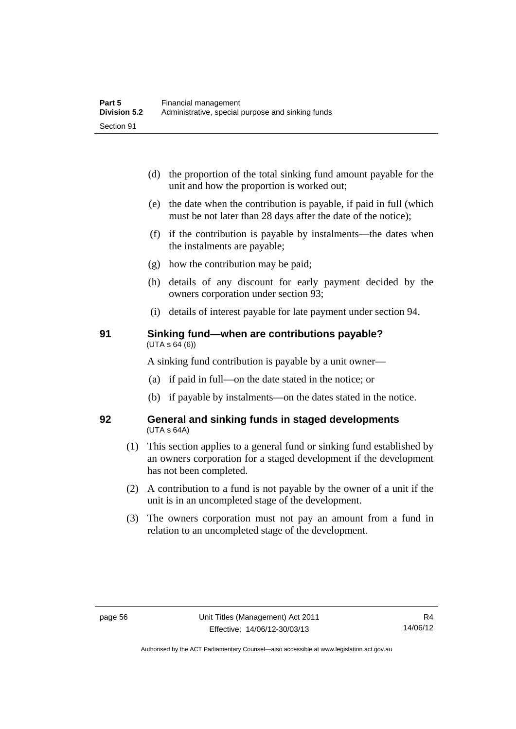- (d) the proportion of the total sinking fund amount payable for the unit and how the proportion is worked out;
- (e) the date when the contribution is payable, if paid in full (which must be not later than 28 days after the date of the notice);
- (f) if the contribution is payable by instalments—the dates when the instalments are payable;
- (g) how the contribution may be paid;
- (h) details of any discount for early payment decided by the owners corporation under section 93;
- (i) details of interest payable for late payment under section 94.

## **91 Sinking fund—when are contributions payable?**  (UTA s 64 (6))

A sinking fund contribution is payable by a unit owner—

- (a) if paid in full—on the date stated in the notice; or
- (b) if payable by instalments—on the dates stated in the notice.

## **92 General and sinking funds in staged developments**  (UTA s 64A)

- (1) This section applies to a general fund or sinking fund established by an owners corporation for a staged development if the development has not been completed.
- (2) A contribution to a fund is not payable by the owner of a unit if the unit is in an uncompleted stage of the development.
- (3) The owners corporation must not pay an amount from a fund in relation to an uncompleted stage of the development.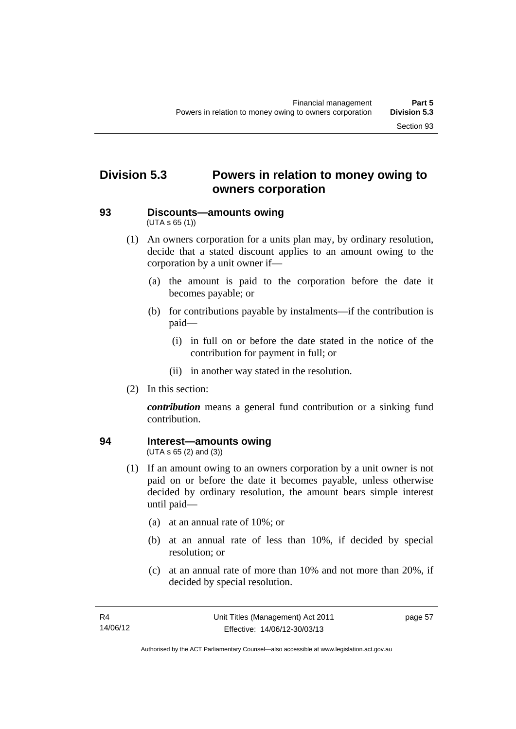# **Division 5.3 Powers in relation to money owing to owners corporation**

## **93 Discounts—amounts owing**  (UTA s 65 (1))

- (1) An owners corporation for a units plan may, by ordinary resolution, decide that a stated discount applies to an amount owing to the corporation by a unit owner if—
	- (a) the amount is paid to the corporation before the date it becomes payable; or
	- (b) for contributions payable by instalments—if the contribution is paid—
		- (i) in full on or before the date stated in the notice of the contribution for payment in full; or
		- (ii) in another way stated in the resolution.
- (2) In this section:

*contribution* means a general fund contribution or a sinking fund contribution.

## **94 Interest—amounts owing**

(UTA s 65 (2) and (3))

- (1) If an amount owing to an owners corporation by a unit owner is not paid on or before the date it becomes payable, unless otherwise decided by ordinary resolution, the amount bears simple interest until paid—
	- (a) at an annual rate of 10%; or
	- (b) at an annual rate of less than 10%, if decided by special resolution; or
	- (c) at an annual rate of more than 10% and not more than 20%, if decided by special resolution.

page 57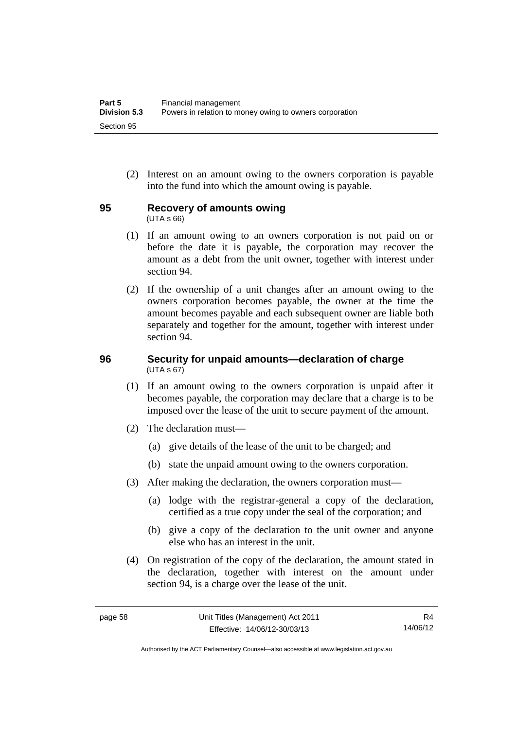(2) Interest on an amount owing to the owners corporation is payable into the fund into which the amount owing is payable.

## **95 Recovery of amounts owing**

(UTA s 66)

- (1) If an amount owing to an owners corporation is not paid on or before the date it is payable, the corporation may recover the amount as a debt from the unit owner, together with interest under section 94.
- (2) If the ownership of a unit changes after an amount owing to the owners corporation becomes payable, the owner at the time the amount becomes payable and each subsequent owner are liable both separately and together for the amount, together with interest under section 94.

## **96 Security for unpaid amounts—declaration of charge**  (UTA s 67)

- (1) If an amount owing to the owners corporation is unpaid after it becomes payable, the corporation may declare that a charge is to be imposed over the lease of the unit to secure payment of the amount.
- (2) The declaration must—
	- (a) give details of the lease of the unit to be charged; and
	- (b) state the unpaid amount owing to the owners corporation.
- (3) After making the declaration, the owners corporation must—
	- (a) lodge with the registrar-general a copy of the declaration, certified as a true copy under the seal of the corporation; and
	- (b) give a copy of the declaration to the unit owner and anyone else who has an interest in the unit.
- (4) On registration of the copy of the declaration, the amount stated in the declaration, together with interest on the amount under section 94, is a charge over the lease of the unit.

R4 14/06/12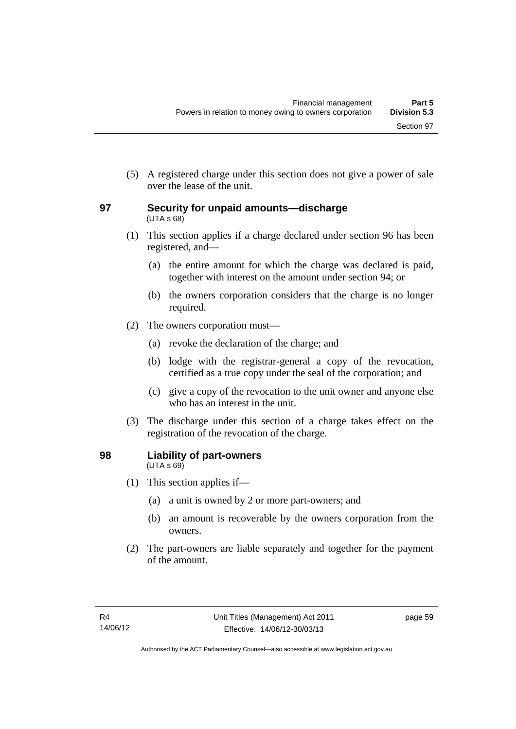(5) A registered charge under this section does not give a power of sale over the lease of the unit.

## **97 Security for unpaid amounts—discharge**  (UTA s 68)

- (1) This section applies if a charge declared under section 96 has been registered, and—
	- (a) the entire amount for which the charge was declared is paid, together with interest on the amount under section 94; or
	- (b) the owners corporation considers that the charge is no longer required.
- (2) The owners corporation must—
	- (a) revoke the declaration of the charge; and
	- (b) lodge with the registrar-general a copy of the revocation, certified as a true copy under the seal of the corporation; and
	- (c) give a copy of the revocation to the unit owner and anyone else who has an interest in the unit.
- (3) The discharge under this section of a charge takes effect on the registration of the revocation of the charge.

## **98 Liability of part-owners**  (UTA s 69)

- (1) This section applies if—
	- (a) a unit is owned by 2 or more part-owners; and
	- (b) an amount is recoverable by the owners corporation from the owners.
- (2) The part-owners are liable separately and together for the payment of the amount.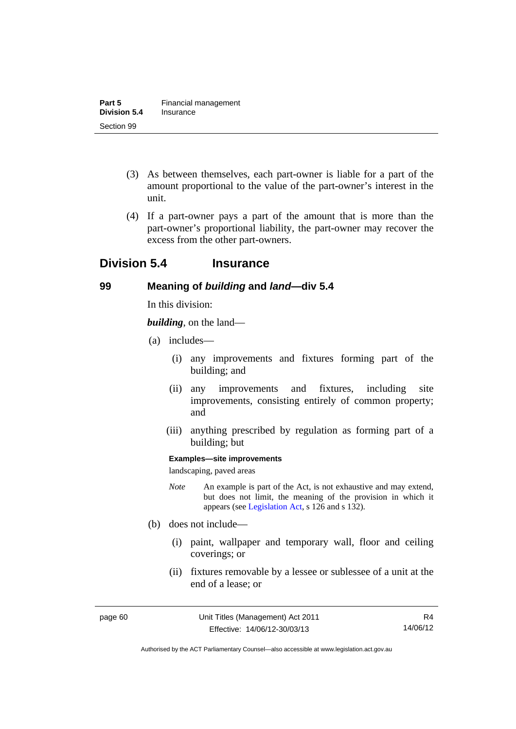- (3) As between themselves, each part-owner is liable for a part of the amount proportional to the value of the part-owner's interest in the unit.
- (4) If a part-owner pays a part of the amount that is more than the part-owner's proportional liability, the part-owner may recover the excess from the other part-owners.

# **Division 5.4 Insurance**

## **99 Meaning of** *building* **and** *land***—div 5.4**

In this division:

*building*, on the land—

- (a) includes—
	- (i) any improvements and fixtures forming part of the building; and
	- (ii) any improvements and fixtures, including site improvements, consisting entirely of common property; and
	- (iii) anything prescribed by regulation as forming part of a building; but

#### **Examples—site improvements**

landscaping, paved areas

- *Note* An example is part of the Act, is not exhaustive and may extend, but does not limit, the meaning of the provision in which it appears (see [Legislation Act,](http://www.legislation.act.gov.au/a/2001-14) s 126 and s 132).
- (b) does not include—
	- (i) paint, wallpaper and temporary wall, floor and ceiling coverings; or
	- (ii) fixtures removable by a lessee or sublessee of a unit at the end of a lease; or

R4 14/06/12

Authorised by the ACT Parliamentary Counsel—also accessible at www.legislation.act.gov.au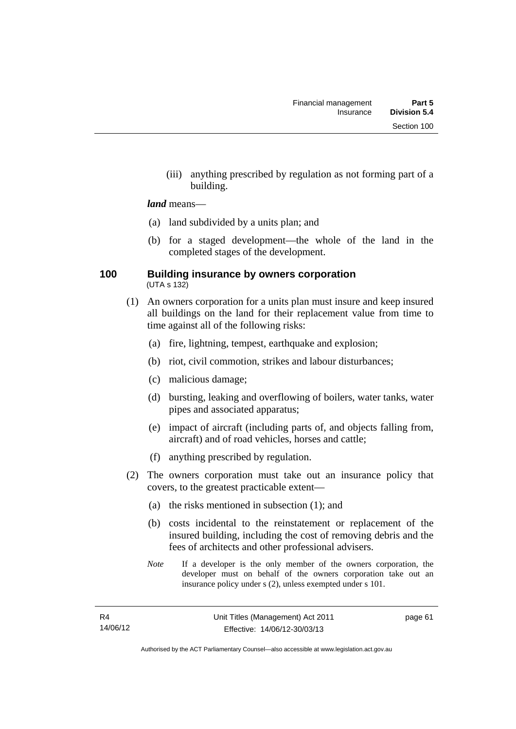(iii) anything prescribed by regulation as not forming part of a building.

### *land* means—

- (a) land subdivided by a units plan; and
- (b) for a staged development—the whole of the land in the completed stages of the development.

### **100 Building insurance by owners corporation**  (UTA s 132)

- (1) An owners corporation for a units plan must insure and keep insured all buildings on the land for their replacement value from time to time against all of the following risks:
	- (a) fire, lightning, tempest, earthquake and explosion;
	- (b) riot, civil commotion, strikes and labour disturbances;
	- (c) malicious damage;
	- (d) bursting, leaking and overflowing of boilers, water tanks, water pipes and associated apparatus;
	- (e) impact of aircraft (including parts of, and objects falling from, aircraft) and of road vehicles, horses and cattle;
	- (f) anything prescribed by regulation.
- (2) The owners corporation must take out an insurance policy that covers, to the greatest practicable extent—
	- (a) the risks mentioned in subsection (1); and
	- (b) costs incidental to the reinstatement or replacement of the insured building, including the cost of removing debris and the fees of architects and other professional advisers.
	- *Note* If a developer is the only member of the owners corporation, the developer must on behalf of the owners corporation take out an insurance policy under s (2), unless exempted under s 101.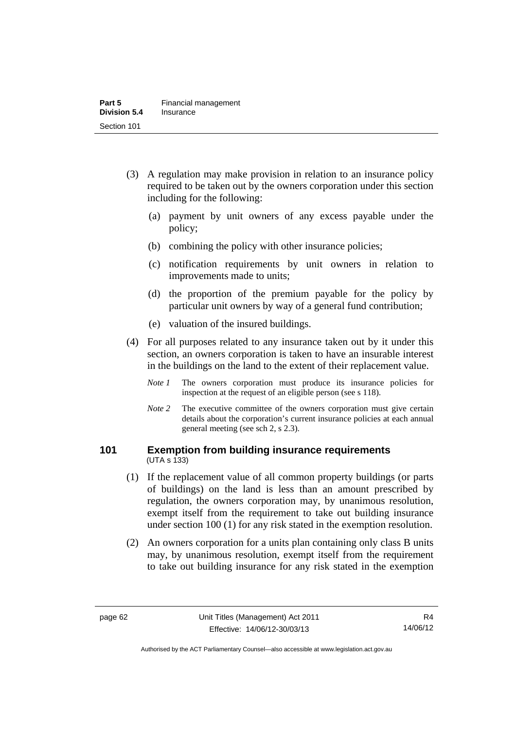- (3) A regulation may make provision in relation to an insurance policy required to be taken out by the owners corporation under this section including for the following:
	- (a) payment by unit owners of any excess payable under the policy;
	- (b) combining the policy with other insurance policies;
	- (c) notification requirements by unit owners in relation to improvements made to units;
	- (d) the proportion of the premium payable for the policy by particular unit owners by way of a general fund contribution;
	- (e) valuation of the insured buildings.
- (4) For all purposes related to any insurance taken out by it under this section, an owners corporation is taken to have an insurable interest in the buildings on the land to the extent of their replacement value.
	- *Note 1* The owners corporation must produce its insurance policies for inspection at the request of an eligible person (see s 118).
	- *Note* 2 The executive committee of the owners corporation must give certain details about the corporation's current insurance policies at each annual general meeting (see sch 2, s 2.3).

### **101 Exemption from building insurance requirements**  (UTA s 133)

- (1) If the replacement value of all common property buildings (or parts of buildings) on the land is less than an amount prescribed by regulation, the owners corporation may, by unanimous resolution, exempt itself from the requirement to take out building insurance under section 100 (1) for any risk stated in the exemption resolution.
- (2) An owners corporation for a units plan containing only class B units may, by unanimous resolution, exempt itself from the requirement to take out building insurance for any risk stated in the exemption

Authorised by the ACT Parliamentary Counsel—also accessible at www.legislation.act.gov.au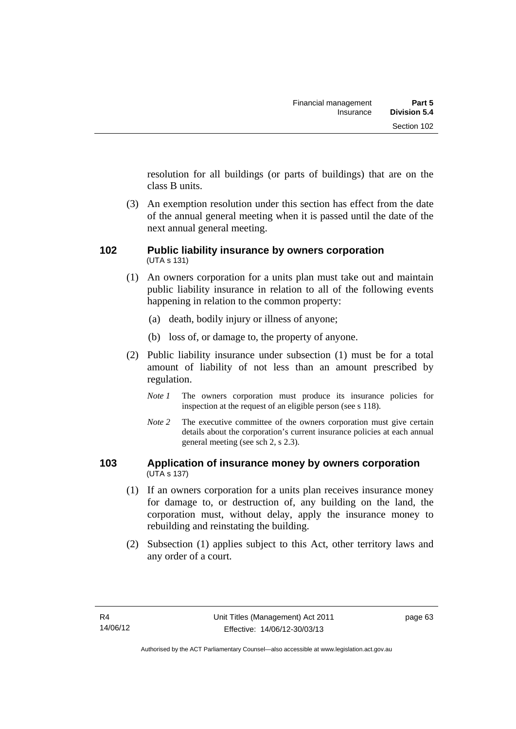resolution for all buildings (or parts of buildings) that are on the class B units.

 (3) An exemption resolution under this section has effect from the date of the annual general meeting when it is passed until the date of the next annual general meeting.

### **102 Public liability insurance by owners corporation**  (UTA s 131)

- (1) An owners corporation for a units plan must take out and maintain public liability insurance in relation to all of the following events happening in relation to the common property:
	- (a) death, bodily injury or illness of anyone;
	- (b) loss of, or damage to, the property of anyone.
- (2) Public liability insurance under subsection (1) must be for a total amount of liability of not less than an amount prescribed by regulation.
	- *Note 1* The owners corporation must produce its insurance policies for inspection at the request of an eligible person (see s 118).
	- *Note* 2 The executive committee of the owners corporation must give certain details about the corporation's current insurance policies at each annual general meeting (see sch 2, s 2.3).

# **103 Application of insurance money by owners corporation**  (UTA s 137)

- (1) If an owners corporation for a units plan receives insurance money for damage to, or destruction of, any building on the land, the corporation must, without delay, apply the insurance money to rebuilding and reinstating the building.
- (2) Subsection (1) applies subject to this Act, other territory laws and any order of a court.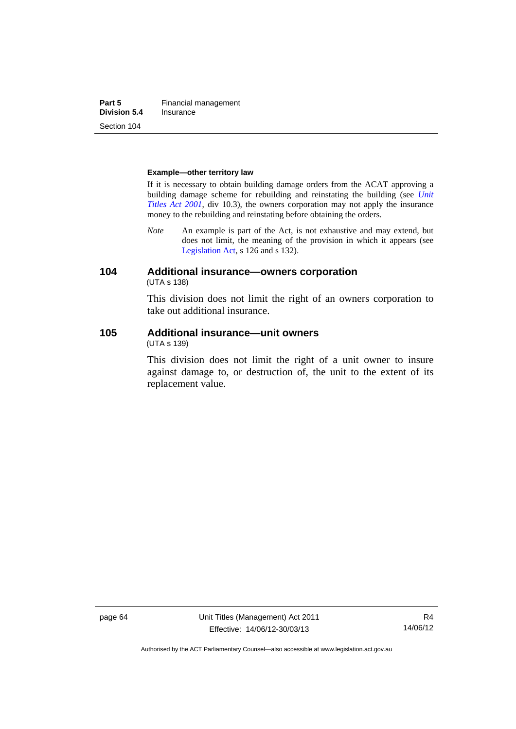**Part 5 Financial management**<br>**Division 5.4 Insurance Division 5.4** Section 104

#### **Example—other territory law**

If it is necessary to obtain building damage orders from the ACAT approving a building damage scheme for rebuilding and reinstating the building (see *[Unit](http://www.legislation.act.gov.au/a/2001-16)  [Titles Act 2001](http://www.legislation.act.gov.au/a/2001-16)*, div 10.3), the owners corporation may not apply the insurance money to the rebuilding and reinstating before obtaining the orders.

*Note* An example is part of the Act, is not exhaustive and may extend, but does not limit, the meaning of the provision in which it appears (see [Legislation Act,](http://www.legislation.act.gov.au/a/2001-14) s 126 and s 132).

### **104 Additional insurance—owners corporation**  (UTA s 138)

This division does not limit the right of an owners corporation to take out additional insurance.

#### **105 Additional insurance—unit owners**  (UTA s 139)

This division does not limit the right of a unit owner to insure against damage to, or destruction of, the unit to the extent of its replacement value.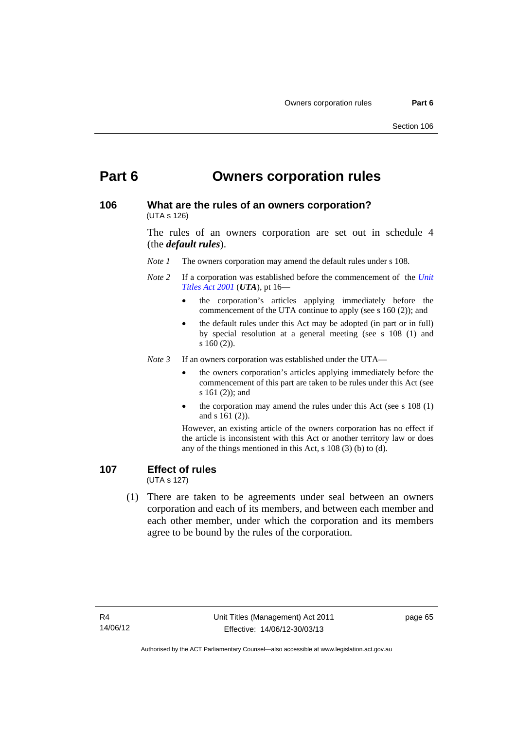# **Part 6 Owners corporation rules**

### **106 What are the rules of an owners corporation?**  (UTA s 126)

The rules of an owners corporation are set out in schedule 4 (the *default rules*).

- *Note 1* The owners corporation may amend the default rules under s 108.
- *Note 2* If a corporation was established before the commencement of the *[Unit](http://www.legislation.act.gov.au/a/2001-16)  [Titles Act 2001](http://www.legislation.act.gov.au/a/2001-16)* (*UTA*), pt 16
	- the corporation's articles applying immediately before the commencement of the UTA continue to apply (see s 160 (2)); and
	- the default rules under this Act may be adopted (in part or in full) by special resolution at a general meeting (see s 108 (1) and s 160 (2)).

*Note 3* If an owners corporation was established under the UTA—

- the owners corporation's articles applying immediately before the commencement of this part are taken to be rules under this Act (see s 161 (2)); and
- the corporation may amend the rules under this Act (see s 108 (1) and s 161 (2)).

However, an existing article of the owners corporation has no effect if the article is inconsistent with this Act or another territory law or does any of the things mentioned in this Act, s 108 (3) (b) to (d).

# **107 Effect of rules**

(UTA s 127)

 (1) There are taken to be agreements under seal between an owners corporation and each of its members, and between each member and each other member, under which the corporation and its members agree to be bound by the rules of the corporation.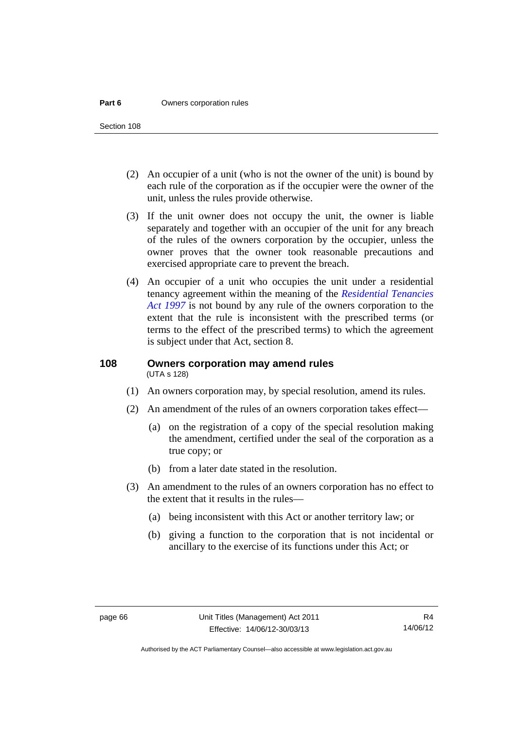#### **Part 6 Owners corporation rules**

Section 108

- (2) An occupier of a unit (who is not the owner of the unit) is bound by each rule of the corporation as if the occupier were the owner of the unit, unless the rules provide otherwise.
- (3) If the unit owner does not occupy the unit, the owner is liable separately and together with an occupier of the unit for any breach of the rules of the owners corporation by the occupier, unless the owner proves that the owner took reasonable precautions and exercised appropriate care to prevent the breach.
- (4) An occupier of a unit who occupies the unit under a residential tenancy agreement within the meaning of the *[Residential Tenancies](http://www.legislation.act.gov.au/a/1997-84)  [Act 1997](http://www.legislation.act.gov.au/a/1997-84)* is not bound by any rule of the owners corporation to the extent that the rule is inconsistent with the prescribed terms (or terms to the effect of the prescribed terms) to which the agreement is subject under that Act, section 8.

### **108 Owners corporation may amend rules**  (UTA s 128)

- (1) An owners corporation may, by special resolution, amend its rules.
- (2) An amendment of the rules of an owners corporation takes effect—
	- (a) on the registration of a copy of the special resolution making the amendment, certified under the seal of the corporation as a true copy; or
	- (b) from a later date stated in the resolution.
- (3) An amendment to the rules of an owners corporation has no effect to the extent that it results in the rules—
	- (a) being inconsistent with this Act or another territory law; or
	- (b) giving a function to the corporation that is not incidental or ancillary to the exercise of its functions under this Act; or

Authorised by the ACT Parliamentary Counsel—also accessible at www.legislation.act.gov.au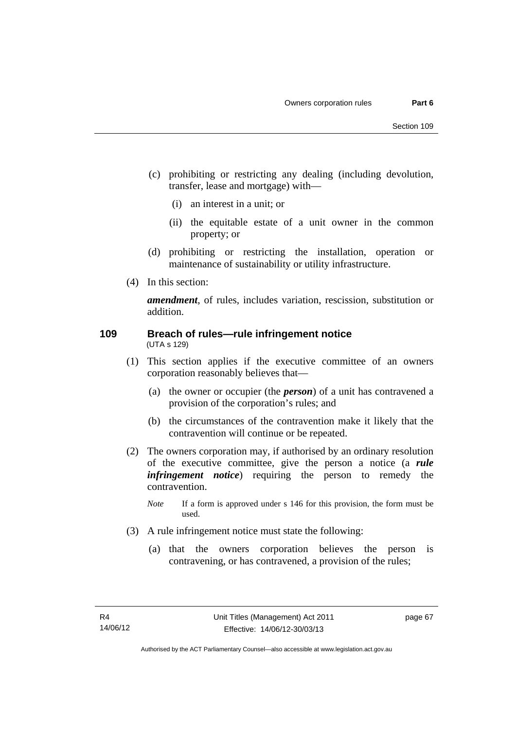- (c) prohibiting or restricting any dealing (including devolution, transfer, lease and mortgage) with—
	- (i) an interest in a unit; or
	- (ii) the equitable estate of a unit owner in the common property; or
- (d) prohibiting or restricting the installation, operation or maintenance of sustainability or utility infrastructure.
- (4) In this section:

*amendment*, of rules, includes variation, rescission, substitution or addition.

### **109 Breach of rules—rule infringement notice**  (UTA s 129)

- (1) This section applies if the executive committee of an owners corporation reasonably believes that—
	- (a) the owner or occupier (the *person*) of a unit has contravened a provision of the corporation's rules; and
	- (b) the circumstances of the contravention make it likely that the contravention will continue or be repeated.
- (2) The owners corporation may, if authorised by an ordinary resolution of the executive committee, give the person a notice (a *rule infringement notice*) requiring the person to remedy the contravention.
	- *Note* If a form is approved under s 146 for this provision, the form must be used.
- (3) A rule infringement notice must state the following:
	- (a) that the owners corporation believes the person is contravening, or has contravened, a provision of the rules;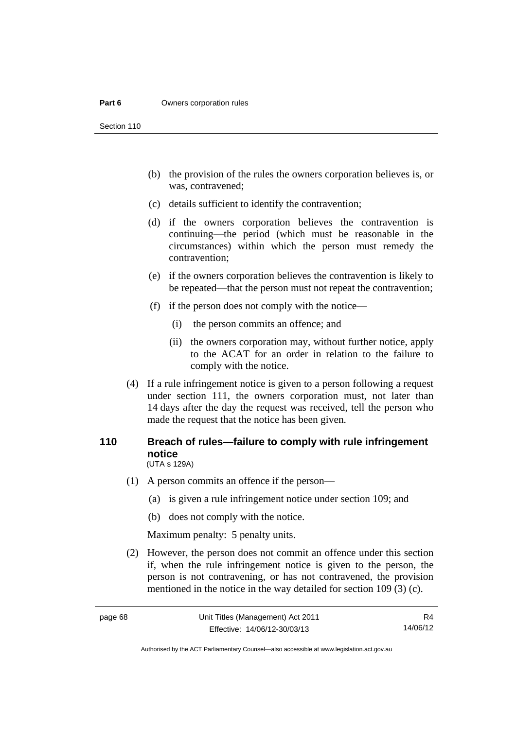#### **Part 6 Owners corporation rules**

Section 110

- (b) the provision of the rules the owners corporation believes is, or was, contravened;
- (c) details sufficient to identify the contravention;
- (d) if the owners corporation believes the contravention is continuing—the period (which must be reasonable in the circumstances) within which the person must remedy the contravention;
- (e) if the owners corporation believes the contravention is likely to be repeated—that the person must not repeat the contravention;
- (f) if the person does not comply with the notice—
	- (i) the person commits an offence; and
	- (ii) the owners corporation may, without further notice, apply to the ACAT for an order in relation to the failure to comply with the notice.
- (4) If a rule infringement notice is given to a person following a request under section 111, the owners corporation must, not later than 14 days after the day the request was received, tell the person who made the request that the notice has been given.

### **110 Breach of rules—failure to comply with rule infringement notice**  (UTA s 129A)

- (1) A person commits an offence if the person—
	- (a) is given a rule infringement notice under section 109; and
	- (b) does not comply with the notice.

Maximum penalty: 5 penalty units.

 (2) However, the person does not commit an offence under this section if, when the rule infringement notice is given to the person, the person is not contravening, or has not contravened, the provision mentioned in the notice in the way detailed for section 109 (3) (c).

R4 14/06/12

Authorised by the ACT Parliamentary Counsel—also accessible at www.legislation.act.gov.au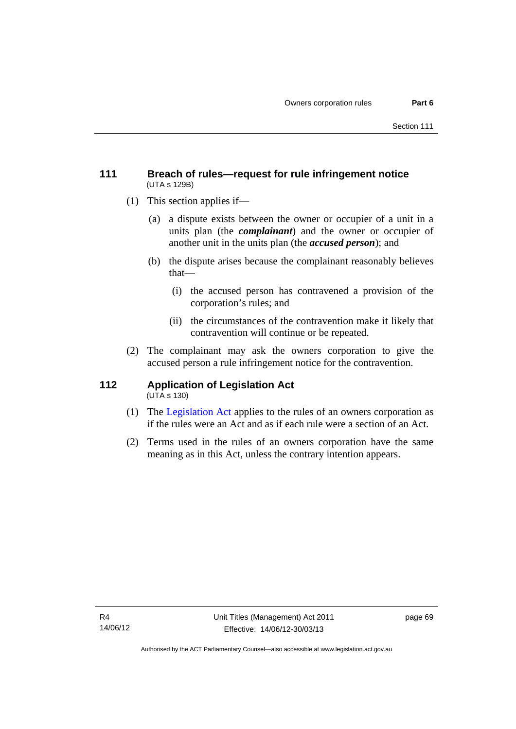# **111 Breach of rules—request for rule infringement notice**  (UTA s 129B)

- (1) This section applies if—
	- (a) a dispute exists between the owner or occupier of a unit in a units plan (the *complainant*) and the owner or occupier of another unit in the units plan (the *accused person*); and
	- (b) the dispute arises because the complainant reasonably believes that—
		- (i) the accused person has contravened a provision of the corporation's rules; and
		- (ii) the circumstances of the contravention make it likely that contravention will continue or be repeated.
- (2) The complainant may ask the owners corporation to give the accused person a rule infringement notice for the contravention.

#### **112 Application of Legislation Act**   $(UTA \s{130})$

- (1) The [Legislation Act](http://www.legislation.act.gov.au/a/2001-14) applies to the rules of an owners corporation as if the rules were an Act and as if each rule were a section of an Act.
- (2) Terms used in the rules of an owners corporation have the same meaning as in this Act, unless the contrary intention appears.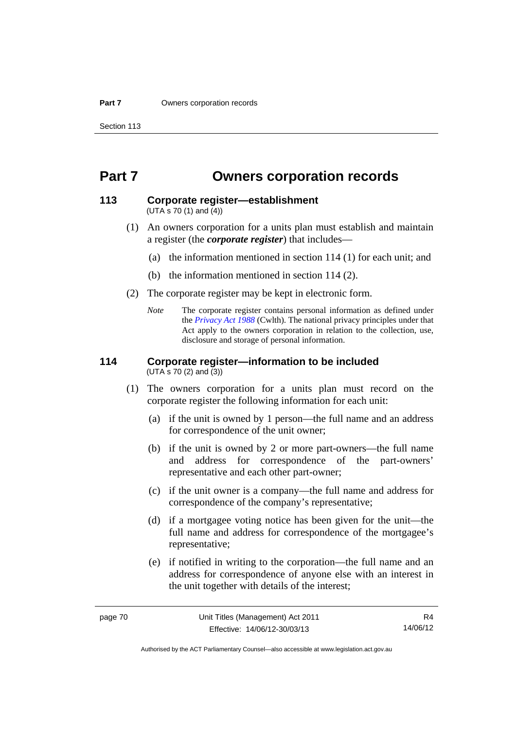# **Part 7 Owners corporation records**

# **113 Corporate register—establishment**

(UTA s 70 (1) and (4))

- (1) An owners corporation for a units plan must establish and maintain a register (the *corporate register*) that includes—
	- (a) the information mentioned in section 114 (1) for each unit; and
	- (b) the information mentioned in section 114 (2).
- (2) The corporate register may be kept in electronic form.
	- *Note* The corporate register contains personal information as defined under the *[Privacy Act 1988](http://www.comlaw.gov.au/Current/C2004A03712)* (Cwlth). The national privacy principles under that Act apply to the owners corporation in relation to the collection, use, disclosure and storage of personal information.

# **114 Corporate register—information to be included**

(UTA s 70 (2) and (3))

- (1) The owners corporation for a units plan must record on the corporate register the following information for each unit:
	- (a) if the unit is owned by 1 person—the full name and an address for correspondence of the unit owner;
	- (b) if the unit is owned by 2 or more part-owners—the full name and address for correspondence of the part-owners' representative and each other part-owner;
	- (c) if the unit owner is a company—the full name and address for correspondence of the company's representative;
	- (d) if a mortgagee voting notice has been given for the unit—the full name and address for correspondence of the mortgagee's representative;
	- (e) if notified in writing to the corporation—the full name and an address for correspondence of anyone else with an interest in the unit together with details of the interest;

R4 14/06/12

Authorised by the ACT Parliamentary Counsel—also accessible at www.legislation.act.gov.au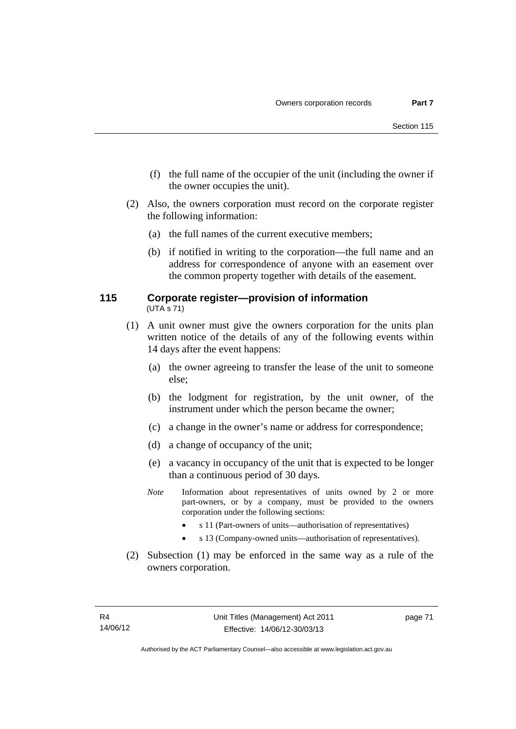- (f) the full name of the occupier of the unit (including the owner if the owner occupies the unit).
- (2) Also, the owners corporation must record on the corporate register the following information:
	- (a) the full names of the current executive members;
	- (b) if notified in writing to the corporation—the full name and an address for correspondence of anyone with an easement over the common property together with details of the easement.

### **115 Corporate register—provision of information**  (UTA s 71)

- (1) A unit owner must give the owners corporation for the units plan written notice of the details of any of the following events within 14 days after the event happens:
	- (a) the owner agreeing to transfer the lease of the unit to someone else;
	- (b) the lodgment for registration, by the unit owner, of the instrument under which the person became the owner;
	- (c) a change in the owner's name or address for correspondence;
	- (d) a change of occupancy of the unit;
	- (e) a vacancy in occupancy of the unit that is expected to be longer than a continuous period of 30 days.
	- *Note* Information about representatives of units owned by 2 or more part-owners, or by a company, must be provided to the owners corporation under the following sections:
		- s 11 (Part-owners of units—authorisation of representatives)
		- s 13 (Company-owned units—authorisation of representatives).
- (2) Subsection (1) may be enforced in the same way as a rule of the owners corporation.

page 71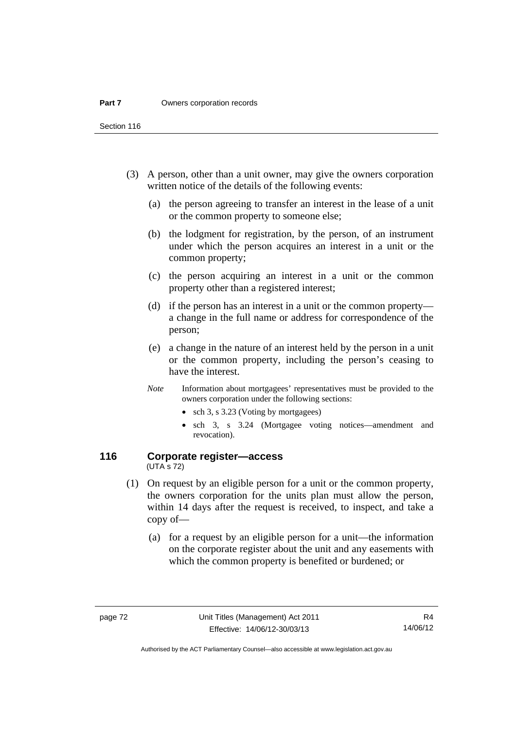Section 116

- (3) A person, other than a unit owner, may give the owners corporation written notice of the details of the following events:
	- (a) the person agreeing to transfer an interest in the lease of a unit or the common property to someone else;
	- (b) the lodgment for registration, by the person, of an instrument under which the person acquires an interest in a unit or the common property;
	- (c) the person acquiring an interest in a unit or the common property other than a registered interest;
	- (d) if the person has an interest in a unit or the common property a change in the full name or address for correspondence of the person;
	- (e) a change in the nature of an interest held by the person in a unit or the common property, including the person's ceasing to have the interest.
	- *Note* Information about mortgagees' representatives must be provided to the owners corporation under the following sections:
		- sch 3, s 3.23 (Voting by mortgagees)
		- sch 3, s 3.24 (Mortgagee voting notices—amendment and revocation).

### **116 Corporate register—access**  (UTA s 72)

- (1) On request by an eligible person for a unit or the common property, the owners corporation for the units plan must allow the person, within 14 days after the request is received, to inspect, and take a copy of—
	- (a) for a request by an eligible person for a unit—the information on the corporate register about the unit and any easements with which the common property is benefited or burdened; or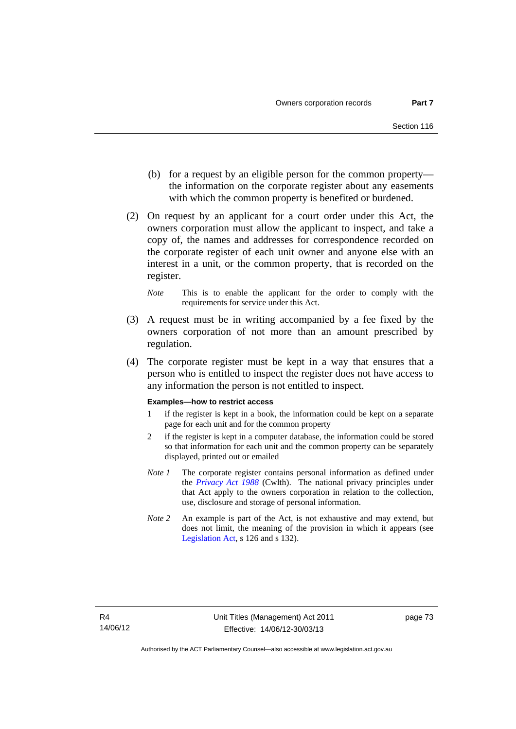- (b) for a request by an eligible person for the common property the information on the corporate register about any easements with which the common property is benefited or burdened.
- (2) On request by an applicant for a court order under this Act, the owners corporation must allow the applicant to inspect, and take a copy of, the names and addresses for correspondence recorded on the corporate register of each unit owner and anyone else with an interest in a unit, or the common property, that is recorded on the register.
	- *Note* This is to enable the applicant for the order to comply with the requirements for service under this Act.
- (3) A request must be in writing accompanied by a fee fixed by the owners corporation of not more than an amount prescribed by regulation.
- (4) The corporate register must be kept in a way that ensures that a person who is entitled to inspect the register does not have access to any information the person is not entitled to inspect.

#### **Examples—how to restrict access**

- 1 if the register is kept in a book, the information could be kept on a separate page for each unit and for the common property
- 2 if the register is kept in a computer database, the information could be stored so that information for each unit and the common property can be separately displayed, printed out or emailed
- *Note 1* The corporate register contains personal information as defined under the *[Privacy Act 1988](http://www.comlaw.gov.au/Current/C2004A03712)* (Cwlth). The national privacy principles under that Act apply to the owners corporation in relation to the collection, use, disclosure and storage of personal information.
- *Note 2* An example is part of the Act, is not exhaustive and may extend, but does not limit, the meaning of the provision in which it appears (see [Legislation Act,](http://www.legislation.act.gov.au/a/2001-14) s 126 and s 132).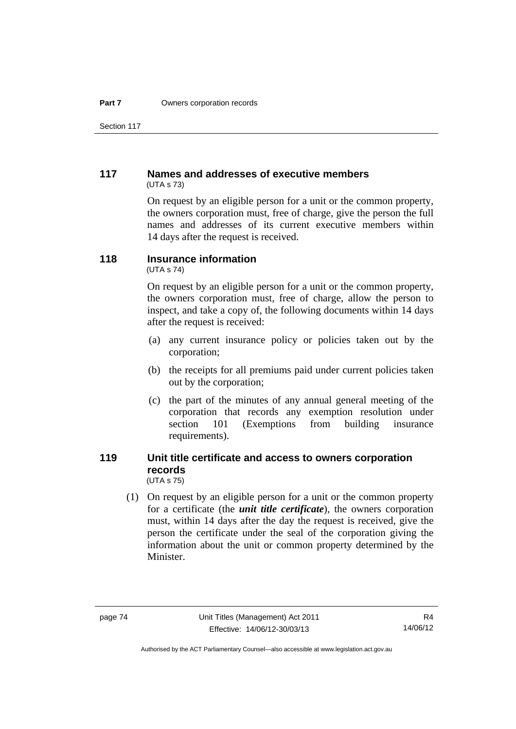Section 117

# **117 Names and addresses of executive members**  (UTA s 73)

On request by an eligible person for a unit or the common property, the owners corporation must, free of charge, give the person the full names and addresses of its current executive members within 14 days after the request is received.

# **118 Insurance information**

(UTA s 74)

On request by an eligible person for a unit or the common property, the owners corporation must, free of charge, allow the person to inspect, and take a copy of, the following documents within 14 days after the request is received:

- (a) any current insurance policy or policies taken out by the corporation;
- (b) the receipts for all premiums paid under current policies taken out by the corporation;
- (c) the part of the minutes of any annual general meeting of the corporation that records any exemption resolution under section 101 (Exemptions from building insurance requirements).

### **119 Unit title certificate and access to owners corporation records**  (UTA s 75)

 (1) On request by an eligible person for a unit or the common property for a certificate (the *unit title certificate*), the owners corporation must, within 14 days after the day the request is received, give the person the certificate under the seal of the corporation giving the information about the unit or common property determined by the Minister.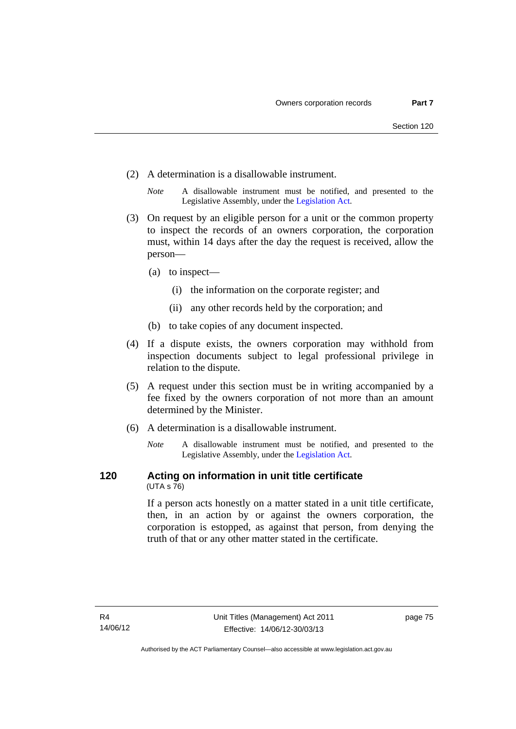- (2) A determination is a disallowable instrument.
	- *Note* A disallowable instrument must be notified, and presented to the Legislative Assembly, under the [Legislation Act.](http://www.legislation.act.gov.au/a/2001-14)
- (3) On request by an eligible person for a unit or the common property to inspect the records of an owners corporation, the corporation must, within 14 days after the day the request is received, allow the person—
	- (a) to inspect—
		- (i) the information on the corporate register; and
		- (ii) any other records held by the corporation; and
	- (b) to take copies of any document inspected.
- (4) If a dispute exists, the owners corporation may withhold from inspection documents subject to legal professional privilege in relation to the dispute.
- (5) A request under this section must be in writing accompanied by a fee fixed by the owners corporation of not more than an amount determined by the Minister.
- (6) A determination is a disallowable instrument.
	- *Note* A disallowable instrument must be notified, and presented to the Legislative Assembly, under the [Legislation Act.](http://www.legislation.act.gov.au/a/2001-14)

### **120 Acting on information in unit title certificate**  (UTA s 76)

If a person acts honestly on a matter stated in a unit title certificate, then, in an action by or against the owners corporation, the corporation is estopped, as against that person, from denying the truth of that or any other matter stated in the certificate.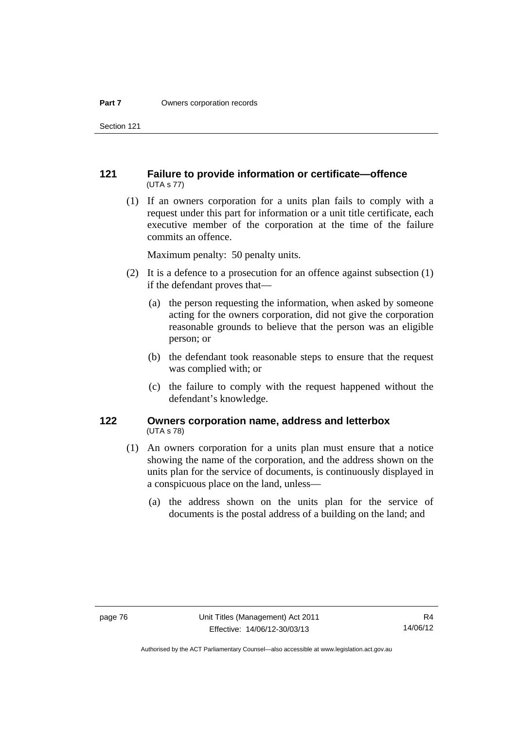Section 121

## **121 Failure to provide information or certificate—offence**  (UTA s 77)

 (1) If an owners corporation for a units plan fails to comply with a request under this part for information or a unit title certificate, each executive member of the corporation at the time of the failure commits an offence.

Maximum penalty: 50 penalty units.

- (2) It is a defence to a prosecution for an offence against subsection (1) if the defendant proves that—
	- (a) the person requesting the information, when asked by someone acting for the owners corporation, did not give the corporation reasonable grounds to believe that the person was an eligible person; or
	- (b) the defendant took reasonable steps to ensure that the request was complied with; or
	- (c) the failure to comply with the request happened without the defendant's knowledge.

### **122 Owners corporation name, address and letterbox**  (UTA s 78)

- (1) An owners corporation for a units plan must ensure that a notice showing the name of the corporation, and the address shown on the units plan for the service of documents, is continuously displayed in a conspicuous place on the land, unless—
	- (a) the address shown on the units plan for the service of documents is the postal address of a building on the land; and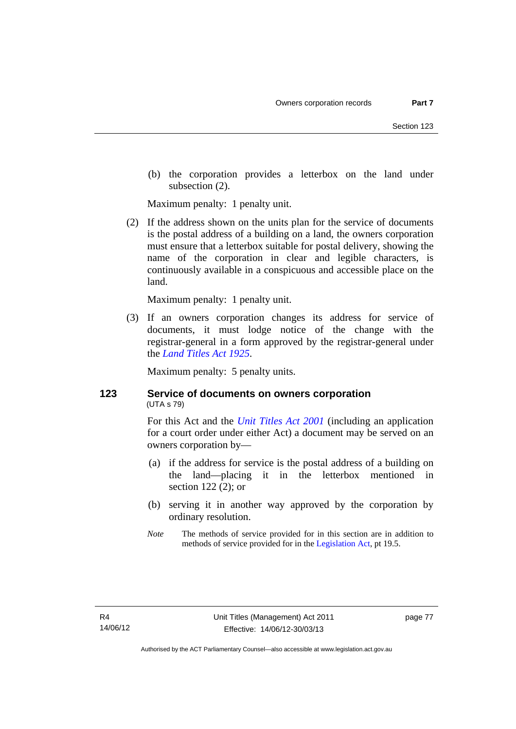(b) the corporation provides a letterbox on the land under subsection (2).

Maximum penalty: 1 penalty unit.

 (2) If the address shown on the units plan for the service of documents is the postal address of a building on a land, the owners corporation must ensure that a letterbox suitable for postal delivery, showing the name of the corporation in clear and legible characters, is continuously available in a conspicuous and accessible place on the land.

Maximum penalty: 1 penalty unit.

 (3) If an owners corporation changes its address for service of documents, it must lodge notice of the change with the registrar-general in a form approved by the registrar-general under the *[Land Titles Act 1925](http://www.legislation.act.gov.au/a/1925-1)*.

Maximum penalty: 5 penalty units.

# **123 Service of documents on owners corporation**  (UTA s 79)

For this Act and the *[Unit Titles Act 2001](http://www.legislation.act.gov.au/a/2001-16)* (including an application for a court order under either Act) a document may be served on an owners corporation by—

- (a) if the address for service is the postal address of a building on the land—placing it in the letterbox mentioned in section 122 (2); or
- (b) serving it in another way approved by the corporation by ordinary resolution.
- *Note* The methods of service provided for in this section are in addition to methods of service provided for in the [Legislation Act](http://www.legislation.act.gov.au/a/2001-14), pt 19.5.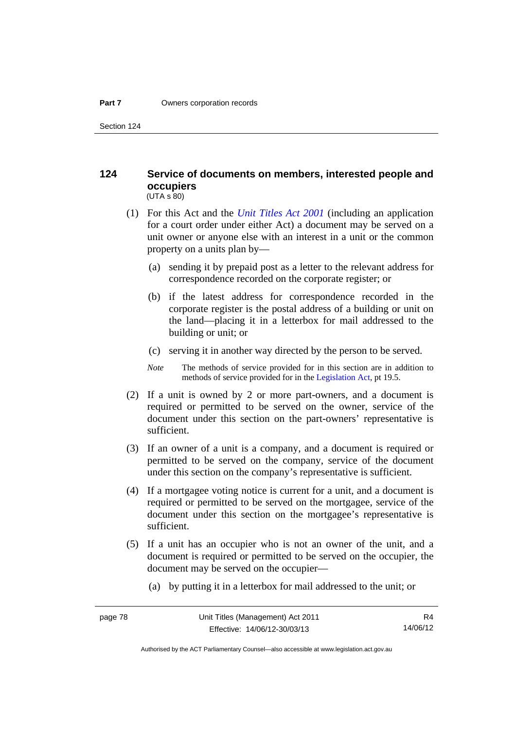Section 124

### **124 Service of documents on members, interested people and occupiers**   $(UTA S 80)$

- (1) For this Act and the *[Unit Titles Act 2001](http://www.legislation.act.gov.au/a/2001-16)* (including an application for a court order under either Act) a document may be served on a unit owner or anyone else with an interest in a unit or the common property on a units plan by—
	- (a) sending it by prepaid post as a letter to the relevant address for correspondence recorded on the corporate register; or
	- (b) if the latest address for correspondence recorded in the corporate register is the postal address of a building or unit on the land—placing it in a letterbox for mail addressed to the building or unit; or
	- (c) serving it in another way directed by the person to be served.
	- *Note* The methods of service provided for in this section are in addition to methods of service provided for in the [Legislation Act](http://www.legislation.act.gov.au/a/2001-14), pt 19.5.
- (2) If a unit is owned by 2 or more part-owners, and a document is required or permitted to be served on the owner, service of the document under this section on the part-owners' representative is sufficient.
- (3) If an owner of a unit is a company, and a document is required or permitted to be served on the company, service of the document under this section on the company's representative is sufficient.
- (4) If a mortgagee voting notice is current for a unit, and a document is required or permitted to be served on the mortgagee, service of the document under this section on the mortgagee's representative is sufficient.
- (5) If a unit has an occupier who is not an owner of the unit, and a document is required or permitted to be served on the occupier, the document may be served on the occupier—
	- (a) by putting it in a letterbox for mail addressed to the unit; or

R4 14/06/12

Authorised by the ACT Parliamentary Counsel—also accessible at www.legislation.act.gov.au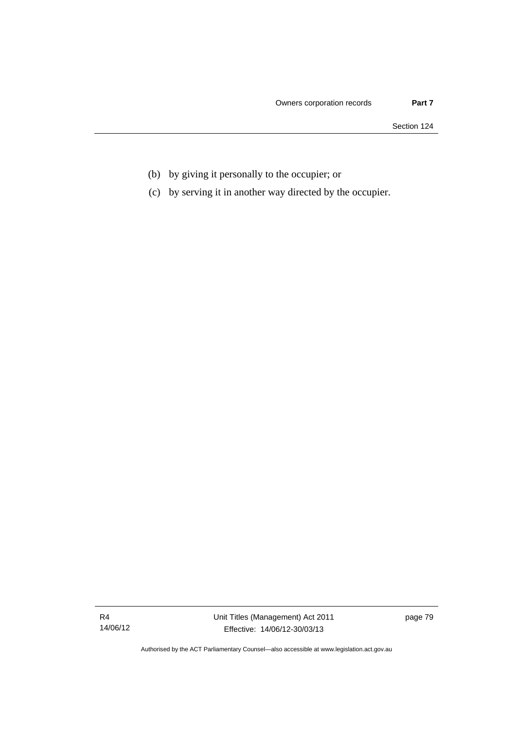Section 124

- (b) by giving it personally to the occupier; or
- (c) by serving it in another way directed by the occupier.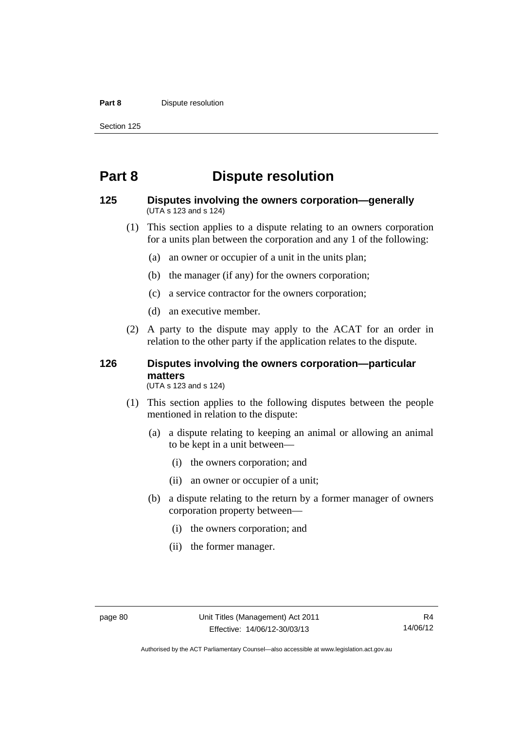#### **Part 8 Dispute resolution**

Section 125

# **Part 8 Dispute resolution**

### **125 Disputes involving the owners corporation—generally**  (UTA s 123 and s 124)

- (1) This section applies to a dispute relating to an owners corporation for a units plan between the corporation and any 1 of the following:
	- (a) an owner or occupier of a unit in the units plan;
	- (b) the manager (if any) for the owners corporation;
	- (c) a service contractor for the owners corporation;
	- (d) an executive member.
- (2) A party to the dispute may apply to the ACAT for an order in relation to the other party if the application relates to the dispute.

# **126 Disputes involving the owners corporation—particular matters**

(UTA s 123 and s 124)

- (1) This section applies to the following disputes between the people mentioned in relation to the dispute:
	- (a) a dispute relating to keeping an animal or allowing an animal to be kept in a unit between—
		- (i) the owners corporation; and
		- (ii) an owner or occupier of a unit;
	- (b) a dispute relating to the return by a former manager of owners corporation property between—
		- (i) the owners corporation; and
		- (ii) the former manager.

Authorised by the ACT Parliamentary Counsel—also accessible at www.legislation.act.gov.au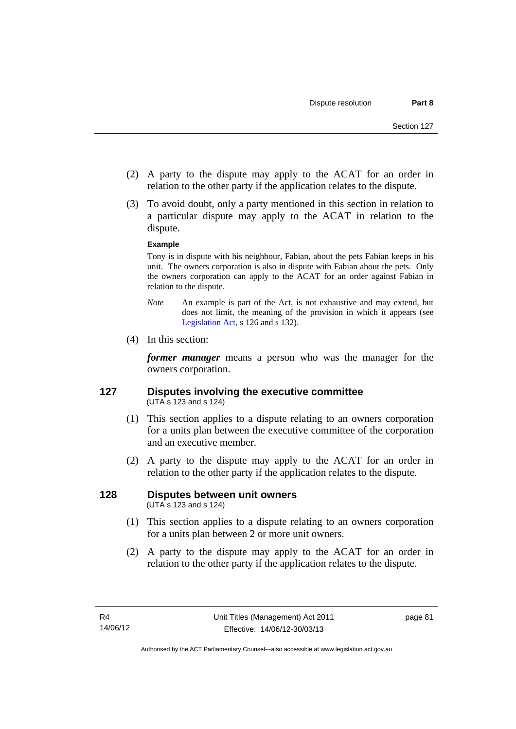- (2) A party to the dispute may apply to the ACAT for an order in relation to the other party if the application relates to the dispute.
- (3) To avoid doubt, only a party mentioned in this section in relation to a particular dispute may apply to the ACAT in relation to the dispute.

### **Example**

Tony is in dispute with his neighbour, Fabian, about the pets Fabian keeps in his unit. The owners corporation is also in dispute with Fabian about the pets. Only the owners corporation can apply to the ACAT for an order against Fabian in relation to the dispute.

- *Note* An example is part of the Act, is not exhaustive and may extend, but does not limit, the meaning of the provision in which it appears (see [Legislation Act,](http://www.legislation.act.gov.au/a/2001-14) s 126 and s 132).
- (4) In this section:

*former manager* means a person who was the manager for the owners corporation.

### **127 Disputes involving the executive committee**  (UTA s 123 and s 124)

- (1) This section applies to a dispute relating to an owners corporation for a units plan between the executive committee of the corporation and an executive member.
- (2) A party to the dispute may apply to the ACAT for an order in relation to the other party if the application relates to the dispute.

# **128 Disputes between unit owners**

(UTA s 123 and s 124)

- (1) This section applies to a dispute relating to an owners corporation for a units plan between 2 or more unit owners.
- (2) A party to the dispute may apply to the ACAT for an order in relation to the other party if the application relates to the dispute.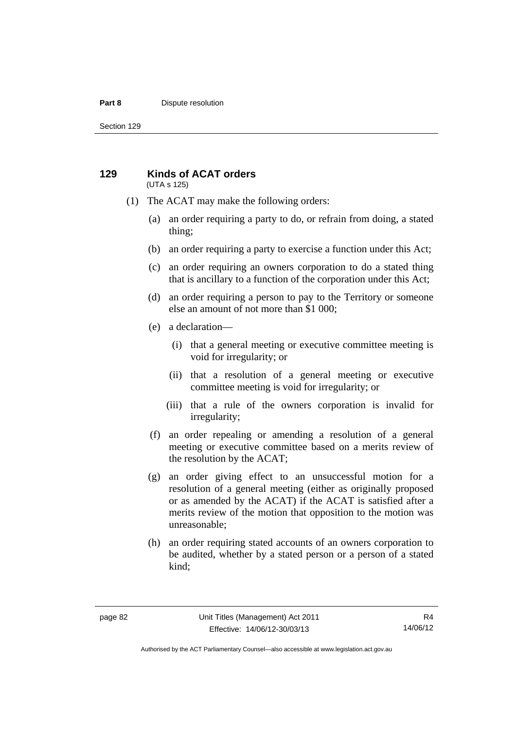#### **Part 8 Dispute resolution**

Section 129

#### **129 Kinds of ACAT orders**  (UTA s 125)

(1) The ACAT may make the following orders:

- (a) an order requiring a party to do, or refrain from doing, a stated thing;
- (b) an order requiring a party to exercise a function under this Act;
- (c) an order requiring an owners corporation to do a stated thing that is ancillary to a function of the corporation under this Act;
- (d) an order requiring a person to pay to the Territory or someone else an amount of not more than \$1 000;
- (e) a declaration—
	- (i) that a general meeting or executive committee meeting is void for irregularity; or
	- (ii) that a resolution of a general meeting or executive committee meeting is void for irregularity; or
	- (iii) that a rule of the owners corporation is invalid for irregularity;
- (f) an order repealing or amending a resolution of a general meeting or executive committee based on a merits review of the resolution by the ACAT;
- (g) an order giving effect to an unsuccessful motion for a resolution of a general meeting (either as originally proposed or as amended by the ACAT) if the ACAT is satisfied after a merits review of the motion that opposition to the motion was unreasonable;
- (h) an order requiring stated accounts of an owners corporation to be audited, whether by a stated person or a person of a stated kind;

Authorised by the ACT Parliamentary Counsel—also accessible at www.legislation.act.gov.au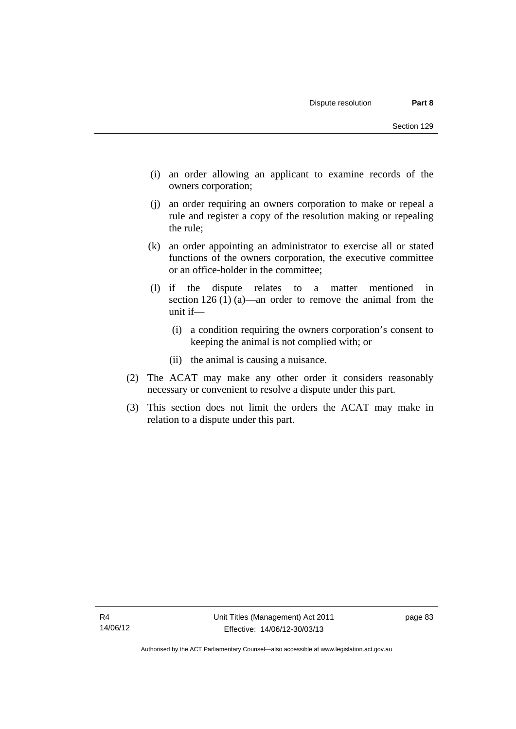- (i) an order allowing an applicant to examine records of the owners corporation;
- (j) an order requiring an owners corporation to make or repeal a rule and register a copy of the resolution making or repealing the rule;
- (k) an order appointing an administrator to exercise all or stated functions of the owners corporation, the executive committee or an office-holder in the committee;
- (l) if the dispute relates to a matter mentioned in section 126 (1) (a)—an order to remove the animal from the unit if—
	- (i) a condition requiring the owners corporation's consent to keeping the animal is not complied with; or
	- (ii) the animal is causing a nuisance.
- (2) The ACAT may make any other order it considers reasonably necessary or convenient to resolve a dispute under this part.
- (3) This section does not limit the orders the ACAT may make in relation to a dispute under this part.

page 83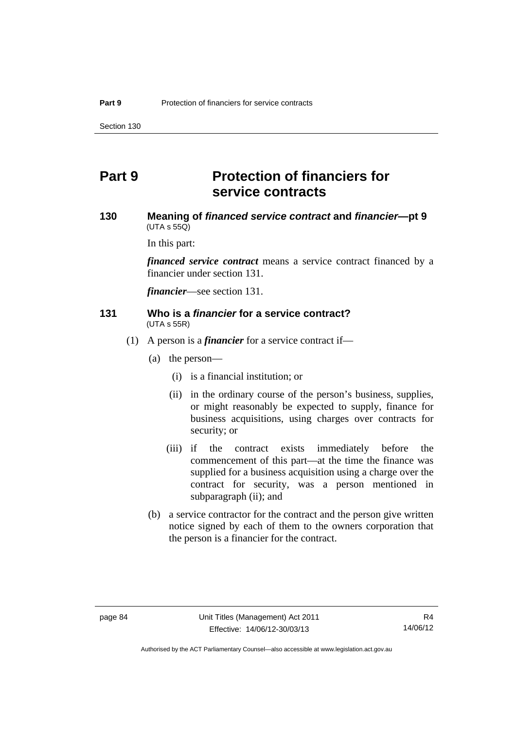# **Part 9 Protection of financiers for service contracts**

### **130 Meaning of** *financed service contract* **and** *financier***—pt 9**   $(UTA \, s \, 55Q)$

In this part:

*financed service contract* means a service contract financed by a financier under section 131.

*financier*—see section 131.

### **131 Who is a** *financier* **for a service contract?**  (UTA s 55R)

- (1) A person is a *financier* for a service contract if—
	- (a) the person—
		- (i) is a financial institution; or
		- (ii) in the ordinary course of the person's business, supplies, or might reasonably be expected to supply, finance for business acquisitions, using charges over contracts for security; or
		- (iii) if the contract exists immediately before the commencement of this part—at the time the finance was supplied for a business acquisition using a charge over the contract for security, was a person mentioned in subparagraph (ii); and
	- (b) a service contractor for the contract and the person give written notice signed by each of them to the owners corporation that the person is a financier for the contract.

Authorised by the ACT Parliamentary Counsel—also accessible at www.legislation.act.gov.au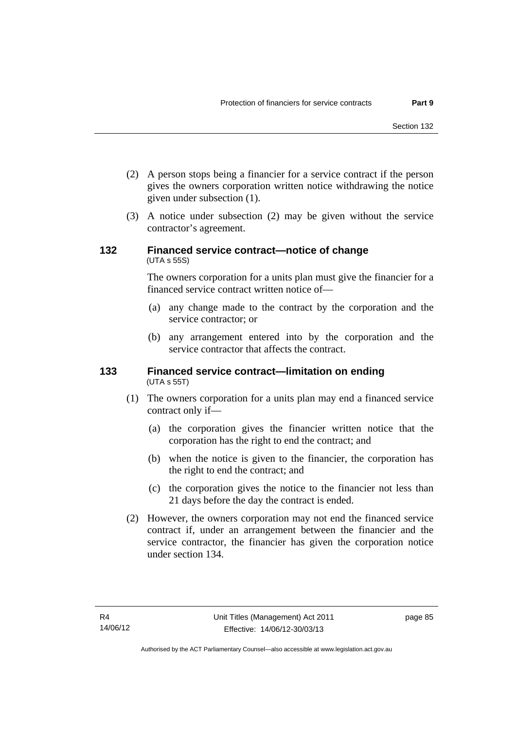- (2) A person stops being a financier for a service contract if the person gives the owners corporation written notice withdrawing the notice given under subsection (1).
- (3) A notice under subsection (2) may be given without the service contractor's agreement.

### **132 Financed service contract—notice of change**  (UTA s 55S)

The owners corporation for a units plan must give the financier for a financed service contract written notice of—

- (a) any change made to the contract by the corporation and the service contractor; or
- (b) any arrangement entered into by the corporation and the service contractor that affects the contract.

### **133 Financed service contract—limitation on ending**  (UTA s 55T)

- (1) The owners corporation for a units plan may end a financed service contract only if—
	- (a) the corporation gives the financier written notice that the corporation has the right to end the contract; and
	- (b) when the notice is given to the financier, the corporation has the right to end the contract; and
	- (c) the corporation gives the notice to the financier not less than 21 days before the day the contract is ended.
- (2) However, the owners corporation may not end the financed service contract if, under an arrangement between the financier and the service contractor, the financier has given the corporation notice under section 134.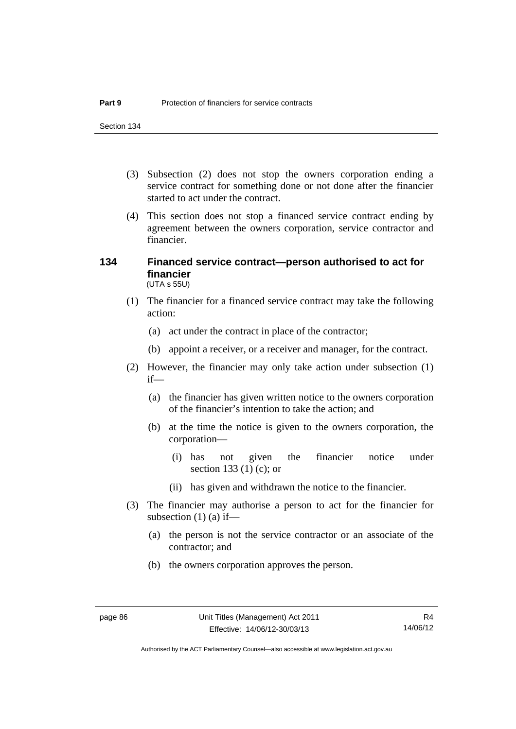- (3) Subsection (2) does not stop the owners corporation ending a service contract for something done or not done after the financier started to act under the contract.
- (4) This section does not stop a financed service contract ending by agreement between the owners corporation, service contractor and financier.

### **134 Financed service contract—person authorised to act for financier**  (UTA s 55U)

- (1) The financier for a financed service contract may take the following action:
	- (a) act under the contract in place of the contractor;
	- (b) appoint a receiver, or a receiver and manager, for the contract.
- (2) However, the financier may only take action under subsection (1) if—
	- (a) the financier has given written notice to the owners corporation of the financier's intention to take the action; and
	- (b) at the time the notice is given to the owners corporation, the corporation—
		- (i) has not given the financier notice under section 133 (1) (c); or
		- (ii) has given and withdrawn the notice to the financier.
- (3) The financier may authorise a person to act for the financier for subsection  $(1)$  (a) if—
	- (a) the person is not the service contractor or an associate of the contractor; and
	- (b) the owners corporation approves the person.

Authorised by the ACT Parliamentary Counsel—also accessible at www.legislation.act.gov.au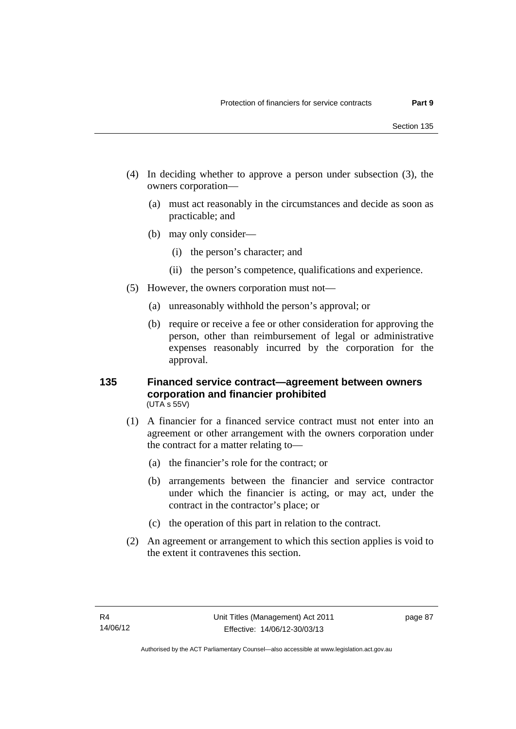- (4) In deciding whether to approve a person under subsection (3), the owners corporation—
	- (a) must act reasonably in the circumstances and decide as soon as practicable; and
	- (b) may only consider—
		- (i) the person's character; and
		- (ii) the person's competence, qualifications and experience.
- (5) However, the owners corporation must not—
	- (a) unreasonably withhold the person's approval; or
	- (b) require or receive a fee or other consideration for approving the person, other than reimbursement of legal or administrative expenses reasonably incurred by the corporation for the approval.

### **135 Financed service contract—agreement between owners corporation and financier prohibited**  (UTA s 55V)

- (1) A financier for a financed service contract must not enter into an agreement or other arrangement with the owners corporation under the contract for a matter relating to—
	- (a) the financier's role for the contract; or
	- (b) arrangements between the financier and service contractor under which the financier is acting, or may act, under the contract in the contractor's place; or
	- (c) the operation of this part in relation to the contract.
- (2) An agreement or arrangement to which this section applies is void to the extent it contravenes this section.

page 87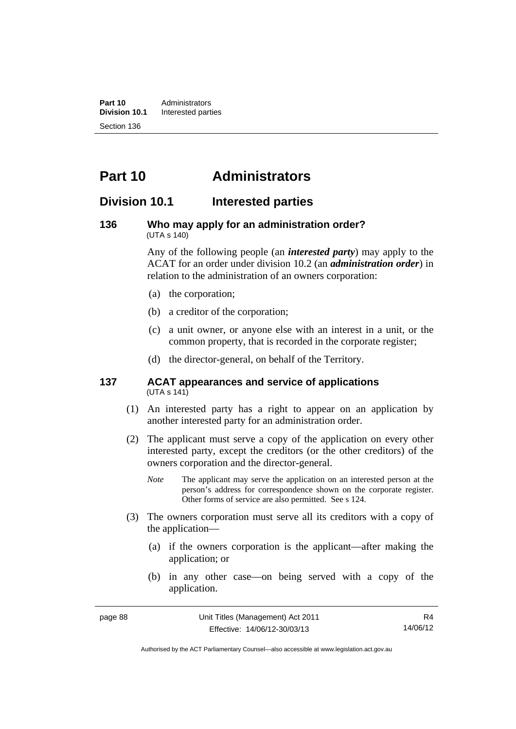**Part 10** Administrators<br>**Division 10.1** Interested part **Division 10.1** Interested parties Section 136

# **Part 10 Administrators**

# **Division 10.1 Interested parties**

### **136 Who may apply for an administration order?**  (UTA s 140)

Any of the following people (an *interested party*) may apply to the ACAT for an order under division 10.2 (an *administration order*) in relation to the administration of an owners corporation:

- (a) the corporation;
- (b) a creditor of the corporation;
- (c) a unit owner, or anyone else with an interest in a unit, or the common property, that is recorded in the corporate register;
- (d) the director-general, on behalf of the Territory.

### **137 ACAT appearances and service of applications**  (UTA s 141)

- (1) An interested party has a right to appear on an application by another interested party for an administration order.
- (2) The applicant must serve a copy of the application on every other interested party, except the creditors (or the other creditors) of the owners corporation and the director-general.
	- *Note* The applicant may serve the application on an interested person at the person's address for correspondence shown on the corporate register. Other forms of service are also permitted. See s 124.
- (3) The owners corporation must serve all its creditors with a copy of the application—
	- (a) if the owners corporation is the applicant—after making the application; or
	- (b) in any other case—on being served with a copy of the application.

R4 14/06/12

Authorised by the ACT Parliamentary Counsel—also accessible at www.legislation.act.gov.au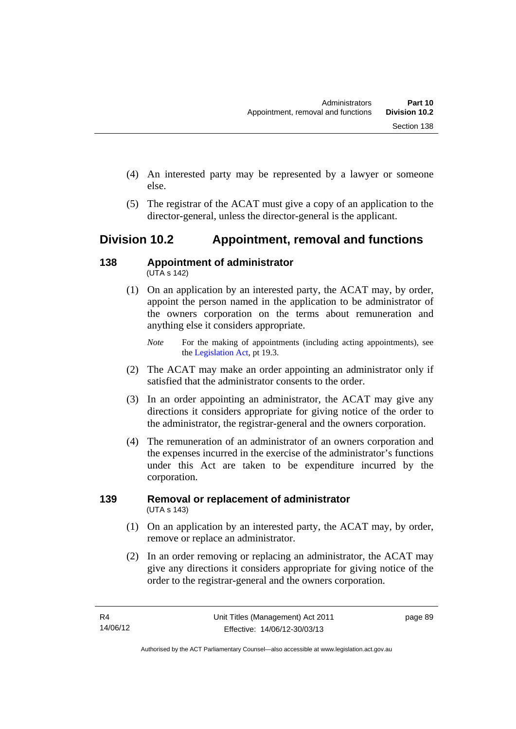- (4) An interested party may be represented by a lawyer or someone else.
- (5) The registrar of the ACAT must give a copy of an application to the director-general, unless the director-general is the applicant.

# **Division 10.2 Appointment, removal and functions**

### **138 Appointment of administrator**   $(UTA S 142)$

- (1) On an application by an interested party, the ACAT may, by order, appoint the person named in the application to be administrator of the owners corporation on the terms about remuneration and anything else it considers appropriate.
	- *Note* For the making of appointments (including acting appointments), see the [Legislation Act,](http://www.legislation.act.gov.au/a/2001-14) pt 19.3.
- (2) The ACAT may make an order appointing an administrator only if satisfied that the administrator consents to the order.
- (3) In an order appointing an administrator, the ACAT may give any directions it considers appropriate for giving notice of the order to the administrator, the registrar-general and the owners corporation.
- (4) The remuneration of an administrator of an owners corporation and the expenses incurred in the exercise of the administrator's functions under this Act are taken to be expenditure incurred by the corporation.

# **139 Removal or replacement of administrator**  (UTA s 143)

- (1) On an application by an interested party, the ACAT may, by order, remove or replace an administrator.
- (2) In an order removing or replacing an administrator, the ACAT may give any directions it considers appropriate for giving notice of the order to the registrar-general and the owners corporation.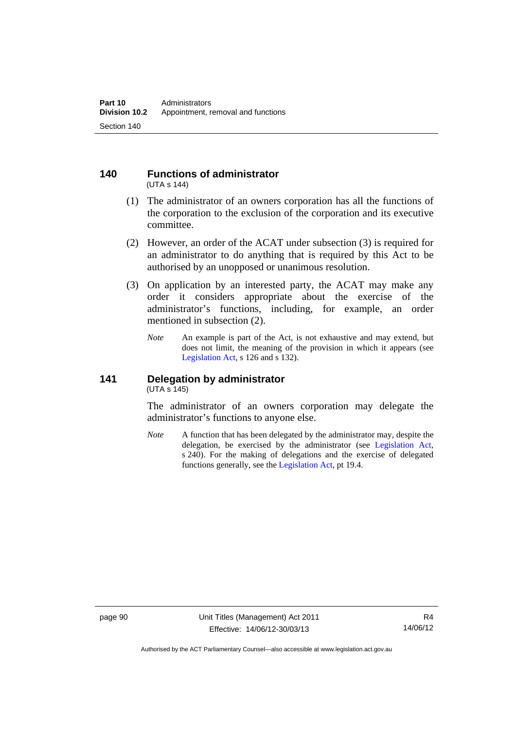#### **140 Functions of administrator**  (UTA s 144)

- (1) The administrator of an owners corporation has all the functions of the corporation to the exclusion of the corporation and its executive committee.
- (2) However, an order of the ACAT under subsection (3) is required for an administrator to do anything that is required by this Act to be authorised by an unopposed or unanimous resolution.
- (3) On application by an interested party, the ACAT may make any order it considers appropriate about the exercise of the administrator's functions, including, for example, an order mentioned in subsection (2).
	- *Note* An example is part of the Act, is not exhaustive and may extend, but does not limit, the meaning of the provision in which it appears (see [Legislation Act,](http://www.legislation.act.gov.au/a/2001-14) s 126 and s 132).

### **141 Delegation by administrator**  (UTA s 145)

The administrator of an owners corporation may delegate the administrator's functions to anyone else.

*Note* A function that has been delegated by the administrator may, despite the delegation, be exercised by the administrator (see [Legislation Act,](http://www.legislation.act.gov.au/a/2001-14) s 240). For the making of delegations and the exercise of delegated functions generally, see the [Legislation Act,](http://www.legislation.act.gov.au/a/2001-14) pt 19.4.

Authorised by the ACT Parliamentary Counsel—also accessible at www.legislation.act.gov.au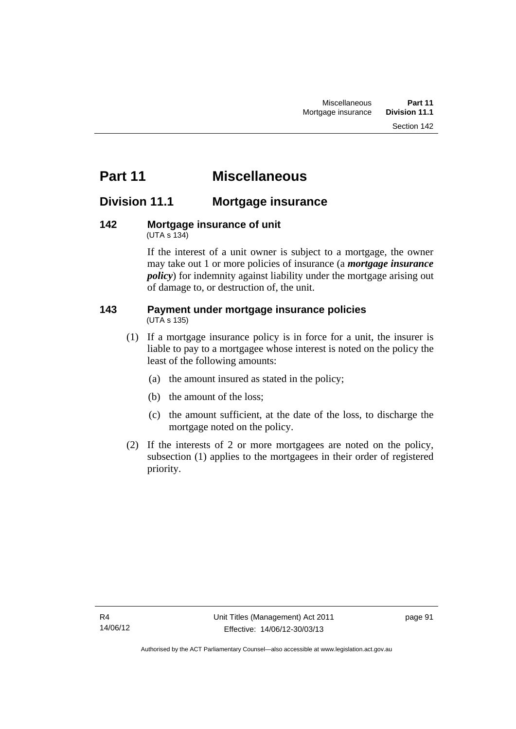# **Part 11 Miscellaneous**

# **Division 11.1 Mortgage insurance**

### **142 Mortgage insurance of unit**  (UTA s 134)

If the interest of a unit owner is subject to a mortgage, the owner may take out 1 or more policies of insurance (a *mortgage insurance policy*) for indemnity against liability under the mortgage arising out of damage to, or destruction of, the unit.

### **143 Payment under mortgage insurance policies**  (UTA s 135)

- (1) If a mortgage insurance policy is in force for a unit, the insurer is liable to pay to a mortgagee whose interest is noted on the policy the least of the following amounts:
	- (a) the amount insured as stated in the policy;
	- (b) the amount of the loss;
	- (c) the amount sufficient, at the date of the loss, to discharge the mortgage noted on the policy.
- (2) If the interests of 2 or more mortgagees are noted on the policy, subsection (1) applies to the mortgagees in their order of registered priority.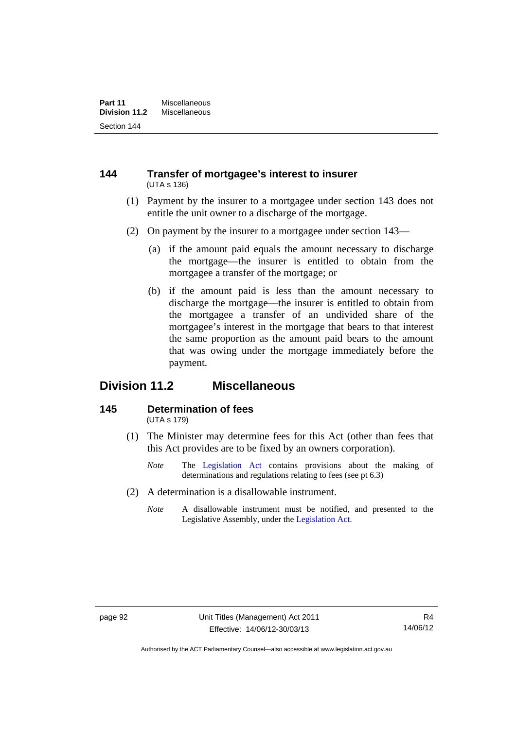### **144 Transfer of mortgagee's interest to insurer**  (UTA s 136)

- (1) Payment by the insurer to a mortgagee under section 143 does not entitle the unit owner to a discharge of the mortgage.
- (2) On payment by the insurer to a mortgagee under section 143—
	- (a) if the amount paid equals the amount necessary to discharge the mortgage—the insurer is entitled to obtain from the mortgagee a transfer of the mortgage; or
	- (b) if the amount paid is less than the amount necessary to discharge the mortgage—the insurer is entitled to obtain from the mortgagee a transfer of an undivided share of the mortgagee's interest in the mortgage that bears to that interest the same proportion as the amount paid bears to the amount that was owing under the mortgage immediately before the payment.

# **Division 11.2 Miscellaneous**

### **145 Determination of fees**  (UTA s 179)

- (1) The Minister may determine fees for this Act (other than fees that this Act provides are to be fixed by an owners corporation).
	- *Note* The [Legislation Act](http://www.legislation.act.gov.au/a/2001-14) contains provisions about the making of determinations and regulations relating to fees (see pt 6.3)
- (2) A determination is a disallowable instrument.
	- *Note* A disallowable instrument must be notified, and presented to the Legislative Assembly, under the [Legislation Act.](http://www.legislation.act.gov.au/a/2001-14)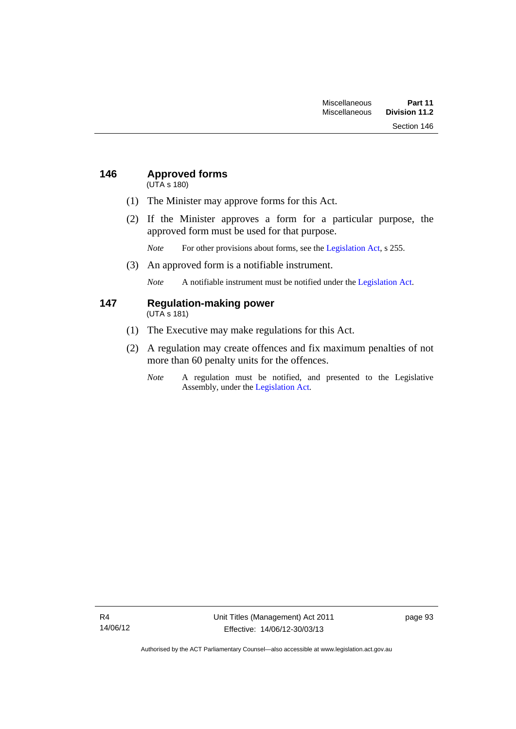# **146 Approved forms**

(UTA s 180)

- (1) The Minister may approve forms for this Act.
- (2) If the Minister approves a form for a particular purpose, the approved form must be used for that purpose.

*Note* For other provisions about forms, see the [Legislation Act,](http://www.legislation.act.gov.au/a/2001-14) s 255.

(3) An approved form is a notifiable instrument.

*Note* A notifiable instrument must be notified under the [Legislation Act](http://www.legislation.act.gov.au/a/2001-14).

# **147 Regulation-making power**

(UTA s 181)

- (1) The Executive may make regulations for this Act.
- (2) A regulation may create offences and fix maximum penalties of not more than 60 penalty units for the offences.
	- *Note* A regulation must be notified, and presented to the Legislative Assembly, under the [Legislation Act](http://www.legislation.act.gov.au/a/2001-14).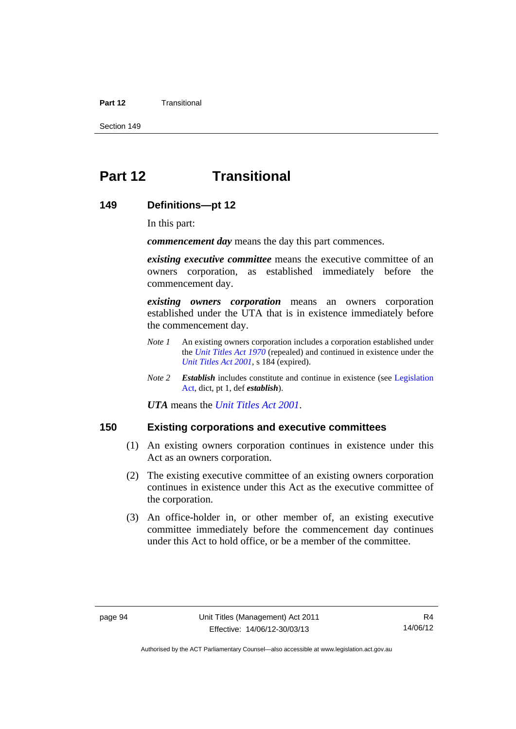### **Part 12** Transitional

Section 149

# **Part 12 Transitional**

### **149 Definitions—pt 12**

In this part:

*commencement day* means the day this part commences.

*existing executive committee* means the executive committee of an owners corporation, as established immediately before the commencement day.

*existing owners corporation* means an owners corporation established under the UTA that is in existence immediately before the commencement day.

- *Note 1* An existing owners corporation includes a corporation established under the *[Unit Titles Act 1970](http://www.legislation.act.gov.au/a/1970-31)* (repealed) and continued in existence under the *[Unit Titles Act 2001](http://www.legislation.act.gov.au/a/2001-16)*, s 184 (expired).
- *Note 2 Establish* includes constitute and continue in existence (see [Legislation](http://www.legislation.act.gov.au/a/2001-14)  [Act](http://www.legislation.act.gov.au/a/2001-14), dict, pt 1, def *establish*).

*UTA* means the *[Unit Titles Act 2001](http://www.legislation.act.gov.au/a/2001-16)*.

### **150 Existing corporations and executive committees**

- (1) An existing owners corporation continues in existence under this Act as an owners corporation.
- (2) The existing executive committee of an existing owners corporation continues in existence under this Act as the executive committee of the corporation.
- (3) An office-holder in, or other member of, an existing executive committee immediately before the commencement day continues under this Act to hold office, or be a member of the committee.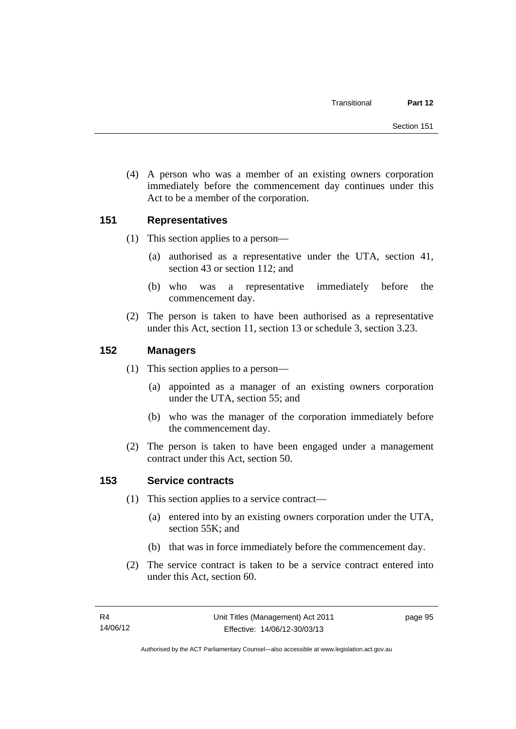(4) A person who was a member of an existing owners corporation immediately before the commencement day continues under this Act to be a member of the corporation.

# **151 Representatives**

- (1) This section applies to a person—
	- (a) authorised as a representative under the UTA, section 41, section 43 or section 112; and
	- (b) who was a representative immediately before the commencement day.
- (2) The person is taken to have been authorised as a representative under this Act, section 11, section 13 or schedule 3, section 3.23.

# **152 Managers**

- (1) This section applies to a person—
	- (a) appointed as a manager of an existing owners corporation under the UTA, section 55; and
	- (b) who was the manager of the corporation immediately before the commencement day.
- (2) The person is taken to have been engaged under a management contract under this Act, section 50.

# **153 Service contracts**

- (1) This section applies to a service contract—
	- (a) entered into by an existing owners corporation under the UTA, section 55K; and
	- (b) that was in force immediately before the commencement day.
- (2) The service contract is taken to be a service contract entered into under this Act, section 60.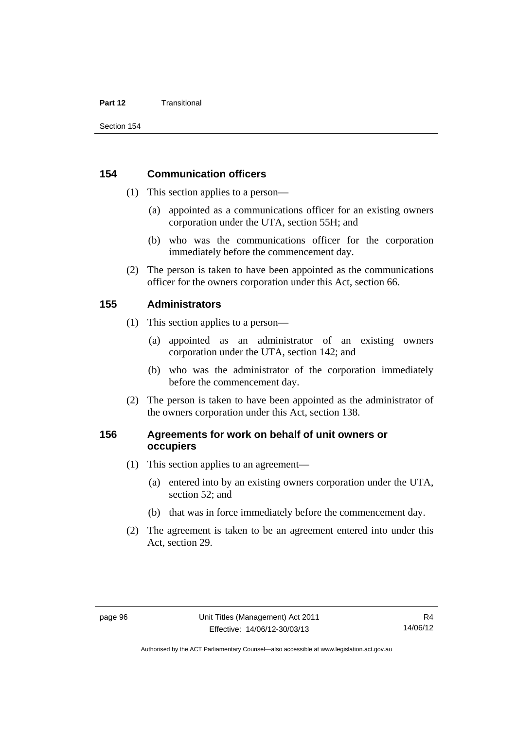### **Part 12** Transitional

### **154 Communication officers**

- (1) This section applies to a person—
	- (a) appointed as a communications officer for an existing owners corporation under the UTA, section 55H; and
	- (b) who was the communications officer for the corporation immediately before the commencement day.
- (2) The person is taken to have been appointed as the communications officer for the owners corporation under this Act, section 66.

### **155 Administrators**

- (1) This section applies to a person—
	- (a) appointed as an administrator of an existing owners corporation under the UTA, section 142; and
	- (b) who was the administrator of the corporation immediately before the commencement day.
- (2) The person is taken to have been appointed as the administrator of the owners corporation under this Act, section 138.

# **156 Agreements for work on behalf of unit owners or occupiers**

- (1) This section applies to an agreement—
	- (a) entered into by an existing owners corporation under the UTA, section 52; and
	- (b) that was in force immediately before the commencement day.
- (2) The agreement is taken to be an agreement entered into under this Act, section 29.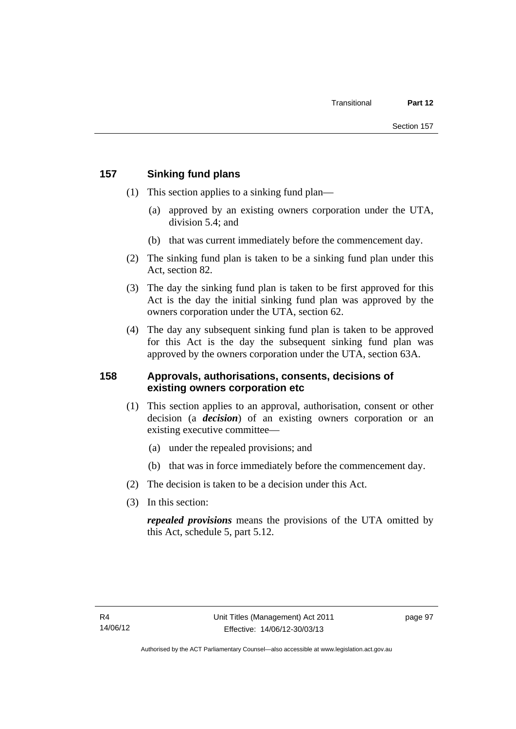## **157 Sinking fund plans**

- (1) This section applies to a sinking fund plan—
	- (a) approved by an existing owners corporation under the UTA, division 5.4; and
	- (b) that was current immediately before the commencement day.
- (2) The sinking fund plan is taken to be a sinking fund plan under this Act, section 82.
- (3) The day the sinking fund plan is taken to be first approved for this Act is the day the initial sinking fund plan was approved by the owners corporation under the UTA, section 62.
- (4) The day any subsequent sinking fund plan is taken to be approved for this Act is the day the subsequent sinking fund plan was approved by the owners corporation under the UTA, section 63A.

### **158 Approvals, authorisations, consents, decisions of existing owners corporation etc**

- (1) This section applies to an approval, authorisation, consent or other decision (a *decision*) of an existing owners corporation or an existing executive committee—
	- (a) under the repealed provisions; and
	- (b) that was in force immediately before the commencement day.
- (2) The decision is taken to be a decision under this Act.
- (3) In this section:

*repealed provisions* means the provisions of the UTA omitted by this Act, schedule 5, part 5.12.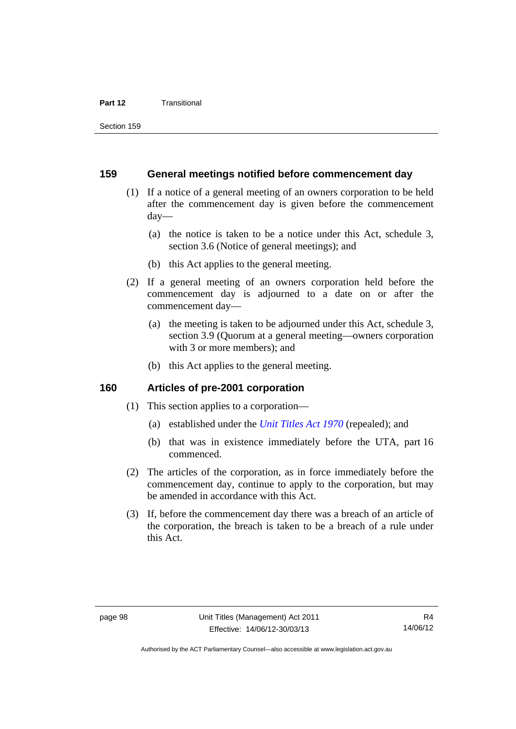#### **Part 12** Transitional

#### **159 General meetings notified before commencement day**

- (1) If a notice of a general meeting of an owners corporation to be held after the commencement day is given before the commencement day—
	- (a) the notice is taken to be a notice under this Act, schedule 3, section 3.6 (Notice of general meetings); and
	- (b) this Act applies to the general meeting.
- (2) If a general meeting of an owners corporation held before the commencement day is adjourned to a date on or after the commencement day—
	- (a) the meeting is taken to be adjourned under this Act, schedule 3, section 3.9 (Quorum at a general meeting—owners corporation with 3 or more members); and
	- (b) this Act applies to the general meeting.

### **160 Articles of pre-2001 corporation**

- (1) This section applies to a corporation—
	- (a) established under the *[Unit Titles Act 1970](http://www.legislation.act.gov.au/a/1970-31)* (repealed); and
	- (b) that was in existence immediately before the UTA, part 16 commenced.
- (2) The articles of the corporation, as in force immediately before the commencement day, continue to apply to the corporation, but may be amended in accordance with this Act.
- (3) If, before the commencement day there was a breach of an article of the corporation, the breach is taken to be a breach of a rule under this Act.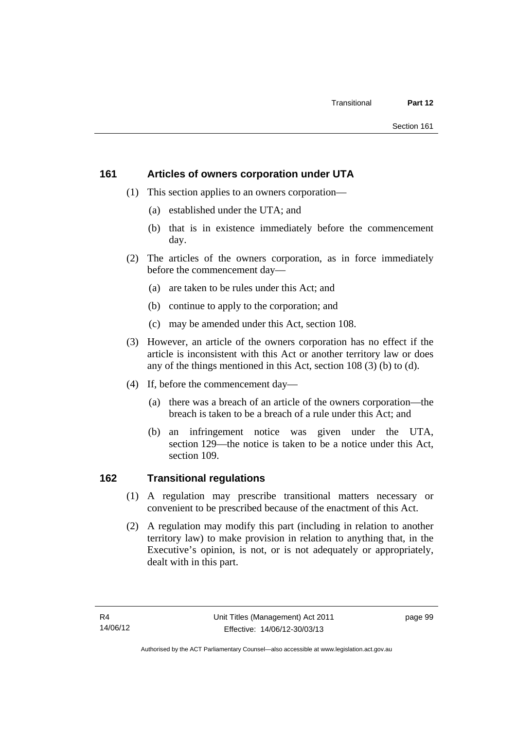## **161 Articles of owners corporation under UTA**

- (1) This section applies to an owners corporation—
	- (a) established under the UTA; and
	- (b) that is in existence immediately before the commencement day.
- (2) The articles of the owners corporation, as in force immediately before the commencement day—
	- (a) are taken to be rules under this Act; and
	- (b) continue to apply to the corporation; and
	- (c) may be amended under this Act, section 108.
- (3) However, an article of the owners corporation has no effect if the article is inconsistent with this Act or another territory law or does any of the things mentioned in this Act, section 108 (3) (b) to (d).
- (4) If, before the commencement day—
	- (a) there was a breach of an article of the owners corporation—the breach is taken to be a breach of a rule under this Act; and
	- (b) an infringement notice was given under the UTA, section 129—the notice is taken to be a notice under this Act, section 109.

## **162 Transitional regulations**

- (1) A regulation may prescribe transitional matters necessary or convenient to be prescribed because of the enactment of this Act.
- (2) A regulation may modify this part (including in relation to another territory law) to make provision in relation to anything that, in the Executive's opinion, is not, or is not adequately or appropriately, dealt with in this part.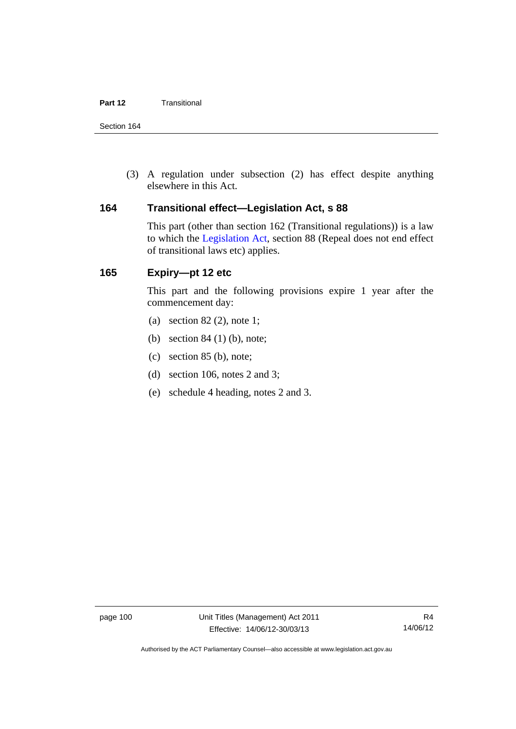Section 164

 (3) A regulation under subsection (2) has effect despite anything elsewhere in this Act.

### **164 Transitional effect—Legislation Act, s 88**

This part (other than section 162 (Transitional regulations)) is a law to which the [Legislation Act](http://www.legislation.act.gov.au/a/2001-14), section 88 (Repeal does not end effect of transitional laws etc) applies.

## **165 Expiry—pt 12 etc**

This part and the following provisions expire 1 year after the commencement day:

- (a) section 82 (2), note 1;
- (b) section 84 (1) (b), note;
- (c) section 85 (b), note;
- (d) section 106, notes 2 and 3;
- (e) schedule 4 heading, notes 2 and 3.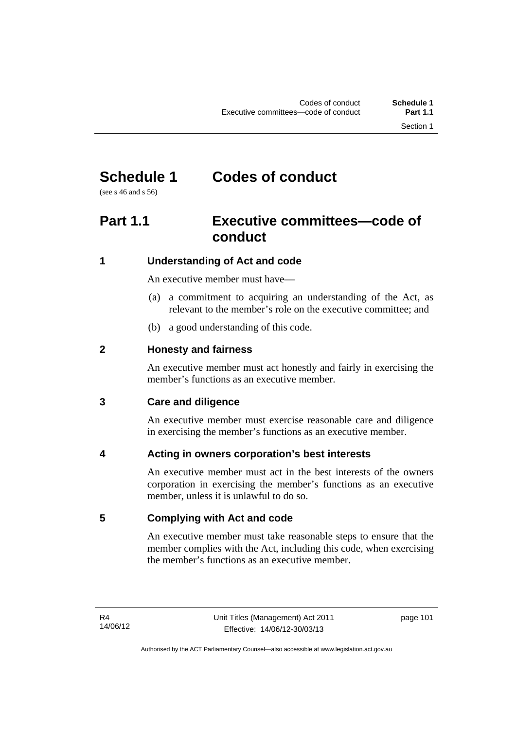# **Schedule 1 Codes of conduct**

(see s 46 and s 56)

## **Part 1.1 Executive committees—code of conduct**

## **1 Understanding of Act and code**

An executive member must have—

- (a) a commitment to acquiring an understanding of the Act, as relevant to the member's role on the executive committee; and
- (b) a good understanding of this code.

## **2 Honesty and fairness**

An executive member must act honestly and fairly in exercising the member's functions as an executive member.

## **3 Care and diligence**

An executive member must exercise reasonable care and diligence in exercising the member's functions as an executive member.

## **4 Acting in owners corporation's best interests**

An executive member must act in the best interests of the owners corporation in exercising the member's functions as an executive member, unless it is unlawful to do so.

## **5 Complying with Act and code**

An executive member must take reasonable steps to ensure that the member complies with the Act, including this code, when exercising the member's functions as an executive member.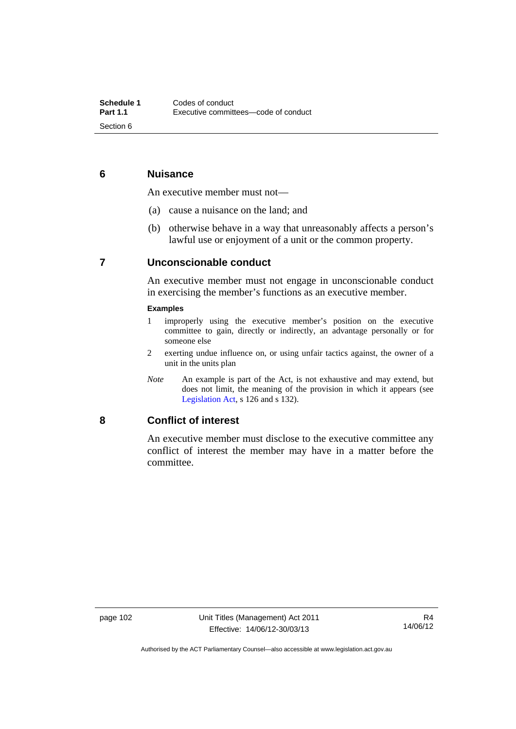## **6 Nuisance**

An executive member must not—

- (a) cause a nuisance on the land; and
- (b) otherwise behave in a way that unreasonably affects a person's lawful use or enjoyment of a unit or the common property.

## **7 Unconscionable conduct**

An executive member must not engage in unconscionable conduct in exercising the member's functions as an executive member.

#### **Examples**

- 1 improperly using the executive member's position on the executive committee to gain, directly or indirectly, an advantage personally or for someone else
- 2 exerting undue influence on, or using unfair tactics against, the owner of a unit in the units plan
- *Note* An example is part of the Act, is not exhaustive and may extend, but does not limit, the meaning of the provision in which it appears (see [Legislation Act,](http://www.legislation.act.gov.au/a/2001-14) s 126 and s 132).

#### **8 Conflict of interest**

An executive member must disclose to the executive committee any conflict of interest the member may have in a matter before the committee.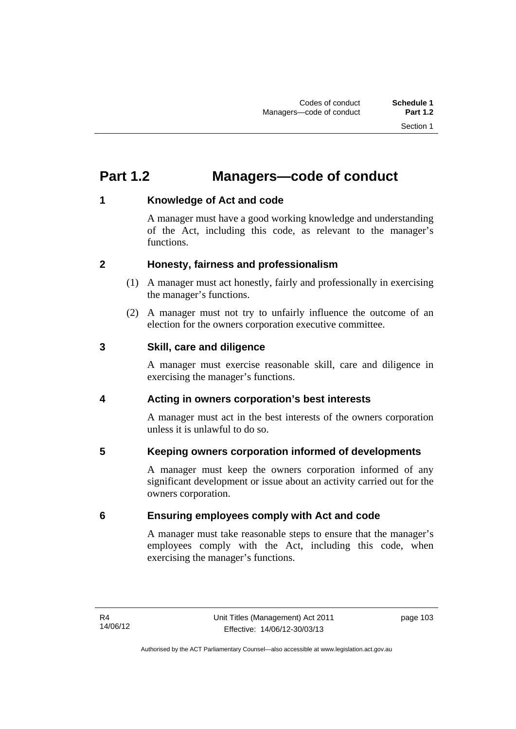# **Part 1.2 Managers—code of conduct**

## **1 Knowledge of Act and code**

A manager must have a good working knowledge and understanding of the Act, including this code, as relevant to the manager's functions.

## **2 Honesty, fairness and professionalism**

- (1) A manager must act honestly, fairly and professionally in exercising the manager's functions.
- (2) A manager must not try to unfairly influence the outcome of an election for the owners corporation executive committee.

### **3 Skill, care and diligence**

A manager must exercise reasonable skill, care and diligence in exercising the manager's functions.

## **4 Acting in owners corporation's best interests**

A manager must act in the best interests of the owners corporation unless it is unlawful to do so.

## **5 Keeping owners corporation informed of developments**

A manager must keep the owners corporation informed of any significant development or issue about an activity carried out for the owners corporation.

## **6 Ensuring employees comply with Act and code**

A manager must take reasonable steps to ensure that the manager's employees comply with the Act, including this code, when exercising the manager's functions.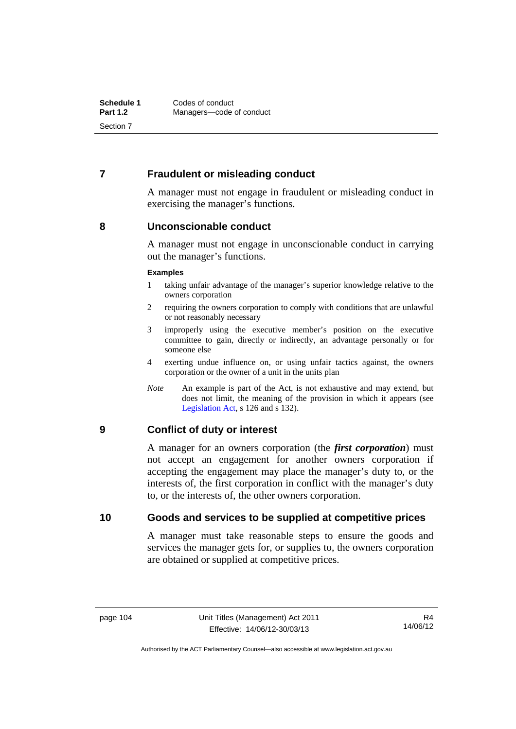## **7 Fraudulent or misleading conduct**

A manager must not engage in fraudulent or misleading conduct in exercising the manager's functions.

#### **8 Unconscionable conduct**

A manager must not engage in unconscionable conduct in carrying out the manager's functions.

#### **Examples**

- 1 taking unfair advantage of the manager's superior knowledge relative to the owners corporation
- 2 requiring the owners corporation to comply with conditions that are unlawful or not reasonably necessary
- 3 improperly using the executive member's position on the executive committee to gain, directly or indirectly, an advantage personally or for someone else
- 4 exerting undue influence on, or using unfair tactics against, the owners corporation or the owner of a unit in the units plan
- *Note* An example is part of the Act, is not exhaustive and may extend, but does not limit, the meaning of the provision in which it appears (see [Legislation Act,](http://www.legislation.act.gov.au/a/2001-14) s 126 and s 132).

### **9 Conflict of duty or interest**

A manager for an owners corporation (the *first corporation*) must not accept an engagement for another owners corporation if accepting the engagement may place the manager's duty to, or the interests of, the first corporation in conflict with the manager's duty to, or the interests of, the other owners corporation.

### **10 Goods and services to be supplied at competitive prices**

A manager must take reasonable steps to ensure the goods and services the manager gets for, or supplies to, the owners corporation are obtained or supplied at competitive prices.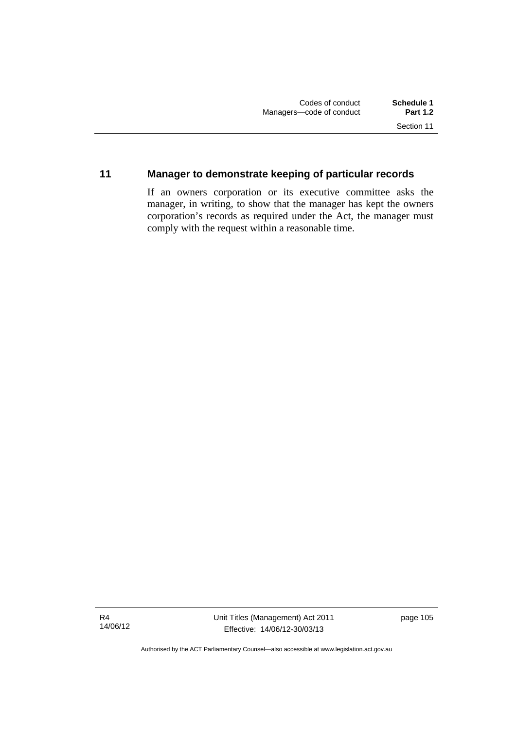## **11 Manager to demonstrate keeping of particular records**

If an owners corporation or its executive committee asks the manager, in writing, to show that the manager has kept the owners corporation's records as required under the Act, the manager must comply with the request within a reasonable time.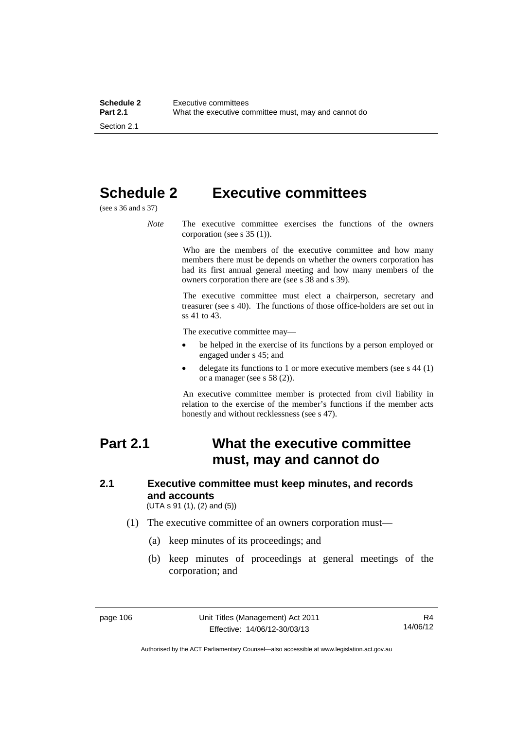# **Schedule 2 Executive committees**

(see s 36 and s 37)

*Note* The executive committee exercises the functions of the owners corporation (see s 35 (1)).

> Who are the members of the executive committee and how many members there must be depends on whether the owners corporation has had its first annual general meeting and how many members of the owners corporation there are (see s 38 and s 39).

> The executive committee must elect a chairperson, secretary and treasurer (see s 40). The functions of those office-holders are set out in ss 41 to 43.

The executive committee may—

- be helped in the exercise of its functions by a person employed or engaged under s 45; and
- delegate its functions to 1 or more executive members (see s 44 (1) or a manager (see s 58 (2)).

An executive committee member is protected from civil liability in relation to the exercise of the member's functions if the member acts honestly and without recklessness (see s 47).

## **Part 2.1 What the executive committee must, may and cannot do**

## **2.1 Executive committee must keep minutes, and records and accounts**

(UTA s 91 (1), (2) and (5))

- (1) The executive committee of an owners corporation must—
	- (a) keep minutes of its proceedings; and
	- (b) keep minutes of proceedings at general meetings of the corporation; and

Authorised by the ACT Parliamentary Counsel—also accessible at www.legislation.act.gov.au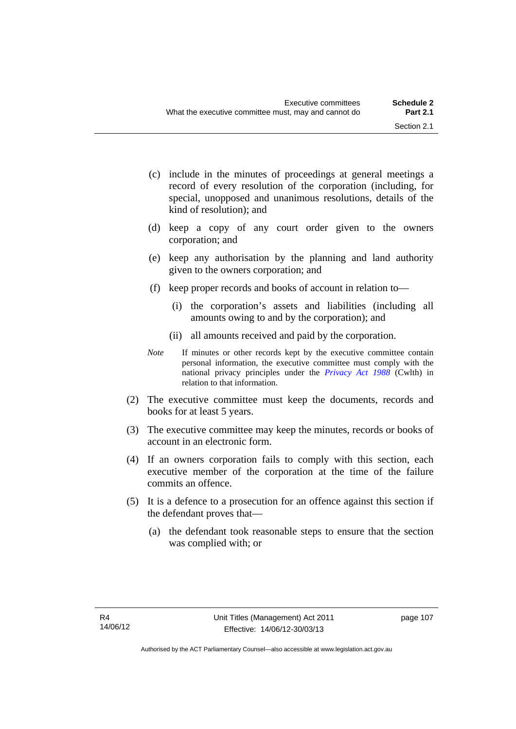- (c) include in the minutes of proceedings at general meetings a record of every resolution of the corporation (including, for special, unopposed and unanimous resolutions, details of the kind of resolution); and
- (d) keep a copy of any court order given to the owners corporation; and
- (e) keep any authorisation by the planning and land authority given to the owners corporation; and
- (f) keep proper records and books of account in relation to—
	- (i) the corporation's assets and liabilities (including all amounts owing to and by the corporation); and
	- (ii) all amounts received and paid by the corporation.
- *Note* If minutes or other records kept by the executive committee contain personal information, the executive committee must comply with the national privacy principles under the *[Privacy Act 1988](http://www.comlaw.gov.au/Current/C2004A03712)* (Cwlth) in relation to that information.
- (2) The executive committee must keep the documents, records and books for at least 5 years.
- (3) The executive committee may keep the minutes, records or books of account in an electronic form.
- (4) If an owners corporation fails to comply with this section, each executive member of the corporation at the time of the failure commits an offence.
- (5) It is a defence to a prosecution for an offence against this section if the defendant proves that—
	- (a) the defendant took reasonable steps to ensure that the section was complied with; or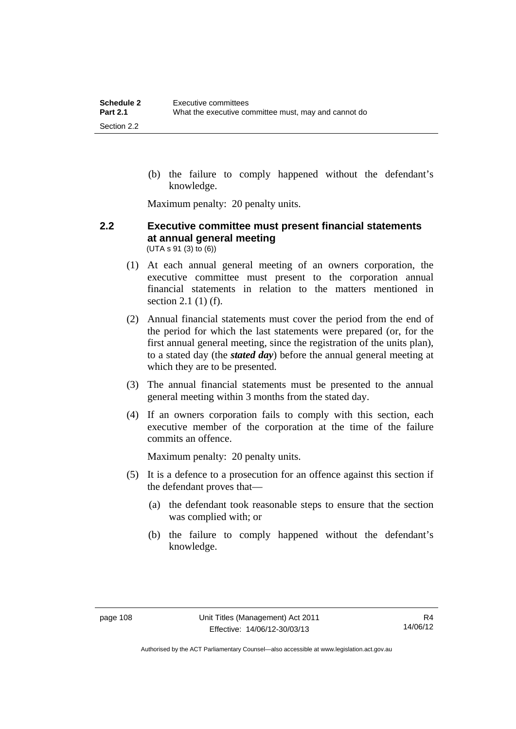(b) the failure to comply happened without the defendant's knowledge.

Maximum penalty: 20 penalty units.

#### **2.2 Executive committee must present financial statements at annual general meeting**  (UTA s 91 (3) to (6))

- (1) At each annual general meeting of an owners corporation, the executive committee must present to the corporation annual financial statements in relation to the matters mentioned in section 2.1 (1) (f).
- (2) Annual financial statements must cover the period from the end of the period for which the last statements were prepared (or, for the first annual general meeting, since the registration of the units plan), to a stated day (the *stated day*) before the annual general meeting at which they are to be presented.
- (3) The annual financial statements must be presented to the annual general meeting within 3 months from the stated day.
- (4) If an owners corporation fails to comply with this section, each executive member of the corporation at the time of the failure commits an offence.

Maximum penalty: 20 penalty units.

- (5) It is a defence to a prosecution for an offence against this section if the defendant proves that—
	- (a) the defendant took reasonable steps to ensure that the section was complied with; or
	- (b) the failure to comply happened without the defendant's knowledge.

Authorised by the ACT Parliamentary Counsel—also accessible at www.legislation.act.gov.au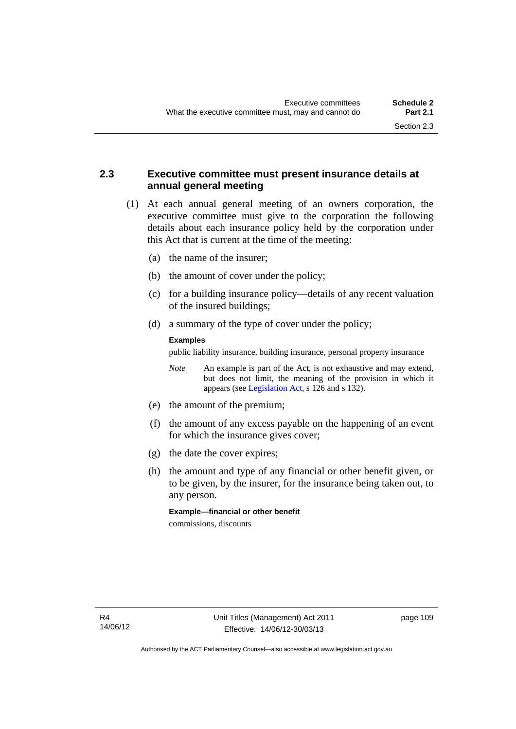## **2.3 Executive committee must present insurance details at annual general meeting**

- (1) At each annual general meeting of an owners corporation, the executive committee must give to the corporation the following details about each insurance policy held by the corporation under this Act that is current at the time of the meeting:
	- (a) the name of the insurer;
	- (b) the amount of cover under the policy;
	- (c) for a building insurance policy—details of any recent valuation of the insured buildings;
	- (d) a summary of the type of cover under the policy;

#### **Examples**

public liability insurance, building insurance, personal property insurance

*Note* An example is part of the Act, is not exhaustive and may extend, but does not limit, the meaning of the provision in which it appears (see [Legislation Act,](http://www.legislation.act.gov.au/a/2001-14) s 126 and s 132).

- (e) the amount of the premium;
- (f) the amount of any excess payable on the happening of an event for which the insurance gives cover;
- (g) the date the cover expires;
- (h) the amount and type of any financial or other benefit given, or to be given, by the insurer, for the insurance being taken out, to any person.

**Example—financial or other benefit**  commissions, discounts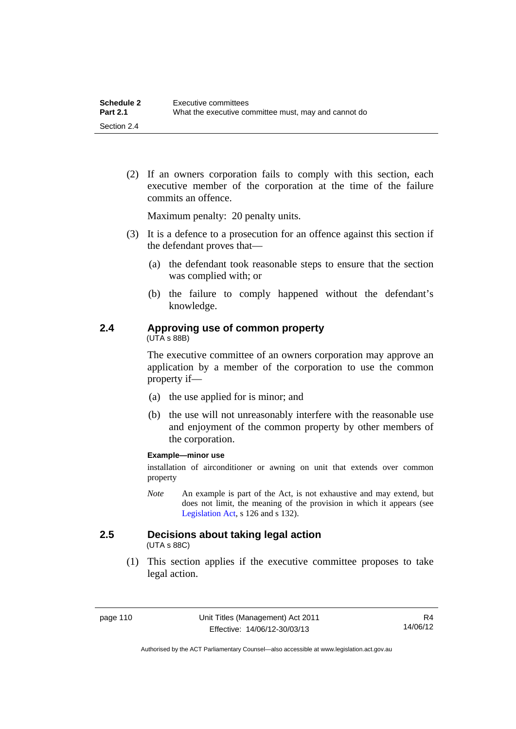(2) If an owners corporation fails to comply with this section, each executive member of the corporation at the time of the failure commits an offence.

Maximum penalty: 20 penalty units.

- (3) It is a defence to a prosecution for an offence against this section if the defendant proves that—
	- (a) the defendant took reasonable steps to ensure that the section was complied with; or
	- (b) the failure to comply happened without the defendant's knowledge.

## **2.4 Approving use of common property**

(UTA s 88B)

The executive committee of an owners corporation may approve an application by a member of the corporation to use the common property if—

- (a) the use applied for is minor; and
- (b) the use will not unreasonably interfere with the reasonable use and enjoyment of the common property by other members of the corporation.

#### **Example—minor use**

installation of airconditioner or awning on unit that extends over common property

*Note* An example is part of the Act, is not exhaustive and may extend, but does not limit, the meaning of the provision in which it appears (see [Legislation Act,](http://www.legislation.act.gov.au/a/2001-14) s 126 and s 132).

## **2.5 Decisions about taking legal action**

(UTA s 88C)

 (1) This section applies if the executive committee proposes to take legal action.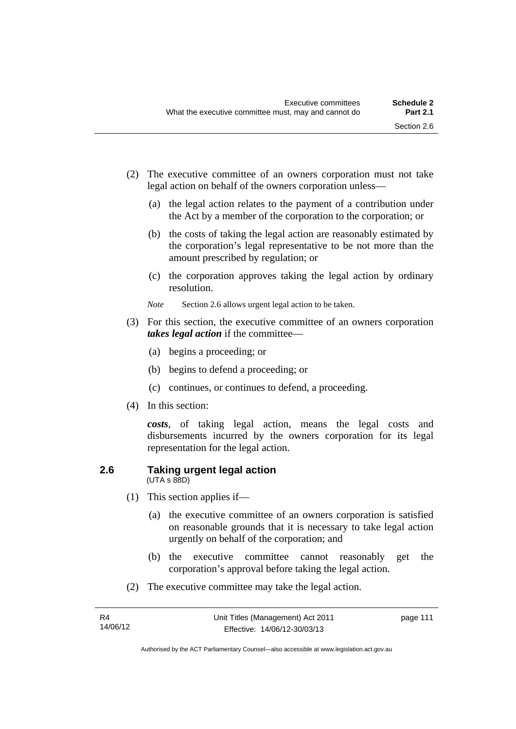- (2) The executive committee of an owners corporation must not take legal action on behalf of the owners corporation unless—
	- (a) the legal action relates to the payment of a contribution under the Act by a member of the corporation to the corporation; or
	- (b) the costs of taking the legal action are reasonably estimated by the corporation's legal representative to be not more than the amount prescribed by regulation; or
	- (c) the corporation approves taking the legal action by ordinary resolution.
	- *Note* Section 2.6 allows urgent legal action to be taken.
- (3) For this section, the executive committee of an owners corporation *takes legal action* if the committee—
	- (a) begins a proceeding; or
	- (b) begins to defend a proceeding; or
	- (c) continues, or continues to defend, a proceeding.
- (4) In this section:

*costs*, of taking legal action, means the legal costs and disbursements incurred by the owners corporation for its legal representation for the legal action.

#### **2.6 Taking urgent legal action**  (UTA s 88D)

- (1) This section applies if—
	- (a) the executive committee of an owners corporation is satisfied on reasonable grounds that it is necessary to take legal action urgently on behalf of the corporation; and
	- (b) the executive committee cannot reasonably get the corporation's approval before taking the legal action.
- (2) The executive committee may take the legal action.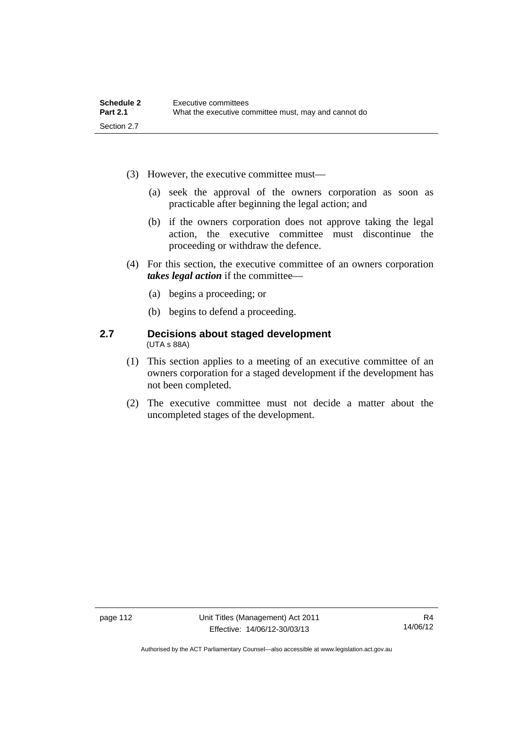- (3) However, the executive committee must—
	- (a) seek the approval of the owners corporation as soon as practicable after beginning the legal action; and
	- (b) if the owners corporation does not approve taking the legal action, the executive committee must discontinue the proceeding or withdraw the defence.
- (4) For this section, the executive committee of an owners corporation *takes legal action* if the committee—
	- (a) begins a proceeding; or
	- (b) begins to defend a proceeding.

#### **2.7 Decisions about staged development**  (UTA s 88A)

- (1) This section applies to a meeting of an executive committee of an owners corporation for a staged development if the development has not been completed.
- (2) The executive committee must not decide a matter about the uncompleted stages of the development.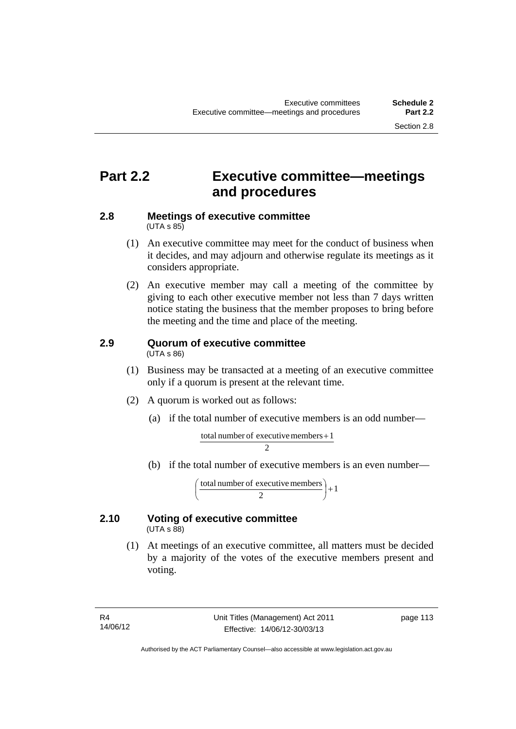## **Part 2.2 Executive committee—meetings and procedures**

#### **2.8 Meetings of executive committee**   $(UTA \, s \, 85)$

- (1) An executive committee may meet for the conduct of business when it decides, and may adjourn and otherwise regulate its meetings as it considers appropriate.
- (2) An executive member may call a meeting of the committee by giving to each other executive member not less than 7 days written notice stating the business that the member proposes to bring before the meeting and the time and place of the meeting.

# **2.9 Quorum of executive committee**

(UTA s 86)

- (1) Business may be transacted at a meeting of an executive committee only if a quorum is present at the relevant time.
- (2) A quorum is worked out as follows:
	- (a) if the total number of executive members is an odd number—

$$
\frac{\text{total number of executive members} + 1}{2}
$$

(b) if the total number of executive members is an even number—

total number of executive members  $\begin{pmatrix} 2 \end{pmatrix} + 1$ )  $\left(\frac{\text{total number of executive members}}{2}\right)$ l ſ

#### **2.10 Voting of executive committee**   $(UTA \s{5}88)$

 (1) At meetings of an executive committee, all matters must be decided by a majority of the votes of the executive members present and voting.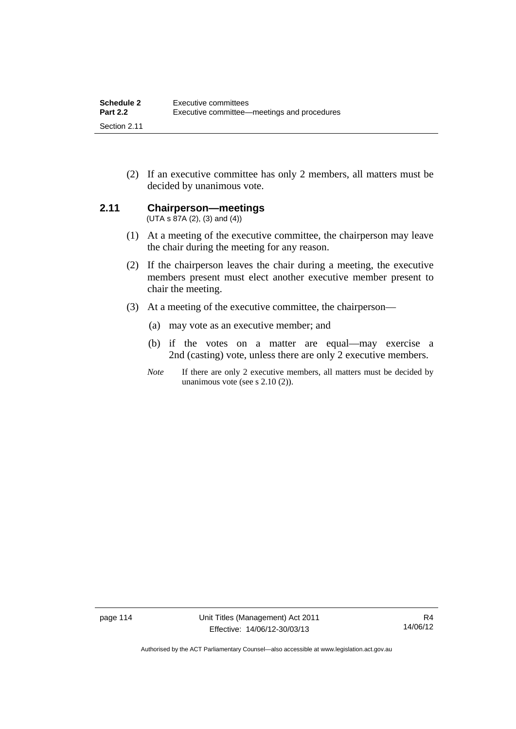(2) If an executive committee has only 2 members, all matters must be decided by unanimous vote.

### **2.11 Chairperson—meetings**

 $(UTA s 87A (2), (3) and (4))$ 

- (1) At a meeting of the executive committee, the chairperson may leave the chair during the meeting for any reason.
- (2) If the chairperson leaves the chair during a meeting, the executive members present must elect another executive member present to chair the meeting.
- (3) At a meeting of the executive committee, the chairperson—
	- (a) may vote as an executive member; and
	- (b) if the votes on a matter are equal—may exercise a 2nd (casting) vote, unless there are only 2 executive members.
	- *Note* If there are only 2 executive members, all matters must be decided by unanimous vote (see s 2.10 (2)).

Authorised by the ACT Parliamentary Counsel—also accessible at www.legislation.act.gov.au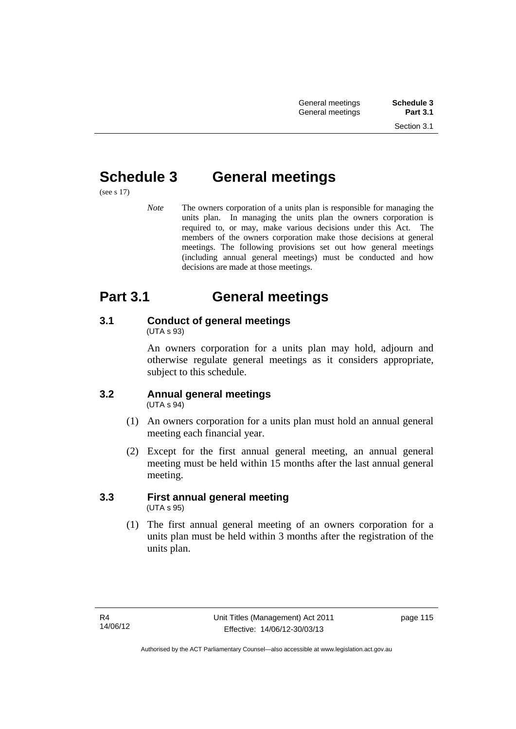# **Schedule 3 General meetings**

(see s 17)

*Note* The owners corporation of a units plan is responsible for managing the units plan. In managing the units plan the owners corporation is required to, or may, make various decisions under this Act. The members of the owners corporation make those decisions at general meetings. The following provisions set out how general meetings (including annual general meetings) must be conducted and how decisions are made at those meetings.

# **Part 3.1 General meetings**

# **3.1 Conduct of general meetings**

(UTA s 93)

An owners corporation for a units plan may hold, adjourn and otherwise regulate general meetings as it considers appropriate, subject to this schedule.

#### **3.2 Annual general meetings**  (UTA s 94)

- (1) An owners corporation for a units plan must hold an annual general meeting each financial year.
- (2) Except for the first annual general meeting, an annual general meeting must be held within 15 months after the last annual general meeting.

### **3.3 First annual general meeting**  (UTA s 95)

 (1) The first annual general meeting of an owners corporation for a units plan must be held within 3 months after the registration of the units plan.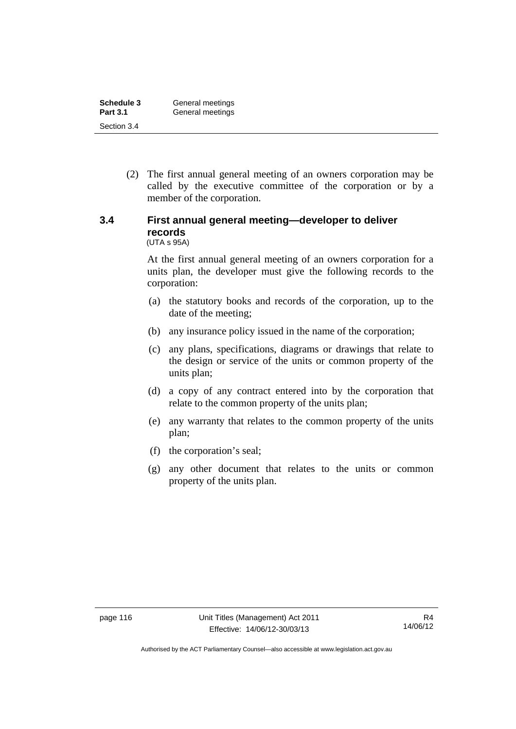| Schedule 3      | General meetings |
|-----------------|------------------|
| <b>Part 3.1</b> | General meetings |
| Section 3.4     |                  |

 (2) The first annual general meeting of an owners corporation may be called by the executive committee of the corporation or by a member of the corporation.

#### **3.4 First annual general meeting—developer to deliver records**  (UTA s 95A)

At the first annual general meeting of an owners corporation for a units plan, the developer must give the following records to the corporation:

- (a) the statutory books and records of the corporation, up to the date of the meeting;
- (b) any insurance policy issued in the name of the corporation;
- (c) any plans, specifications, diagrams or drawings that relate to the design or service of the units or common property of the units plan;
- (d) a copy of any contract entered into by the corporation that relate to the common property of the units plan;
- (e) any warranty that relates to the common property of the units plan;
- (f) the corporation's seal;
- (g) any other document that relates to the units or common property of the units plan.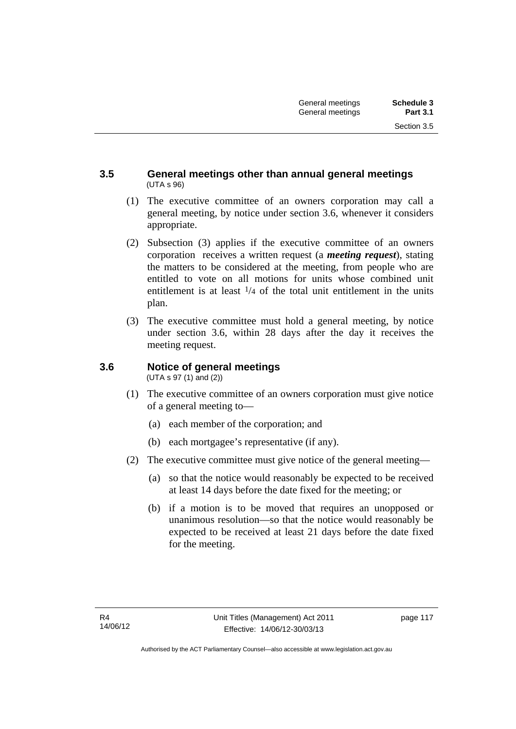### **3.5 General meetings other than annual general meetings**  (UTA s 96)

- (1) The executive committee of an owners corporation may call a general meeting, by notice under section 3.6, whenever it considers appropriate.
- (2) Subsection (3) applies if the executive committee of an owners corporation receives a written request (a *meeting request*), stating the matters to be considered at the meeting, from people who are entitled to vote on all motions for units whose combined unit entitlement is at least  $\frac{1}{4}$  of the total unit entitlement in the units plan.
- (3) The executive committee must hold a general meeting, by notice under section 3.6, within 28 days after the day it receives the meeting request.

## **3.6 Notice of general meetings**

(UTA s 97 (1) and (2))

- (1) The executive committee of an owners corporation must give notice of a general meeting to—
	- (a) each member of the corporation; and
	- (b) each mortgagee's representative (if any).
- (2) The executive committee must give notice of the general meeting—
	- (a) so that the notice would reasonably be expected to be received at least 14 days before the date fixed for the meeting; or
	- (b) if a motion is to be moved that requires an unopposed or unanimous resolution—so that the notice would reasonably be expected to be received at least 21 days before the date fixed for the meeting.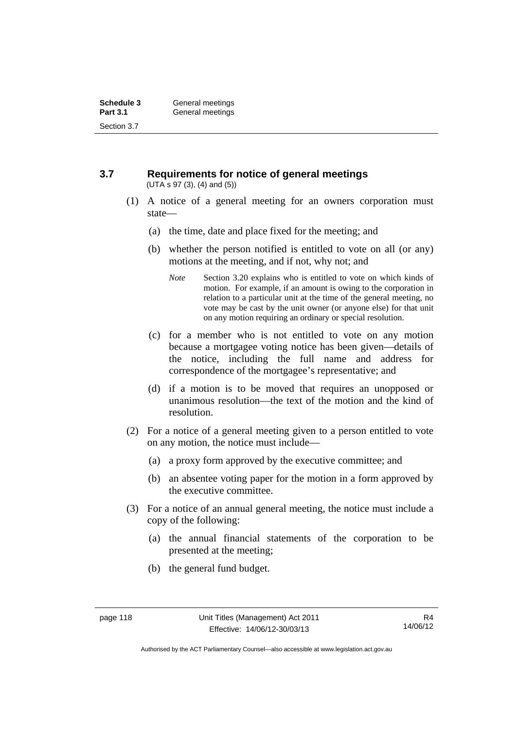#### **3.7 Requirements for notice of general meetings**  (UTA s 97 (3), (4) and (5))

- (1) A notice of a general meeting for an owners corporation must state—
	- (a) the time, date and place fixed for the meeting; and
	- (b) whether the person notified is entitled to vote on all (or any) motions at the meeting, and if not, why not; and
		- *Note* Section 3.20 explains who is entitled to vote on which kinds of motion. For example, if an amount is owing to the corporation in relation to a particular unit at the time of the general meeting, no vote may be cast by the unit owner (or anyone else) for that unit on any motion requiring an ordinary or special resolution.
	- (c) for a member who is not entitled to vote on any motion because a mortgagee voting notice has been given—details of the notice, including the full name and address for correspondence of the mortgagee's representative; and
	- (d) if a motion is to be moved that requires an unopposed or unanimous resolution—the text of the motion and the kind of resolution.
- (2) For a notice of a general meeting given to a person entitled to vote on any motion, the notice must include—
	- (a) a proxy form approved by the executive committee; and
	- (b) an absentee voting paper for the motion in a form approved by the executive committee.
- (3) For a notice of an annual general meeting, the notice must include a copy of the following:
	- (a) the annual financial statements of the corporation to be presented at the meeting;
	- (b) the general fund budget.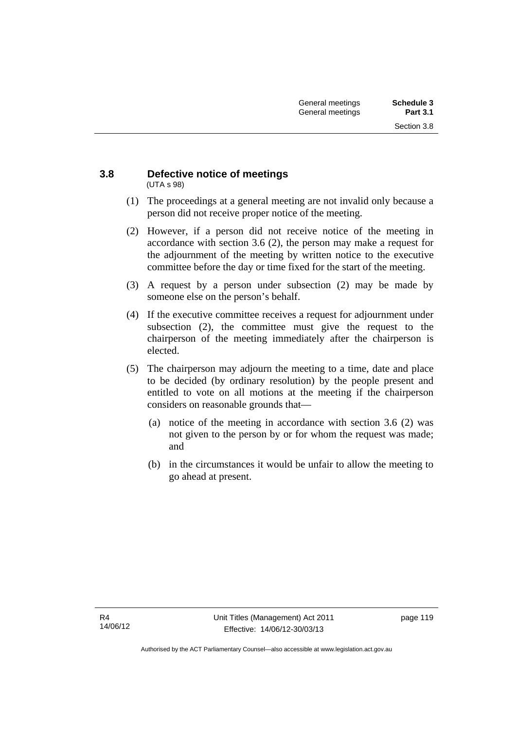#### **3.8 Defective notice of meetings**  (UTA s 98)

- (1) The proceedings at a general meeting are not invalid only because a person did not receive proper notice of the meeting.
- (2) However, if a person did not receive notice of the meeting in accordance with section 3.6 (2), the person may make a request for the adjournment of the meeting by written notice to the executive committee before the day or time fixed for the start of the meeting.
- (3) A request by a person under subsection (2) may be made by someone else on the person's behalf.
- (4) If the executive committee receives a request for adjournment under subsection (2), the committee must give the request to the chairperson of the meeting immediately after the chairperson is elected.
- (5) The chairperson may adjourn the meeting to a time, date and place to be decided (by ordinary resolution) by the people present and entitled to vote on all motions at the meeting if the chairperson considers on reasonable grounds that—
	- (a) notice of the meeting in accordance with section 3.6 (2) was not given to the person by or for whom the request was made; and
	- (b) in the circumstances it would be unfair to allow the meeting to go ahead at present.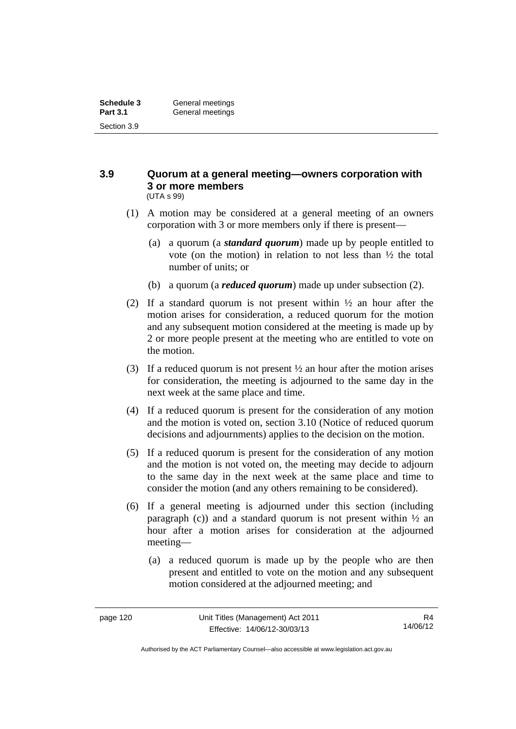#### **3.9 Quorum at a general meeting—owners corporation with 3 or more members**  (UTA s 99)

- (1) A motion may be considered at a general meeting of an owners corporation with 3 or more members only if there is present—
	- (a) a quorum (a *standard quorum*) made up by people entitled to vote (on the motion) in relation to not less than ½ the total number of units; or
	- (b) a quorum (a *reduced quorum*) made up under subsection (2).
- (2) If a standard quorum is not present within  $\frac{1}{2}$  an hour after the motion arises for consideration, a reduced quorum for the motion and any subsequent motion considered at the meeting is made up by 2 or more people present at the meeting who are entitled to vote on the motion.
- (3) If a reduced quorum is not present ½ an hour after the motion arises for consideration, the meeting is adjourned to the same day in the next week at the same place and time.
- (4) If a reduced quorum is present for the consideration of any motion and the motion is voted on, section 3.10 (Notice of reduced quorum decisions and adjournments) applies to the decision on the motion.
- (5) If a reduced quorum is present for the consideration of any motion and the motion is not voted on, the meeting may decide to adjourn to the same day in the next week at the same place and time to consider the motion (and any others remaining to be considered).
- (6) If a general meeting is adjourned under this section (including paragraph (c)) and a standard quorum is not present within  $\frac{1}{2}$  and hour after a motion arises for consideration at the adjourned meeting—
	- (a) a reduced quorum is made up by the people who are then present and entitled to vote on the motion and any subsequent motion considered at the adjourned meeting; and

Authorised by the ACT Parliamentary Counsel—also accessible at www.legislation.act.gov.au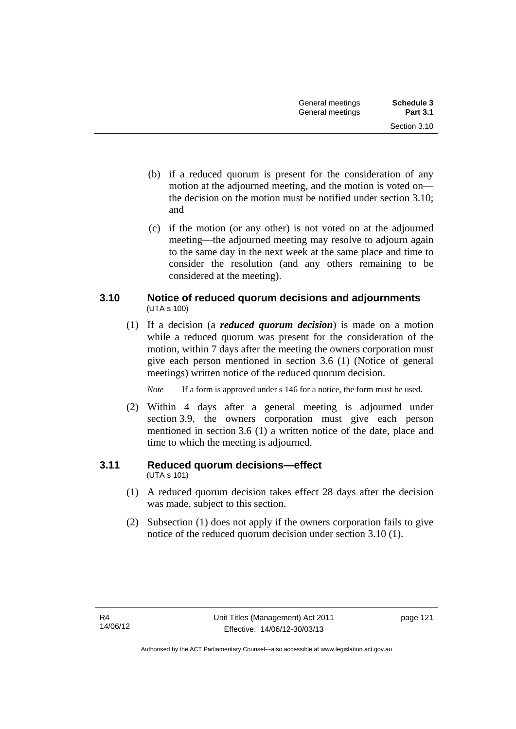- (b) if a reduced quorum is present for the consideration of any motion at the adjourned meeting, and the motion is voted on the decision on the motion must be notified under section 3.10; and
- (c) if the motion (or any other) is not voted on at the adjourned meeting—the adjourned meeting may resolve to adjourn again to the same day in the next week at the same place and time to consider the resolution (and any others remaining to be considered at the meeting).

### **3.10 Notice of reduced quorum decisions and adjournments**  (UTA s 100)

 (1) If a decision (a *reduced quorum decision*) is made on a motion while a reduced quorum was present for the consideration of the motion, within 7 days after the meeting the owners corporation must give each person mentioned in section 3.6 (1) (Notice of general meetings) written notice of the reduced quorum decision.

*Note* If a form is approved under s 146 for a notice, the form must be used.

 (2) Within 4 days after a general meeting is adjourned under section 3.9, the owners corporation must give each person mentioned in section 3.6 (1) a written notice of the date, place and time to which the meeting is adjourned.

## **3.11 Reduced quorum decisions—effect**

(UTA s 101)

- (1) A reduced quorum decision takes effect 28 days after the decision was made, subject to this section.
- (2) Subsection (1) does not apply if the owners corporation fails to give notice of the reduced quorum decision under section 3.10 (1).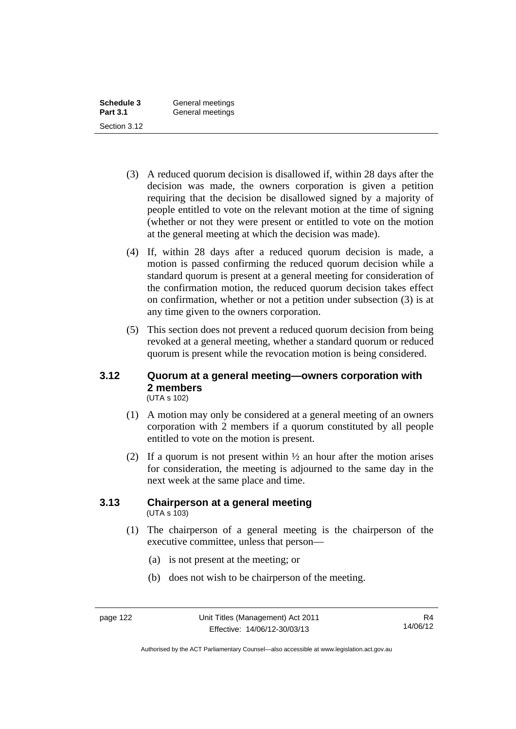| Schedule 3      | General meetings |
|-----------------|------------------|
| <b>Part 3.1</b> | General meetings |
| Section 3.12    |                  |

- (3) A reduced quorum decision is disallowed if, within 28 days after the decision was made, the owners corporation is given a petition requiring that the decision be disallowed signed by a majority of people entitled to vote on the relevant motion at the time of signing (whether or not they were present or entitled to vote on the motion at the general meeting at which the decision was made).
- (4) If, within 28 days after a reduced quorum decision is made, a motion is passed confirming the reduced quorum decision while a standard quorum is present at a general meeting for consideration of the confirmation motion, the reduced quorum decision takes effect on confirmation, whether or not a petition under subsection (3) is at any time given to the owners corporation.
- (5) This section does not prevent a reduced quorum decision from being revoked at a general meeting, whether a standard quorum or reduced quorum is present while the revocation motion is being considered.

#### **3.12 Quorum at a general meeting—owners corporation with 2 members**  (UTA s 102)

- (1) A motion may only be considered at a general meeting of an owners corporation with 2 members if a quorum constituted by all people entitled to vote on the motion is present.
- (2) If a quorum is not present within  $\frac{1}{2}$  an hour after the motion arises for consideration, the meeting is adjourned to the same day in the next week at the same place and time.

#### **3.13 Chairperson at a general meeting**  (UTA s 103)

- (1) The chairperson of a general meeting is the chairperson of the executive committee, unless that person—
	- (a) is not present at the meeting; or
	- (b) does not wish to be chairperson of the meeting.

Authorised by the ACT Parliamentary Counsel—also accessible at www.legislation.act.gov.au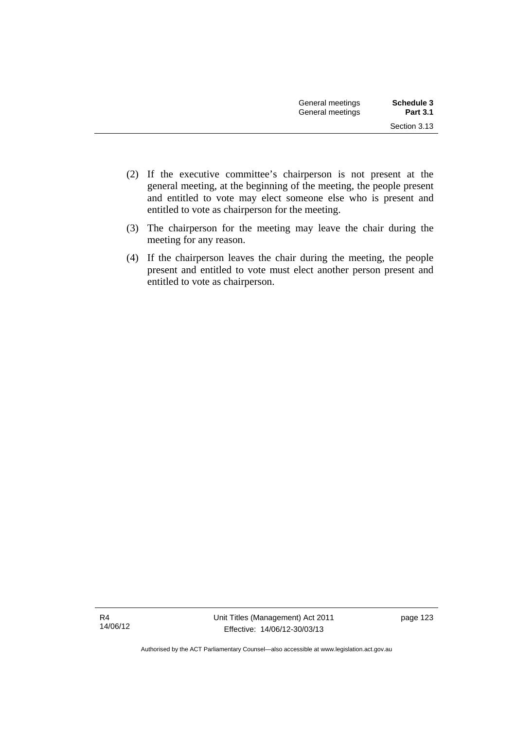- (2) If the executive committee's chairperson is not present at the general meeting, at the beginning of the meeting, the people present and entitled to vote may elect someone else who is present and entitled to vote as chairperson for the meeting.
- (3) The chairperson for the meeting may leave the chair during the meeting for any reason.
- (4) If the chairperson leaves the chair during the meeting, the people present and entitled to vote must elect another person present and entitled to vote as chairperson.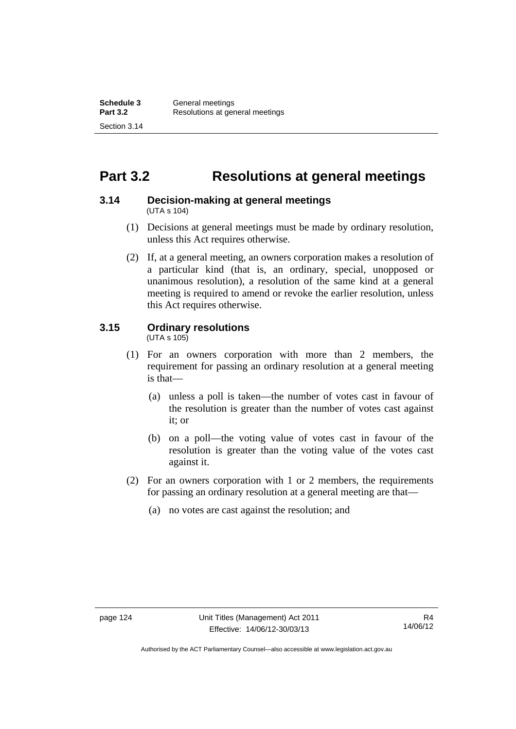## **Part 3.2 Resolutions at general meetings**

#### **3.14 Decision-making at general meetings**  (UTA s 104)

- (1) Decisions at general meetings must be made by ordinary resolution, unless this Act requires otherwise.
- (2) If, at a general meeting, an owners corporation makes a resolution of a particular kind (that is, an ordinary, special, unopposed or unanimous resolution), a resolution of the same kind at a general meeting is required to amend or revoke the earlier resolution, unless this Act requires otherwise.

## **3.15 Ordinary resolutions**

(UTA s 105)

- (1) For an owners corporation with more than 2 members, the requirement for passing an ordinary resolution at a general meeting is that—
	- (a) unless a poll is taken—the number of votes cast in favour of the resolution is greater than the number of votes cast against it; or
	- (b) on a poll—the voting value of votes cast in favour of the resolution is greater than the voting value of the votes cast against it.
- (2) For an owners corporation with 1 or 2 members, the requirements for passing an ordinary resolution at a general meeting are that—
	- (a) no votes are cast against the resolution; and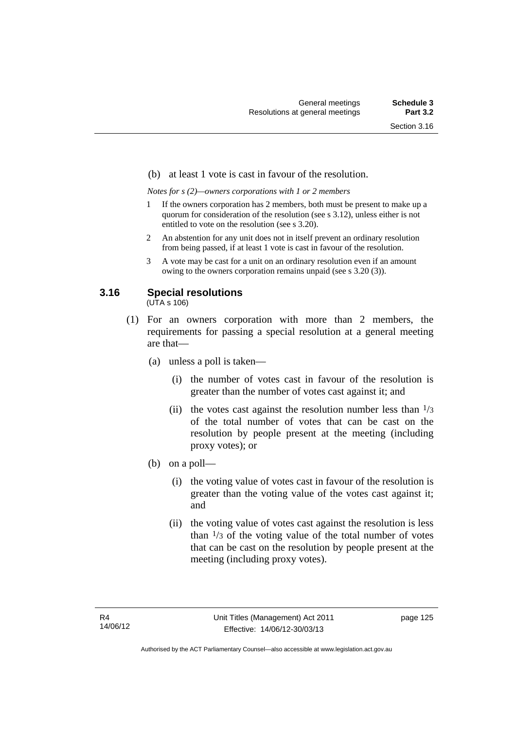#### (b) at least 1 vote is cast in favour of the resolution.

*Notes for s (2)—owners corporations with 1 or 2 members* 

- 1 If the owners corporation has 2 members, both must be present to make up a quorum for consideration of the resolution (see s 3.12), unless either is not entitled to vote on the resolution (see s 3.20).
- 2 An abstention for any unit does not in itself prevent an ordinary resolution from being passed, if at least 1 vote is cast in favour of the resolution.
- 3 A vote may be cast for a unit on an ordinary resolution even if an amount owing to the owners corporation remains unpaid (see s 3.20 (3)).

### **3.16 Special resolutions**

(UTA s 106)

- (1) For an owners corporation with more than 2 members, the requirements for passing a special resolution at a general meeting are that—
	- (a) unless a poll is taken—
		- (i) the number of votes cast in favour of the resolution is greater than the number of votes cast against it; and
		- (ii) the votes cast against the resolution number less than  $\frac{1}{3}$ of the total number of votes that can be cast on the resolution by people present at the meeting (including proxy votes); or
	- (b) on a poll—
		- (i) the voting value of votes cast in favour of the resolution is greater than the voting value of the votes cast against it; and
		- (ii) the voting value of votes cast against the resolution is less than  $\frac{1}{3}$  of the voting value of the total number of votes that can be cast on the resolution by people present at the meeting (including proxy votes).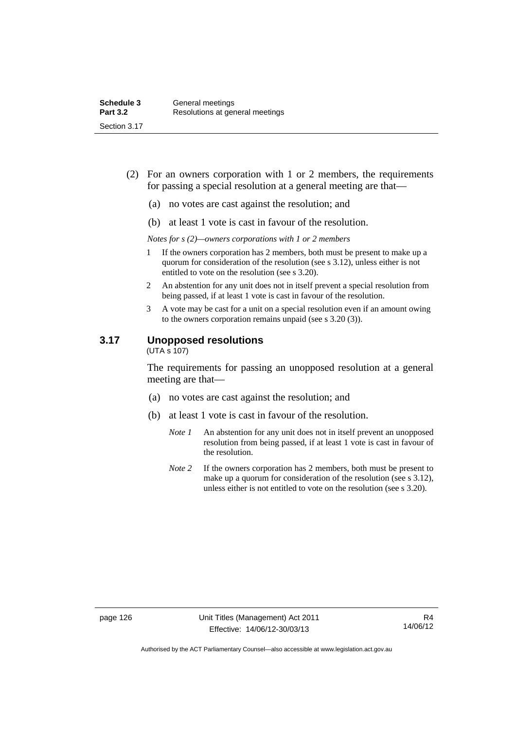- (2) For an owners corporation with 1 or 2 members, the requirements for passing a special resolution at a general meeting are that—
	- (a) no votes are cast against the resolution; and
	- (b) at least 1 vote is cast in favour of the resolution.

*Notes for s (2)—owners corporations with 1 or 2 members* 

- 1 If the owners corporation has 2 members, both must be present to make up a quorum for consideration of the resolution (see s 3.12), unless either is not entitled to vote on the resolution (see s 3.20).
- 2 An abstention for any unit does not in itself prevent a special resolution from being passed, if at least 1 vote is cast in favour of the resolution.
- 3 A vote may be cast for a unit on a special resolution even if an amount owing to the owners corporation remains unpaid (see s 3.20 (3)).

#### **3.17 Unopposed resolutions**

 $(UTA \overline{s} 107)$ 

The requirements for passing an unopposed resolution at a general meeting are that—

- (a) no votes are cast against the resolution; and
- (b) at least 1 vote is cast in favour of the resolution.
	- *Note 1* An abstention for any unit does not in itself prevent an unopposed resolution from being passed, if at least 1 vote is cast in favour of the resolution.
	- *Note* 2 If the owners corporation has 2 members, both must be present to make up a quorum for consideration of the resolution (see s 3.12), unless either is not entitled to vote on the resolution (see s 3.20).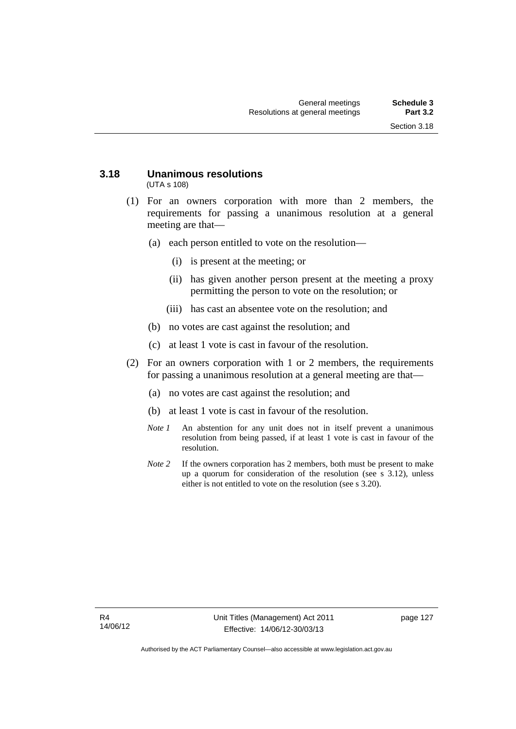#### **3.18 Unanimous resolutions**  (UTA s 108)

- (1) For an owners corporation with more than 2 members, the requirements for passing a unanimous resolution at a general meeting are that—
	- (a) each person entitled to vote on the resolution—
		- (i) is present at the meeting; or
		- (ii) has given another person present at the meeting a proxy permitting the person to vote on the resolution; or
		- (iii) has cast an absentee vote on the resolution; and
	- (b) no votes are cast against the resolution; and
	- (c) at least 1 vote is cast in favour of the resolution.
- (2) For an owners corporation with 1 or 2 members, the requirements for passing a unanimous resolution at a general meeting are that—
	- (a) no votes are cast against the resolution; and
	- (b) at least 1 vote is cast in favour of the resolution.
	- *Note 1* An abstention for any unit does not in itself prevent a unanimous resolution from being passed, if at least 1 vote is cast in favour of the resolution.
	- *Note* 2 If the owners corporation has 2 members, both must be present to make up a quorum for consideration of the resolution (see s 3.12), unless either is not entitled to vote on the resolution (see s 3.20).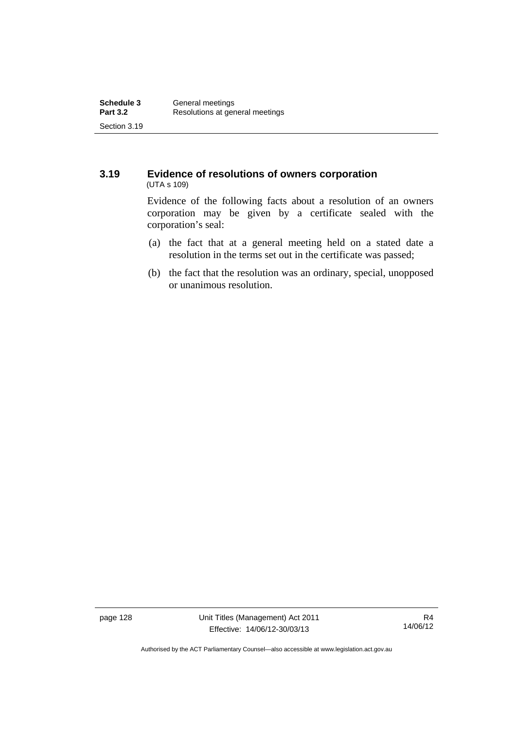#### **3.19 Evidence of resolutions of owners corporation**  (UTA s 109)

Evidence of the following facts about a resolution of an owners corporation may be given by a certificate sealed with the corporation's seal:

- (a) the fact that at a general meeting held on a stated date a resolution in the terms set out in the certificate was passed;
- (b) the fact that the resolution was an ordinary, special, unopposed or unanimous resolution.

page 128 Unit Titles (Management) Act 2011 Effective: 14/06/12-30/03/13

Authorised by the ACT Parliamentary Counsel—also accessible at www.legislation.act.gov.au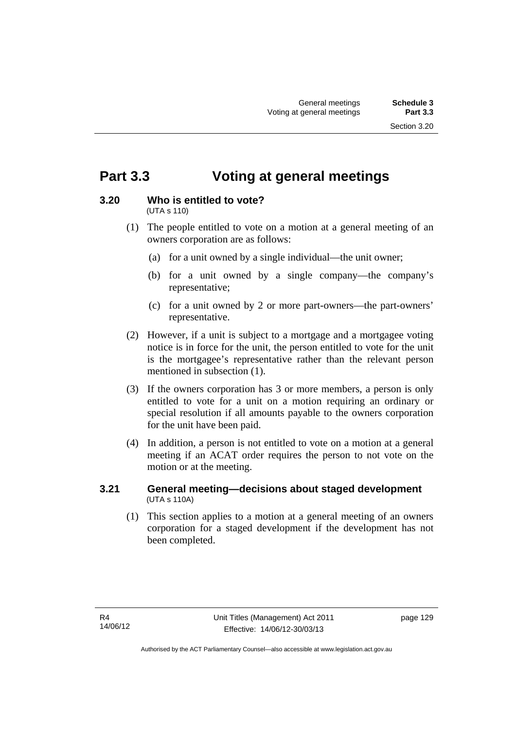## **Part 3.3 Voting at general meetings**

## **3.20 Who is entitled to vote?**

(UTA s 110)

- (1) The people entitled to vote on a motion at a general meeting of an owners corporation are as follows:
	- (a) for a unit owned by a single individual—the unit owner;
	- (b) for a unit owned by a single company—the company's representative;
	- (c) for a unit owned by 2 or more part-owners—the part-owners' representative.
- (2) However, if a unit is subject to a mortgage and a mortgagee voting notice is in force for the unit, the person entitled to vote for the unit is the mortgagee's representative rather than the relevant person mentioned in subsection (1).
- (3) If the owners corporation has 3 or more members, a person is only entitled to vote for a unit on a motion requiring an ordinary or special resolution if all amounts payable to the owners corporation for the unit have been paid.
- (4) In addition, a person is not entitled to vote on a motion at a general meeting if an ACAT order requires the person to not vote on the motion or at the meeting.

### **3.21 General meeting—decisions about staged development**  (UTA s 110A)

 (1) This section applies to a motion at a general meeting of an owners corporation for a staged development if the development has not been completed.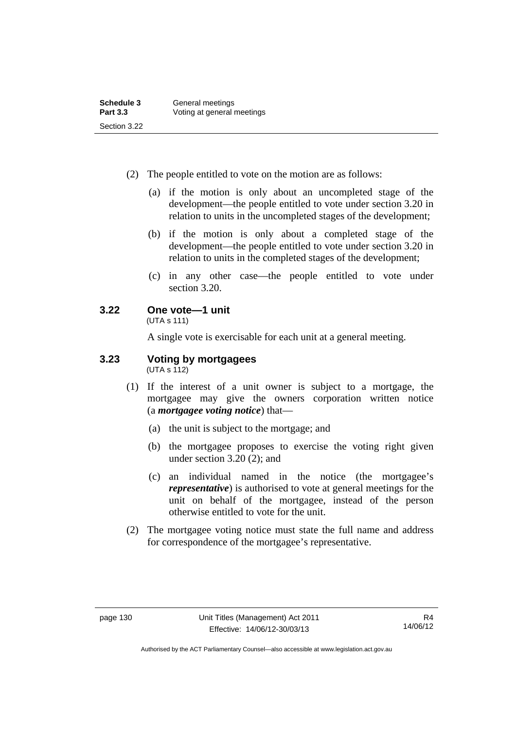- (2) The people entitled to vote on the motion are as follows:
	- (a) if the motion is only about an uncompleted stage of the development—the people entitled to vote under section 3.20 in relation to units in the uncompleted stages of the development;
	- (b) if the motion is only about a completed stage of the development—the people entitled to vote under section 3.20 in relation to units in the completed stages of the development;
	- (c) in any other case—the people entitled to vote under section 3.20.

## **3.22 One vote—1 unit**

(UTA s 111)

A single vote is exercisable for each unit at a general meeting.

#### **3.23 Voting by mortgagees**   $(UTA \ s \ 112)$

- (1) If the interest of a unit owner is subject to a mortgage, the mortgagee may give the owners corporation written notice (a *mortgagee voting notice*) that—
	- (a) the unit is subject to the mortgage; and
	- (b) the mortgagee proposes to exercise the voting right given under section 3.20 (2); and
	- (c) an individual named in the notice (the mortgagee's *representative*) is authorised to vote at general meetings for the unit on behalf of the mortgagee, instead of the person otherwise entitled to vote for the unit.
- (2) The mortgagee voting notice must state the full name and address for correspondence of the mortgagee's representative.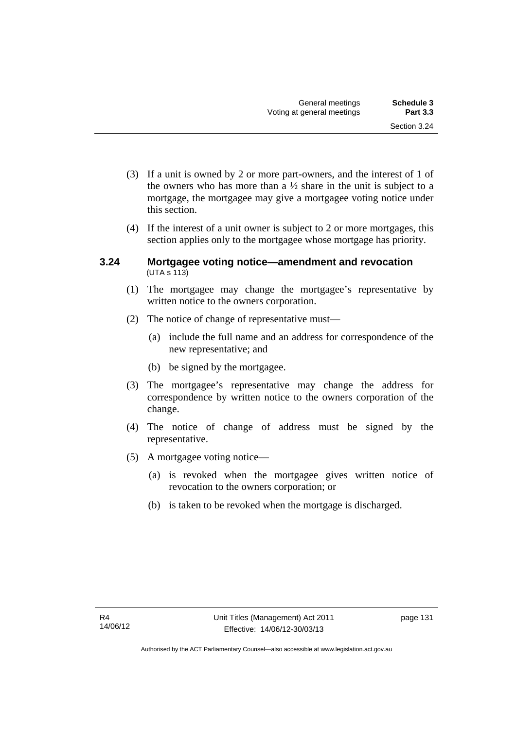- (3) If a unit is owned by 2 or more part-owners, and the interest of 1 of the owners who has more than a  $\frac{1}{2}$  share in the unit is subject to a mortgage, the mortgagee may give a mortgagee voting notice under this section.
- (4) If the interest of a unit owner is subject to 2 or more mortgages, this section applies only to the mortgagee whose mortgage has priority.

#### **3.24 Mortgagee voting notice—amendment and revocation**   $(UTA S 113)$

- (1) The mortgagee may change the mortgagee's representative by written notice to the owners corporation.
- (2) The notice of change of representative must—
	- (a) include the full name and an address for correspondence of the new representative; and
	- (b) be signed by the mortgagee.
- (3) The mortgagee's representative may change the address for correspondence by written notice to the owners corporation of the change.
- (4) The notice of change of address must be signed by the representative.
- (5) A mortgagee voting notice—
	- (a) is revoked when the mortgagee gives written notice of revocation to the owners corporation; or
	- (b) is taken to be revoked when the mortgage is discharged.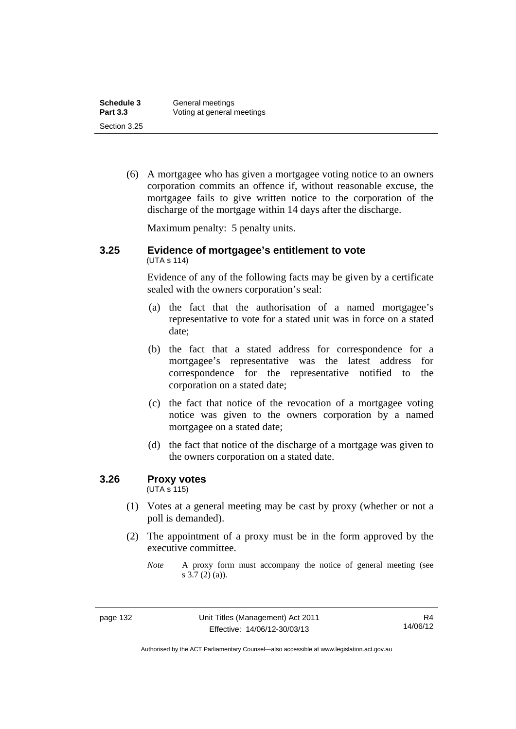| Schedule 3      | General meetings           |
|-----------------|----------------------------|
| <b>Part 3.3</b> | Voting at general meetings |
| Section 3.25    |                            |

 (6) A mortgagee who has given a mortgagee voting notice to an owners corporation commits an offence if, without reasonable excuse, the mortgagee fails to give written notice to the corporation of the discharge of the mortgage within 14 days after the discharge.

Maximum penalty: 5 penalty units.

#### **3.25 Evidence of mortgagee's entitlement to vote**  (UTA s 114)

Evidence of any of the following facts may be given by a certificate sealed with the owners corporation's seal:

- (a) the fact that the authorisation of a named mortgagee's representative to vote for a stated unit was in force on a stated date;
- (b) the fact that a stated address for correspondence for a mortgagee's representative was the latest address for correspondence for the representative notified to the corporation on a stated date;
- (c) the fact that notice of the revocation of a mortgagee voting notice was given to the owners corporation by a named mortgagee on a stated date;
- (d) the fact that notice of the discharge of a mortgage was given to the owners corporation on a stated date.

### **3.26 Proxy votes**

(UTA s 115)

- (1) Votes at a general meeting may be cast by proxy (whether or not a poll is demanded).
- (2) The appointment of a proxy must be in the form approved by the executive committee.

*Note* A proxy form must accompany the notice of general meeting (see s 3.7 (2) (a)).

Authorised by the ACT Parliamentary Counsel—also accessible at www.legislation.act.gov.au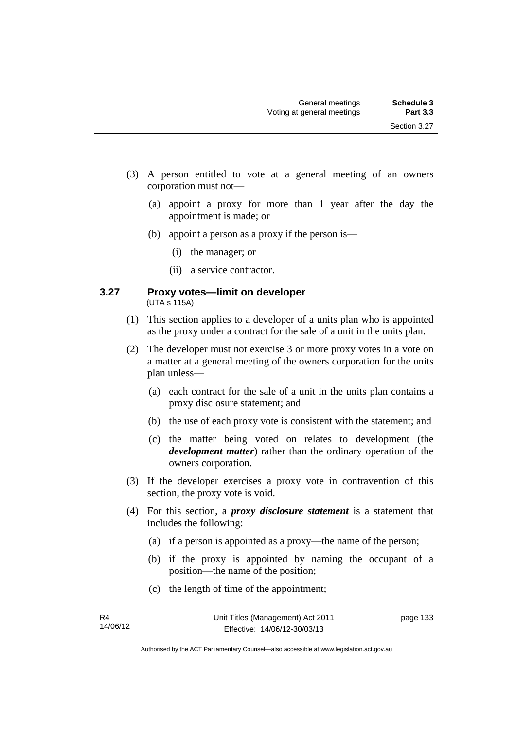- (3) A person entitled to vote at a general meeting of an owners corporation must not—
	- (a) appoint a proxy for more than 1 year after the day the appointment is made; or
	- (b) appoint a person as a proxy if the person is—
		- (i) the manager; or
		- (ii) a service contractor.

#### **3.27 Proxy votes—limit on developer**  (UTA s 115A)

- (1) This section applies to a developer of a units plan who is appointed as the proxy under a contract for the sale of a unit in the units plan.
- (2) The developer must not exercise 3 or more proxy votes in a vote on a matter at a general meeting of the owners corporation for the units plan unless—
	- (a) each contract for the sale of a unit in the units plan contains a proxy disclosure statement; and
	- (b) the use of each proxy vote is consistent with the statement; and
	- (c) the matter being voted on relates to development (the *development matter*) rather than the ordinary operation of the owners corporation.
- (3) If the developer exercises a proxy vote in contravention of this section, the proxy vote is void.
- (4) For this section, a *proxy disclosure statement* is a statement that includes the following:
	- (a) if a person is appointed as a proxy—the name of the person;
	- (b) if the proxy is appointed by naming the occupant of a position—the name of the position;
	- (c) the length of time of the appointment;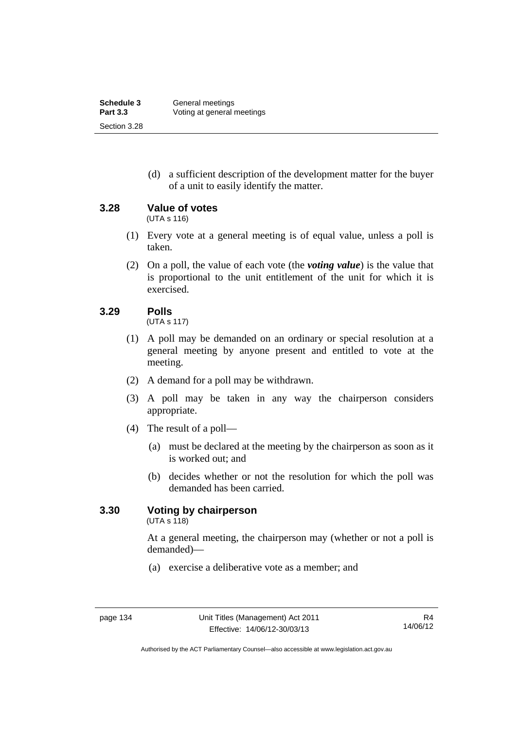(d) a sufficient description of the development matter for the buyer of a unit to easily identify the matter.

**3.28 Value of votes** 

(UTA s 116)

- (1) Every vote at a general meeting is of equal value, unless a poll is taken.
- (2) On a poll, the value of each vote (the *voting value*) is the value that is proportional to the unit entitlement of the unit for which it is exercised.

# **3.29 Polls**

(UTA s 117)

- (1) A poll may be demanded on an ordinary or special resolution at a general meeting by anyone present and entitled to vote at the meeting.
- (2) A demand for a poll may be withdrawn.
- (3) A poll may be taken in any way the chairperson considers appropriate.
- (4) The result of a poll—
	- (a) must be declared at the meeting by the chairperson as soon as it is worked out; and
	- (b) decides whether or not the resolution for which the poll was demanded has been carried.

# **3.30 Voting by chairperson**

 $(UTA s 118)$ 

At a general meeting, the chairperson may (whether or not a poll is demanded)—

(a) exercise a deliberative vote as a member; and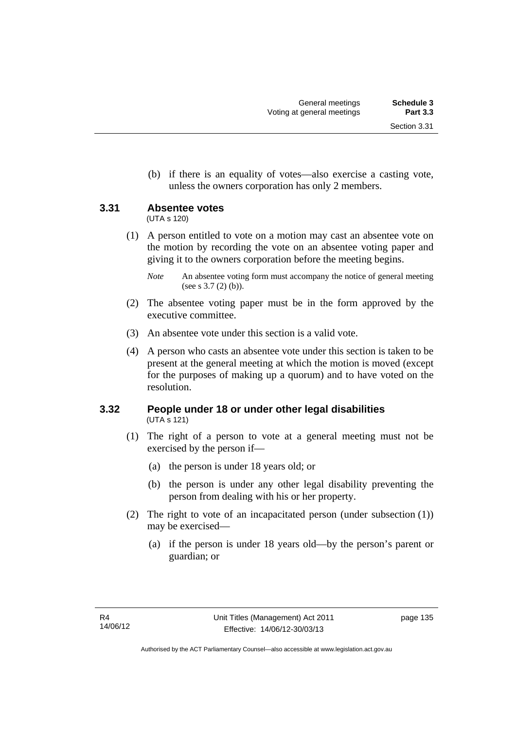(b) if there is an equality of votes—also exercise a casting vote, unless the owners corporation has only 2 members.

# **3.31 Absentee votes**

(UTA s 120)

 (1) A person entitled to vote on a motion may cast an absentee vote on the motion by recording the vote on an absentee voting paper and giving it to the owners corporation before the meeting begins.

- (2) The absentee voting paper must be in the form approved by the executive committee.
- (3) An absentee vote under this section is a valid vote.
- (4) A person who casts an absentee vote under this section is taken to be present at the general meeting at which the motion is moved (except for the purposes of making up a quorum) and to have voted on the resolution.

# **3.32 People under 18 or under other legal disabilities**  (UTA s 121)

- (1) The right of a person to vote at a general meeting must not be exercised by the person if—
	- (a) the person is under 18 years old; or
	- (b) the person is under any other legal disability preventing the person from dealing with his or her property.
- (2) The right to vote of an incapacitated person (under subsection (1)) may be exercised—
	- (a) if the person is under 18 years old—by the person's parent or guardian; or

*Note* An absentee voting form must accompany the notice of general meeting (see s 3.7 (2) (b)).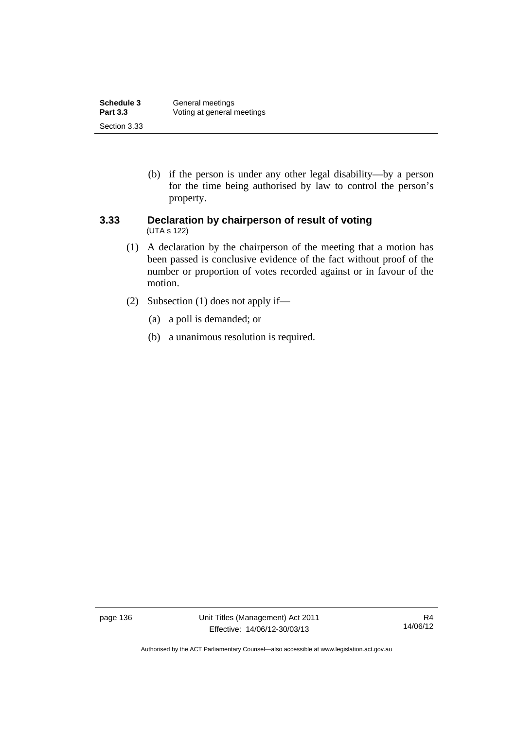| Schedule 3      | General meetings           |
|-----------------|----------------------------|
| <b>Part 3.3</b> | Voting at general meetings |
| Section 3.33    |                            |

 (b) if the person is under any other legal disability—by a person for the time being authorised by law to control the person's property.

#### **3.33 Declaration by chairperson of result of voting**  (UTA s 122)

- (1) A declaration by the chairperson of the meeting that a motion has been passed is conclusive evidence of the fact without proof of the number or proportion of votes recorded against or in favour of the motion.
- (2) Subsection (1) does not apply if—
	- (a) a poll is demanded; or
	- (b) a unanimous resolution is required.

page 136 Unit Titles (Management) Act 2011 Effective: 14/06/12-30/03/13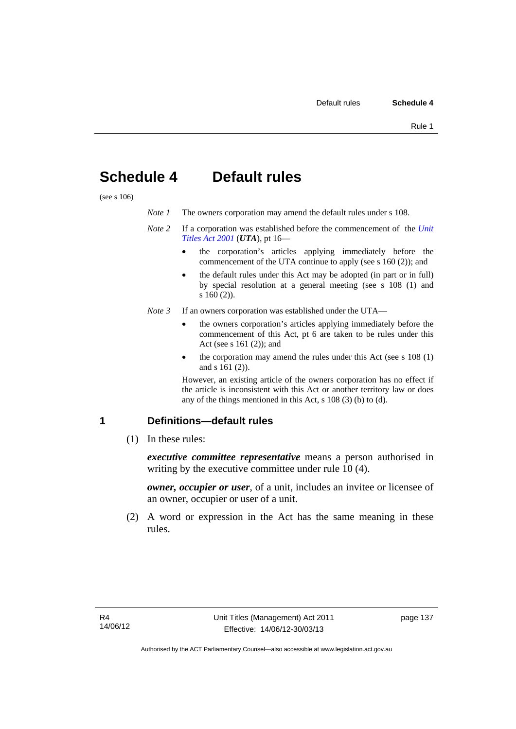# **Schedule 4 Default rules**

(see s 106)

| Note 1 | The owners corporation may amend the default rules under s 108.                           |
|--------|-------------------------------------------------------------------------------------------|
|        | <i>Note</i> 2 If a corporation was established before the commencement of the <i>Unit</i> |

# *[Titles Act 2001](http://www.legislation.act.gov.au/a/2001-16)* (*UTA*), pt 16—

- the corporation's articles applying immediately before the commencement of the UTA continue to apply (see s 160 (2)); and
- the default rules under this Act may be adopted (in part or in full) by special resolution at a general meeting (see s 108 (1) and s 160 (2)).
- *Note 3* If an owners corporation was established under the UTA
	- the owners corporation's articles applying immediately before the commencement of this Act, pt 6 are taken to be rules under this Act (see s 161 (2)); and
	- the corporation may amend the rules under this Act (see s 108 (1) and s 161 (2)).

However, an existing article of the owners corporation has no effect if the article is inconsistent with this Act or another territory law or does any of the things mentioned in this Act, s 108 (3) (b) to (d).

# **1 Definitions—default rules**

(1) In these rules:

*executive committee representative* means a person authorised in writing by the executive committee under rule 10 (4).

*owner, occupier or user*, of a unit, includes an invitee or licensee of an owner, occupier or user of a unit.

 (2) A word or expression in the Act has the same meaning in these rules.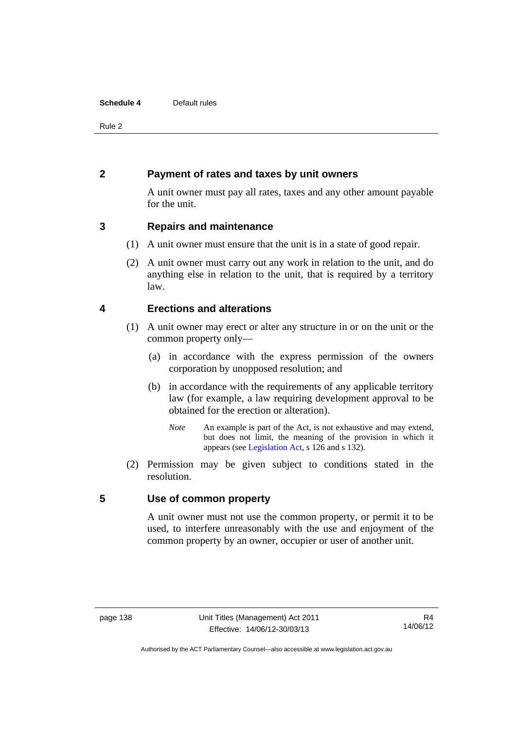#### **Schedule 4** Default rules

Rule 2

# **2 Payment of rates and taxes by unit owners**

A unit owner must pay all rates, taxes and any other amount payable for the unit.

# **3 Repairs and maintenance**

- (1) A unit owner must ensure that the unit is in a state of good repair.
- (2) A unit owner must carry out any work in relation to the unit, and do anything else in relation to the unit, that is required by a territory law.

# **4 Erections and alterations**

- (1) A unit owner may erect or alter any structure in or on the unit or the common property only—
	- (a) in accordance with the express permission of the owners corporation by unopposed resolution; and
	- (b) in accordance with the requirements of any applicable territory law (for example, a law requiring development approval to be obtained for the erection or alteration).
		- *Note* An example is part of the Act, is not exhaustive and may extend, but does not limit, the meaning of the provision in which it appears (see [Legislation Act,](http://www.legislation.act.gov.au/a/2001-14) s 126 and s 132).
- (2) Permission may be given subject to conditions stated in the resolution.

# **5 Use of common property**

A unit owner must not use the common property, or permit it to be used, to interfere unreasonably with the use and enjoyment of the common property by an owner, occupier or user of another unit.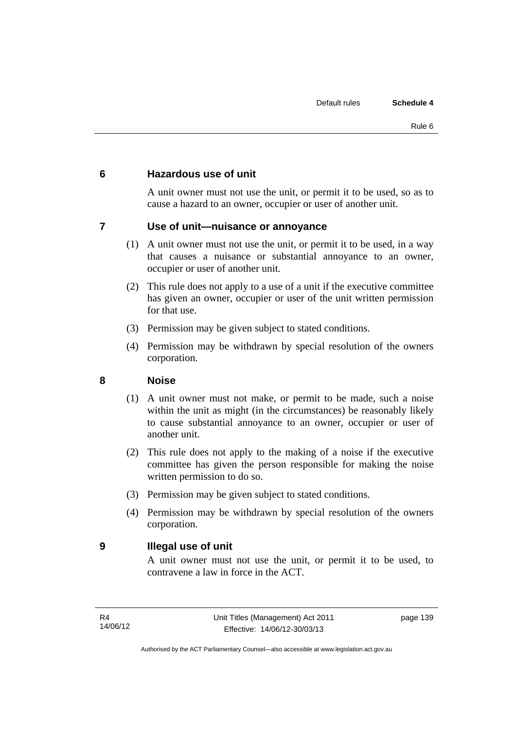# **6 Hazardous use of unit**

A unit owner must not use the unit, or permit it to be used, so as to cause a hazard to an owner, occupier or user of another unit.

# **7 Use of unit—nuisance or annoyance**

- (1) A unit owner must not use the unit, or permit it to be used, in a way that causes a nuisance or substantial annoyance to an owner, occupier or user of another unit.
- (2) This rule does not apply to a use of a unit if the executive committee has given an owner, occupier or user of the unit written permission for that use.
- (3) Permission may be given subject to stated conditions.
- (4) Permission may be withdrawn by special resolution of the owners corporation.

# **8 Noise**

- (1) A unit owner must not make, or permit to be made, such a noise within the unit as might (in the circumstances) be reasonably likely to cause substantial annoyance to an owner, occupier or user of another unit.
- (2) This rule does not apply to the making of a noise if the executive committee has given the person responsible for making the noise written permission to do so.
- (3) Permission may be given subject to stated conditions.
- (4) Permission may be withdrawn by special resolution of the owners corporation.

# **9 Illegal use of unit**

A unit owner must not use the unit, or permit it to be used, to contravene a law in force in the ACT.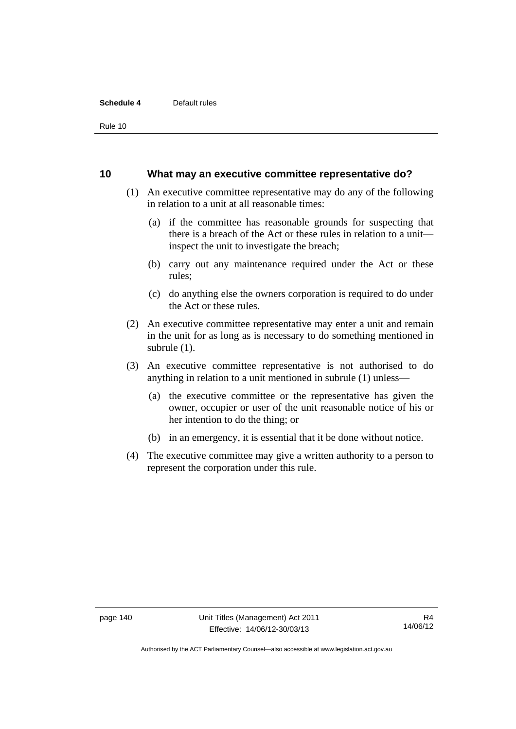#### **Schedule 4** Default rules

Rule 10

#### **10 What may an executive committee representative do?**

- (1) An executive committee representative may do any of the following in relation to a unit at all reasonable times:
	- (a) if the committee has reasonable grounds for suspecting that there is a breach of the Act or these rules in relation to a unit inspect the unit to investigate the breach;
	- (b) carry out any maintenance required under the Act or these rules;
	- (c) do anything else the owners corporation is required to do under the Act or these rules.
- (2) An executive committee representative may enter a unit and remain in the unit for as long as is necessary to do something mentioned in subrule (1).
- (3) An executive committee representative is not authorised to do anything in relation to a unit mentioned in subrule (1) unless—
	- (a) the executive committee or the representative has given the owner, occupier or user of the unit reasonable notice of his or her intention to do the thing; or
	- (b) in an emergency, it is essential that it be done without notice.
- (4) The executive committee may give a written authority to a person to represent the corporation under this rule.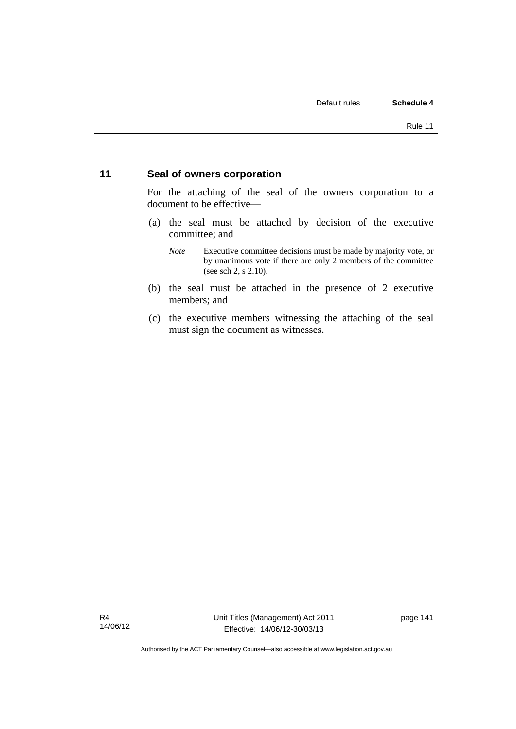# **11 Seal of owners corporation**

For the attaching of the seal of the owners corporation to a document to be effective—

- (a) the seal must be attached by decision of the executive committee; and
	- *Note* Executive committee decisions must be made by majority vote, or by unanimous vote if there are only 2 members of the committee (see sch 2, s 2.10).
- (b) the seal must be attached in the presence of 2 executive members; and
- (c) the executive members witnessing the attaching of the seal must sign the document as witnesses.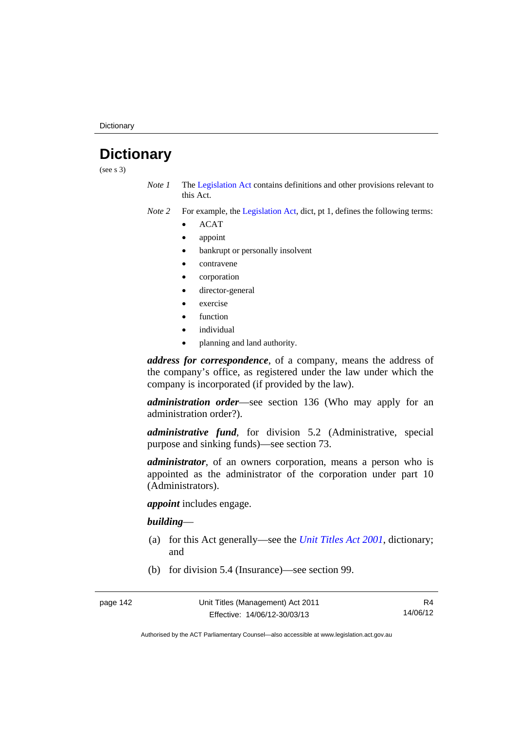# **Dictionary**

(see s 3)

- *Note 1* The [Legislation Act](http://www.legislation.act.gov.au/a/2001-14) contains definitions and other provisions relevant to this Act.
- *Note 2* For example, the [Legislation Act,](http://www.legislation.act.gov.au/a/2001-14) dict, pt 1, defines the following terms:
	- ACAT
	- appoint
	- bankrupt or personally insolvent
	- contravene
	- corporation
	- director-general
	- exercise
	- function
	- individual
	- planning and land authority.

*address for correspondence*, of a company, means the address of the company's office, as registered under the law under which the company is incorporated (if provided by the law).

*administration order*—see section 136 (Who may apply for an administration order?).

*administrative fund*, for division 5.2 (Administrative, special purpose and sinking funds)—see section 73.

*administrator*, of an owners corporation, means a person who is appointed as the administrator of the corporation under part 10 (Administrators).

*appoint* includes engage.

#### *building*—

- (a) for this Act generally—see the *[Unit Titles Act 2001](http://www.legislation.act.gov.au/a/2001-16)*, dictionary; and
- (b) for division 5.4 (Insurance)—see section 99.

R4 14/06/12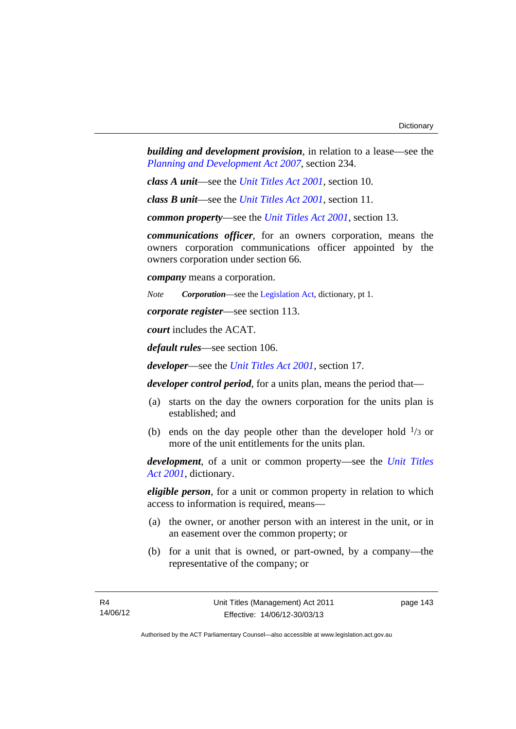*building and development provision*, in relation to a lease—see the *[Planning and Development Act 2007](http://www.legislation.act.gov.au/a/2007-24)*, section 234.

*class A unit*—see the *[Unit Titles Act 2001](http://www.legislation.act.gov.au/a/2001-16)*, section 10.

*class B unit*—see the *[Unit Titles Act 2001](http://www.legislation.act.gov.au/a/2001-16)*, section 11.

*common property*—see the *[Unit Titles Act 2001](http://www.legislation.act.gov.au/a/2001-16)*, section 13.

*communications officer*, for an owners corporation, means the owners corporation communications officer appointed by the owners corporation under section 66.

*company* means a corporation.

*Note Corporation*—see the [Legislation Act,](http://www.legislation.act.gov.au/a/2001-14) dictionary, pt 1.

*corporate register*—see section 113.

*court* includes the ACAT.

*default rules*—see section 106.

*developer*—see the *[Unit Titles Act 2001](http://www.legislation.act.gov.au/a/2001-16)*, section 17.

*developer control period*, for a units plan, means the period that—

- (a) starts on the day the owners corporation for the units plan is established; and
- (b) ends on the day people other than the developer hold  $\frac{1}{3}$  or more of the unit entitlements for the units plan.

*development*, of a unit or common property—see the *[Unit Titles](http://www.legislation.act.gov.au/a/2001-16)  [Act 2001](http://www.legislation.act.gov.au/a/2001-16)*, dictionary.

*eligible person*, for a unit or common property in relation to which access to information is required, means—

- (a) the owner, or another person with an interest in the unit, or in an easement over the common property; or
- (b) for a unit that is owned, or part-owned, by a company—the representative of the company; or

page 143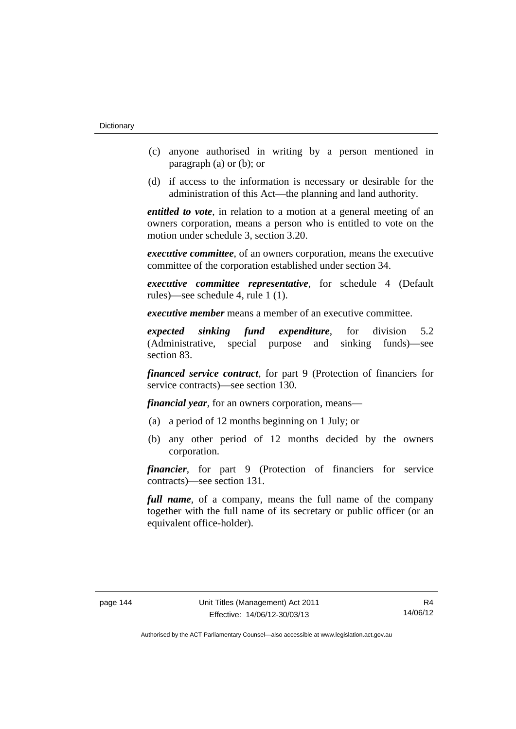- (c) anyone authorised in writing by a person mentioned in paragraph (a) or (b); or
- (d) if access to the information is necessary or desirable for the administration of this Act—the planning and land authority.

*entitled to vote*, in relation to a motion at a general meeting of an owners corporation, means a person who is entitled to vote on the motion under schedule 3, section 3.20.

*executive committee*, of an owners corporation, means the executive committee of the corporation established under section 34.

*executive committee representative*, for schedule 4 (Default rules)—see schedule 4, rule 1 (1).

*executive member* means a member of an executive committee.

*expected sinking fund expenditure*, for division 5.2 (Administrative, special purpose and sinking funds)—see section 83.

*financed service contract*, for part 9 (Protection of financiers for service contracts)—see section 130.

*financial year*, for an owners corporation, means—

- (a) a period of 12 months beginning on 1 July; or
- (b) any other period of 12 months decided by the owners corporation.

*financier*, for part 9 (Protection of financiers for service contracts)—see section 131.

*full name*, of a company, means the full name of the company together with the full name of its secretary or public officer (or an equivalent office-holder).

R4 14/06/12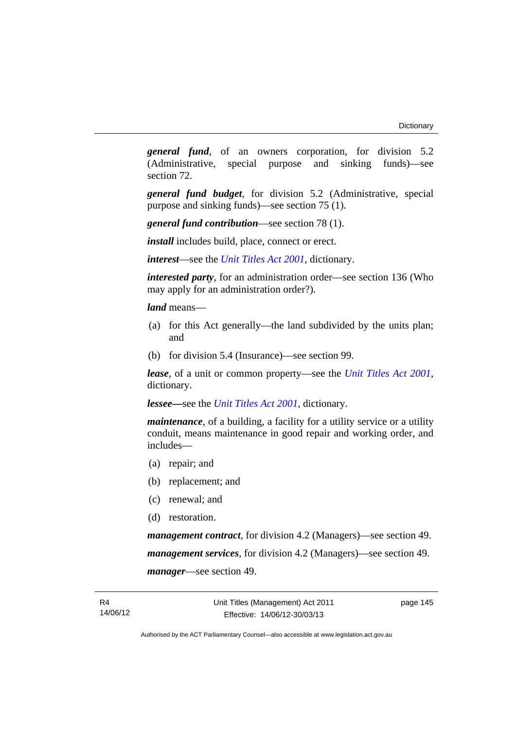*general fund*, of an owners corporation, for division 5.2 (Administrative, special purpose and sinking funds)—see section 72.

*general fund budget*, for division 5.2 (Administrative, special purpose and sinking funds)—see section 75 (1).

*general fund contribution*—see section 78 (1).

*install* includes build, place, connect or erect.

*interest*—see the *[Unit Titles Act 2001](http://www.legislation.act.gov.au/a/2001-16)*, dictionary.

*interested party*, for an administration order—see section 136 (Who may apply for an administration order?).

*land* means—

- (a) for this Act generally—the land subdivided by the units plan; and
- (b) for division 5.4 (Insurance)—see section 99.

*lease*, of a unit or common property—see the *[Unit Titles Act 2001](http://www.legislation.act.gov.au/a/2001-16)*, dictionary.

*lessee—*see the *[Unit Titles Act 2001](http://www.legislation.act.gov.au/a/2001-16)*, dictionary.

*maintenance*, of a building, a facility for a utility service or a utility conduit, means maintenance in good repair and working order, and includes—

- (a) repair; and
- (b) replacement; and
- (c) renewal; and
- (d) restoration.

*management contract*, for division 4.2 (Managers)—see section 49. *management services*, for division 4.2 (Managers)—see section 49. *manager*—see section 49.

page 145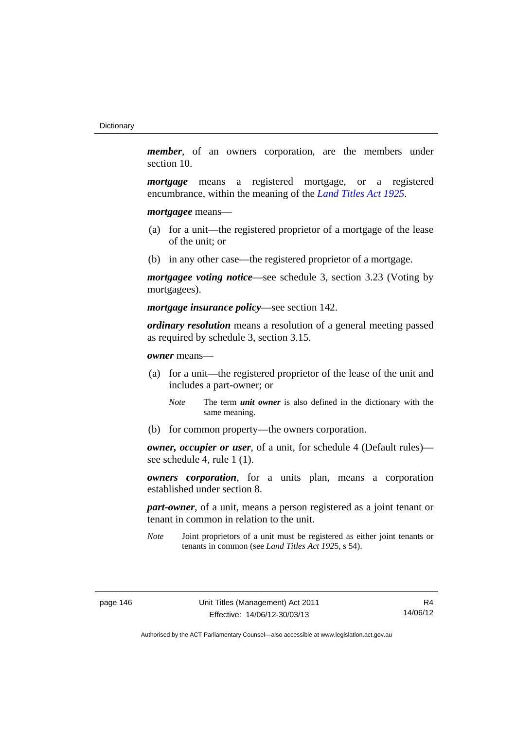*member*, of an owners corporation, are the members under section 10.

*mortgage* means a registered mortgage, or a registered encumbrance, within the meaning of the *[Land Titles Act 1925](http://www.legislation.act.gov.au/a/1925-1)*.

*mortgagee* means—

- (a) for a unit—the registered proprietor of a mortgage of the lease of the unit; or
- (b) in any other case—the registered proprietor of a mortgage.

*mortgagee voting notice*—see schedule 3, section 3.23 (Voting by mortgagees).

*mortgage insurance policy*—see section 142.

*ordinary resolution* means a resolution of a general meeting passed as required by schedule 3, section 3.15.

*owner* means—

- (a) for a unit—the registered proprietor of the lease of the unit and includes a part-owner; or
	- *Note* The term *unit owner* is also defined in the dictionary with the same meaning.
- (b) for common property—the owners corporation.

*owner, occupier or user*, of a unit, for schedule 4 (Default rules) see schedule 4, rule 1 (1).

*owners corporation*, for a units plan, means a corporation established under section 8.

*part-owner*, of a unit, means a person registered as a joint tenant or tenant in common in relation to the unit.

*Note* Joint proprietors of a unit must be registered as either joint tenants or tenants in common (see *Land Titles Act 192*5, s 54).

R4 14/06/12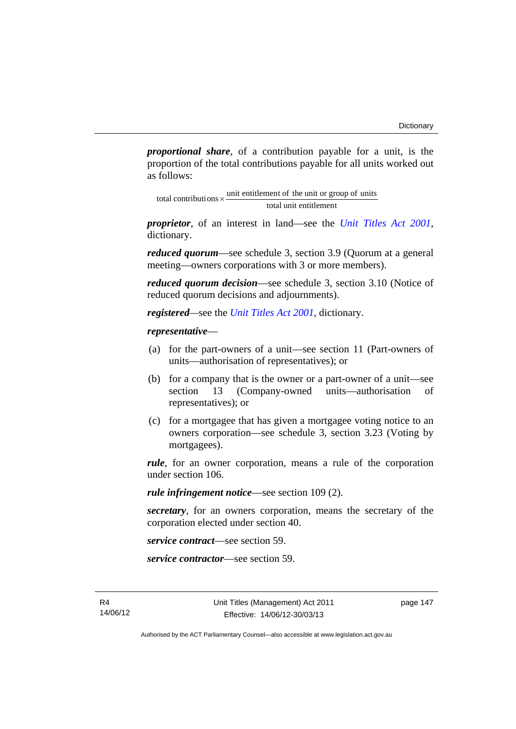*proportional share*, of a contribution payable for a unit, is the proportion of the total contributions payable for all units worked out as follows:

total unit entitlement total contributions  $\times$  unit entitlement of the unit or group of units

*proprietor*, of an interest in land—see the *[Unit Titles Act 2001](http://www.legislation.act.gov.au/a/2001-16)*, dictionary.

*reduced quorum*—see schedule 3, section 3.9 (Quorum at a general meeting—owners corporations with 3 or more members).

*reduced quorum decision*—see schedule 3, section 3.10 (Notice of reduced quorum decisions and adjournments).

*registered—*see the *[Unit Titles Act 2001](http://www.legislation.act.gov.au/a/2001-16)*, dictionary.

#### *representative*—

- (a) for the part-owners of a unit—see section 11 (Part-owners of units—authorisation of representatives); or
- (b) for a company that is the owner or a part-owner of a unit—see section 13 (Company-owned units—authorisation of representatives); or
- (c) for a mortgagee that has given a mortgagee voting notice to an owners corporation—see schedule 3, section 3.23 (Voting by mortgagees).

*rule*, for an owner corporation, means a rule of the corporation under section 106.

*rule infringement notice*—see section 109 (2).

*secretary*, for an owners corporation, means the secretary of the corporation elected under section 40.

*service contract*—see section 59.

*service contractor*—see section 59.

page 147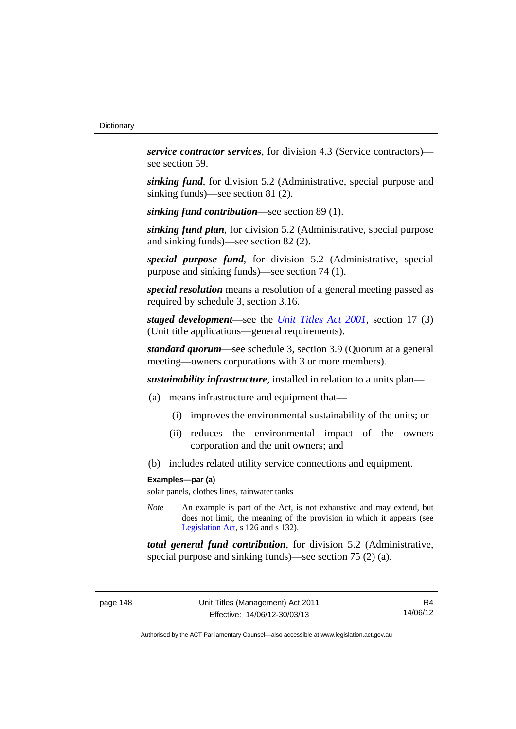*service contractor services*, for division 4.3 (Service contractors) see section 59.

*sinking fund*, for division 5.2 (Administrative, special purpose and sinking funds)—see section 81 (2).

*sinking fund contribution*—see section 89 (1).

*sinking fund plan*, for division 5.2 (Administrative, special purpose and sinking funds)—see section 82 (2).

*special purpose fund*, for division 5.2 (Administrative, special purpose and sinking funds)—see section 74 (1).

*special resolution* means a resolution of a general meeting passed as required by schedule 3, section 3.16.

*staged development*—see the *[Unit Titles Act 2001](http://www.legislation.act.gov.au/a/2001-16)*, section 17 (3) (Unit title applications—general requirements).

*standard quorum*—see schedule 3, section 3.9 (Quorum at a general meeting—owners corporations with 3 or more members).

*sustainability infrastructure*, installed in relation to a units plan—

- (a) means infrastructure and equipment that—
	- (i) improves the environmental sustainability of the units; or
	- (ii) reduces the environmental impact of the owners corporation and the unit owners; and
- (b) includes related utility service connections and equipment.

#### **Examples—par (a)**

solar panels, clothes lines, rainwater tanks

*Note* An example is part of the Act, is not exhaustive and may extend, but does not limit, the meaning of the provision in which it appears (see [Legislation Act,](http://www.legislation.act.gov.au/a/2001-14) s 126 and s 132).

*total general fund contribution*, for division 5.2 (Administrative, special purpose and sinking funds)—see section 75 (2) (a).

R4 14/06/12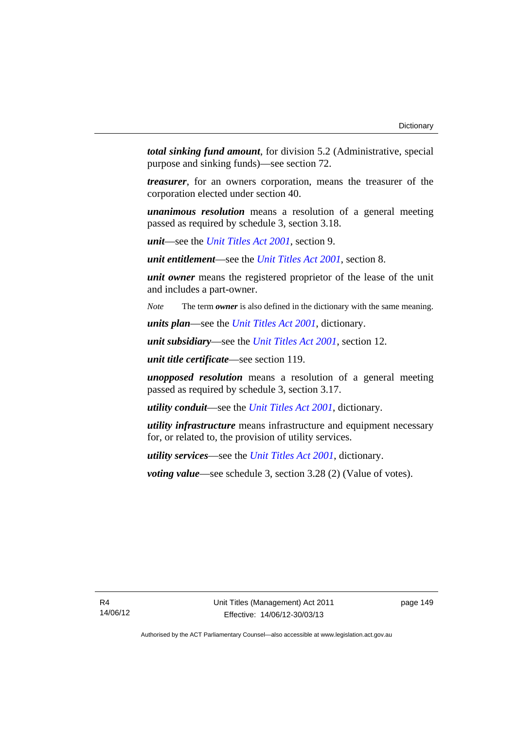*total sinking fund amount*, for division 5.2 (Administrative, special purpose and sinking funds)—see section 72.

*treasurer*, for an owners corporation, means the treasurer of the corporation elected under section 40.

*unanimous resolution* means a resolution of a general meeting passed as required by schedule 3, section 3.18.

*unit*—see the *[Unit Titles Act 2001](http://www.legislation.act.gov.au/a/2001-16)*, section 9.

*unit entitlement*—see the *[Unit Titles Act 2001](http://www.legislation.act.gov.au/a/2001-16)*, section 8.

*unit owner* means the registered proprietor of the lease of the unit and includes a part-owner.

*Note* The term *owner* is also defined in the dictionary with the same meaning.

*units plan*—see the *[Unit Titles Act 2001](http://www.legislation.act.gov.au/a/2001-16)*, dictionary.

*unit subsidiary*—see the *[Unit Titles Act 2001](http://www.legislation.act.gov.au/a/2001-16)*, section 12.

*unit title certificate*—see section 119.

*unopposed resolution* means a resolution of a general meeting passed as required by schedule 3, section 3.17.

*utility conduit*—see the *[Unit Titles Act 2001](http://www.legislation.act.gov.au/a/2001-16)*, dictionary.

*utility infrastructure* means infrastructure and equipment necessary for, or related to, the provision of utility services.

*utility services*—see the *[Unit Titles Act 2001](http://www.legislation.act.gov.au/a/2001-16)*, dictionary.

*voting value*—see schedule 3, section 3.28 (2) (Value of votes).

page 149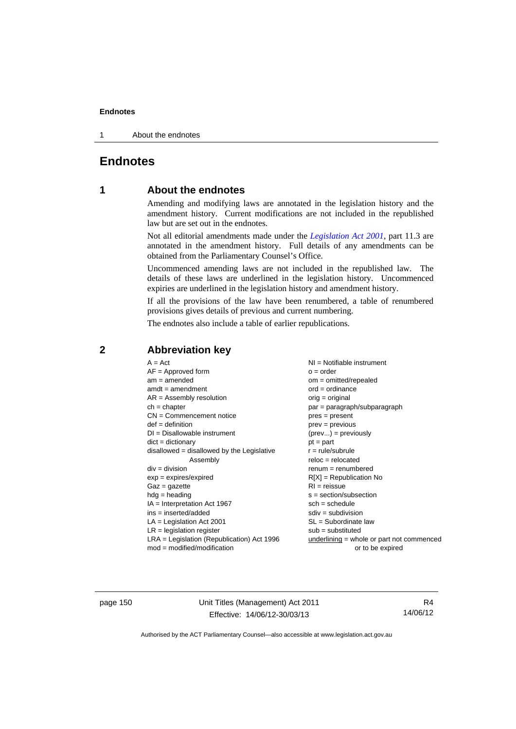1 About the endnotes

# **Endnotes**

# **1 About the endnotes**

Amending and modifying laws are annotated in the legislation history and the amendment history. Current modifications are not included in the republished law but are set out in the endnotes.

Not all editorial amendments made under the *[Legislation Act 2001](http://www.legislation.act.gov.au/a/2001-14)*, part 11.3 are annotated in the amendment history. Full details of any amendments can be obtained from the Parliamentary Counsel's Office.

Uncommenced amending laws are not included in the republished law. The details of these laws are underlined in the legislation history. Uncommenced expiries are underlined in the legislation history and amendment history.

If all the provisions of the law have been renumbered, a table of renumbered provisions gives details of previous and current numbering.

The endnotes also include a table of earlier republications.

|                                                   | $A = Act$<br>$AF =$ Approved form<br>$am = amended$<br>$amdt = amendment$<br>$AR = Assembly resolution$<br>$ch = chapter$<br>$CN =$ Commencement notice<br>$def = definition$<br>$DI = Disallowable instrument$<br>$dict = dictionary$<br>$disallowed = disallowed by the Legislative$<br>Assembly<br>$div = division$<br>$exp = expires/expired$<br>$Gaz = gazette$<br>$hdg = heading$<br>$IA = Interpretation Act 1967$<br>$ins = inserted/added$<br>$LA =$ Legislation Act 2001<br>$LR =$ legislation register | NI = Notifiable instrument<br>$o = order$<br>$om = omitted/repealed$<br>$ord = ordinance$<br>$orig = original$<br>par = paragraph/subparagraph<br>$pres = present$<br>$prev = previous$<br>$(\text{prev}) = \text{previously}$<br>$pt = part$<br>$r = rule/subrule$<br>$reloc = relocated$<br>$remum = renumbered$<br>$R[X]$ = Republication No<br>$RI = reissue$<br>$s = section/subsection$<br>$sch = schedule$<br>$sdiv = subdivision$<br>$SL = Subordinate$ law<br>$sub =$ substituted |
|---------------------------------------------------|-------------------------------------------------------------------------------------------------------------------------------------------------------------------------------------------------------------------------------------------------------------------------------------------------------------------------------------------------------------------------------------------------------------------------------------------------------------------------------------------------------------------|--------------------------------------------------------------------------------------------------------------------------------------------------------------------------------------------------------------------------------------------------------------------------------------------------------------------------------------------------------------------------------------------------------------------------------------------------------------------------------------------|
| $mod = modified/modification$<br>or to be expired | $LRA =$ Legislation (Republication) Act 1996                                                                                                                                                                                                                                                                                                                                                                                                                                                                      | $underlining = whole or part not commenced$                                                                                                                                                                                                                                                                                                                                                                                                                                                |

# **2 Abbreviation key**

page 150 Unit Titles (Management) Act 2011 Effective: 14/06/12-30/03/13

R4 14/06/12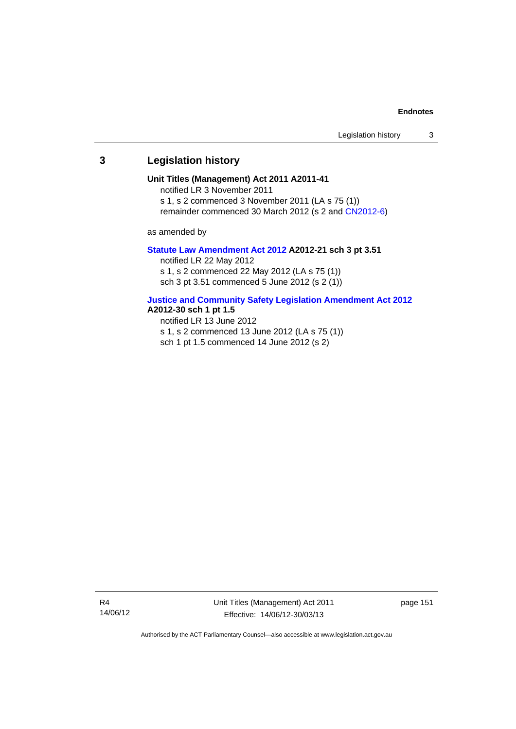## **3 Legislation history**

#### **Unit Titles (Management) Act 2011 A2011-41**

notified LR 3 November 2011

s 1, s 2 commenced 3 November 2011 (LA s 75 (1))

remainder commenced 30 March 2012 (s 2 and [CN2012-6](http://www.legislation.act.gov.au/cn/2012-6/default.asp))

as amended by

#### **[Statute Law Amendment Act 2012](http://www.legislation.act.gov.au/a/2012-21) A2012-21 sch 3 pt 3.51**

notified LR 22 May 2012 s 1, s 2 commenced 22 May 2012 (LA s 75 (1)) sch 3 pt 3.51 commenced 5 June 2012 (s 2 (1))

#### **[Justice and Community Safety Legislation Amendment Act 2012](http://www.legislation.act.gov.au/a/2012-13)**

#### **A2012-30 sch 1 pt 1.5**

notified LR 13 June 2012

- s 1, s 2 commenced 13 June 2012 (LA s 75 (1))
- sch 1 pt 1.5 commenced 14 June 2012 (s 2)

Unit Titles (Management) Act 2011 Effective: 14/06/12-30/03/13

page 151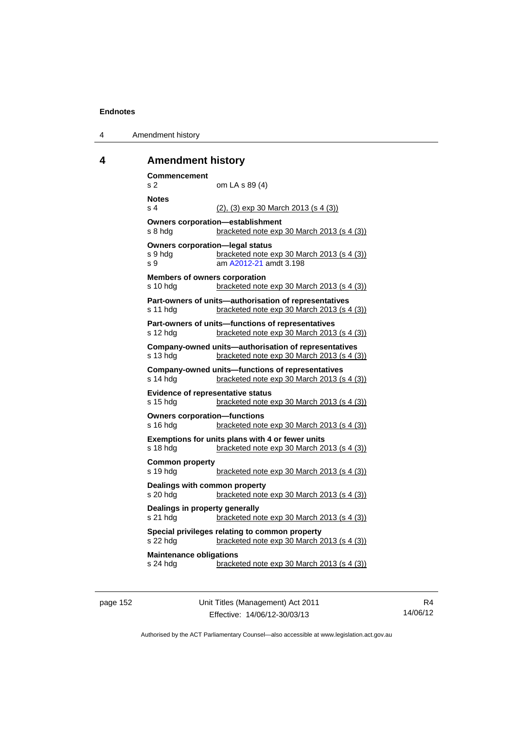| 4 | Amendment history |
|---|-------------------|
|---|-------------------|

# **4 Amendment history**

| <b>Commencement</b><br>s <sub>2</sub>                               | om LA s 89 (4)                                                                                        |
|---------------------------------------------------------------------|-------------------------------------------------------------------------------------------------------|
| <b>Notes</b><br>s <sub>4</sub>                                      | $(2)$ , $(3)$ exp 30 March 2013 (s 4 $(3)$ )                                                          |
| s 8 hdg                                                             | <b>Owners corporation-establishment</b><br>bracketed note exp 30 March 2013 (s 4 (3))                 |
| <b>Owners corporation-legal status</b><br>s 9 hda<br>S <sub>9</sub> | bracketed note exp 30 March 2013 (s 4 (3))<br>am A2012-21 amdt 3.198                                  |
| <b>Members of owners corporation</b><br>s 10 hdg                    | bracketed note exp 30 March 2013 (s 4 (3))                                                            |
| s 11 hdg                                                            | Part-owners of units-authorisation of representatives<br>bracketed note exp 30 March 2013 (s 4 (3))   |
| s 12 hdg                                                            | Part-owners of units-functions of representatives<br>bracketed note exp 30 March 2013 (s 4 (3))       |
| s 13 hdg                                                            | Company-owned units-authorisation of representatives<br>bracketed note exp 30 March 2013 (s 4 (3))    |
| s 14 hda                                                            | <b>Company-owned units-functions of representatives</b><br>bracketed note exp 30 March 2013 (s 4 (3)) |
| <b>Evidence of representative status</b><br>s 15 hdg                | bracketed note exp 30 March 2013 (s 4 (3))                                                            |
| <b>Owners corporation-functions</b><br>s 16 hdg                     | bracketed note exp 30 March 2013 (s 4 (3))                                                            |
| s 18 hdg                                                            | Exemptions for units plans with 4 or fewer units<br>bracketed note exp 30 March 2013 (s 4 (3))        |
| <b>Common property</b><br>s 19 hdg                                  | bracketed note exp 30 March 2013 (s 4 (3))                                                            |
| Dealings with common property<br>s 20 hdg                           | bracketed note exp 30 March 2013 (s 4 (3))                                                            |
| Dealings in property generally<br>s 21 hdg                          | bracketed note exp 30 March 2013 (s 4 (3))                                                            |
| s 22 hdg                                                            | Special privileges relating to common property<br>bracketed note exp 30 March 2013 (s 4 (3))          |
| <b>Maintenance obligations</b><br>s 24 hdg                          | bracketed note exp 30 March 2013 (s 4 (3))                                                            |

page 152 Unit Titles (Management) Act 2011 Effective: 14/06/12-30/03/13

R4 14/06/12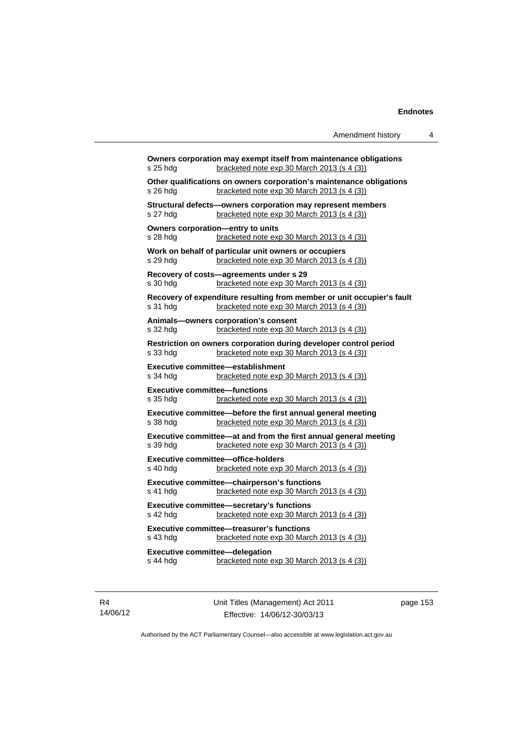| s 25 hdg                                          | Owners corporation may exempt itself from maintenance obligations<br>bracketed note exp 30 March 2013 (s 4 (3))      |
|---------------------------------------------------|----------------------------------------------------------------------------------------------------------------------|
| s 26 hda                                          | Other qualifications on owners corporation's maintenance obligations<br>bracketed note exp 30 March 2013 (s 4 (3))   |
| s 27 hdg                                          | Structural defects-owners corporation may represent members<br>bracketed note exp 30 March 2013 (s 4 (3))            |
| s 28 hda                                          | Owners corporation-entry to units<br>bracketed note exp 30 March 2013 (s 4 (3))                                      |
| s 29 hdg                                          | Work on behalf of particular unit owners or occupiers<br>bracketed note exp 30 March 2013 (s 4 (3))                  |
| s 30 hda                                          | Recovery of costs-agreements under s 29<br>bracketed note exp 30 March 2013 (s 4 (3))                                |
| s 31 hda                                          | Recovery of expenditure resulting from member or unit occupier's fault<br>bracketed note exp 30 March 2013 (s 4 (3)) |
| s 32 hdg                                          | Animals-owners corporation's consent<br>bracketed note exp 30 March 2013 (s 4 (3))                                   |
| s 33 hdg                                          | Restriction on owners corporation during developer control period<br>bracketed note exp 30 March 2013 (s 4 (3))      |
| s 34 hdg                                          | Executive committee-establishment<br>bracketed note exp 30 March 2013 (s 4 (3))                                      |
| <b>Executive committee-functions</b><br>s 35 hda  | bracketed note $exp 30$ March 2013 (s 4 (3))                                                                         |
| s 38 hdg                                          | Executive committee-before the first annual general meeting<br>bracketed note exp 30 March 2013 (s 4 (3))            |
| s 39 hda                                          | Executive committee—at and from the first annual general meeting<br>bracketed note exp 30 March 2013 (s 4 (3))       |
| s 40 hdg                                          | <b>Executive committee-office-holders</b><br>bracketed note exp 30 March 2013 (s 4 (3))                              |
| s 41 hda                                          | Executive committee-chairperson's functions<br>bracketed note exp 30 March 2013 (s 4 (3))                            |
| s 42 hdg                                          | Executive committee-secretary's functions<br>bracketed note exp 30 March 2013 (s 4 (3))                              |
| s 43 hdg                                          | <b>Executive committee-treasurer's functions</b><br>bracketed note exp 30 March 2013 (s 4 (3))                       |
| <b>Executive committee-delegation</b><br>s 44 hdg | bracketed note exp 30 March 2013 (s 4 (3))                                                                           |
|                                                   |                                                                                                                      |

R4 14/06/12 Unit Titles (Management) Act 2011 Effective: 14/06/12-30/03/13

page 153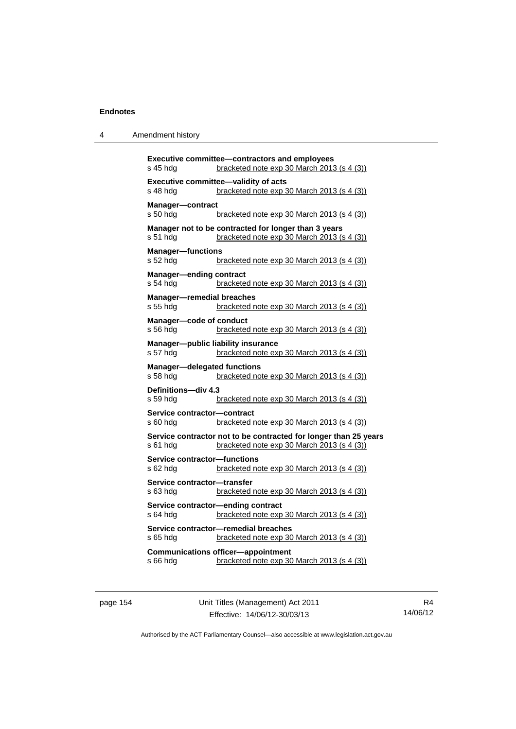| 4 | Amendment history |
|---|-------------------|
|---|-------------------|

| <b>Executive committee-contractors and employees</b><br>bracketed note exp 30 March 2013 (s 4 (3))<br>s 45 hda             |
|----------------------------------------------------------------------------------------------------------------------------|
| Executive committee-validity of acts<br>bracketed note exp 30 March 2013 (s 4 (3))<br>s 48 hda                             |
| Manager-contract<br>s 50 hdg<br>bracketed note exp 30 March 2013 (s 4 (3))                                                 |
| Manager not to be contracted for longer than 3 years<br>bracketed note exp 30 March 2013 (s 4 (3))<br>s 51 hdg             |
| <b>Manager-functions</b><br>s 52 hdg<br>bracketed note exp 30 March 2013 (s 4 (3))                                         |
| <b>Manager-ending contract</b><br>bracketed note exp 30 March 2013 (s 4 (3))<br>s 54 hda                                   |
| <b>Manager-remedial breaches</b><br>s 55 hda<br>bracketed note exp 30 March 2013 (s 4 (3))                                 |
| Manager-code of conduct<br>s 56 hdg<br>bracketed note exp 30 March 2013 (s 4 (3))                                          |
| Manager-public liability insurance<br>s 57 hdg<br>bracketed note exp 30 March 2013 (s 4 (3))                               |
| <b>Manager-delegated functions</b><br>bracketed note exp 30 March 2013 (s 4 (3))<br>s 58 hdg                               |
| Definitions-div 4.3<br>bracketed note exp 30 March 2013 (s 4 (3))<br>s 59 hdg                                              |
| Service contractor-contract<br>s 60 hdg<br>bracketed note exp 30 March 2013 (s 4 (3))                                      |
| Service contractor not to be contracted for longer than 25 years<br>s 61 hdg<br>bracketed note exp 30 March 2013 (s 4 (3)) |
| <b>Service contractor-functions</b><br>s 62 hdg<br>bracketed note exp 30 March 2013 (s 4 (3))                              |
| Service contractor-transfer<br>s 63 hdg<br>bracketed note exp 30 March 2013 (s 4 (3))                                      |
| Service contractor-ending contract<br>s 64 hdg<br>bracketed note exp 30 March 2013 (s 4 (3))                               |
| Service contractor-remedial breaches<br>s 65 hda<br>bracketed note exp 30 March 2013 (s 4 (3))                             |
| <b>Communications officer-appointment</b><br>s 66 hdg<br>bracketed note exp 30 March 2013 (s 4 (3))                        |

page 154 Unit Titles (Management) Act 2011 Effective: 14/06/12-30/03/13

R4 14/06/12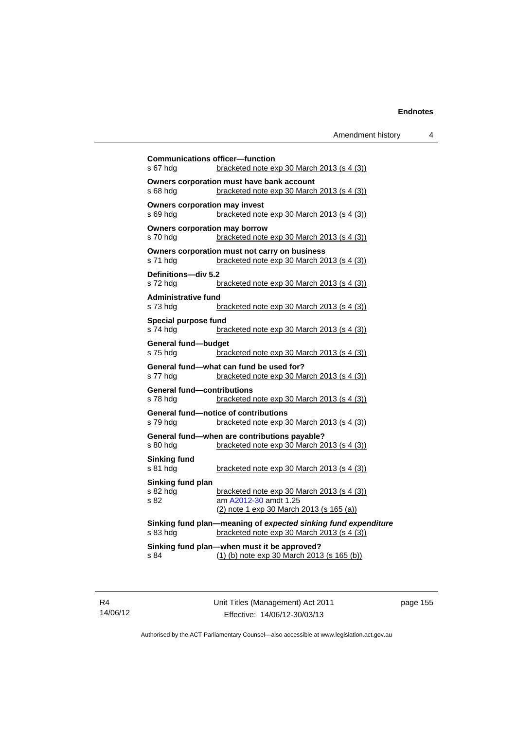|                                               | <b>Communications officer-function</b>                                                                       |
|-----------------------------------------------|--------------------------------------------------------------------------------------------------------------|
| s 67 hda                                      | bracketed note exp 30 March 2013 (s 4 (3))                                                                   |
| s 68 hda                                      | Owners corporation must have bank account<br>bracketed note exp 30 March 2013 (s 4 (3))                      |
| <b>Owners corporation may invest</b>          |                                                                                                              |
| s 69 hdg                                      | bracketed note exp 30 March 2013 (s 4 (3))                                                                   |
| <b>Owners corporation may borrow</b>          |                                                                                                              |
| s 70 hda                                      | bracketed note exp 30 March 2013 (s 4 (3))                                                                   |
| s 71 hdg                                      | Owners corporation must not carry on business<br>bracketed note exp 30 March 2013 (s 4 (3))                  |
| Definitions-div 5.2                           |                                                                                                              |
| s 72 hdq                                      | bracketed note $exp 30$ March 2013 (s 4 (3))                                                                 |
| <b>Administrative fund</b>                    |                                                                                                              |
| s 73 hdg                                      | bracketed note exp 30 March 2013 (s 4 (3))                                                                   |
| Special purpose fund<br>s 74 hdg              | bracketed note exp 30 March 2013 (s 4 (3))                                                                   |
|                                               |                                                                                                              |
| General fund-budget<br>s 75 hdg               | bracketed note exp 30 March 2013 (s 4 (3))                                                                   |
|                                               | General fund-what can fund be used for?                                                                      |
| s 77 hdg                                      | bracketed note $exp 30$ March 2013 (s 4 (3))                                                                 |
| <b>General fund-contributions</b><br>s 78 hdg | bracketed note exp 30 March 2013 (s 4 (3))                                                                   |
|                                               | <b>General fund-notice of contributions</b>                                                                  |
| s 79 hdg                                      | bracketed note exp 30 March 2013 (s 4 (3))                                                                   |
|                                               | General fund-when are contributions payable?                                                                 |
| s 80 hdg                                      | bracketed note exp 30 March 2013 (s 4 (3))                                                                   |
| Sinking fund                                  |                                                                                                              |
| s 81 hdg                                      | bracketed note $exp 30$ March 2013 (s 4 (3))                                                                 |
| Sinking fund plan                             |                                                                                                              |
| s 82 hdg<br>s 82                              | bracketed note exp 30 March 2013 (s 4 (3))<br>am A2012-30 amdt 1.25                                          |
|                                               | (2) note 1 exp 30 March 2013 (s 165 (a))                                                                     |
| s 83 hdg                                      | Sinking fund plan-meaning of expected sinking fund expenditure<br>bracketed note exp 30 March 2013 (s 4 (3)) |
|                                               | Sinking fund plan-when must it be approved?                                                                  |
| s 84                                          | $(1)$ (b) note exp 30 March 2013 (s 165 (b))                                                                 |
|                                               |                                                                                                              |

Unit Titles (Management) Act 2011 Effective: 14/06/12-30/03/13

page 155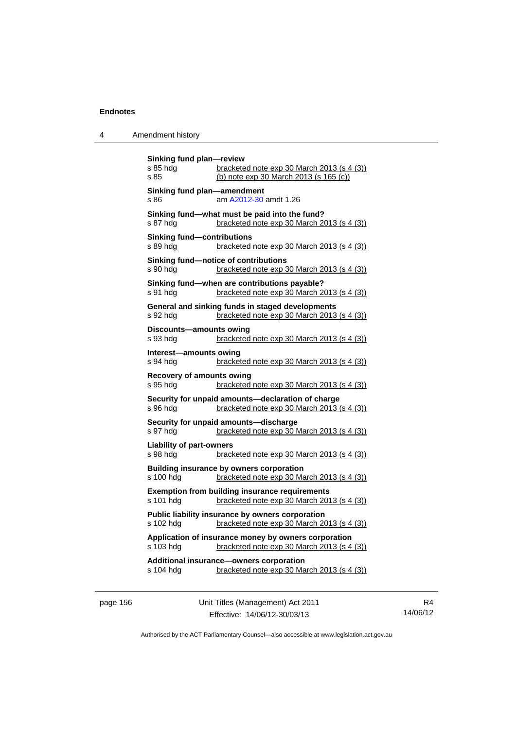| Amendment history |
|-------------------|
|                   |

| Sinking fund plan-review<br>s 85 hdg<br>s 85  | bracketed note exp 30 March 2013 (s 4 (3))<br>(b) note exp 30 March 2013 (s 165 (c))                |
|-----------------------------------------------|-----------------------------------------------------------------------------------------------------|
| Sinking fund plan-amendment<br>s 86           | am A2012-30 amdt 1.26                                                                               |
| s 87 hdg                                      | Sinking fund-what must be paid into the fund?<br>bracketed note exp 30 March 2013 (s 4 (3))         |
| <b>Sinking fund-contributions</b><br>s 89 hda | bracketed note exp 30 March 2013 (s 4 (3))                                                          |
| s 90 hdg                                      | Sinking fund-notice of contributions<br>bracketed note exp 30 March 2013 (s 4 (3))                  |
| s 91 hdg                                      | Sinking fund-when are contributions payable?<br>bracketed note exp 30 March 2013 (s 4 (3))          |
| s 92 hda                                      | General and sinking funds in staged developments<br>bracketed note exp 30 March 2013 (s 4 (3))      |
| Discounts-amounts owing<br>s 93 hda           | bracketed note exp 30 March 2013 (s 4 (3))                                                          |
| Interest-amounts owing<br>s 94 hda            | bracketed note exp 30 March 2013 (s 4 (3))                                                          |
| <b>Recovery of amounts owing</b><br>s 95 hdg  | bracketed note exp 30 March 2013 (s 4 (3))                                                          |
| s 96 hdg                                      | Security for unpaid amounts-declaration of charge<br>bracketed note exp 30 March 2013 (s 4 (3))     |
| s 97 hdg                                      | Security for unpaid amounts-discharge<br>bracketed note exp 30 March 2013 (s 4 (3))                 |
| <b>Liability of part-owners</b><br>s 98 hdg   | bracketed note exp 30 March 2013 (s 4 (3))                                                          |
| s 100 hda                                     | Building insurance by owners corporation<br>bracketed note exp 30 March 2013 (s 4 (3))              |
| s 101 hdg                                     | <b>Exemption from building insurance requirements</b><br>bracketed note exp 30 March 2013 (s 4 (3)) |
| s 102 hdg                                     | Public liability insurance by owners corporation<br>bracketed note exp 30 March 2013 (s 4 (3))      |
| s 103 hdg                                     | Application of insurance money by owners corporation<br>bracketed note exp 30 March 2013 (s 4 (3))  |
| s 104 hdg                                     | Additional insurance-owners corporation<br>bracketed note exp 30 March 2013 (s 4 (3))               |

page 156 Unit Titles (Management) Act 2011 Effective: 14/06/12-30/03/13

R4 14/06/12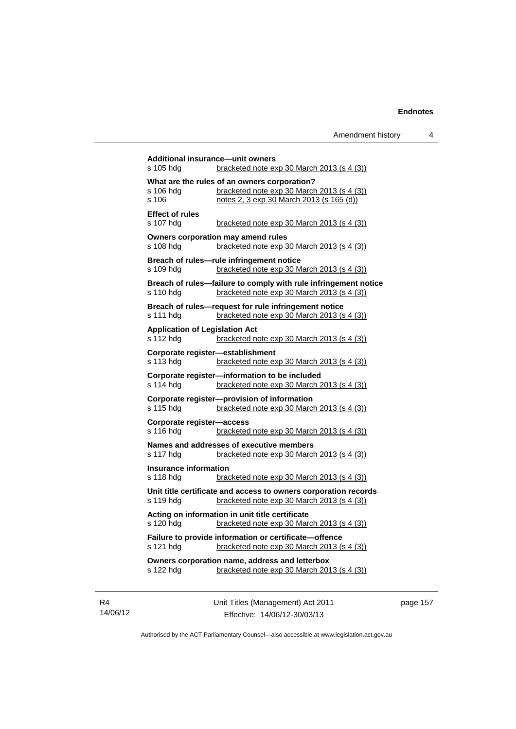| s 105 hdg                                          | bracketed note $exp 30$ March 2013 (s 4 (3))                                                                                           |
|----------------------------------------------------|----------------------------------------------------------------------------------------------------------------------------------------|
| s 106 hdg<br>s 106                                 | What are the rules of an owners corporation?<br>bracketed note exp 30 March 2013 (s 4 (3))<br>notes 2, 3 exp 30 March 2013 (s 165 (d)) |
| <b>Effect of rules</b><br>s 107 hdg                | bracketed note $exp 30$ March 2013 (s 4 (3))                                                                                           |
| s 108 hdg                                          | Owners corporation may amend rules<br>bracketed note exp 30 March 2013 (s 4 (3))                                                       |
| s 109 hdg                                          | Breach of rules-rule infringement notice<br>bracketed note exp 30 March 2013 (s 4 (3))                                                 |
| s 110 hdg                                          | Breach of rules-failure to comply with rule infringement notice<br>bracketed note exp 30 March 2013 (s 4 (3))                          |
| s 111 hdg                                          | Breach of rules-request for rule infringement notice<br>bracketed note exp 30 March 2013 (s 4 (3))                                     |
| <b>Application of Legislation Act</b><br>s 112 hdg | bracketed note exp 30 March 2013 (s 4 (3))                                                                                             |
| s 113 hda                                          | Corporate register-establishment<br>bracketed note exp 30 March 2013 (s 4 (3))                                                         |
| s 114 hdg                                          | Corporate register-information to be included<br>bracketed note exp 30 March 2013 (s 4 (3))                                            |
| s 115 hdg                                          | Corporate register-provision of information<br>bracketed note exp 30 March 2013 (s 4 (3))                                              |
| Corporate register-access<br>s 116 hda             | bracketed note exp 30 March 2013 (s 4 (3))                                                                                             |
| s 117 hdg                                          | Names and addresses of executive members<br>bracketed note $exp 30$ March 2013 (s 4 (3))                                               |
| <b>Insurance information</b><br>s 118 hdg          | bracketed note exp 30 March 2013 (s 4 (3))                                                                                             |
| s 119 hdg                                          | Unit title certificate and access to owners corporation records<br>bracketed note exp 30 March 2013 (s 4 (3))                          |
| s 120 hdg                                          | Acting on information in unit title certificate<br>bracketed note exp 30 March 2013 (s 4 (3))                                          |
| s 121 hdg                                          | Failure to provide information or certificate-offence<br>bracketed note exp 30 March 2013 (s 4 (3))                                    |
| s 122 hdg                                          | Owners corporation name, address and letterbox<br>bracketed note exp 30 March 2013 (s 4 (3))                                           |

R4 14/06/12 Unit Titles (Management) Act 2011 Effective: 14/06/12-30/03/13

page 157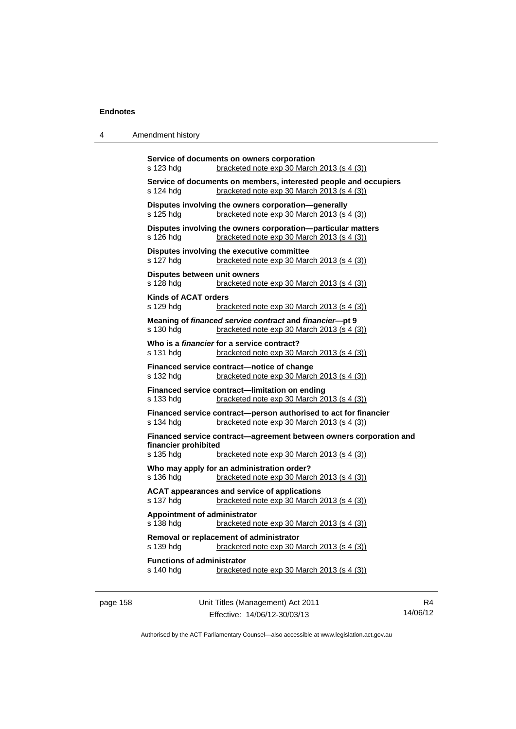4 Amendment history

|                                                | Service of documents on owners corporation                                                                     |
|------------------------------------------------|----------------------------------------------------------------------------------------------------------------|
| s 123 hdg                                      | bracketed note exp 30 March 2013 (s 4 (3))                                                                     |
| s 124 hdg                                      | Service of documents on members, interested people and occupiers<br>bracketed note exp 30 March 2013 (s 4 (3)) |
| s 125 hdg                                      | Disputes involving the owners corporation-generally<br>bracketed note $exp 30$ March 2013 (s 4 (3))            |
| s 126 hdg                                      | Disputes involving the owners corporation-particular matters<br>bracketed note exp 30 March 2013 (s 4 (3))     |
| s 127 hda                                      | Disputes involving the executive committee<br>bracketed note exp 30 March 2013 (s 4 (3))                       |
| Disputes between unit owners<br>s 128 hda      | bracketed note exp 30 March 2013 (s 4 (3))                                                                     |
| Kinds of ACAT orders<br>s 129 hdg              | bracketed note $\exp 30$ March 2013 (s 4 (3))                                                                  |
| s 130 hdg                                      | Meaning of financed service contract and financier-pt 9<br>bracketed note $exp 30$ March 2013 (s 4 (3))        |
| s 131 hdg                                      | Who is a <i>financier</i> for a service contract?<br>bracketed note $exp 30$ March 2013 $(s 4 (3))$            |
| s 132 hdg                                      | Financed service contract-notice of change<br>bracketed note exp 30 March 2013 (s 4 (3))                       |
| s 133 hdg                                      | Financed service contract-limitation on ending<br>bracketed note exp 30 March 2013 (s 4 (3))                   |
| s 134 hdg                                      | Financed service contract-person authorised to act for financier<br>bracketed note exp 30 March 2013 (s 4 (3)) |
| financier prohibited                           | Financed service contract-agreement between owners corporation and                                             |
| s 135 hdg                                      | bracketed note $exp 30$ March 2013 (s 4 (3))                                                                   |
| s 136 hda                                      | Who may apply for an administration order?<br>bracketed note exp 30 March 2013 (s 4 (3))                       |
| s 137 hdg                                      | <b>ACAT appearances and service of applications</b><br>bracketed note exp 30 March 2013 (s 4 (3))              |
| Appointment of administrator<br>s 138 hdg      | bracketed note exp 30 March 2013 (s 4 (3))                                                                     |
| s 139 hda                                      | Removal or replacement of administrator<br>bracketed note exp 30 March 2013 (s 4 (3))                          |
| <b>Functions of administrator</b><br>s 140 hdg | bracketed note $exp 30$ March 2013 (s 4 (3))                                                                   |
|                                                |                                                                                                                |

page 158 Unit Titles (Management) Act 2011 Effective: 14/06/12-30/03/13

R4 14/06/12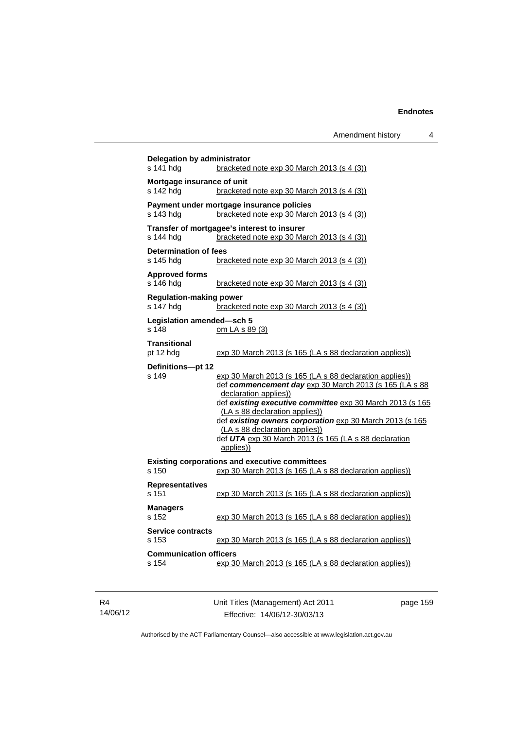| s 141 hda                                   | <b>Delegation by administrator</b><br>bracketed note $exp 30$ March 2013 (s 4 (3))                                                                                                                                                                                                                                                                                                                            |  |  |  |
|---------------------------------------------|---------------------------------------------------------------------------------------------------------------------------------------------------------------------------------------------------------------------------------------------------------------------------------------------------------------------------------------------------------------------------------------------------------------|--|--|--|
| Mortgage insurance of unit<br>s 142 hdg     | bracketed note $exp 30$ March 2013 (s 4 (3))                                                                                                                                                                                                                                                                                                                                                                  |  |  |  |
| s 143 hdg                                   | Payment under mortgage insurance policies<br>bracketed note $exp 30$ March 2013 (s 4 (3))                                                                                                                                                                                                                                                                                                                     |  |  |  |
| s 144 hdg                                   | Transfer of mortgagee's interest to insurer<br>bracketed note $exp 30$ March 2013 (s 4 (3))                                                                                                                                                                                                                                                                                                                   |  |  |  |
| <b>Determination of fees</b><br>s 145 hdg   | bracketed note exp 30 March 2013 (s 4 (3))                                                                                                                                                                                                                                                                                                                                                                    |  |  |  |
| <b>Approved forms</b><br>s 146 hdg          | bracketed note exp 30 March 2013 (s 4 (3))                                                                                                                                                                                                                                                                                                                                                                    |  |  |  |
| <b>Regulation-making power</b><br>s 147 hdg | bracketed note exp 30 March 2013 (s 4 (3))                                                                                                                                                                                                                                                                                                                                                                    |  |  |  |
| Legislation amended-sch 5<br>s 148          | om LA s 89 (3)                                                                                                                                                                                                                                                                                                                                                                                                |  |  |  |
| <b>Transitional</b><br>pt 12 hdg            | exp 30 March 2013 (s 165 (LA s 88 declaration applies))                                                                                                                                                                                                                                                                                                                                                       |  |  |  |
| Definitions-pt 12<br>s 149                  | exp 30 March 2013 (s 165 (LA s 88 declaration applies))<br>def commencement day exp 30 March 2013 (s 165 (LA s 88<br>declaration applies))<br>def existing executive committee exp 30 March 2013 (s 165<br>(LA s 88 declaration applies))<br>def existing owners corporation exp 30 March 2013 (s 165<br>(LA s 88 declaration applies))<br>def UTA exp 30 March 2013 (s 165 (LA s 88 declaration<br>applies)) |  |  |  |
| $s$ 150                                     | <b>Existing corporations and executive committees</b><br>exp 30 March 2013 (s 165 (LA s 88 declaration applies))                                                                                                                                                                                                                                                                                              |  |  |  |
| <b>Representatives</b><br>$s$ 151           | exp 30 March 2013 (s 165 (LA s 88 declaration applies))                                                                                                                                                                                                                                                                                                                                                       |  |  |  |
| <b>Managers</b><br>$s$ 152                  | exp 30 March 2013 (s 165 (LA s 88 declaration applies))                                                                                                                                                                                                                                                                                                                                                       |  |  |  |
| <b>Service contracts</b><br>s 153           | exp 30 March 2013 (s 165 (LA s 88 declaration applies))                                                                                                                                                                                                                                                                                                                                                       |  |  |  |
|                                             |                                                                                                                                                                                                                                                                                                                                                                                                               |  |  |  |

| R4       |
|----------|
| 14/06/12 |

Unit Titles (Management) Act 2011 Effective: 14/06/12-30/03/13

page 159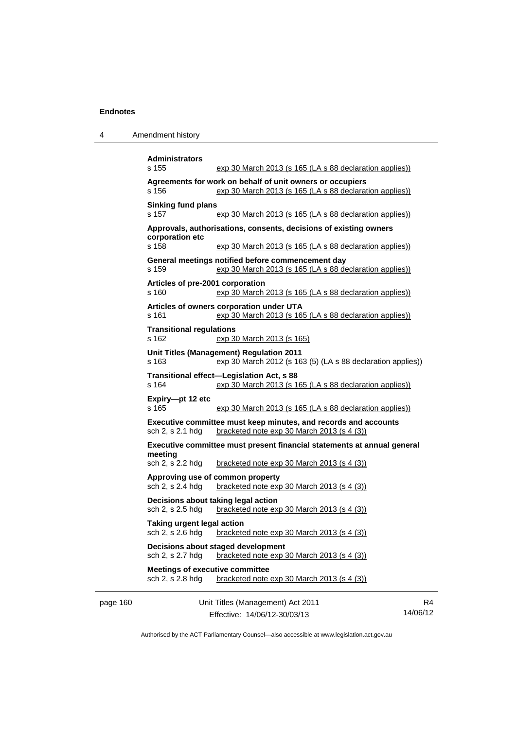|  | Amendment history |
|--|-------------------|
|--|-------------------|

|          | <b>Administrators</b><br>s 155                             | exp 30 March 2013 (s 165 (LA s 88 declaration applies))                                                                 |                            |
|----------|------------------------------------------------------------|-------------------------------------------------------------------------------------------------------------------------|----------------------------|
|          | s 156                                                      | Agreements for work on behalf of unit owners or occupiers<br>exp 30 March 2013 (s 165 (LA s 88 declaration applies))    |                            |
|          | <b>Sinking fund plans</b><br>s 157                         | exp 30 March 2013 (s 165 (LA s 88 declaration applies))                                                                 |                            |
|          | corporation etc                                            | Approvals, authorisations, consents, decisions of existing owners                                                       |                            |
|          | s 158                                                      | exp 30 March 2013 (s 165 (LA s 88 declaration applies))                                                                 |                            |
|          | s 159                                                      | General meetings notified before commencement day<br>exp 30 March 2013 (s 165 (LA s 88 declaration applies))            |                            |
|          | Articles of pre-2001 corporation<br>s 160                  | exp 30 March 2013 (s 165 (LA s 88 declaration applies))                                                                 |                            |
|          | s 161                                                      | Articles of owners corporation under UTA<br>exp 30 March 2013 (s 165 (LA s 88 declaration applies))                     |                            |
|          | <b>Transitional regulations</b><br>s 162                   | exp 30 March 2013 (s 165)                                                                                               |                            |
|          | s 163                                                      | Unit Titles (Management) Regulation 2011<br>exp 30 March 2012 (s 163 (5) (LA s 88 declaration applies))                 |                            |
|          | s 164                                                      | Transitional effect-Legislation Act, s 88<br>exp 30 March 2013 (s 165 (LA s 88 declaration applies))                    |                            |
|          | Expiry-pt 12 etc<br>s 165                                  | exp 30 March 2013 (s 165 (LA s 88 declaration applies))                                                                 |                            |
|          | sch 2, s 2.1 hdg                                           | Executive committee must keep minutes, and records and accounts<br>bracketed note exp 30 March 2013 (s 4 (3))           |                            |
|          | meeting<br>sch 2, s 2.2 hdg                                | Executive committee must present financial statements at annual general<br>bracketed note $exp 30$ March 2013 (s 4 (3)) |                            |
|          | sch 2, s 2.4 hdg                                           | Approving use of common property<br>bracketed note $exp 30$ March 2013 (s 4 (3))                                        |                            |
|          | sch 2, s 2.5 hdg                                           | Decisions about taking legal action<br>bracketed note exp 30 March 2013 (s 4 (3))                                       |                            |
|          | Taking urgent legal action<br>sch 2, s 2.6 hdg             | bracketed note exp 30 March 2013 (s 4 (3))                                                                              |                            |
|          | sch 2, s 2.7 hdg                                           | Decisions about staged development<br>bracketed note exp 30 March 2013 (s 4 (3))                                        |                            |
|          | <b>Meetings of executive committee</b><br>sch 2, s 2.8 hdg | bracketed note $exp 30$ March 2013 (s 4 (3))                                                                            |                            |
| page 160 |                                                            | Unit Titles (Management) Act 2011                                                                                       | R <sub>4</sub><br>14/06/12 |
|          |                                                            | Effective: 14/06/12-30/03/13                                                                                            |                            |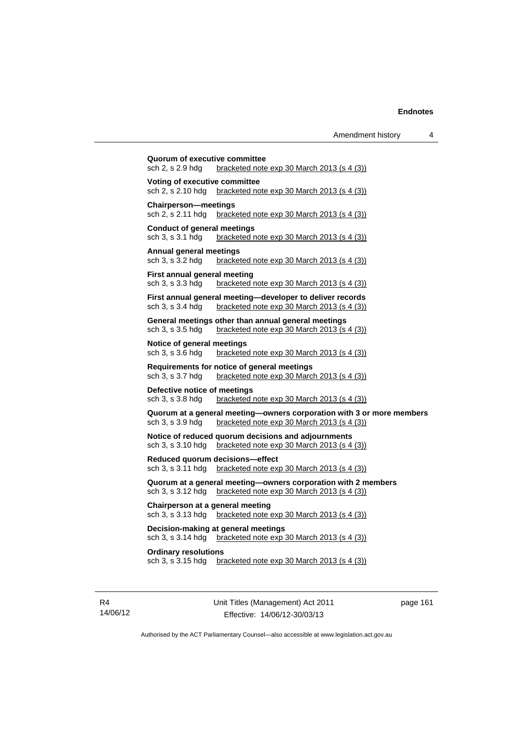| sch 2, s 2.9 hdg                                      | bracketed note $\exp 30$ March 2013 (s 4 (3))                                                                       |
|-------------------------------------------------------|---------------------------------------------------------------------------------------------------------------------|
| Voting of executive committee<br>sch 2, s 2.10 hdg    | bracketed note $exp 30$ March 2013 (s 4 (3))                                                                        |
| <b>Chairperson-meetings</b><br>sch 2, s 2.11 hdg      | bracketed note $exp 30$ March 2013 (s 4 (3))                                                                        |
| Conduct of general meetings<br>sch 3, s 3.1 hdg       | bracketed note $exp 30$ March 2013 (s 4 (3))                                                                        |
| <b>Annual general meetings</b><br>sch 3, s 3.2 hdg    | bracketed note $exp 30$ March 2013 $(s 4 (3))$                                                                      |
| First annual general meeting<br>sch 3, s 3.3 hdg      | bracketed note $\exp 30$ March 2013 (s 4 (3))                                                                       |
| sch 3, s 3.4 hdg                                      | First annual general meeting—developer to deliver records<br>bracketed note $exp$ 30 March 2013 (s 4 (3))           |
| sch 3, s 3.5 hdg                                      | General meetings other than annual general meetings<br>bracketed note exp 30 March 2013 (s 4 (3))                   |
| Notice of general meetings<br>sch 3, s 3.6 hdg        | bracketed note $exp 30$ March 2013 (s 4 (3))                                                                        |
| sch 3, s 3.7 hdg                                      | Requirements for notice of general meetings<br>bracketed note $\exp 30$ March 2013 (s 4 (3))                        |
| Defective notice of meetings<br>sch 3, s 3.8 hdg      | bracketed note $exp 30$ March 2013 (s 4 (3))                                                                        |
| sch 3, s 3.9 hdg                                      | Quorum at a general meeting-owners corporation with 3 or more members<br>bracketed note exp 30 March 2013 (s 4 (3)) |
| sch 3, s 3.10 hdg                                     | Notice of reduced quorum decisions and adjournments<br>bracketed note $exp 30$ March 2013 (s 4 (3))                 |
| sch 3, s 3.11 hdg                                     | Reduced quorum decisions-effect<br>bracketed note exp 30 March 2013 (s 4 (3))                                       |
| sch 3, s 3.12 hdg                                     | Quorum at a general meeting-owners corporation with 2 members<br>bracketed note $exp 30$ March 2013 (s 4 (3))       |
| Chairperson at a general meeting<br>sch 3, s 3.13 hdg | bracketed note exp 30 March 2013 (s 4 (3))                                                                          |
| sch 3, s 3.14 hdg                                     | Decision-making at general meetings<br>bracketed note exp 30 March 2013 (s 4 (3))                                   |
| <b>Ordinary resolutions</b><br>sch 3, s 3.15 hdg      | bracketed note $exp 30$ March 2013 (s 4 (3))                                                                        |

R4 14/06/12 Unit Titles (Management) Act 2011 Effective: 14/06/12-30/03/13

page 161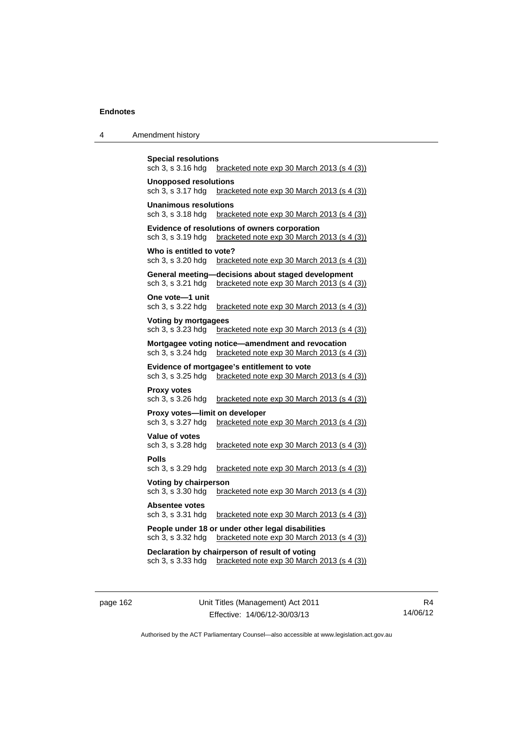| 4 | Amendment history |
|---|-------------------|
|---|-------------------|

```
Special resolutions 
sch 3, s 3.16 hdg bracketed note exp 30 March 2013 (s 4 (3))
Unopposed resolutions 
sch 3, s 3.17 hdg bracketed note exp 30 March 2013 (s 4 (3))
Unanimous resolutions 
sch 3, s 3.18 hdg bracketed note exp 30 March 2013 (s 4 (3))
Evidence of resolutions of owners corporation 
sch 3, s 3.19 hdg bracketed note exp 30 March 2013 (s 4 (3))
Who is entitled to vote? 
sch 3, s 3.20 hdg bracketed note exp 30 March 2013 (s 4 (3))
General meeting—decisions about staged development 
sch 3, s 3.21 hdg bracketed note exp 30 March 2013 (s 4 (3))
One vote—1 unit 
sch 3, s 3.22 hdg bracketed note exp 30 March 2013 (s 4 (3))
Voting by mortgagees 
sch 3, s 3.23 hdg bracketed note exp 30 March 2013 (s 4 (3))
Mortgagee voting notice—amendment and revocation 
sch 3, s 3.24 hdg bracketed note exp 30 March 2013 (s 4 (3))
Evidence of mortgagee's entitlement to vote 
sch 3, s 3.25 hdg bracketed note exp 30 March 2013 (s 4 (3))
Proxy votes 
sch 3, s 3.26 hdg bracketed note exp 30 March 2013 (s 4 (3))
Proxy votes—limit on developer 
sch 3, s 3.27 hdg bracketed note exp 30 March 2013 (s 4 (3))
Value of votes 
sch 3, s 3.28 hdg bracketed note exp 30 March 2013 (s 4 (3))
Polls 
sch 3, s 3.29 hdg bracketed note exp 30 March 2013 (s 4 (3))
Voting by chairperson 
sch 3, s 3.30 hdg bracketed note exp 30 March 2013 (s 4 (3))
Absentee votes 
sch 3, s 3.31 hdg bracketed note exp 30 March 2013 (s 4 (3))
People under 18 or under other legal disabilities 
sch 3, s 3.32 hdg bracketed note exp 30 March 2013 (s 4 (3))
Declaration by chairperson of result of voting 
sch 3, s 3.33 hdg bracketed note exp 30 March 2013 (s 4 (3))
```
page 162 Unit Titles (Management) Act 2011 Effective: 14/06/12-30/03/13

R4 14/06/12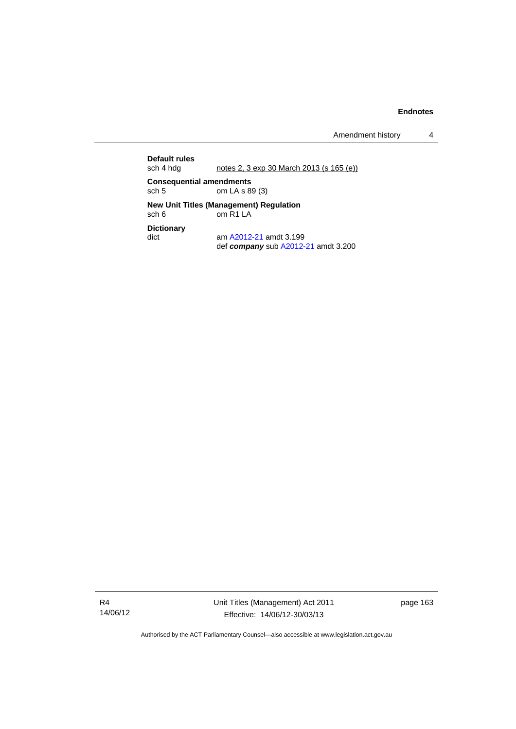Amendment history 4

**Default rules**  notes 2, 3 exp 30 March 2013 (s 165 (e)) **Consequential amendments**<br>sch 5 cm LA s 8 om LA s 89 (3) **New Unit Titles (Management) Regulation**  sch 6 om R1 LA **Dictionary**  dict am [A2012-21](http://www.legislation.act.gov.au/a/2012-21) amdt 3.199 def *company* sub [A2012-21](http://www.legislation.act.gov.au/a/2012-21) amdt 3.200

R4 14/06/12 Unit Titles (Management) Act 2011 Effective: 14/06/12-30/03/13

page 163